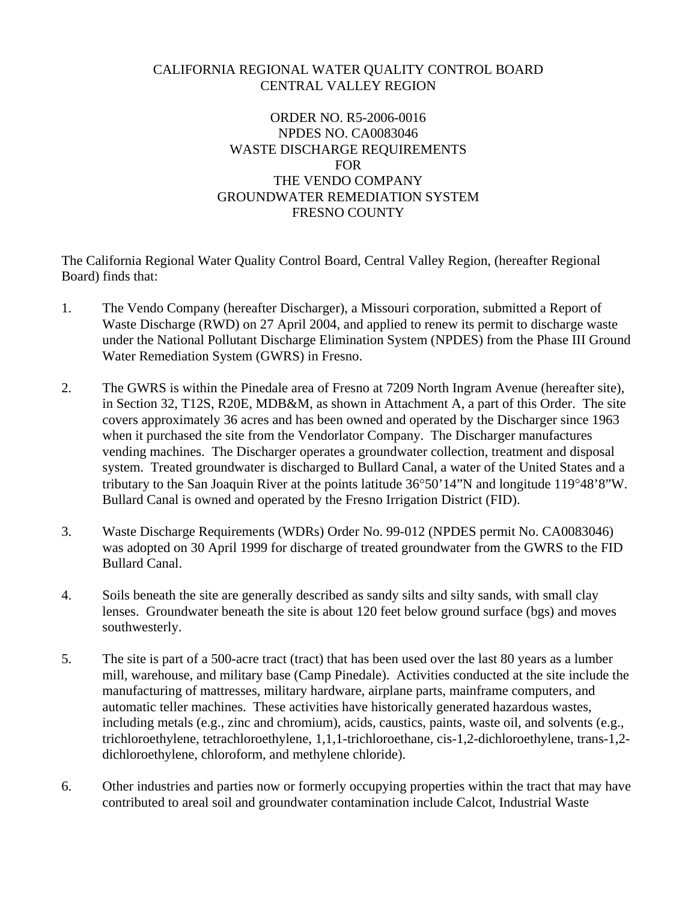# CALIFORNIA REGIONAL WATER QUALITY CONTROL BOARD CENTRAL VALLEY REGION

# ORDER NO. R5-2006-0016 NPDES NO. CA0083046 WASTE DISCHARGE REQUIREMENTS FOR THE VENDO COMPANY GROUNDWATER REMEDIATION SYSTEM FRESNO COUNTY

The California Regional Water Quality Control Board, Central Valley Region, (hereafter Regional Board) finds that:

- 1. The Vendo Company (hereafter Discharger), a Missouri corporation, submitted a Report of Waste Discharge (RWD) on 27 April 2004, and applied to renew its permit to discharge waste under the National Pollutant Discharge Elimination System (NPDES) from the Phase III Ground Water Remediation System (GWRS) in Fresno.
- 2. The GWRS is within the Pinedale area of Fresno at 7209 North Ingram Avenue (hereafter site), in Section 32, T12S, R20E, MDB&M, as shown in Attachment A, a part of this Order. The site covers approximately 36 acres and has been owned and operated by the Discharger since 1963 when it purchased the site from the Vendorlator Company. The Discharger manufactures vending machines. The Discharger operates a groundwater collection, treatment and disposal system. Treated groundwater is discharged to Bullard Canal, a water of the United States and a tributary to the San Joaquin River at the points latitude 36°50'14"N and longitude 119°48'8"W. Bullard Canal is owned and operated by the Fresno Irrigation District (FID).
- 3. Waste Discharge Requirements (WDRs) Order No. 99-012 (NPDES permit No. CA0083046) was adopted on 30 April 1999 for discharge of treated groundwater from the GWRS to the FID Bullard Canal.
- 4. Soils beneath the site are generally described as sandy silts and silty sands, with small clay lenses. Groundwater beneath the site is about 120 feet below ground surface (bgs) and moves southwesterly.
- 5. The site is part of a 500-acre tract (tract) that has been used over the last 80 years as a lumber mill, warehouse, and military base (Camp Pinedale). Activities conducted at the site include the manufacturing of mattresses, military hardware, airplane parts, mainframe computers, and automatic teller machines. These activities have historically generated hazardous wastes, including metals (e.g., zinc and chromium), acids, caustics, paints, waste oil, and solvents (e.g., trichloroethylene, tetrachloroethylene, 1,1,1-trichloroethane, cis-1,2-dichloroethylene, trans-1,2 dichloroethylene, chloroform, and methylene chloride).
- 6. Other industries and parties now or formerly occupying properties within the tract that may have contributed to areal soil and groundwater contamination include Calcot, Industrial Waste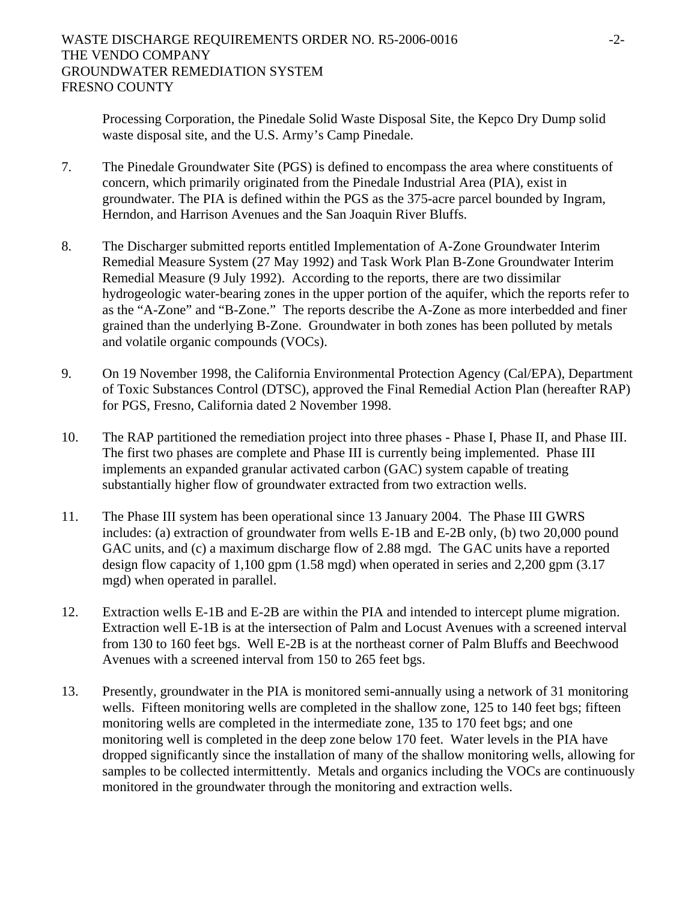Processing Corporation, the Pinedale Solid Waste Disposal Site, the Kepco Dry Dump solid waste disposal site, and the U.S. Army's Camp Pinedale.

- 7. The Pinedale Groundwater Site (PGS) is defined to encompass the area where constituents of concern, which primarily originated from the Pinedale Industrial Area (PIA), exist in groundwater. The PIA is defined within the PGS as the 375-acre parcel bounded by Ingram, Herndon, and Harrison Avenues and the San Joaquin River Bluffs.
- 8. The Discharger submitted reports entitled Implementation of A-Zone Groundwater Interim Remedial Measure System (27 May 1992) and Task Work Plan B-Zone Groundwater Interim Remedial Measure (9 July 1992). According to the reports, there are two dissimilar hydrogeologic water-bearing zones in the upper portion of the aquifer, which the reports refer to as the "A-Zone" and "B-Zone." The reports describe the A-Zone as more interbedded and finer grained than the underlying B-Zone. Groundwater in both zones has been polluted by metals and volatile organic compounds (VOCs).
- 9. On 19 November 1998, the California Environmental Protection Agency (Cal/EPA), Department of Toxic Substances Control (DTSC), approved the Final Remedial Action Plan (hereafter RAP) for PGS, Fresno, California dated 2 November 1998.
- 10. The RAP partitioned the remediation project into three phases Phase I, Phase II, and Phase III. The first two phases are complete and Phase III is currently being implemented. Phase III implements an expanded granular activated carbon (GAC) system capable of treating substantially higher flow of groundwater extracted from two extraction wells.
- 11. The Phase III system has been operational since 13 January 2004. The Phase III GWRS includes: (a) extraction of groundwater from wells E-1B and E-2B only, (b) two 20,000 pound GAC units, and (c) a maximum discharge flow of 2.88 mgd. The GAC units have a reported design flow capacity of 1,100 gpm (1.58 mgd) when operated in series and 2,200 gpm (3.17 mgd) when operated in parallel.
- 12. Extraction wells E-1B and E-2B are within the PIA and intended to intercept plume migration. Extraction well E-1B is at the intersection of Palm and Locust Avenues with a screened interval from 130 to 160 feet bgs. Well E-2B is at the northeast corner of Palm Bluffs and Beechwood Avenues with a screened interval from 150 to 265 feet bgs.
- 13. Presently, groundwater in the PIA is monitored semi-annually using a network of 31 monitoring wells. Fifteen monitoring wells are completed in the shallow zone, 125 to 140 feet bgs; fifteen monitoring wells are completed in the intermediate zone, 135 to 170 feet bgs; and one monitoring well is completed in the deep zone below 170 feet. Water levels in the PIA have dropped significantly since the installation of many of the shallow monitoring wells, allowing for samples to be collected intermittently. Metals and organics including the VOCs are continuously monitored in the groundwater through the monitoring and extraction wells.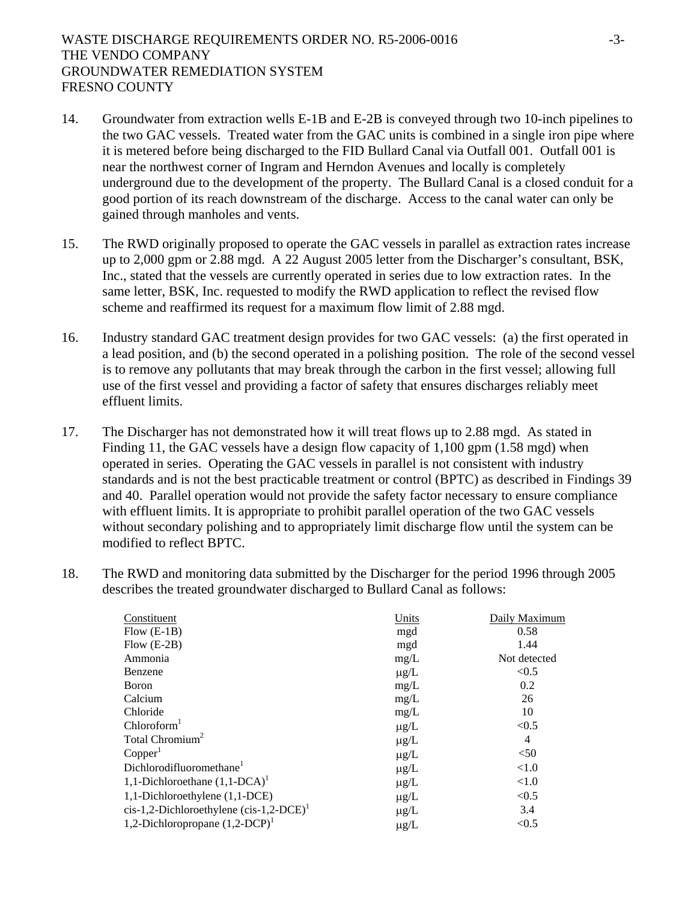- 14. Groundwater from extraction wells E-1B and E-2B is conveyed through two 10-inch pipelines to the two GAC vessels. Treated water from the GAC units is combined in a single iron pipe where it is metered before being discharged to the FID Bullard Canal via Outfall 001. Outfall 001 is near the northwest corner of Ingram and Herndon Avenues and locally is completely underground due to the development of the property. The Bullard Canal is a closed conduit for a good portion of its reach downstream of the discharge. Access to the canal water can only be gained through manholes and vents.
- 15. The RWD originally proposed to operate the GAC vessels in parallel as extraction rates increase up to 2,000 gpm or 2.88 mgd. A 22 August 2005 letter from the Discharger's consultant, BSK, Inc., stated that the vessels are currently operated in series due to low extraction rates. In the same letter, BSK, Inc. requested to modify the RWD application to reflect the revised flow scheme and reaffirmed its request for a maximum flow limit of 2.88 mgd.
- 16. Industry standard GAC treatment design provides for two GAC vessels: (a) the first operated in a lead position, and (b) the second operated in a polishing position. The role of the second vessel is to remove any pollutants that may break through the carbon in the first vessel; allowing full use of the first vessel and providing a factor of safety that ensures discharges reliably meet effluent limits.
- 17. The Discharger has not demonstrated how it will treat flows up to 2.88 mgd. As stated in Finding 11, the GAC vessels have a design flow capacity of 1,100 gpm (1.58 mgd) when operated in series. Operating the GAC vessels in parallel is not consistent with industry standards and is not the best practicable treatment or control (BPTC) as described in Findings 39 and 40. Parallel operation would not provide the safety factor necessary to ensure compliance with effluent limits. It is appropriate to prohibit parallel operation of the two GAC vessels without secondary polishing and to appropriately limit discharge flow until the system can be modified to reflect BPTC.
- 18. The RWD and monitoring data submitted by the Discharger for the period 1996 through 2005 describes the treated groundwater discharged to Bullard Canal as follows:

| Constituent                                  | Units     | Daily Maximum  |
|----------------------------------------------|-----------|----------------|
| $Flow (E-1B)$                                | mgd       | 0.58           |
| Flow $(E-2B)$                                | mgd       | 1.44           |
| Ammonia                                      | mg/L      | Not detected   |
| Benzene                                      | $\mu$ g/L | < 0.5          |
| Boron                                        | mg/L      | 0.2            |
| Calcium                                      | mg/L      | 26             |
| Chloride                                     | mg/L      | 10             |
| Chloroform <sup>1</sup>                      | $\mu$ g/L | < 0.5          |
| Total Chromium <sup>2</sup>                  | $\mu$ g/L | $\overline{4}$ |
| Copper <sup>1</sup>                          | $\mu$ g/L | < 50           |
| Dichlorodifluoromethane <sup>1</sup>         | $\mu$ g/L | < 1.0          |
| 1,1-Dichloroethane $(1,1$ -DCA) <sup>1</sup> | $\mu$ g/L | < 1.0          |
| 1,1-Dichloroethylene (1,1-DCE)               | $\mu$ g/L | < 0.5          |
| $cis-1,2-Dichloroethylene (cis-1,2-DCE)^T$   | $\mu$ g/L | 3.4            |
| 1,2-Dichloropropane $(1,2$ -DCP $)^1$        | $\mu g/L$ | < 0.5          |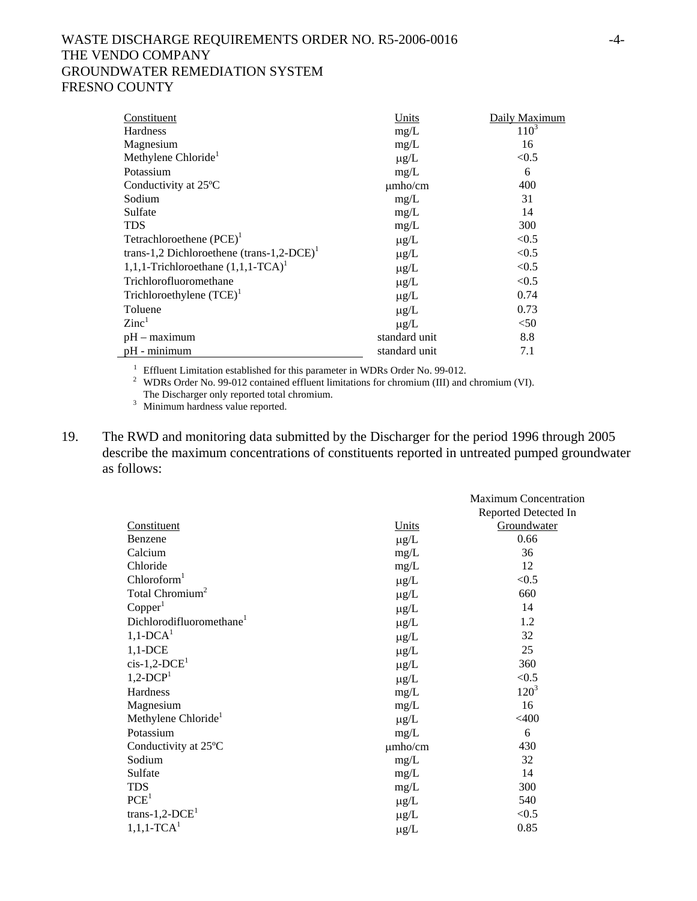## WASTE DISCHARGE REQUIREMENTS ORDER NO. R5-2006-0016 -4- THE VENDO COMPANY GROUNDWATER REMEDIATION SYSTEM FRESNO COUNTY

| Constituent                                       | Units         | Daily Maximum |
|---------------------------------------------------|---------------|---------------|
| <b>Hardness</b>                                   | mg/L          | $110^3$       |
| Magnesium                                         | mg/L          | 16            |
| Methylene Chloride <sup>1</sup>                   | $\mu$ g/L     | < 0.5         |
| Potassium                                         | mg/L          | 6             |
| Conductivity at 25°C                              | $\mu$ mho/cm  | 400           |
| Sodium                                            | mg/L          | 31            |
| Sulfate                                           | mg/L          | 14            |
| TDS                                               | mg/L          | 300           |
| Tetrachloroethene $(PCE)^1$                       | $\mu$ g/L     | < 0.5         |
| trans-1,2 Dichloroethene $(trans-1, 2-DCE)^T$     | $\mu$ g/L     | < 0.5         |
| 1,1,1-Trichloroethane $(1,1,1$ -TCA) <sup>1</sup> | $\mu$ g/L     | < 0.5         |
| Trichlorofluoromethane                            | $\mu$ g/L     | < 0.5         |
| Trichloroethylene $(TCE)^1$                       | $\mu$ g/L     | 0.74          |
| Toluene                                           | $\mu$ g/L     | 0.73          |
| $\rm Zinc^1$                                      | $\mu$ g/L     | $50$          |
| $pH -$ maximum                                    | standard unit | 8.8           |
| $pH - minimum$                                    | standard unit | 7.1           |

<sup>1</sup> Effluent Limitation established for this parameter in WDRs Order No. 99-012.<br><sup>2</sup> WDRs Order No. 00.012 contained effluent limitations for ehromium (III) and

<sup>2</sup> WDRs Order No. 99-012 contained effluent limitations for chromium (III) and chromium (VI). The Discharger only reported total chromium.

<sup>3</sup> Minimum hardness value reported.

19. The RWD and monitoring data submitted by the Discharger for the period 1996 through 2005 describe the maximum concentrations of constituents reported in untreated pumped groundwater as follows:

|                                      |              | <b>Maximum Concentration</b> |
|--------------------------------------|--------------|------------------------------|
|                                      |              | Reported Detected In         |
| Constituent                          | Units        | Groundwater                  |
| Benzene                              | $\mu$ g/L    | 0.66                         |
| Calcium                              | mg/L         | 36                           |
| Chloride                             | mg/L         | 12                           |
| Chloroform <sup>1</sup>              | $\mu$ g/L    | < 0.5                        |
| Total Chromium <sup>2</sup>          | $\mu$ g/L    | 660                          |
| Copper <sup>1</sup>                  | $\mu$ g/L    | 14                           |
| Dichlorodifluoromethane <sup>1</sup> | $\mu$ g/L    | 1.2                          |
| $1,1$ -DCA <sup>1</sup>              | $\mu$ g/L    | 32                           |
| $1,1$ -DCE                           | $\mu$ g/L    | 25                           |
| $cis-1,2-DCE1$                       | $\mu$ g/L    | 360                          |
| $1,2$ -DCP <sup>1</sup>              | $\mu$ g/L    | < 0.5                        |
| Hardness                             | mg/L         | $120^3$                      |
| Magnesium                            | mg/L         | 16                           |
| Methylene Chloride <sup>1</sup>      | $\mu g/L$    | $<$ 400                      |
| Potassium                            | mg/L         | 6                            |
| Conductivity at 25°C                 | $\mu$ mho/cm | 430                          |
| Sodium                               | mg/L         | 32                           |
| Sulfate                              | mg/L         | 14                           |
| <b>TDS</b>                           | mg/L         | 300                          |
| PCE <sup>1</sup>                     | $\mu$ g/L    | 540                          |
| trans-1,2- $DCE1$                    | $\mu$ g/L    | < 0.5                        |
| $1,1,1$ -TCA <sup>1</sup>            | $\mu g/L$    | 0.85                         |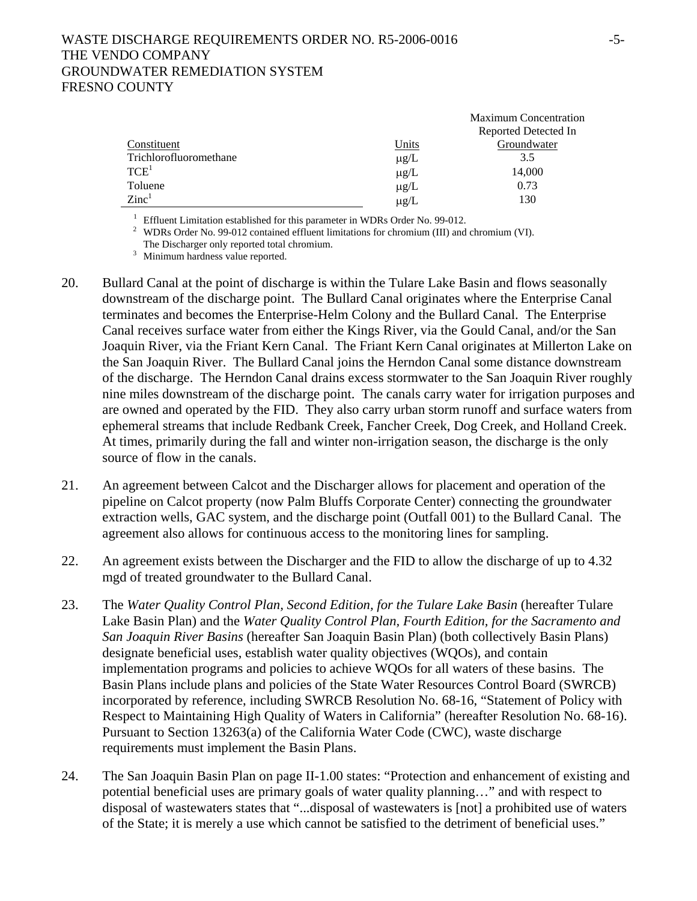|                        |              | <b>Maximum Concentration</b> |
|------------------------|--------------|------------------------------|
|                        |              | Reported Detected In         |
| Constituent            | <u>Units</u> | Groundwater                  |
| Trichlorofluoromethane | $\mu$ g/L    | 3.5                          |
| $\mathrm{TCE}^1$       | $\mu$ g/L    | 14,000                       |
| Toluene                | $\mu$ g/L    | 0.73                         |
| $\rm Zinc^1$           | $\mu$ g/L    | 130                          |
|                        |              |                              |

<sup>1</sup> Effluent Limitation established for this parameter in WDRs Order No. 99-012.<br><sup>2</sup> WDRs Order No. 99-012 contained effluent limitations for chromium (III) and chromium (VI). The Discharger only reported total chromium.<br><sup>3</sup> Minimum hardness value reported.

- 20. Bullard Canal at the point of discharge is within the Tulare Lake Basin and flows seasonally downstream of the discharge point. The Bullard Canal originates where the Enterprise Canal terminates and becomes the Enterprise-Helm Colony and the Bullard Canal. The Enterprise Canal receives surface water from either the Kings River, via the Gould Canal, and/or the San Joaquin River, via the Friant Kern Canal. The Friant Kern Canal originates at Millerton Lake on the San Joaquin River. The Bullard Canal joins the Herndon Canal some distance downstream of the discharge. The Herndon Canal drains excess stormwater to the San Joaquin River roughly nine miles downstream of the discharge point. The canals carry water for irrigation purposes and are owned and operated by the FID. They also carry urban storm runoff and surface waters from ephemeral streams that include Redbank Creek, Fancher Creek, Dog Creek, and Holland Creek. At times, primarily during the fall and winter non-irrigation season, the discharge is the only source of flow in the canals.
- 21. An agreement between Calcot and the Discharger allows for placement and operation of the pipeline on Calcot property (now Palm Bluffs Corporate Center) connecting the groundwater extraction wells, GAC system, and the discharge point (Outfall 001) to the Bullard Canal. The agreement also allows for continuous access to the monitoring lines for sampling.
- 22. An agreement exists between the Discharger and the FID to allow the discharge of up to 4.32 mgd of treated groundwater to the Bullard Canal.
- 23. The *Water Quality Control Plan, Second Edition, for the Tulare Lake Basin* (hereafter Tulare Lake Basin Plan) and the *Water Quality Control Plan, Fourth Edition, for the Sacramento and San Joaquin River Basins* (hereafter San Joaquin Basin Plan) (both collectively Basin Plans) designate beneficial uses, establish water quality objectives (WQOs), and contain implementation programs and policies to achieve WQOs for all waters of these basins. The Basin Plans include plans and policies of the State Water Resources Control Board (SWRCB) incorporated by reference, including SWRCB Resolution No. 68-16, "Statement of Policy with Respect to Maintaining High Quality of Waters in California" (hereafter Resolution No. 68-16). Pursuant to Section 13263(a) of the California Water Code (CWC), waste discharge requirements must implement the Basin Plans.
- 24. The San Joaquin Basin Plan on page II-1.00 states: "Protection and enhancement of existing and potential beneficial uses are primary goals of water quality planning…" and with respect to disposal of wastewaters states that "...disposal of wastewaters is [not] a prohibited use of waters of the State; it is merely a use which cannot be satisfied to the detriment of beneficial uses."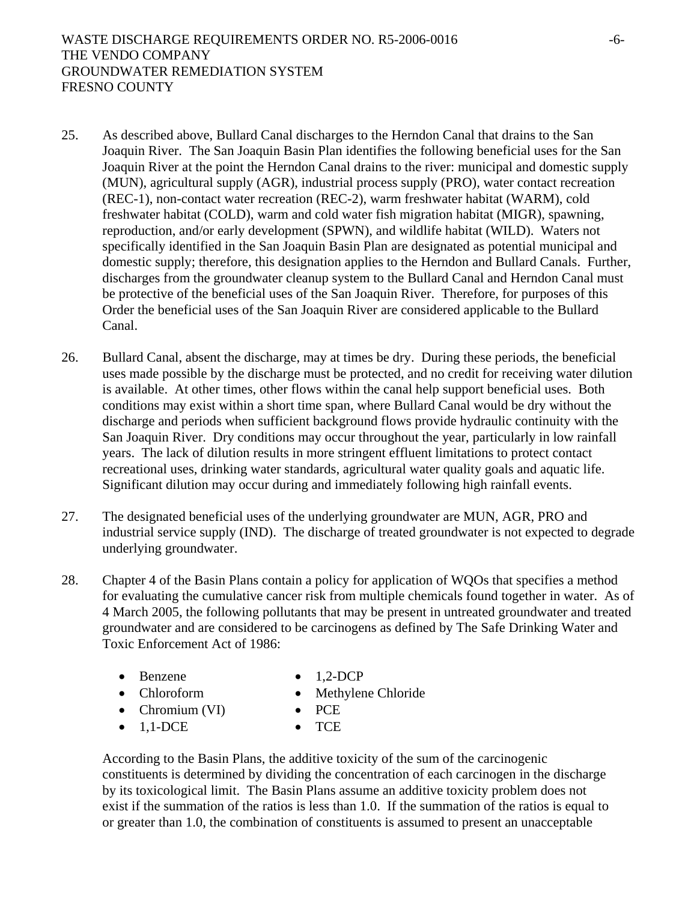- 25. As described above, Bullard Canal discharges to the Herndon Canal that drains to the San Joaquin River. The San Joaquin Basin Plan identifies the following beneficial uses for the San Joaquin River at the point the Herndon Canal drains to the river: municipal and domestic supply (MUN), agricultural supply (AGR), industrial process supply (PRO), water contact recreation (REC-1), non-contact water recreation (REC-2), warm freshwater habitat (WARM), cold freshwater habitat (COLD), warm and cold water fish migration habitat (MIGR), spawning, reproduction, and/or early development (SPWN), and wildlife habitat (WILD). Waters not specifically identified in the San Joaquin Basin Plan are designated as potential municipal and domestic supply; therefore, this designation applies to the Herndon and Bullard Canals. Further, discharges from the groundwater cleanup system to the Bullard Canal and Herndon Canal must be protective of the beneficial uses of the San Joaquin River. Therefore, for purposes of this Order the beneficial uses of the San Joaquin River are considered applicable to the Bullard Canal.
- 26. Bullard Canal, absent the discharge, may at times be dry. During these periods, the beneficial uses made possible by the discharge must be protected, and no credit for receiving water dilution is available. At other times, other flows within the canal help support beneficial uses. Both conditions may exist within a short time span, where Bullard Canal would be dry without the discharge and periods when sufficient background flows provide hydraulic continuity with the San Joaquin River. Dry conditions may occur throughout the year, particularly in low rainfall years. The lack of dilution results in more stringent effluent limitations to protect contact recreational uses, drinking water standards, agricultural water quality goals and aquatic life. Significant dilution may occur during and immediately following high rainfall events.
- 27. The designated beneficial uses of the underlying groundwater are MUN, AGR, PRO and industrial service supply (IND). The discharge of treated groundwater is not expected to degrade underlying groundwater.
- 28. Chapter 4 of the Basin Plans contain a policy for application of WQOs that specifies a method for evaluating the cumulative cancer risk from multiple chemicals found together in water. As of 4 March 2005, the following pollutants that may be present in untreated groundwater and treated groundwater and are considered to be carcinogens as defined by The Safe Drinking Water and Toxic Enforcement Act of 1986:
	- Benzene 1,2-DCP
- - Chloroform Methylene Chloride
- - Chromium (VI) PCE
		-
	- 1.1-DCE TCE

According to the Basin Plans, the additive toxicity of the sum of the carcinogenic constituents is determined by dividing the concentration of each carcinogen in the discharge by its toxicological limit. The Basin Plans assume an additive toxicity problem does not exist if the summation of the ratios is less than 1.0. If the summation of the ratios is equal to or greater than 1.0, the combination of constituents is assumed to present an unacceptable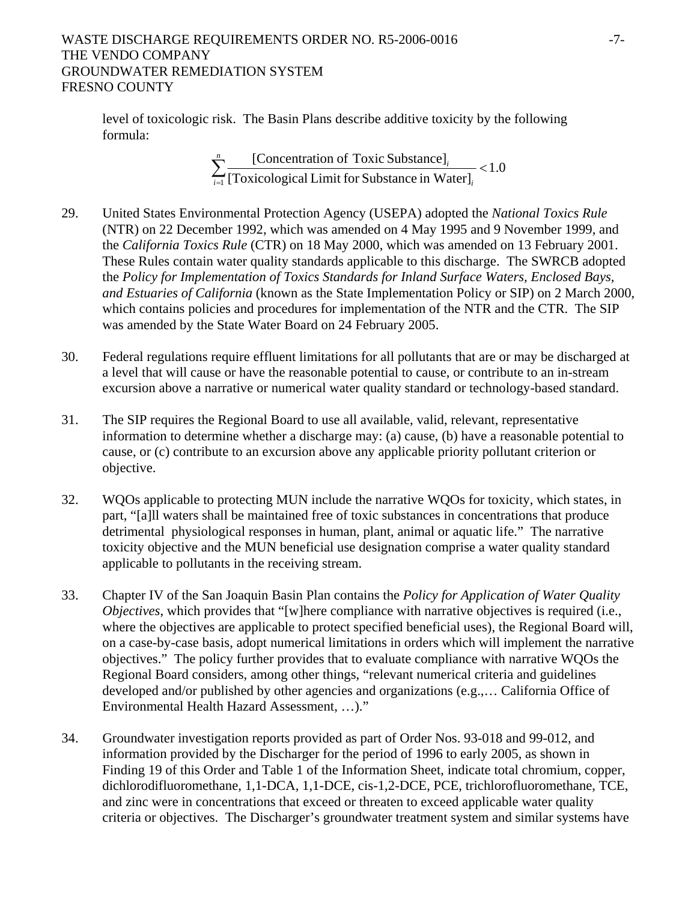## WASTE DISCHARGE REQUIREMENTS ORDER NO. R5-2006-0016 -7-THE VENDO COMPANY GROUNDWATER REMEDIATION SYSTEM FRESNO COUNTY

level of toxicologic risk. The Basin Plans describe additive toxicity by the following formula:

> 1.0 [Toxicological Limit for Substance in Water] [Concentration of Toxic Substance]  $\sum_{i=1}^{n} \frac{[\text{Concentration of Toxic Substance}]_i}{[\text{Toxicological Limit for Substance in Water}]_i}$  $_{i=1}$  [TOXICOIOgICal LIIIIII TOI SUOSIAIICE III WAIEI J<sub>i</sub> *i*

- 29. United States Environmental Protection Agency (USEPA) adopted the *National Toxics Rule* (NTR) on 22 December 1992, which was amended on 4 May 1995 and 9 November 1999, and the *California Toxics Rule* (CTR) on 18 May 2000, which was amended on 13 February 2001. These Rules contain water quality standards applicable to this discharge. The SWRCB adopted the *Policy for Implementation of Toxics Standards for Inland Surface Waters, Enclosed Bays, and Estuaries of California* (known as the State Implementation Policy or SIP) on 2 March 2000, which contains policies and procedures for implementation of the NTR and the CTR. The SIP was amended by the State Water Board on 24 February 2005.
- 30. Federal regulations require effluent limitations for all pollutants that are or may be discharged at a level that will cause or have the reasonable potential to cause, or contribute to an in-stream excursion above a narrative or numerical water quality standard or technology-based standard.
- 31. The SIP requires the Regional Board to use all available, valid, relevant, representative information to determine whether a discharge may: (a) cause, (b) have a reasonable potential to cause, or (c) contribute to an excursion above any applicable priority pollutant criterion or objective.
- 32. WQOs applicable to protecting MUN include the narrative WQOs for toxicity, which states, in part, "[a]ll waters shall be maintained free of toxic substances in concentrations that produce detrimental physiological responses in human, plant, animal or aquatic life." The narrative toxicity objective and the MUN beneficial use designation comprise a water quality standard applicable to pollutants in the receiving stream.
- 33. Chapter IV of the San Joaquin Basin Plan contains the *Policy for Application of Water Quality Objectives*, which provides that "[w]here compliance with narrative objectives is required (i.e., where the objectives are applicable to protect specified beneficial uses), the Regional Board will, on a case-by-case basis, adopt numerical limitations in orders which will implement the narrative objectives." The policy further provides that to evaluate compliance with narrative WQOs the Regional Board considers, among other things, "relevant numerical criteria and guidelines developed and/or published by other agencies and organizations (e.g.,… California Office of Environmental Health Hazard Assessment, …)."
- 34. Groundwater investigation reports provided as part of Order Nos. 93-018 and 99-012, and information provided by the Discharger for the period of 1996 to early 2005, as shown in Finding 19 of this Order and Table 1 of the Information Sheet, indicate total chromium, copper, dichlorodifluoromethane, 1,1-DCA, 1,1-DCE, cis-1,2-DCE, PCE, trichlorofluoromethane, TCE, and zinc were in concentrations that exceed or threaten to exceed applicable water quality criteria or objectives. The Discharger's groundwater treatment system and similar systems have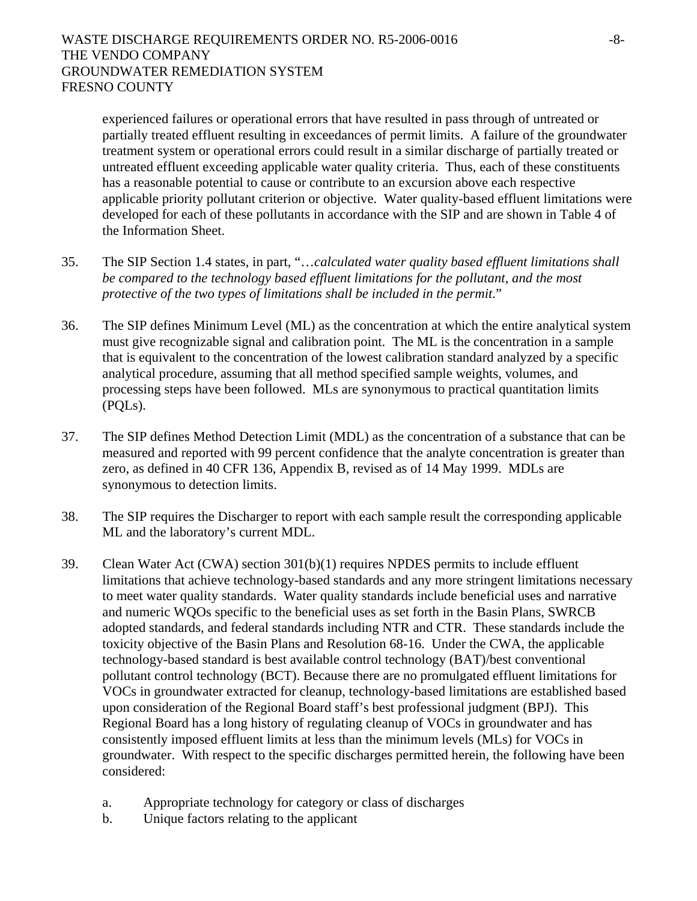experienced failures or operational errors that have resulted in pass through of untreated or partially treated effluent resulting in exceedances of permit limits. A failure of the groundwater treatment system or operational errors could result in a similar discharge of partially treated or untreated effluent exceeding applicable water quality criteria. Thus, each of these constituents has a reasonable potential to cause or contribute to an excursion above each respective applicable priority pollutant criterion or objective. Water quality-based effluent limitations were developed for each of these pollutants in accordance with the SIP and are shown in Table 4 of the Information Sheet.

- 35. The SIP Section 1.4 states, in part, "…*calculated water quality based effluent limitations shall be compared to the technology based effluent limitations for the pollutant, and the most protective of the two types of limitations shall be included in the permit*."
- 36. The SIP defines Minimum Level (ML) as the concentration at which the entire analytical system must give recognizable signal and calibration point. The ML is the concentration in a sample that is equivalent to the concentration of the lowest calibration standard analyzed by a specific analytical procedure, assuming that all method specified sample weights, volumes, and processing steps have been followed. MLs are synonymous to practical quantitation limits (PQLs).
- 37. The SIP defines Method Detection Limit (MDL) as the concentration of a substance that can be measured and reported with 99 percent confidence that the analyte concentration is greater than zero, as defined in 40 CFR 136, Appendix B, revised as of 14 May 1999. MDLs are synonymous to detection limits.
- 38. The SIP requires the Discharger to report with each sample result the corresponding applicable ML and the laboratory's current MDL.
- 39. Clean Water Act (CWA) section 301(b)(1) requires NPDES permits to include effluent limitations that achieve technology-based standards and any more stringent limitations necessary to meet water quality standards. Water quality standards include beneficial uses and narrative and numeric WQOs specific to the beneficial uses as set forth in the Basin Plans, SWRCB adopted standards, and federal standards including NTR and CTR. These standards include the toxicity objective of the Basin Plans and Resolution 68-16. Under the CWA, the applicable technology-based standard is best available control technology (BAT)/best conventional pollutant control technology (BCT). Because there are no promulgated effluent limitations for VOCs in groundwater extracted for cleanup, technology-based limitations are established based upon consideration of the Regional Board staff's best professional judgment (BPJ). This Regional Board has a long history of regulating cleanup of VOCs in groundwater and has consistently imposed effluent limits at less than the minimum levels (MLs) for VOCs in groundwater. With respect to the specific discharges permitted herein, the following have been considered:
	- a. Appropriate technology for category or class of discharges
	- b. Unique factors relating to the applicant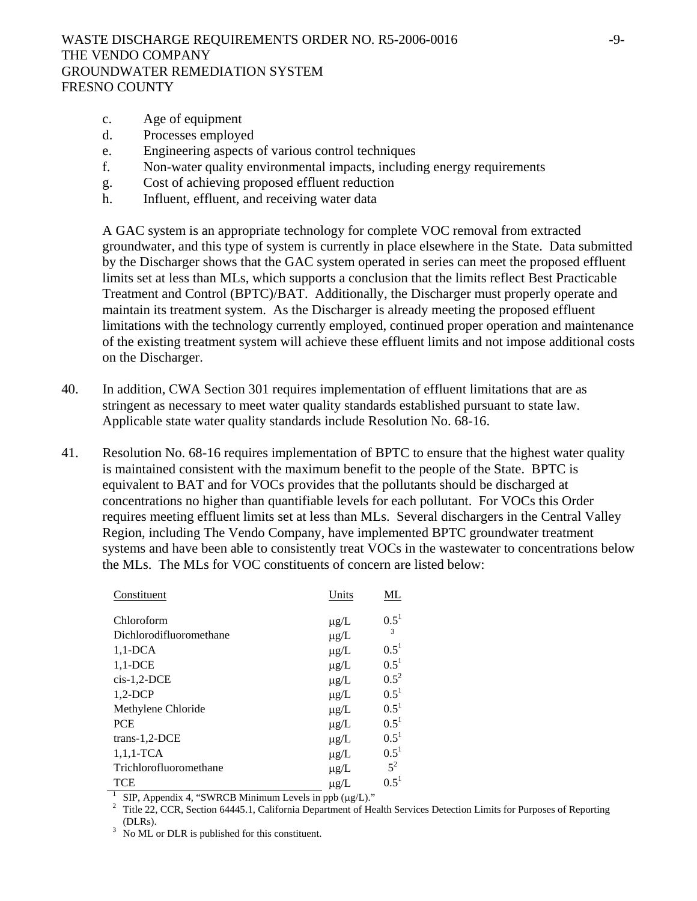- c. Age of equipment
- d. Processes employed
- e. Engineering aspects of various control techniques
- f. Non-water quality environmental impacts, including energy requirements
- g. Cost of achieving proposed effluent reduction
- h. Influent, effluent, and receiving water data

A GAC system is an appropriate technology for complete VOC removal from extracted groundwater, and this type of system is currently in place elsewhere in the State. Data submitted by the Discharger shows that the GAC system operated in series can meet the proposed effluent limits set at less than MLs, which supports a conclusion that the limits reflect Best Practicable Treatment and Control (BPTC)/BAT. Additionally, the Discharger must properly operate and maintain its treatment system. As the Discharger is already meeting the proposed effluent limitations with the technology currently employed, continued proper operation and maintenance of the existing treatment system will achieve these effluent limits and not impose additional costs on the Discharger.

- 40. In addition, CWA Section 301 requires implementation of effluent limitations that are as stringent as necessary to meet water quality standards established pursuant to state law. Applicable state water quality standards include Resolution No. 68-16.
- 41. Resolution No. 68-16 requires implementation of BPTC to ensure that the highest water quality is maintained consistent with the maximum benefit to the people of the State. BPTC is equivalent to BAT and for VOCs provides that the pollutants should be discharged at concentrations no higher than quantifiable levels for each pollutant. For VOCs this Order requires meeting effluent limits set at less than MLs. Several dischargers in the Central Valley Region, including The Vendo Company, have implemented BPTC groundwater treatment systems and have been able to consistently treat VOCs in the wastewater to concentrations below the MLs. The MLs for VOC constituents of concern are listed below:

| Constituent             | Units     | ML                      |
|-------------------------|-----------|-------------------------|
| Chloroform              | $\mu$ g/L | $0.5^{1}$               |
| Dichlorodifluoromethane | $\mu$ g/L | $\overline{\mathbf{3}}$ |
| $1,1$ -DCA              | $\mu$ g/L | $0.5^1$                 |
| $1,1$ -DCE              | $\mu$ g/L | $0.5^{1}$               |
| $cis-1,2-DCE$           | $\mu$ g/L | $0.5^2$                 |
| $1,2-DCP$               | $\mu$ g/L | $0.5^{1}$               |
| Methylene Chloride      | $\mu$ g/L | $0.5^{1}$               |
| <b>PCE</b>              | $\mu$ g/L | $0.5^{1}$               |
| trans-1,2-DCE           | $\mu$ g/L | $0.5^{1}$               |
| $1,1,1$ -TCA            | $\mu$ g/L | $0.5^{1}$               |
| Trichlorofluoromethane  | $\mu g/L$ | $5^2$                   |
| TCE                     | $\mu$ g/L | $0.5^1$                 |

<sup>1</sup> SIP, Appendix 4, "SWRCB Minimum Levels in ppb ( $\mu$ g/L)."

<sup>2</sup> Title 22, CCR, Section 64445.1, California Department of Health Services Detection Limits for Purposes of Reporting (DLRs).

No ML or DLR is published for this constituent.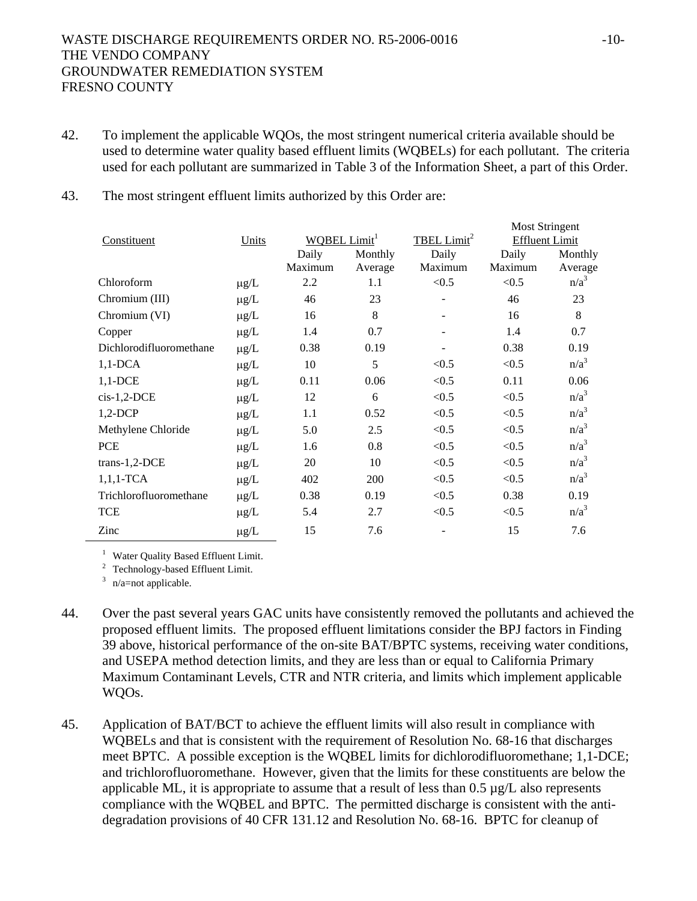- 42. To implement the applicable WQOs, the most stringent numerical criteria available should be used to determine water quality based effluent limits (WQBELs) for each pollutant. The criteria used for each pollutant are summarized in Table 3 of the Information Sheet, a part of this Order.
- 43. The most stringent effluent limits authorized by this Order are:

|                         |           |                          |         |                         | MOST STHILE MIDS      |                  |
|-------------------------|-----------|--------------------------|---------|-------------------------|-----------------------|------------------|
| Constituent             | Units     | WQBEL Limit <sup>1</sup> |         | TBEL Limit <sup>2</sup> | <b>Effluent Limit</b> |                  |
|                         |           | Daily                    | Monthly | Daily                   | Daily                 | Monthly          |
|                         |           | Maximum                  | Average | Maximum                 | Maximum               | Average          |
| Chloroform              | $\mu$ g/L | 2.2                      | 1.1     | < 0.5                   | < 0.5                 | $n/a^3$          |
| Chromium (III)          | $\mu$ g/L | 46                       | 23      |                         | 46                    | 23               |
| Chromium (VI)           | $\mu$ g/L | 16                       | 8       |                         | 16                    | $8\,$            |
| Copper                  | $\mu$ g/L | 1.4                      | 0.7     |                         | 1.4                   | 0.7              |
| Dichlorodifluoromethane | $\mu$ g/L | 0.38                     | 0.19    |                         | 0.38                  | 0.19             |
| $1,1$ -DCA              | $\mu g/L$ | 10                       | 5       | < 0.5                   | < 0.5                 | n/a <sup>3</sup> |
| $1,1$ -DCE              | $\mu$ g/L | 0.11                     | 0.06    | < 0.5                   | 0.11                  | 0.06             |
| $cis-1,2-DCE$           | $\mu$ g/L | 12                       | 6       | < 0.5                   | < 0.5                 | n/a <sup>3</sup> |
| $1,2-DCP$               | $\mu$ g/L | 1.1                      | 0.52    | < 0.5                   | < 0.5                 | $n/a^3$          |
| Methylene Chloride      | $\mu$ g/L | 5.0                      | 2.5     | < 0.5                   | < 0.5                 | n/a <sup>3</sup> |
| <b>PCE</b>              | $\mu$ g/L | 1.6                      | 0.8     | < 0.5                   | < 0.5                 | $n/a^3$          |
| $trans-1,2-DCE$         | $\mu$ g/L | 20                       | 10      | < 0.5                   | < 0.5                 | n/a <sup>3</sup> |
| $1,1,1$ -TCA            | $\mu$ g/L | 402                      | 200     | < 0.5                   | < 0.5                 | n/a <sup>3</sup> |
| Trichlorofluoromethane  | $\mu$ g/L | 0.38                     | 0.19    | < 0.5                   | 0.38                  | 0.19             |
| <b>TCE</b>              | $\mu$ g/L | 5.4                      | 2.7     | < 0.5                   | < 0.5                 | n/a <sup>3</sup> |
| Zinc                    | $\mu g/L$ | 15                       | 7.6     |                         | 15                    | 7.6              |

<sup>1</sup> Water Quality Based Effluent Limit.

 $2^2$  Technology-based Effluent Limit.

 $3$  n/a=not applicable.

- 44. Over the past several years GAC units have consistently removed the pollutants and achieved the proposed effluent limits. The proposed effluent limitations consider the BPJ factors in Finding 39 above, historical performance of the on-site BAT/BPTC systems, receiving water conditions, and USEPA method detection limits, and they are less than or equal to California Primary Maximum Contaminant Levels, CTR and NTR criteria, and limits which implement applicable WQOs.
- 45. Application of BAT/BCT to achieve the effluent limits will also result in compliance with WQBELs and that is consistent with the requirement of Resolution No. 68-16 that discharges meet BPTC. A possible exception is the WQBEL limits for dichlorodifluoromethane; 1,1-DCE; and trichlorofluoromethane. However, given that the limits for these constituents are below the applicable ML, it is appropriate to assume that a result of less than  $0.5 \mu g/L$  also represents compliance with the WQBEL and BPTC.The permitted discharge is consistent with the antidegradation provisions of 40 CFR 131.12 and Resolution No. 68-16. BPTC for cleanup of

Most Stringent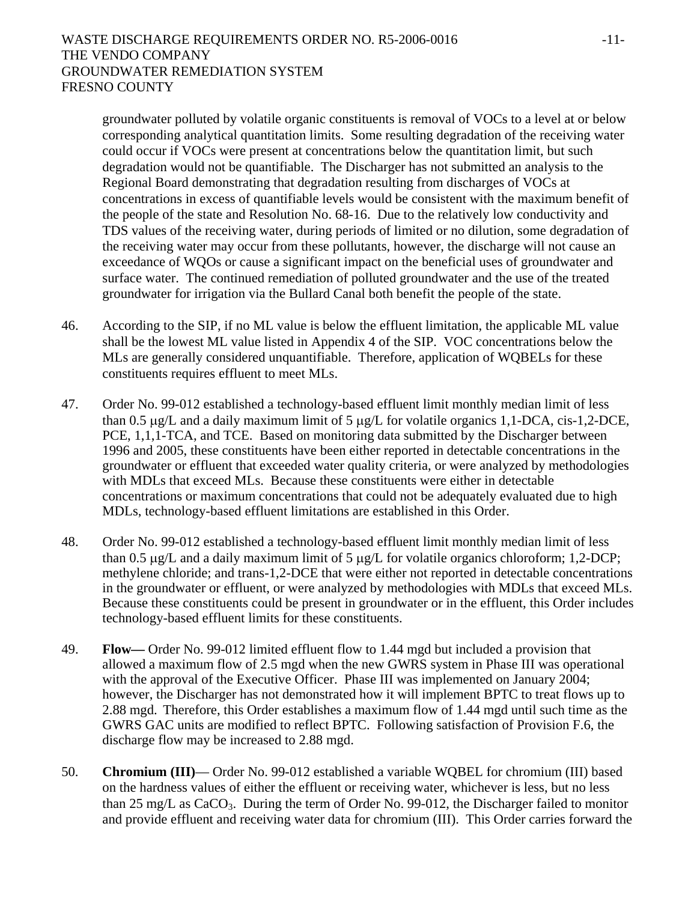groundwater polluted by volatile organic constituents is removal of VOCs to a level at or below corresponding analytical quantitation limits. Some resulting degradation of the receiving water could occur if VOCs were present at concentrations below the quantitation limit, but such degradation would not be quantifiable. The Discharger has not submitted an analysis to the Regional Board demonstrating that degradation resulting from discharges of VOCs at concentrations in excess of quantifiable levels would be consistent with the maximum benefit of the people of the state and Resolution No. 68-16. Due to the relatively low conductivity and TDS values of the receiving water, during periods of limited or no dilution, some degradation of the receiving water may occur from these pollutants, however, the discharge will not cause an exceedance of WQOs or cause a significant impact on the beneficial uses of groundwater and surface water. The continued remediation of polluted groundwater and the use of the treated groundwater for irrigation via the Bullard Canal both benefit the people of the state.

- 46. According to the SIP, if no ML value is below the effluent limitation, the applicable ML value shall be the lowest ML value listed in Appendix 4 of the SIP. VOC concentrations below the MLs are generally considered unquantifiable. Therefore, application of WQBELs for these constituents requires effluent to meet MLs.
- 47. Order No. 99-012 established a technology-based effluent limit monthly median limit of less than 0.5 μg/L and a daily maximum limit of 5 μg/L for volatile organics 1,1-DCA, cis-1,2-DCE, PCE, 1,1,1-TCA, and TCE. Based on monitoring data submitted by the Discharger between 1996 and 2005, these constituents have been either reported in detectable concentrations in the groundwater or effluent that exceeded water quality criteria, or were analyzed by methodologies with MDLs that exceed MLs. Because these constituents were either in detectable concentrations or maximum concentrations that could not be adequately evaluated due to high MDLs, technology-based effluent limitations are established in this Order.
- 48. Order No. 99-012 established a technology-based effluent limit monthly median limit of less than 0.5 μg/L and a daily maximum limit of 5 μg/L for volatile organics chloroform; 1,2-DCP; methylene chloride; and trans-1,2-DCE that were either not reported in detectable concentrations in the groundwater or effluent, or were analyzed by methodologies with MDLs that exceed MLs. Because these constituents could be present in groundwater or in the effluent, this Order includes technology-based effluent limits for these constituents.
- 49. **Flow**Order No. 99-012 limited effluent flow to 1.44 mgd but included a provision that allowed a maximum flow of 2.5 mgd when the new GWRS system in Phase III was operational with the approval of the Executive Officer. Phase III was implemented on January 2004; however, the Discharger has not demonstrated how it will implement BPTC to treat flows up to 2.88 mgd. Therefore, this Order establishes a maximum flow of 1.44 mgd until such time as the GWRS GAC units are modified to reflect BPTC. Following satisfaction of Provision F.6, the discharge flow may be increased to 2.88 mgd.
- 50. **Chromium (III)** Order No. 99-012 established a variable WQBEL for chromium (III) based on the hardness values of either the effluent or receiving water, whichever is less, but no less than 25 mg/L as  $CaCO<sub>3</sub>$ . During the term of Order No. 99-012, the Discharger failed to monitor and provide effluent and receiving water data for chromium (III). This Order carries forward the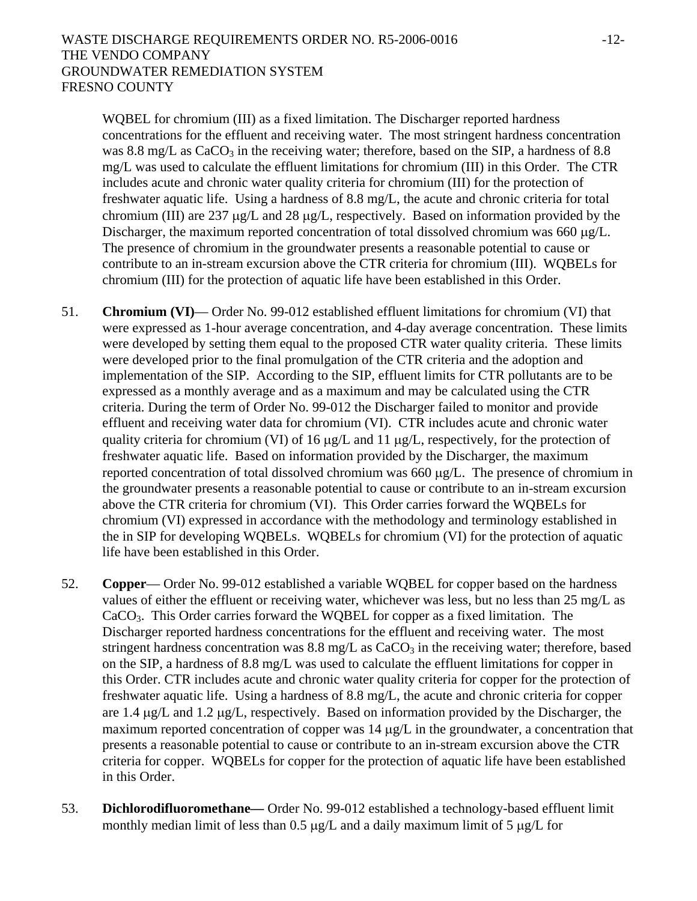WQBEL for chromium (III) as a fixed limitation. The Discharger reported hardness concentrations for the effluent and receiving water. The most stringent hardness concentration was 8.8 mg/L as  $CaCO<sub>3</sub>$  in the receiving water; therefore, based on the SIP, a hardness of 8.8 mg/L was used to calculate the effluent limitations for chromium (III) in this Order. The CTR includes acute and chronic water quality criteria for chromium (III) for the protection of freshwater aquatic life. Using a hardness of 8.8 mg/L, the acute and chronic criteria for total chromium (III) are 237 μg/L and 28 μg/L, respectively. Based on information provided by the Discharger, the maximum reported concentration of total dissolved chromium was 660 μg/L. The presence of chromium in the groundwater presents a reasonable potential to cause or contribute to an in-stream excursion above the CTR criteria for chromium (III). WQBELs for chromium (III) for the protection of aquatic life have been established in this Order.

- 51. **Chromium (VI)** Order No. 99-012 established effluent limitations for chromium (VI) that were expressed as 1-hour average concentration, and 4-day average concentration. These limits were developed by setting them equal to the proposed CTR water quality criteria. These limits were developed prior to the final promulgation of the CTR criteria and the adoption and implementation of the SIP. According to the SIP, effluent limits for CTR pollutants are to be expressed as a monthly average and as a maximum and may be calculated using the CTR criteria. During the term of Order No. 99-012 the Discharger failed to monitor and provide effluent and receiving water data for chromium (VI). CTR includes acute and chronic water quality criteria for chromium (VI) of 16 μg/L and 11 μg/L, respectively, for the protection of freshwater aquatic life. Based on information provided by the Discharger, the maximum reported concentration of total dissolved chromium was 660 μg/L. The presence of chromium in the groundwater presents a reasonable potential to cause or contribute to an in-stream excursion above the CTR criteria for chromium (VI). This Order carries forward the WQBELs for chromium (VI) expressed in accordance with the methodology and terminology established in the in SIP for developing WQBELs. WQBELs for chromium (VI) for the protection of aquatic life have been established in this Order.
- 52. **Copper** Order No. 99-012 established a variable WQBEL for copper based on the hardness values of either the effluent or receiving water, whichever was less, but no less than 25 mg/L as CaCO3. This Order carries forward the WQBEL for copper as a fixed limitation. The Discharger reported hardness concentrations for the effluent and receiving water. The most stringent hardness concentration was  $8.8 \text{ mg/L}$  as  $CaCO<sub>3</sub>$  in the receiving water; therefore, based on the SIP, a hardness of 8.8 mg/L was used to calculate the effluent limitations for copper in this Order. CTR includes acute and chronic water quality criteria for copper for the protection of freshwater aquatic life. Using a hardness of 8.8 mg/L, the acute and chronic criteria for copper are 1.4 μg/L and 1.2 μg/L, respectively. Based on information provided by the Discharger, the maximum reported concentration of copper was 14 μg/L in the groundwater, a concentration that presents a reasonable potential to cause or contribute to an in-stream excursion above the CTR criteria for copper. WQBELs for copper for the protection of aquatic life have been established in this Order.
- 53. **Dichlorodifluoromethane***—* Order No. 99-012 established a technology-based effluent limit monthly median limit of less than  $0.5 \mu g/L$  and a daily maximum limit of 5  $\mu g/L$  for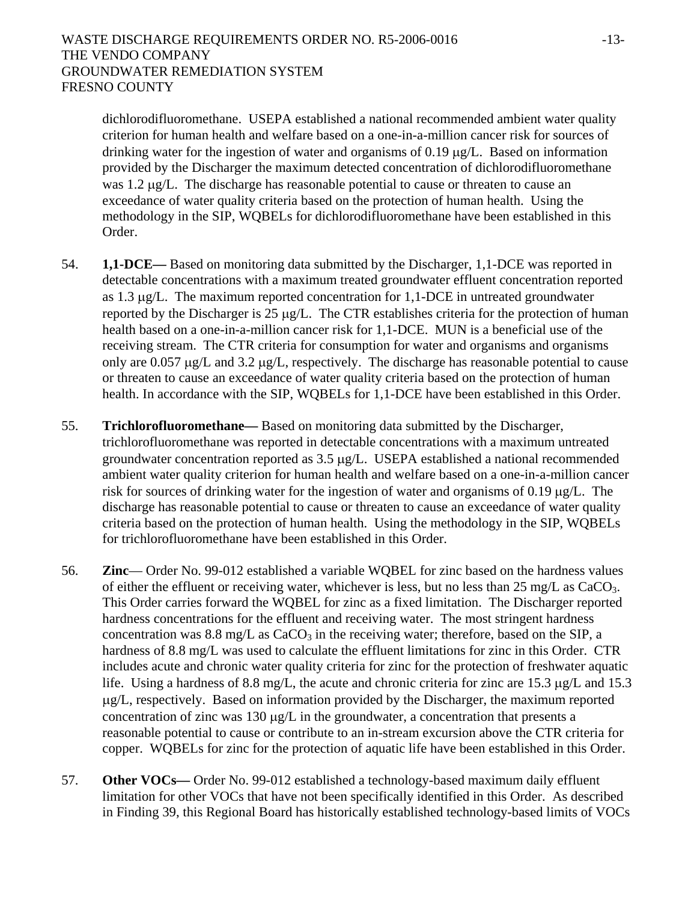dichlorodifluoromethane. USEPA established a national recommended ambient water quality criterion for human health and welfare based on a one-in-a-million cancer risk for sources of drinking water for the ingestion of water and organisms of 0.19 μg/L. Based on information provided by the Discharger the maximum detected concentration of dichlorodifluoromethane was 1.2 μg/L. The discharge has reasonable potential to cause or threaten to cause an exceedance of water quality criteria based on the protection of human health. Using the methodology in the SIP, WQBELs for dichlorodifluoromethane have been established in this Order.

- 54. **1,1-DCE***—* Based on monitoring data submitted by the Discharger, 1,1-DCE was reported in detectable concentrations with a maximum treated groundwater effluent concentration reported as  $1.3 \mu g/L$ . The maximum reported concentration for  $1.1$ -DCE in untreated groundwater reported by the Discharger is 25 μg/L. The CTR establishes criteria for the protection of human health based on a one-in-a-million cancer risk for 1,1-DCE. MUN is a beneficial use of the receiving stream. The CTR criteria for consumption for water and organisms and organisms only are 0.057 μg/L and 3.2 μg/L, respectively. The discharge has reasonable potential to cause or threaten to cause an exceedance of water quality criteria based on the protection of human health. In accordance with the SIP, WQBELs for 1,1-DCE have been established in this Order.
- 55. **Trichlorofluoromethane***—* Based on monitoring data submitted by the Discharger, trichlorofluoromethane was reported in detectable concentrations with a maximum untreated groundwater concentration reported as 3.5 μg/L. USEPA established a national recommended ambient water quality criterion for human health and welfare based on a one-in-a-million cancer risk for sources of drinking water for the ingestion of water and organisms of 0.19 μg/L. The discharge has reasonable potential to cause or threaten to cause an exceedance of water quality criteria based on the protection of human health. Using the methodology in the SIP, WQBELs for trichlorofluoromethane have been established in this Order.
- 56. **Zinc** Order No. 99-012 established a variable WQBEL for zinc based on the hardness values of either the effluent or receiving water, whichever is less, but no less than 25 mg/L as CaCO<sub>3</sub>. This Order carries forward the WQBEL for zinc as a fixed limitation. The Discharger reported hardness concentrations for the effluent and receiving water. The most stringent hardness concentration was  $8.8 \text{ mg/L}$  as  $CaCO<sub>3</sub>$  in the receiving water; therefore, based on the SIP, a hardness of 8.8 mg/L was used to calculate the effluent limitations for zinc in this Order. CTR includes acute and chronic water quality criteria for zinc for the protection of freshwater aquatic life. Using a hardness of 8.8 mg/L, the acute and chronic criteria for zinc are 15.3 μg/L and 15.3 μg/L, respectively. Based on information provided by the Discharger, the maximum reported concentration of zinc was 130 μg/L in the groundwater, a concentration that presents a reasonable potential to cause or contribute to an in-stream excursion above the CTR criteria for copper. WQBELs for zinc for the protection of aquatic life have been established in this Order.
- 57. **Other VOCs—** Order No. 99-012 established a technology-based maximum daily effluent limitation for other VOCs that have not been specifically identified in this Order. As described in Finding 39, this Regional Board has historically established technology-based limits of VOCs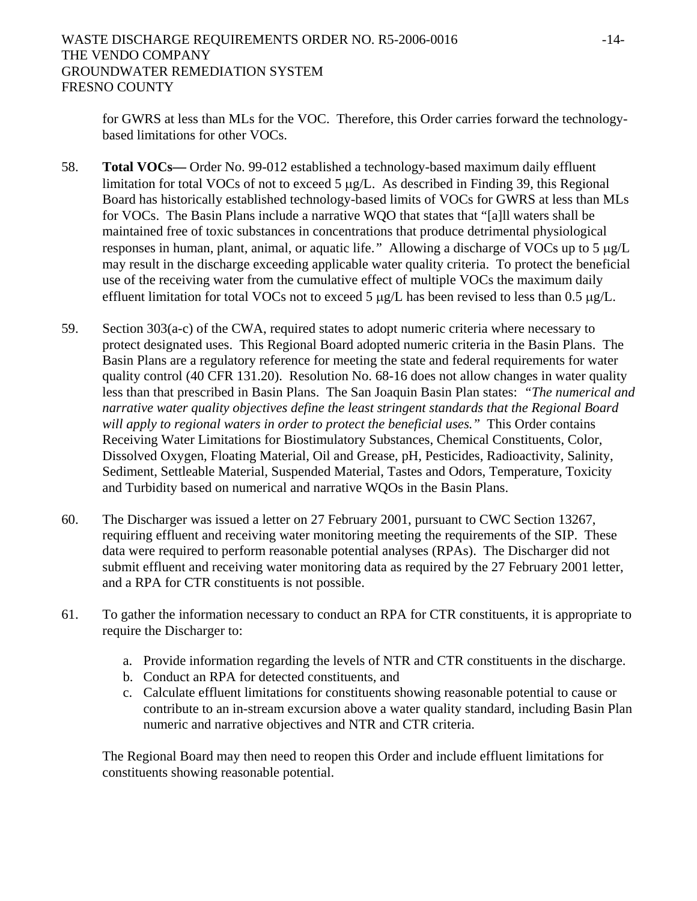for GWRS at less than MLs for the VOC. Therefore, this Order carries forward the technologybased limitations for other VOCs.

- 58. **Total VOCs—** Order No. 99-012 established a technology-based maximum daily effluent limitation for total VOCs of not to exceed 5 μg/L. As described in Finding 39, this Regional Board has historically established technology-based limits of VOCs for GWRS at less than MLs for VOCs. The Basin Plans include a narrative WQO that states that "[a]ll waters shall be maintained free of toxic substances in concentrations that produce detrimental physiological responses in human, plant, animal, or aquatic life.*"* Allowing a discharge of VOCs up to 5 μg/L may result in the discharge exceeding applicable water quality criteria. To protect the beneficial use of the receiving water from the cumulative effect of multiple VOCs the maximum daily effluent limitation for total VOCs not to exceed 5  $\mu$ g/L has been revised to less than 0.5  $\mu$ g/L.
- 59. Section 303(a-c) of the CWA, required states to adopt numeric criteria where necessary to protect designated uses. This Regional Board adopted numeric criteria in the Basin Plans. The Basin Plans are a regulatory reference for meeting the state and federal requirements for water quality control (40 CFR 131.20). Resolution No. 68-16 does not allow changes in water quality less than that prescribed in Basin Plans. The San Joaquin Basin Plan states: *"The numerical and narrative water quality objectives define the least stringent standards that the Regional Board will apply to regional waters in order to protect the beneficial uses."* This Order contains Receiving Water Limitations for Biostimulatory Substances, Chemical Constituents, Color, Dissolved Oxygen, Floating Material, Oil and Grease, pH, Pesticides, Radioactivity, Salinity, Sediment, Settleable Material, Suspended Material, Tastes and Odors, Temperature, Toxicity and Turbidity based on numerical and narrative WQOs in the Basin Plans.
- 60. The Discharger was issued a letter on 27 February 2001, pursuant to CWC Section 13267, requiring effluent and receiving water monitoring meeting the requirements of the SIP. These data were required to perform reasonable potential analyses (RPAs). The Discharger did not submit effluent and receiving water monitoring data as required by the 27 February 2001 letter, and a RPA for CTR constituents is not possible.
- 61. To gather the information necessary to conduct an RPA for CTR constituents, it is appropriate to require the Discharger to:
	- a. Provide information regarding the levels of NTR and CTR constituents in the discharge.
	- b. Conduct an RPA for detected constituents, and
	- c. Calculate effluent limitations for constituents showing reasonable potential to cause or contribute to an in-stream excursion above a water quality standard, including Basin Plan numeric and narrative objectives and NTR and CTR criteria.

The Regional Board may then need to reopen this Order and include effluent limitations for constituents showing reasonable potential.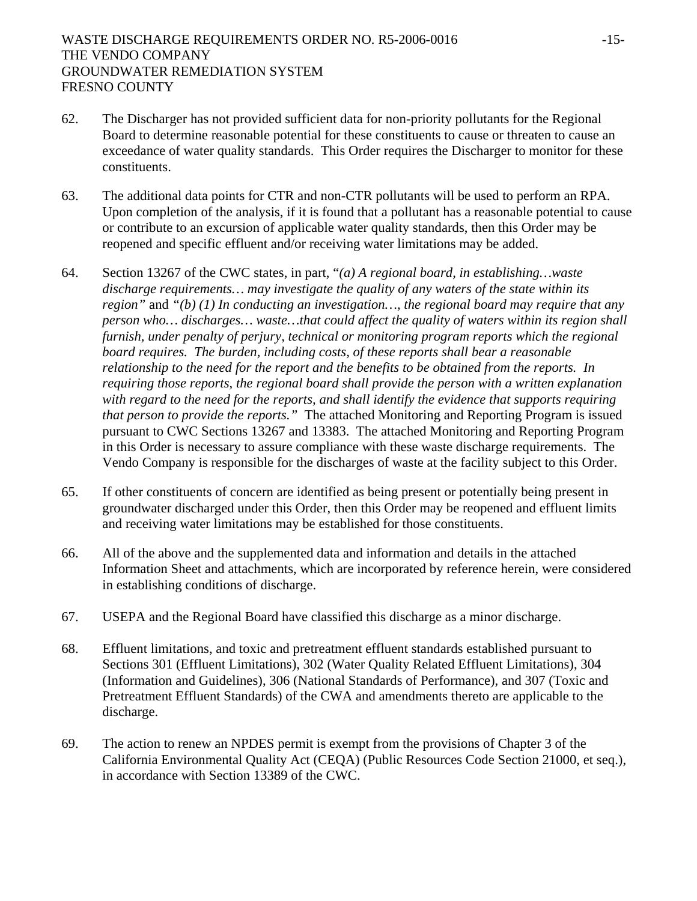- 62. The Discharger has not provided sufficient data for non-priority pollutants for the Regional Board to determine reasonable potential for these constituents to cause or threaten to cause an exceedance of water quality standards. This Order requires the Discharger to monitor for these constituents.
- 63. The additional data points for CTR and non-CTR pollutants will be used to perform an RPA. Upon completion of the analysis, if it is found that a pollutant has a reasonable potential to cause or contribute to an excursion of applicable water quality standards, then this Order may be reopened and specific effluent and/or receiving water limitations may be added.
- 64. Section 13267 of the CWC states, in part, "*(a) A regional board, in establishing…waste discharge requirements… may investigate the quality of any waters of the state within its region"* and *"(b) (1) In conducting an investigation…, the regional board may require that any person who… discharges… waste…that could affect the quality of waters within its region shall furnish, under penalty of perjury, technical or monitoring program reports which the regional board requires. The burden, including costs, of these reports shall bear a reasonable relationship to the need for the report and the benefits to be obtained from the reports. In requiring those reports, the regional board shall provide the person with a written explanation with regard to the need for the reports, and shall identify the evidence that supports requiring that person to provide the reports."* The attached Monitoring and Reporting Program is issued pursuant to CWC Sections 13267 and 13383. The attached Monitoring and Reporting Program in this Order is necessary to assure compliance with these waste discharge requirements. The Vendo Company is responsible for the discharges of waste at the facility subject to this Order.
- 65. If other constituents of concern are identified as being present or potentially being present in groundwater discharged under this Order, then this Order may be reopened and effluent limits and receiving water limitations may be established for those constituents.
- 66. All of the above and the supplemented data and information and details in the attached Information Sheet and attachments, which are incorporated by reference herein, were considered in establishing conditions of discharge.
- 67. USEPA and the Regional Board have classified this discharge as a minor discharge.
- 68. Effluent limitations, and toxic and pretreatment effluent standards established pursuant to Sections 301 (Effluent Limitations), 302 (Water Quality Related Effluent Limitations), 304 (Information and Guidelines), 306 (National Standards of Performance), and 307 (Toxic and Pretreatment Effluent Standards) of the CWA and amendments thereto are applicable to the discharge.
- 69. The action to renew an NPDES permit is exempt from the provisions of Chapter 3 of the California Environmental Quality Act (CEQA) (Public Resources Code Section 21000, et seq.), in accordance with Section 13389 of the CWC.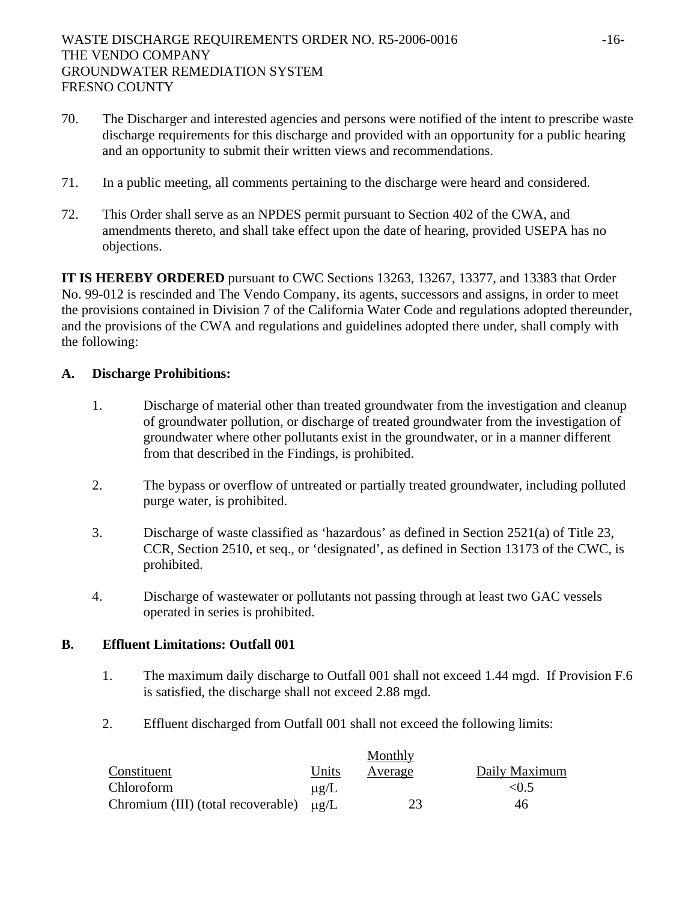- 70. The Discharger and interested agencies and persons were notified of the intent to prescribe waste discharge requirements for this discharge and provided with an opportunity for a public hearing and an opportunity to submit their written views and recommendations.
- 71. In a public meeting, all comments pertaining to the discharge were heard and considered.
- 72. This Order shall serve as an NPDES permit pursuant to Section 402 of the CWA, and amendments thereto, and shall take effect upon the date of hearing, provided USEPA has no objections.

**IT IS HEREBY ORDERED** pursuant to CWC Sections 13263, 13267, 13377, and 13383 that Order No. 99-012 is rescinded and The Vendo Company, its agents, successors and assigns, in order to meet the provisions contained in Division 7 of the California Water Code and regulations adopted thereunder, and the provisions of the CWA and regulations and guidelines adopted there under, shall comply with the following:

#### **A. Discharge Prohibitions:**

- 1. Discharge of material other than treated groundwater from the investigation and cleanup of groundwater pollution, or discharge of treated groundwater from the investigation of groundwater where other pollutants exist in the groundwater, or in a manner different from that described in the Findings, is prohibited.
- 2. The bypass or overflow of untreated or partially treated groundwater, including polluted purge water, is prohibited.
- 3. Discharge of waste classified as 'hazardous' as defined in Section 2521(a) of Title 23, CCR, Section 2510, et seq., or 'designated', as defined in Section 13173 of the CWC, is prohibited.
- 4. Discharge of wastewater or pollutants not passing through at least two GAC vessels operated in series is prohibited.

#### **B. Effluent Limitations: Outfall 001**

- 1. The maximum daily discharge to Outfall 001 shall not exceed 1.44 mgd. If Provision F.6 is satisfied, the discharge shall not exceed 2.88 mgd.
- 2. Effluent discharged from Outfall 001 shall not exceed the following limits:

|                                    |                      | Monthly |               |
|------------------------------------|----------------------|---------|---------------|
| Constituent                        | Units                | Average | Daily Maximum |
| <b>Chloroform</b>                  | $\mu$ g/L            |         | < 0.5         |
| Chromium (III) (total recoverable) | $\mu$ <sup>[</sup> ] | 23      | 46            |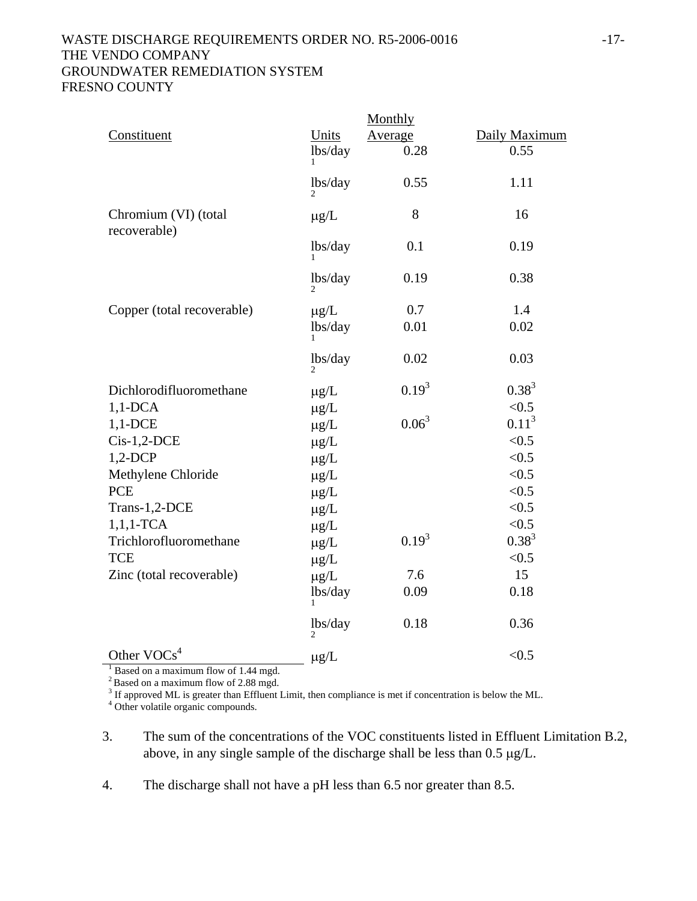#### WASTE DISCHARGE REQUIREMENTS ORDER NO. R5-2006-0016 -17-THE VENDO COMPANY GROUNDWATER REMEDIATION SYSTEM FRESNO COUNTY

|                                                       |                           | Monthly    |               |
|-------------------------------------------------------|---------------------------|------------|---------------|
| Constituent                                           | Units                     | Average    | Daily Maximum |
|                                                       | lbs/day                   | 0.28       | 0.55          |
|                                                       | lbs/day                   | 0.55       | 1.11          |
| Chromium (VI) (total<br>recoverable)                  | $\mu$ g/L                 | 8          | 16            |
|                                                       | lbs/day                   | 0.1        | 0.19          |
|                                                       | lbs/day                   | 0.19       | 0.38          |
| Copper (total recoverable)                            | $\mu$ g/L                 | 0.7        | 1.4           |
|                                                       | lbs/day                   | 0.01       | 0.02          |
|                                                       | lbs/day<br>$\overline{2}$ | 0.02       | 0.03          |
| Dichlorodifluoromethane                               | $\mu g/L$                 | $0.19^{3}$ | $0.38^{3}$    |
| $1,1$ -DCA                                            | $\mu$ g/L                 |            | < 0.5         |
| $1,1$ -DCE                                            | $\mu$ g/L                 | $0.06^3$   | $0.11^{3}$    |
| $Cis-1,2-DCE$                                         | $\mu g/L$                 |            | < 0.5         |
| $1,2$ -DCP                                            | $\mu g/L$                 |            | < 0.5         |
| Methylene Chloride                                    | $\mu g/L$                 |            | < 0.5         |
| <b>PCE</b>                                            | $\mu$ g/L                 |            | < 0.5         |
| Trans-1,2-DCE                                         | $\mu$ g/L                 |            | < 0.5         |
| $1,1,1$ -TCA                                          | $\mu$ g/L                 |            | < 0.5         |
| Trichlorofluoromethane                                | $\mu$ g/L                 | $0.19^{3}$ | $0.38^{3}$    |
| <b>TCE</b>                                            | $\mu$ g/L                 |            | < 0.5         |
| Zinc (total recoverable)                              | $\mu$ g/L                 | 7.6        | 15            |
|                                                       | lbs/day                   | 0.09       | 0.18          |
|                                                       | lbs/day                   | 0.18       | 0.36          |
| Other $VOCs4$<br>Based on a maximum flow of 1.44 mgd. | $\mu g/L$                 |            | < 0.5         |
|                                                       |                           |            |               |

 $2^2$  Based on a maximum flow of 2.88 mgd.

 $3$  If approved ML is greater than Effluent Limit, then compliance is met if concentration is below the ML.<br> $4$  Other volatile arganic compounds

<sup>4</sup> Other volatile organic compounds.

3. The sum of the concentrations of the VOC constituents listed in Effluent Limitation B.2, above, in any single sample of the discharge shall be less than 0.5 μg/L.

4. The discharge shall not have a pH less than 6.5 nor greater than 8.5.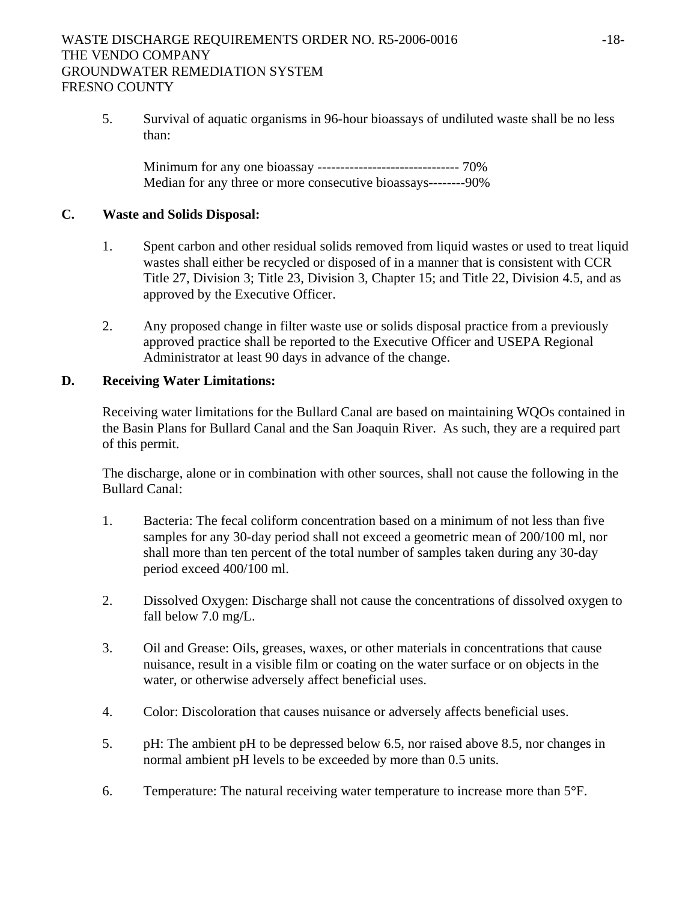5. Survival of aquatic organisms in 96-hour bioassays of undiluted waste shall be no less than:

Minimum for any one bioassay ------------------------------- 70% Median for any three or more consecutive bioassays--------90%

#### **C. Waste and Solids Disposal:**

- 1. Spent carbon and other residual solids removed from liquid wastes or used to treat liquid wastes shall either be recycled or disposed of in a manner that is consistent with CCR Title 27, Division 3; Title 23, Division 3, Chapter 15; and Title 22, Division 4.5, and as approved by the Executive Officer.
- 2. Any proposed change in filter waste use or solids disposal practice from a previously approved practice shall be reported to the Executive Officer and USEPA Regional Administrator at least 90 days in advance of the change.

#### **D. Receiving Water Limitations:**

Receiving water limitations for the Bullard Canal are based on maintaining WQOs contained in the Basin Plans for Bullard Canal and the San Joaquin River. As such, they are a required part of this permit.

The discharge, alone or in combination with other sources, shall not cause the following in the Bullard Canal:

- 1. Bacteria: The fecal coliform concentration based on a minimum of not less than five samples for any 30-day period shall not exceed a geometric mean of 200/100 ml, nor shall more than ten percent of the total number of samples taken during any 30-day period exceed 400/100 ml.
- 2. Dissolved Oxygen: Discharge shall not cause the concentrations of dissolved oxygen to fall below 7.0 mg/L.
- 3. Oil and Grease: Oils, greases, waxes, or other materials in concentrations that cause nuisance, result in a visible film or coating on the water surface or on objects in the water, or otherwise adversely affect beneficial uses.
- 4. Color: Discoloration that causes nuisance or adversely affects beneficial uses.
- 5. pH: The ambient pH to be depressed below 6.5, nor raised above 8.5, nor changes in normal ambient pH levels to be exceeded by more than 0.5 units.
- 6. Temperature: The natural receiving water temperature to increase more than  $5^{\circ}$ .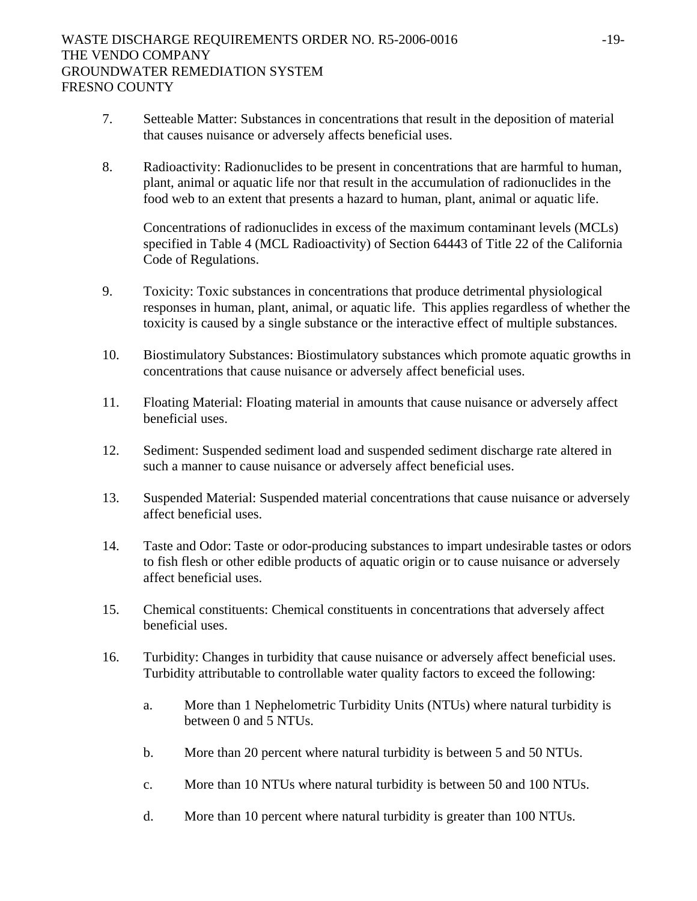# WASTE DISCHARGE REQUIREMENTS ORDER NO. R5-2006-0016 -19-THE VENDO COMPANY GROUNDWATER REMEDIATION SYSTEM FRESNO COUNTY

- 7. Setteable Matter: Substances in concentrations that result in the deposition of material that causes nuisance or adversely affects beneficial uses.
- 8. Radioactivity: Radionuclides to be present in concentrations that are harmful to human, plant, animal or aquatic life nor that result in the accumulation of radionuclides in the food web to an extent that presents a hazard to human, plant, animal or aquatic life.

Concentrations of radionuclides in excess of the maximum contaminant levels (MCLs) specified in Table 4 (MCL Radioactivity) of Section 64443 of Title 22 of the California Code of Regulations.

- 9. Toxicity: Toxic substances in concentrations that produce detrimental physiological responses in human, plant, animal, or aquatic life. This applies regardless of whether the toxicity is caused by a single substance or the interactive effect of multiple substances.
- 10. Biostimulatory Substances: Biostimulatory substances which promote aquatic growths in concentrations that cause nuisance or adversely affect beneficial uses.
- 11. Floating Material: Floating material in amounts that cause nuisance or adversely affect beneficial uses.
- 12. Sediment: Suspended sediment load and suspended sediment discharge rate altered in such a manner to cause nuisance or adversely affect beneficial uses.
- 13. Suspended Material: Suspended material concentrations that cause nuisance or adversely affect beneficial uses.
- 14. Taste and Odor: Taste or odor-producing substances to impart undesirable tastes or odors to fish flesh or other edible products of aquatic origin or to cause nuisance or adversely affect beneficial uses.
- 15. Chemical constituents: Chemical constituents in concentrations that adversely affect beneficial uses.
- 16. Turbidity: Changes in turbidity that cause nuisance or adversely affect beneficial uses. Turbidity attributable to controllable water quality factors to exceed the following:
	- a. More than 1 Nephelometric Turbidity Units (NTUs) where natural turbidity is between 0 and 5 NTUs.
	- b. More than 20 percent where natural turbidity is between 5 and 50 NTUs.
	- c. More than 10 NTUs where natural turbidity is between 50 and 100 NTUs.
	- d. More than 10 percent where natural turbidity is greater than 100 NTUs.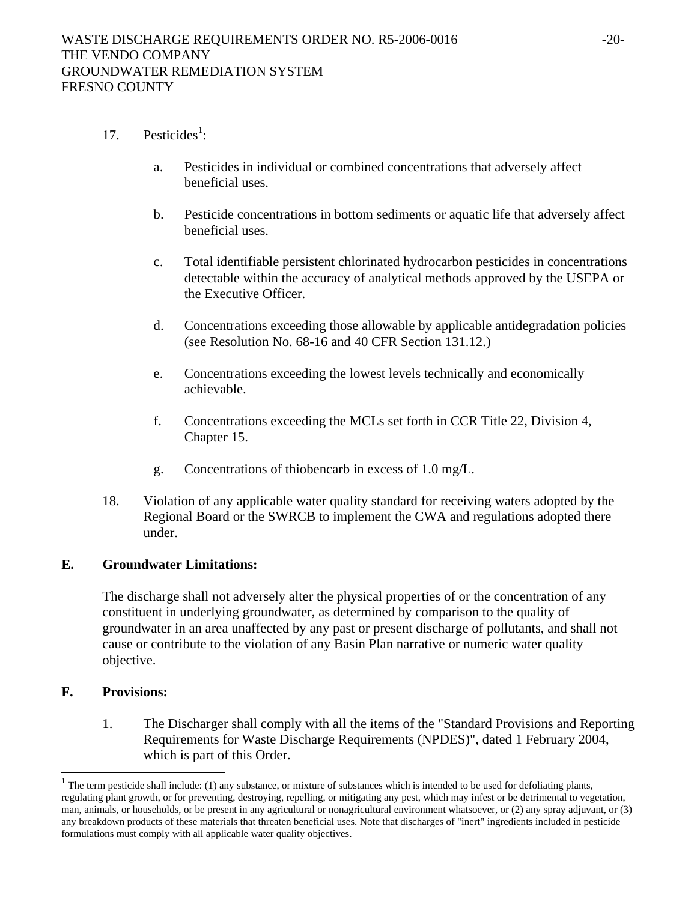- 17. Pesticides<sup>1</sup>:
	- a. Pesticides in individual or combined concentrations that adversely affect beneficial uses.
	- b. Pesticide concentrations in bottom sediments or aquatic life that adversely affect beneficial uses.
	- c. Total identifiable persistent chlorinated hydrocarbon pesticides in concentrations detectable within the accuracy of analytical methods approved by the USEPA or the Executive Officer.
	- d. Concentrations exceeding those allowable by applicable antidegradation policies (see Resolution No. 68-16 and 40 CFR Section 131.12.)
	- e. Concentrations exceeding the lowest levels technically and economically achievable.
	- f. Concentrations exceeding the MCLs set forth in CCR Title 22, Division 4, Chapter 15.
	- g. Concentrations of thiobencarb in excess of 1.0 mg/L.
- 18. Violation of any applicable water quality standard for receiving waters adopted by the Regional Board or the SWRCB to implement the CWA and regulations adopted there under.

#### **E. Groundwater Limitations:**

The discharge shall not adversely alter the physical properties of or the concentration of any constituent in underlying groundwater, as determined by comparison to the quality of groundwater in an area unaffected by any past or present discharge of pollutants, and shall not cause or contribute to the violation of any Basin Plan narrative or numeric water quality objective.

#### **F. Provisions:**

 $\overline{\phantom{a}}$ 

1. The Discharger shall comply with all the items of the "Standard Provisions and Reporting Requirements for Waste Discharge Requirements (NPDES)", dated 1 February 2004, which is part of this Order.

<sup>&</sup>lt;sup>1</sup> The term pesticide shall include: (1) any substance, or mixture of substances which is intended to be used for defoliating plants, regulating plant growth, or for preventing, destroying, repelling, or mitigating any pest, which may infest or be detrimental to vegetation, man, animals, or households, or be present in any agricultural or nonagricultural environment whatsoever, or (2) any spray adjuvant, or (3) any breakdown products of these materials that threaten beneficial uses. Note that discharges of "inert" ingredients included in pesticide formulations must comply with all applicable water quality objectives.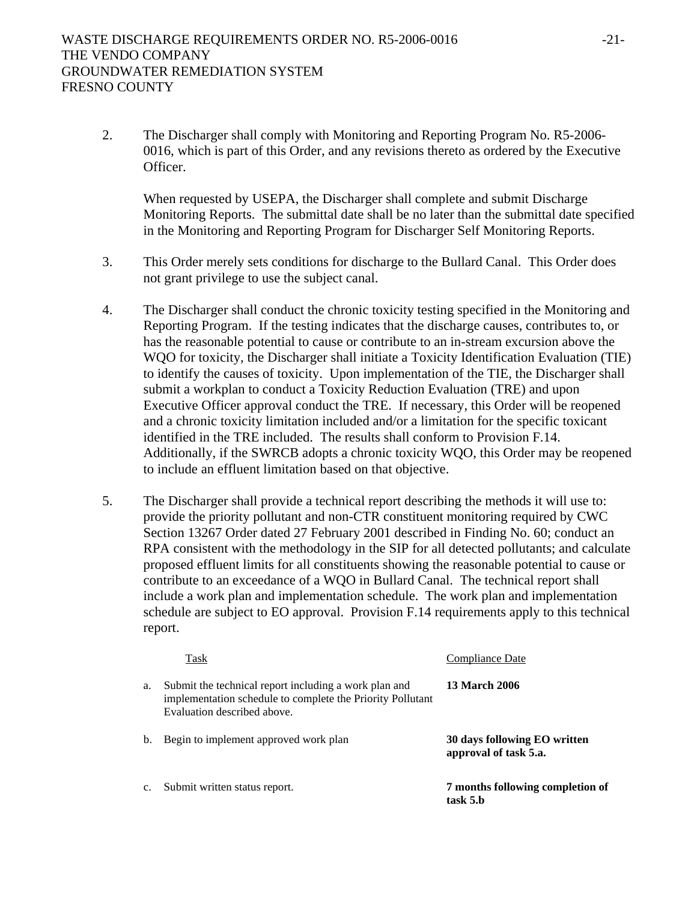2. The Discharger shall comply with Monitoring and Reporting Program No. R5-2006- 0016, which is part of this Order, and any revisions thereto as ordered by the Executive Officer.

When requested by USEPA, the Discharger shall complete and submit Discharge Monitoring Reports. The submittal date shall be no later than the submittal date specified in the Monitoring and Reporting Program for Discharger Self Monitoring Reports.

- 3. This Order merely sets conditions for discharge to the Bullard Canal. This Order does not grant privilege to use the subject canal.
- 4. The Discharger shall conduct the chronic toxicity testing specified in the Monitoring and Reporting Program. If the testing indicates that the discharge causes, contributes to, or has the reasonable potential to cause or contribute to an in-stream excursion above the WQO for toxicity, the Discharger shall initiate a Toxicity Identification Evaluation (TIE) to identify the causes of toxicity. Upon implementation of the TIE, the Discharger shall submit a workplan to conduct a Toxicity Reduction Evaluation (TRE) and upon Executive Officer approval conduct the TRE. If necessary, this Order will be reopened and a chronic toxicity limitation included and/or a limitation for the specific toxicant identified in the TRE included. The results shall conform to Provision F.14. Additionally, if the SWRCB adopts a chronic toxicity WQO, this Order may be reopened to include an effluent limitation based on that objective.
- 5. The Discharger shall provide a technical report describing the methods it will use to: provide the priority pollutant and non-CTR constituent monitoring required by CWC Section 13267 Order dated 27 February 2001 described in Finding No. 60; conduct an RPA consistent with the methodology in the SIP for all detected pollutants; and calculate proposed effluent limits for all constituents showing the reasonable potential to cause or contribute to an exceedance of a WQO in Bullard Canal. The technical report shall include a work plan and implementation schedule. The work plan and implementation schedule are subject to EO approval. Provision F.14 requirements apply to this technical report.

|    | Task                                                                                                                                               | Compliance Date                                       |
|----|----------------------------------------------------------------------------------------------------------------------------------------------------|-------------------------------------------------------|
| a. | Submit the technical report including a work plan and<br>implementation schedule to complete the Priority Pollutant<br>Evaluation described above. | <b>13 March 2006</b>                                  |
| b. | Begin to implement approved work plan                                                                                                              | 30 days following EO written<br>approval of task 5.a. |
| c. | Submit written status report.                                                                                                                      | 7 months following completion of<br>task 5.b          |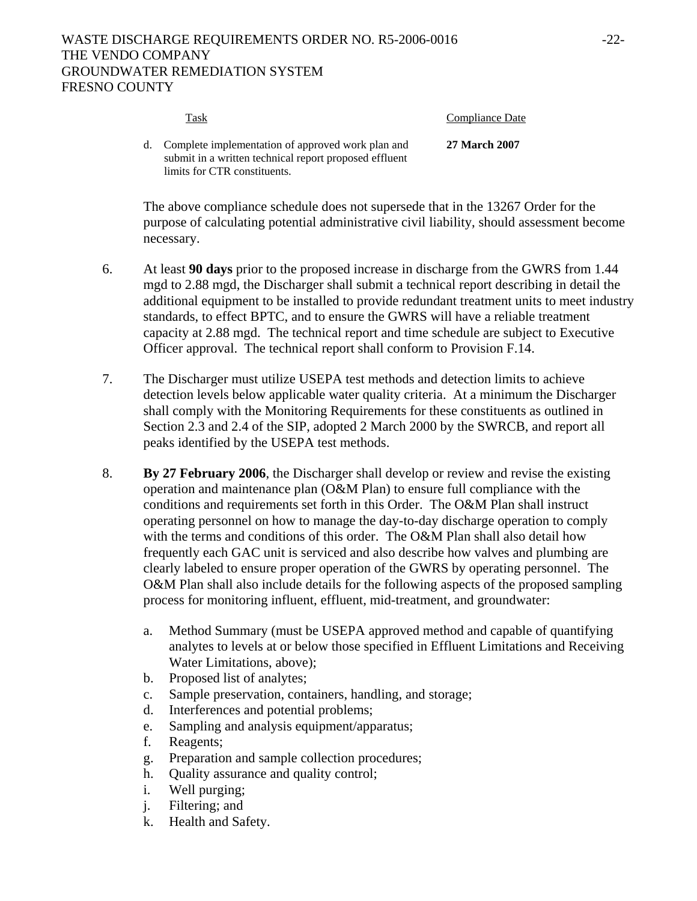# WASTE DISCHARGE REQUIREMENTS ORDER NO. R5-2006-0016  $-22$ -THE VENDO COMPANY GROUNDWATER REMEDIATION SYSTEM FRESNO COUNTY

| Task                                                                                                                                           | Compliance Date      |
|------------------------------------------------------------------------------------------------------------------------------------------------|----------------------|
| d. Complete implementation of approved work plan and<br>submit in a written technical report proposed effluent<br>limits for CTR constituents. | <b>27 March 2007</b> |

The above compliance schedule does not supersede that in the 13267 Order for the purpose of calculating potential administrative civil liability, should assessment become necessary.

- 6. At least **90 days** prior to the proposed increase in discharge from the GWRS from 1.44 mgd to 2.88 mgd, the Discharger shall submit a technical report describing in detail the additional equipment to be installed to provide redundant treatment units to meet industry standards, to effect BPTC, and to ensure the GWRS will have a reliable treatment capacity at 2.88 mgd. The technical report and time schedule are subject to Executive Officer approval. The technical report shall conform to Provision F.14.
- 7. The Discharger must utilize USEPA test methods and detection limits to achieve detection levels below applicable water quality criteria. At a minimum the Discharger shall comply with the Monitoring Requirements for these constituents as outlined in Section 2.3 and 2.4 of the SIP, adopted 2 March 2000 by the SWRCB, and report all peaks identified by the USEPA test methods.
- 8. **By 27 February 2006**, the Discharger shall develop or review and revise the existing operation and maintenance plan (O&M Plan) to ensure full compliance with the conditions and requirements set forth in this Order. The O&M Plan shall instruct operating personnel on how to manage the day-to-day discharge operation to comply with the terms and conditions of this order. The O&M Plan shall also detail how frequently each GAC unit is serviced and also describe how valves and plumbing are clearly labeled to ensure proper operation of the GWRS by operating personnel. The O&M Plan shall also include details for the following aspects of the proposed sampling process for monitoring influent, effluent, mid-treatment, and groundwater:
	- a. Method Summary (must be USEPA approved method and capable of quantifying analytes to levels at or below those specified in Effluent Limitations and Receiving Water Limitations, above);
	- b. Proposed list of analytes;
	- c. Sample preservation, containers, handling, and storage;
	- d. Interferences and potential problems;
	- e. Sampling and analysis equipment/apparatus;
	- f. Reagents;
	- g. Preparation and sample collection procedures;
	- h. Quality assurance and quality control;
	- i. Well purging;
	- j. Filtering; and
	- k. Health and Safety.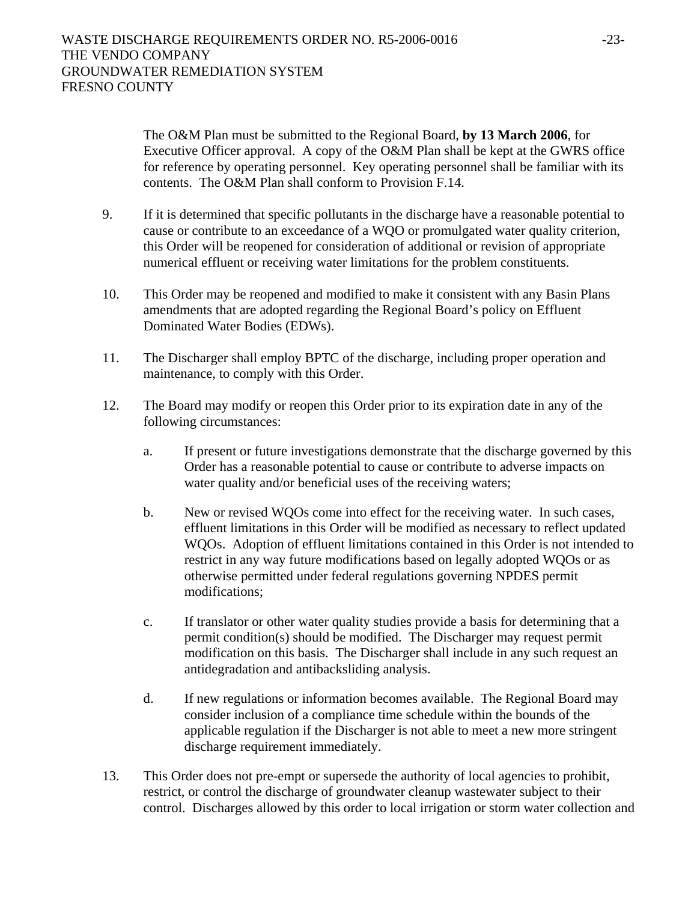The O&M Plan must be submitted to the Regional Board, **by 13 March 2006**, for Executive Officer approval. A copy of the O&M Plan shall be kept at the GWRS office for reference by operating personnel. Key operating personnel shall be familiar with its contents. The O&M Plan shall conform to Provision F.14.

- 9. If it is determined that specific pollutants in the discharge have a reasonable potential to cause or contribute to an exceedance of a WQO or promulgated water quality criterion, this Order will be reopened for consideration of additional or revision of appropriate numerical effluent or receiving water limitations for the problem constituents.
- 10. This Order may be reopened and modified to make it consistent with any Basin Plans amendments that are adopted regarding the Regional Board's policy on Effluent Dominated Water Bodies (EDWs).
- 11. The Discharger shall employ BPTC of the discharge, including proper operation and maintenance, to comply with this Order.
- 12. The Board may modify or reopen this Order prior to its expiration date in any of the following circumstances:
	- a. If present or future investigations demonstrate that the discharge governed by this Order has a reasonable potential to cause or contribute to adverse impacts on water quality and/or beneficial uses of the receiving waters;
	- b. New or revised WQOs come into effect for the receiving water. In such cases, effluent limitations in this Order will be modified as necessary to reflect updated WQOs. Adoption of effluent limitations contained in this Order is not intended to restrict in any way future modifications based on legally adopted WQOs or as otherwise permitted under federal regulations governing NPDES permit modifications;
	- c. If translator or other water quality studies provide a basis for determining that a permit condition(s) should be modified. The Discharger may request permit modification on this basis. The Discharger shall include in any such request an antidegradation and antibacksliding analysis.
	- d. If new regulations or information becomes available. The Regional Board may consider inclusion of a compliance time schedule within the bounds of the applicable regulation if the Discharger is not able to meet a new more stringent discharge requirement immediately.
- 13. This Order does not pre-empt or supersede the authority of local agencies to prohibit, restrict, or control the discharge of groundwater cleanup wastewater subject to their control. Discharges allowed by this order to local irrigation or storm water collection and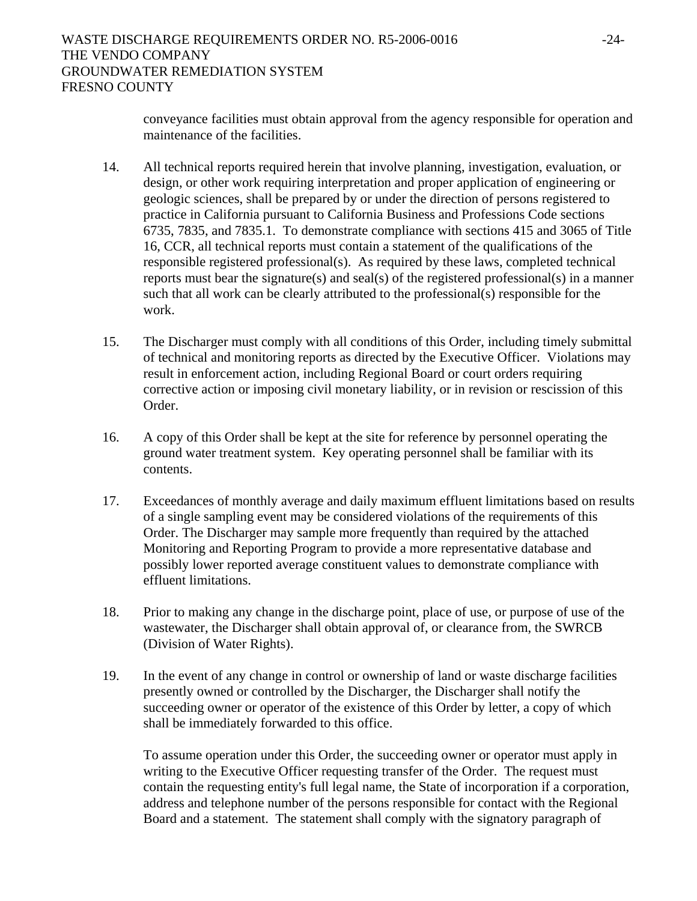conveyance facilities must obtain approval from the agency responsible for operation and maintenance of the facilities.

- 14. All technical reports required herein that involve planning, investigation, evaluation, or design, or other work requiring interpretation and proper application of engineering or geologic sciences, shall be prepared by or under the direction of persons registered to practice in California pursuant to California Business and Professions Code sections 6735, 7835, and 7835.1. To demonstrate compliance with sections 415 and 3065 of Title 16, CCR, all technical reports must contain a statement of the qualifications of the responsible registered professional(s). As required by these laws, completed technical reports must bear the signature(s) and seal(s) of the registered professional(s) in a manner such that all work can be clearly attributed to the professional(s) responsible for the work.
- 15. The Discharger must comply with all conditions of this Order, including timely submittal of technical and monitoring reports as directed by the Executive Officer. Violations may result in enforcement action, including Regional Board or court orders requiring corrective action or imposing civil monetary liability, or in revision or rescission of this Order.
- 16. A copy of this Order shall be kept at the site for reference by personnel operating the ground water treatment system. Key operating personnel shall be familiar with its contents.
- 17. Exceedances of monthly average and daily maximum effluent limitations based on results of a single sampling event may be considered violations of the requirements of this Order. The Discharger may sample more frequently than required by the attached Monitoring and Reporting Program to provide a more representative database and possibly lower reported average constituent values to demonstrate compliance with effluent limitations.
- 18. Prior to making any change in the discharge point, place of use, or purpose of use of the wastewater, the Discharger shall obtain approval of, or clearance from, the SWRCB (Division of Water Rights).
- 19. In the event of any change in control or ownership of land or waste discharge facilities presently owned or controlled by the Discharger, the Discharger shall notify the succeeding owner or operator of the existence of this Order by letter, a copy of which shall be immediately forwarded to this office.

To assume operation under this Order, the succeeding owner or operator must apply in writing to the Executive Officer requesting transfer of the Order. The request must contain the requesting entity's full legal name, the State of incorporation if a corporation, address and telephone number of the persons responsible for contact with the Regional Board and a statement. The statement shall comply with the signatory paragraph of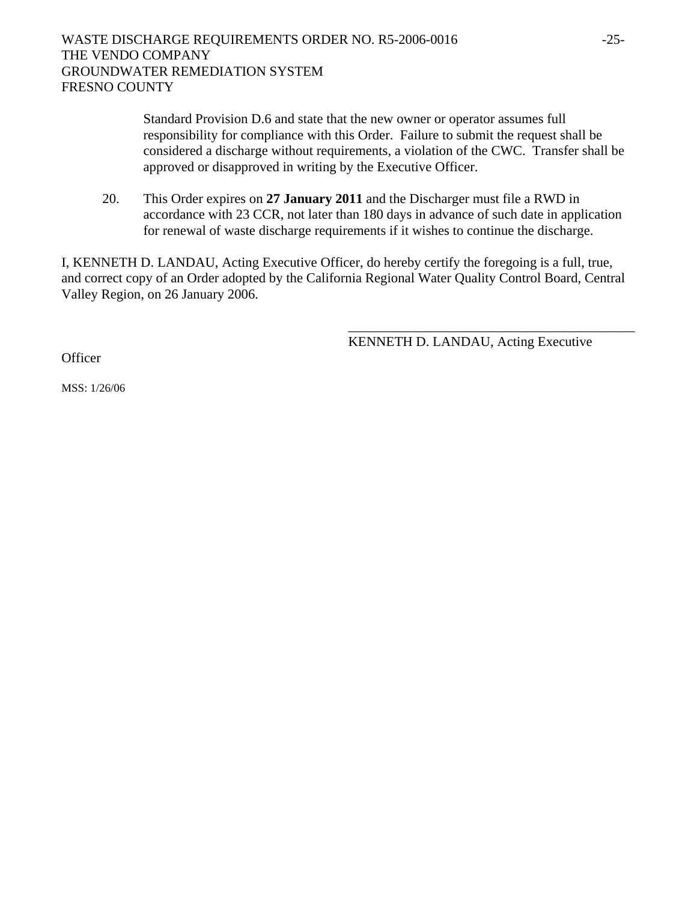Standard Provision D.6 and state that the new owner or operator assumes full responsibility for compliance with this Order. Failure to submit the request shall be considered a discharge without requirements, a violation of the CWC. Transfer shall be approved or disapproved in writing by the Executive Officer.

20. This Order expires on **27 January 2011** and the Discharger must file a RWD in accordance with 23 CCR, not later than 180 days in advance of such date in application for renewal of waste discharge requirements if it wishes to continue the discharge.

I, KENNETH D. LANDAU, Acting Executive Officer, do hereby certify the foregoing is a full, true, and correct copy of an Order adopted by the California Regional Water Quality Control Board, Central Valley Region, on 26 January 2006.

 $\overline{\phantom{a}}$  , which is a set of the set of the set of the set of the set of the set of the set of the set of the set of the set of the set of the set of the set of the set of the set of the set of the set of the set of th

KENNETH D. LANDAU, Acting Executive

**Officer** 

MSS: 1/26/06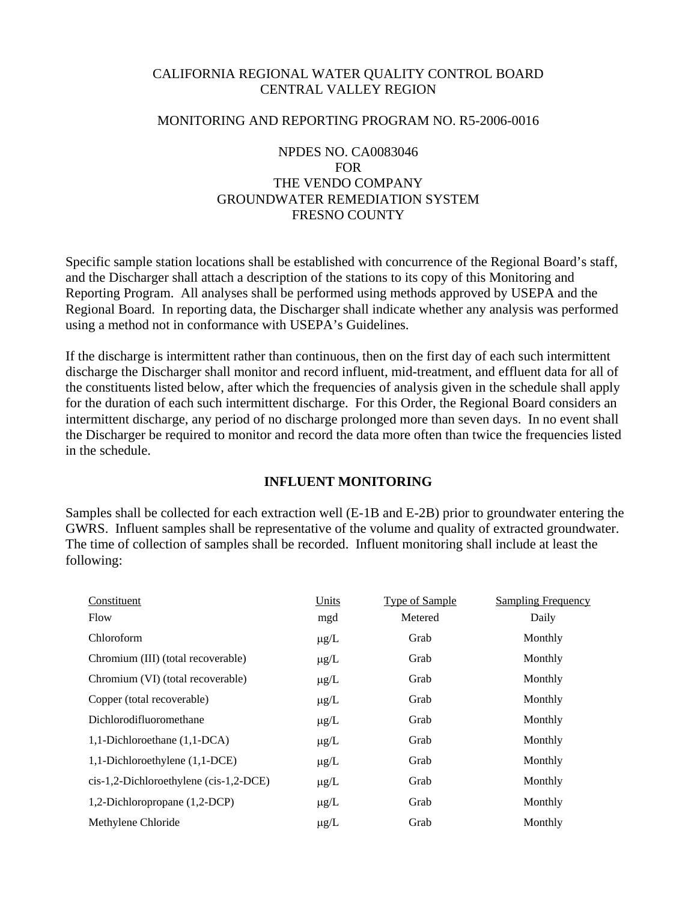#### CALIFORNIA REGIONAL WATER QUALITY CONTROL BOARD CENTRAL VALLEY REGION

#### MONITORING AND REPORTING PROGRAM NO. R5-2006-0016

# NPDES NO. CA0083046 FOR THE VENDO COMPANY GROUNDWATER REMEDIATION SYSTEM FRESNO COUNTY

Specific sample station locations shall be established with concurrence of the Regional Board's staff, and the Discharger shall attach a description of the stations to its copy of this Monitoring and Reporting Program. All analyses shall be performed using methods approved by USEPA and the Regional Board. In reporting data, the Discharger shall indicate whether any analysis was performed using a method not in conformance with USEPA's Guidelines.

If the discharge is intermittent rather than continuous, then on the first day of each such intermittent discharge the Discharger shall monitor and record influent, mid-treatment, and effluent data for all of the constituents listed below, after which the frequencies of analysis given in the schedule shall apply for the duration of each such intermittent discharge. For this Order, the Regional Board considers an intermittent discharge, any period of no discharge prolonged more than seven days. In no event shall the Discharger be required to monitor and record the data more often than twice the frequencies listed in the schedule.

#### **INFLUENT MONITORING**

Samples shall be collected for each extraction well (E-1B and E-2B) prior to groundwater entering the GWRS. Influent samples shall be representative of the volume and quality of extracted groundwater. The time of collection of samples shall be recorded. Influent monitoring shall include at least the following:

| Constituent                            | Units     | <b>Type of Sample</b> | <b>Sampling Frequency</b> |
|----------------------------------------|-----------|-----------------------|---------------------------|
| Flow                                   | mgd       | Metered               | Daily                     |
| Chloroform                             | $\mu$ g/L | Grab                  | Monthly                   |
| Chromium (III) (total recoverable)     | $\mu$ g/L | Grab                  | Monthly                   |
| Chromium (VI) (total recoverable)      | $\mu$ g/L | Grab                  | Monthly                   |
| Copper (total recoverable)             | $\mu$ g/L | Grab                  | Monthly                   |
| Dichlorodifluoromethane                | $\mu$ g/L | Grab                  | Monthly                   |
| 1,1-Dichloroethane (1,1-DCA)           | $\mu$ g/L | Grab                  | Monthly                   |
| 1,1-Dichloroethylene (1,1-DCE)         | $\mu$ g/L | Grab                  | Monthly                   |
| cis-1,2-Dichloroethylene (cis-1,2-DCE) | $\mu$ g/L | Grab                  | Monthly                   |
| 1,2-Dichloropropane (1,2-DCP)          | $\mu$ g/L | Grab                  | Monthly                   |
| Methylene Chloride                     | $\mu$ g/L | Grab                  | Monthly                   |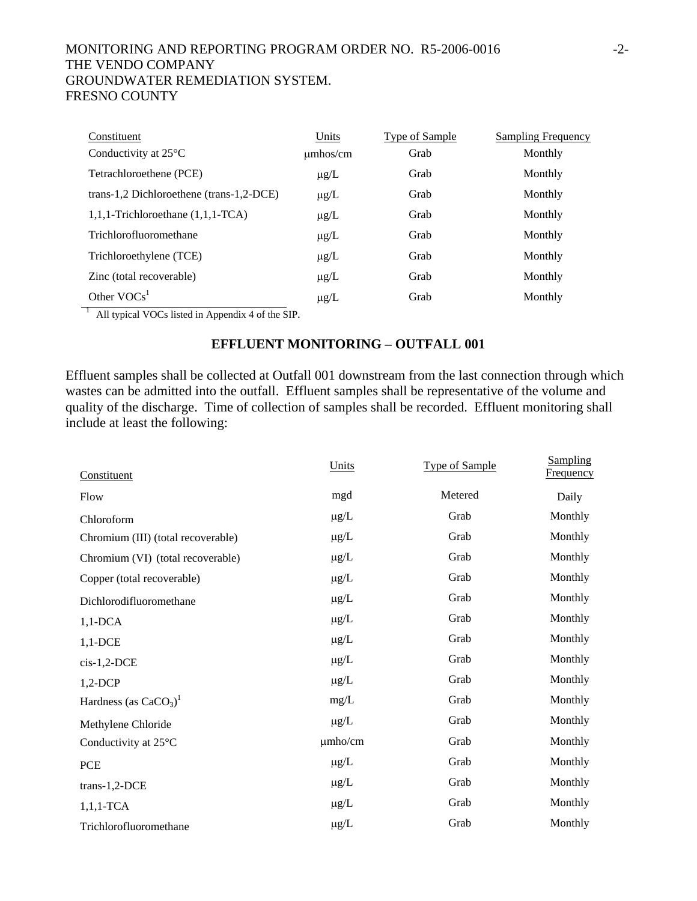# MONITORING AND REPORTING PROGRAM ORDER NO. R5-2006-0016 -2- THE VENDO COMPANY GROUNDWATER REMEDIATION SYSTEM. FRESNO COUNTY

| Constituent                              | Units         | <b>Type of Sample</b> | <b>Sampling Frequency</b> |
|------------------------------------------|---------------|-----------------------|---------------------------|
| Conductivity at $25^{\circ}$ C           | $\mu$ mhos/cm | Grab                  | Monthly                   |
| Tetrachloroethene (PCE)                  | $\mu$ g/L     | Grab                  | Monthly                   |
| trans-1,2 Dichloroethene (trans-1,2-DCE) | $\mu$ g/L     | Grab                  | Monthly                   |
| $1,1,1$ -Trichloroethane $(1,1,1$ -TCA)  | $\mu$ g/L     | Grab                  | Monthly                   |
| Trichlorofluoromethane                   | $\mu$ g/L     | Grab                  | Monthly                   |
| Trichloroethylene (TCE)                  | $\mu$ g/L     | Grab                  | Monthly                   |
| Zinc (total recoverable)                 | $\mu$ g/L     | Grab                  | Monthly                   |
| Other $VOCs1$                            | $\mu$ g/L     | Grab                  | Monthly                   |

 $\frac{1}{1}$  All typical VOCs listed in Appendix 4 of the SIP.

## **EFFLUENT MONITORING – OUTFALL 001**

Effluent samples shall be collected at Outfall 001 downstream from the last connection through which wastes can be admitted into the outfall. Effluent samples shall be representative of the volume and quality of the discharge. Time of collection of samples shall be recorded. Effluent monitoring shall include at least the following:

| Constituent                         | Units        | <b>Type of Sample</b> | <b>Sampling</b><br><b>Frequency</b> |  |
|-------------------------------------|--------------|-----------------------|-------------------------------------|--|
| Flow                                | mgd          | Metered               | Daily                               |  |
| Chloroform                          | $\mu$ g/L    | Grab                  | Monthly                             |  |
| Chromium (III) (total recoverable)  | $\mu$ g/L    | Grab                  | Monthly                             |  |
| Chromium (VI) (total recoverable)   | $\mu$ g/L    | Grab                  | Monthly                             |  |
| Copper (total recoverable)          | $\mu$ g/L    | Grab                  | Monthly                             |  |
| Dichlorodifluoromethane             | $\mu$ g/L    | Grab                  | Monthly                             |  |
| $1,1$ -DCA                          | $\mu$ g/L    | Grab                  | Monthly                             |  |
| $1,1$ -DCE                          | $\mu$ g/L    | Grab                  | Monthly                             |  |
| $cis-1,2-DCE$                       | $\mu$ g/L    | Grab                  | Monthly                             |  |
| $1,2$ -DCP                          | $\mu$ g/L    | Grab                  | Monthly                             |  |
| Hardness (as $CaCO3$ ) <sup>1</sup> | mg/L         | Grab                  | Monthly                             |  |
| Methylene Chloride                  | $\mu$ g/L    | Grab                  | Monthly                             |  |
| Conductivity at 25°C                | $\mu$ mho/cm | Grab                  | Monthly                             |  |
| PCE                                 | $\mu$ g/L    | Grab                  | Monthly                             |  |
| trans-1,2-DCE                       | $\mu$ g/L    | Grab                  | Monthly                             |  |
| $1,1,1$ -TCA                        | $\mu$ g/L    | Grab                  | Monthly                             |  |
| Trichlorofluoromethane              | $\mu g/L$    | Grab                  | Monthly                             |  |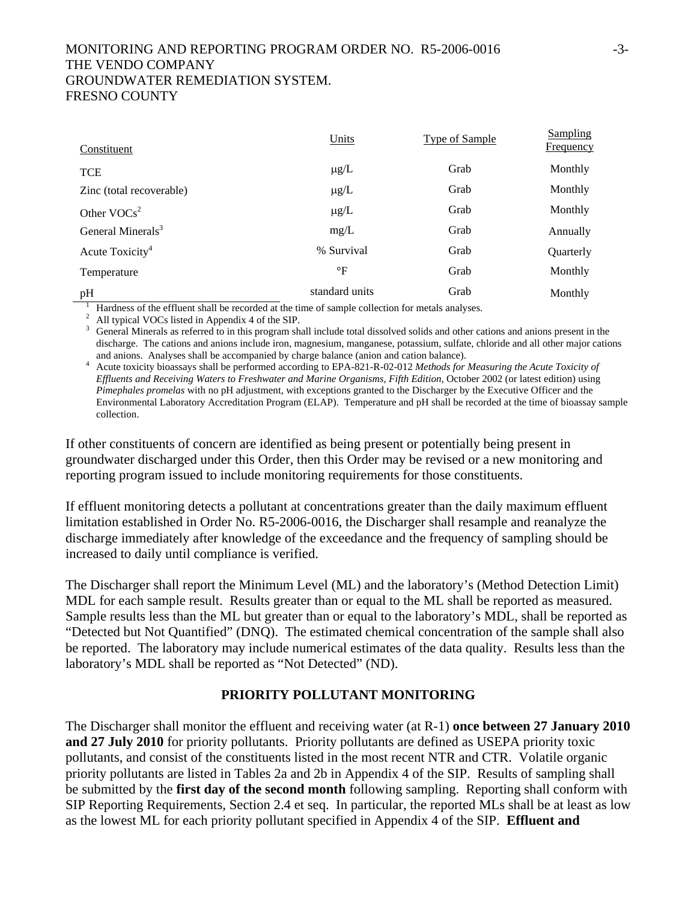# MONITORING AND REPORTING PROGRAM ORDER NO. R5-2006-0016 -3- THE VENDO COMPANY GROUNDWATER REMEDIATION SYSTEM. FRESNO COUNTY

| Constituent                                                                                      | Units           | <b>Type of Sample</b> | <b>Sampling</b><br>Frequency |
|--------------------------------------------------------------------------------------------------|-----------------|-----------------------|------------------------------|
| <b>TCE</b>                                                                                       | $\mu$ g/L       | Grab                  | Monthly                      |
| Zinc (total recoverable)                                                                         | $\mu$ g/L       | Grab                  | Monthly                      |
| Other $VOCs^2$                                                                                   | $\mu$ g/L       | Grab                  | Monthly                      |
| General Minerals <sup>3</sup>                                                                    | mg/L            | Grab                  | Annually                     |
| Acute Toxicity <sup>4</sup>                                                                      | % Survival      | Grab                  | Quarterly                    |
| Temperature                                                                                      | $\rm ^{\circ}F$ | Grab                  | Monthly                      |
| pH                                                                                               | standard units  | Grab                  | Monthly                      |
| Hardness of the effluent shall be recorded at the time of sample collection for metals analyses. |                 |                       |                              |

<sup>2</sup> All typical VOCs listed in Appendix 4 of the SIP.

<sup>3</sup> General Minerals as referred to in this program shall include total dissolved solids and other cations and anions present in the discharge. The cations and anions include iron, magnesium, manganese, potassium, sulfate, chloride and all other major cations and anions. Analyses shall be accompanied by charge balance (anion and cation balance). 4

<sup>4</sup> Acute toxicity bioassays shall be performed according to EPA-821-R-02-012 *Methods for Measuring the Acute Toxicity of Effluents and Receiving Waters to Freshwater and Marine Organisms, Fifth Edition,* October 2002 (or latest edition) using *Pimephales promelas* with no pH adjustment, with exceptions granted to the Discharger by the Executive Officer and the Environmental Laboratory Accreditation Program (ELAP). Temperature and pH shall be recorded at the time of bioassay sample collection.

If other constituents of concern are identified as being present or potentially being present in groundwater discharged under this Order, then this Order may be revised or a new monitoring and reporting program issued to include monitoring requirements for those constituents.

If effluent monitoring detects a pollutant at concentrations greater than the daily maximum effluent limitation established in Order No. R5-2006-0016, the Discharger shall resample and reanalyze the discharge immediately after knowledge of the exceedance and the frequency of sampling should be increased to daily until compliance is verified.

The Discharger shall report the Minimum Level (ML) and the laboratory's (Method Detection Limit) MDL for each sample result. Results greater than or equal to the ML shall be reported as measured. Sample results less than the ML but greater than or equal to the laboratory's MDL, shall be reported as "Detected but Not Quantified" (DNQ). The estimated chemical concentration of the sample shall also be reported. The laboratory may include numerical estimates of the data quality. Results less than the laboratory's MDL shall be reported as "Not Detected" (ND).

#### **PRIORITY POLLUTANT MONITORING**

The Discharger shall monitor the effluent and receiving water (at R-1) **once between 27 January 2010 and 27 July 2010** for priority pollutants. Priority pollutants are defined as USEPA priority toxic pollutants, and consist of the constituents listed in the most recent NTR and CTR. Volatile organic priority pollutants are listed in Tables 2a and 2b in Appendix 4 of the SIP. Results of sampling shall be submitted by the **first day of the second month** following sampling. Reporting shall conform with SIP Reporting Requirements, Section 2.4 et seq. In particular, the reported MLs shall be at least as low as the lowest ML for each priority pollutant specified in Appendix 4 of the SIP. **Effluent and**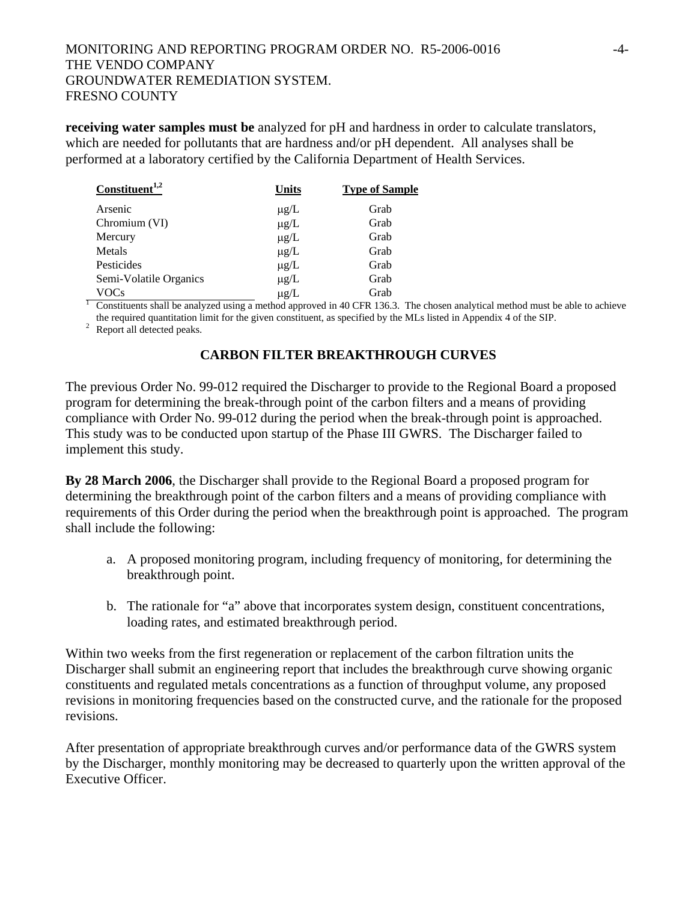**receiving water samples must be** analyzed for pH and hardness in order to calculate translators, which are needed for pollutants that are hardness and/or pH dependent. All analyses shall be performed at a laboratory certified by the California Department of Health Services.

| $Construct1,2$         | Units     | <b>Type of Sample</b> |
|------------------------|-----------|-----------------------|
| Arsenic                | $\mu$ g/L | Grab                  |
| Chromium (VI)          | $\mu$ g/L | Grab                  |
| Mercury                | $\mu$ g/L | Grab                  |
| Metals                 | $\mu$ g/L | Grab                  |
| Pesticides             | $\mu$ g/L | Grab                  |
| Semi-Volatile Organics | $\mu$ g/L | Grab                  |
| VOCs                   | $\mu$ g/L | Grab                  |

VOCs  $\mu$ g/L Grab<br><sup>1</sup> Constituents shall be analyzed using a method approved in 40 CFR 136.3. The chosen analytical method must be able to achieve the required quantitation limit for the given constituent, as specified by the MLs listed in Appendix 4 of the SIP.

<sup>2</sup> Report all detected peaks.

# **CARBON FILTER BREAKTHROUGH CURVES**

The previous Order No. 99-012 required the Discharger to provide to the Regional Board a proposed program for determining the break-through point of the carbon filters and a means of providing compliance with Order No. 99-012 during the period when the break-through point is approached. This study was to be conducted upon startup of the Phase III GWRS. The Discharger failed to implement this study.

**By 28 March 2006**, the Discharger shall provide to the Regional Board a proposed program for determining the breakthrough point of the carbon filters and a means of providing compliance with requirements of this Order during the period when the breakthrough point is approached. The program shall include the following:

- a. A proposed monitoring program, including frequency of monitoring, for determining the breakthrough point.
- b. The rationale for "a" above that incorporates system design, constituent concentrations, loading rates, and estimated breakthrough period.

Within two weeks from the first regeneration or replacement of the carbon filtration units the Discharger shall submit an engineering report that includes the breakthrough curve showing organic constituents and regulated metals concentrations as a function of throughput volume, any proposed revisions in monitoring frequencies based on the constructed curve, and the rationale for the proposed revisions.

After presentation of appropriate breakthrough curves and/or performance data of the GWRS system by the Discharger, monthly monitoring may be decreased to quarterly upon the written approval of the Executive Officer.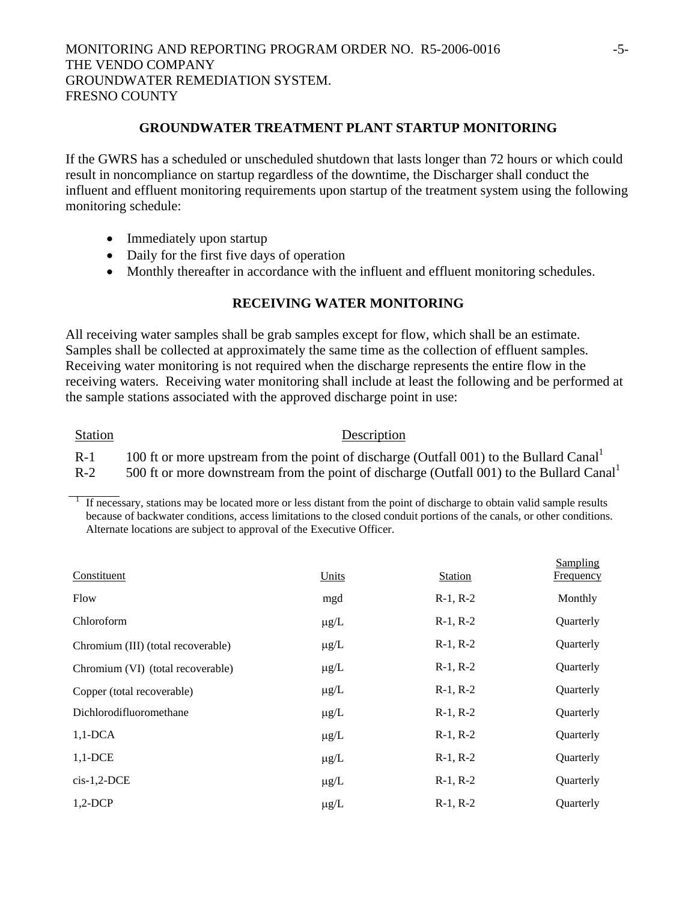## **GROUNDWATER TREATMENT PLANT STARTUP MONITORING**

If the GWRS has a scheduled or unscheduled shutdown that lasts longer than 72 hours or which could result in noncompliance on startup regardless of the downtime, the Discharger shall conduct the influent and effluent monitoring requirements upon startup of the treatment system using the following monitoring schedule:

- Immediately upon startup
- Daily for the first five days of operation
- Monthly thereafter in accordance with the influent and effluent monitoring schedules.

#### **RECEIVING WATER MONITORING**

All receiving water samples shall be grab samples except for flow, which shall be an estimate. Samples shall be collected at approximately the same time as the collection of effluent samples. Receiving water monitoring is not required when the discharge represents the entire flow in the receiving waters. Receiving water monitoring shall include at least the following and be performed at the sample stations associated with the approved discharge point in use:

#### Station Description

R-1 100 ft or more upstream from the point of discharge (Outfall 001) to the Bullard Canal<sup>1</sup>

R-2  $500$  ft or more downstream from the point of discharge (Outfall 001) to the Bullard Canal<sup>1</sup>

1 If necessary, stations may be located more or less distant from the point of discharge to obtain valid sample results because of backwater conditions, access limitations to the closed conduit portions of the canals, or other conditions. Alternate locations are subject to approval of the Executive Officer.

| Constituent                        | Units     | <b>Station</b> | Sampling<br><b>Frequency</b> |
|------------------------------------|-----------|----------------|------------------------------|
| Flow                               | mgd       | $R-1, R-2$     | Monthly                      |
| Chloroform                         | $\mu$ g/L | $R-1, R-2$     | Quarterly                    |
| Chromium (III) (total recoverable) | $\mu$ g/L | $R-1, R-2$     | Quarterly                    |
| Chromium (VI) (total recoverable)  | $\mu$ g/L | $R-1, R-2$     | Quarterly                    |
| Copper (total recoverable)         | $\mu$ g/L | $R-1, R-2$     | Quarterly                    |
| Dichlorodifluoromethane            | $\mu$ g/L | $R-1, R-2$     | Quarterly                    |
| $1,1$ -DCA                         | $\mu$ g/L | $R-1, R-2$     | Quarterly                    |
| $1,1$ -DCE                         | $\mu$ g/L | $R-1, R-2$     | Quarterly                    |
| $cis-1,2-DCE$                      | $\mu$ g/L | $R-1, R-2$     | Quarterly                    |
| $1,2$ -DCP                         | $\mu$ g/L | $R-1, R-2$     | Quarterly                    |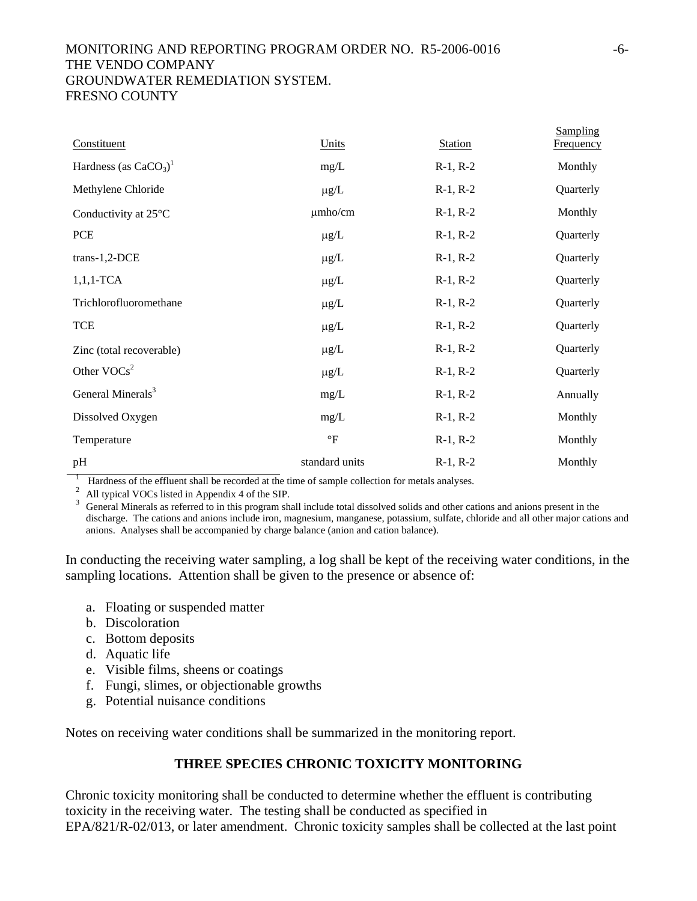# MONITORING AND REPORTING PROGRAM ORDER NO. R5-2006-0016 -6- THE VENDO COMPANY GROUNDWATER REMEDIATION SYSTEM. FRESNO COUNTY

| Constituent                         | Units           | <b>Station</b> | Sampling<br><b>Frequency</b> |
|-------------------------------------|-----------------|----------------|------------------------------|
| Hardness (as $CaCO3$ ) <sup>1</sup> | mg/L            | $R-1, R-2$     | Monthly                      |
| Methylene Chloride                  | $\mu$ g/L       | $R-1, R-2$     | Quarterly                    |
| Conductivity at 25°C                | $\mu$ mho/cm    | $R-1, R-2$     | Monthly                      |
| <b>PCE</b>                          | $\mu$ g/L       | $R-1, R-2$     | Quarterly                    |
| $trans-1,2-DCE$                     | $\mu g/L$       | $R-1, R-2$     | Quarterly                    |
| $1,1,1$ -TCA                        | $\mu$ g/L       | $R-1, R-2$     | Quarterly                    |
| Trichlorofluoromethane              | $\mu$ g/L       | $R-1, R-2$     | Quarterly                    |
| <b>TCE</b>                          | $\mu$ g/L       | $R-1, R-2$     | Quarterly                    |
| Zinc (total recoverable)            | $\mu$ g/L       | $R-1, R-2$     | Quarterly                    |
| Other $VOCs2$                       | $\mu$ g/L       | $R-1, R-2$     | Quarterly                    |
| General Minerals <sup>3</sup>       | mg/L            | $R-1, R-2$     | Annually                     |
| Dissolved Oxygen                    | mg/L            | $R-1, R-2$     | Monthly                      |
| Temperature                         | $\rm ^{\circ}F$ | $R-1, R-2$     | Monthly                      |
| pH                                  | standard units  | $R-1, R-2$     | Monthly                      |

<sup>1</sup> Hardness of the effluent shall be recorded at the time of sample collection for metals analyses.<br><sup>2</sup> All typical VOCs listed in Appendix 4 of the SIP.<br><sup>3</sup> General Minerals as referred to in this program shall include discharge. The cations and anions include iron, magnesium, manganese, potassium, sulfate, chloride and all other major cations and anions. Analyses shall be accompanied by charge balance (anion and cation balance).

In conducting the receiving water sampling, a log shall be kept of the receiving water conditions, in the sampling locations. Attention shall be given to the presence or absence of:

- a. Floating or suspended matter
- b. Discoloration
- c. Bottom deposits
- d. Aquatic life
- e. Visible films, sheens or coatings
- f. Fungi, slimes, or objectionable growths
- g. Potential nuisance conditions

Notes on receiving water conditions shall be summarized in the monitoring report.

## **THREE SPECIES CHRONIC TOXICITY MONITORING**

Chronic toxicity monitoring shall be conducted to determine whether the effluent is contributing toxicity in the receiving water. The testing shall be conducted as specified in EPA/821/R-02/013, or later amendment. Chronic toxicity samples shall be collected at the last point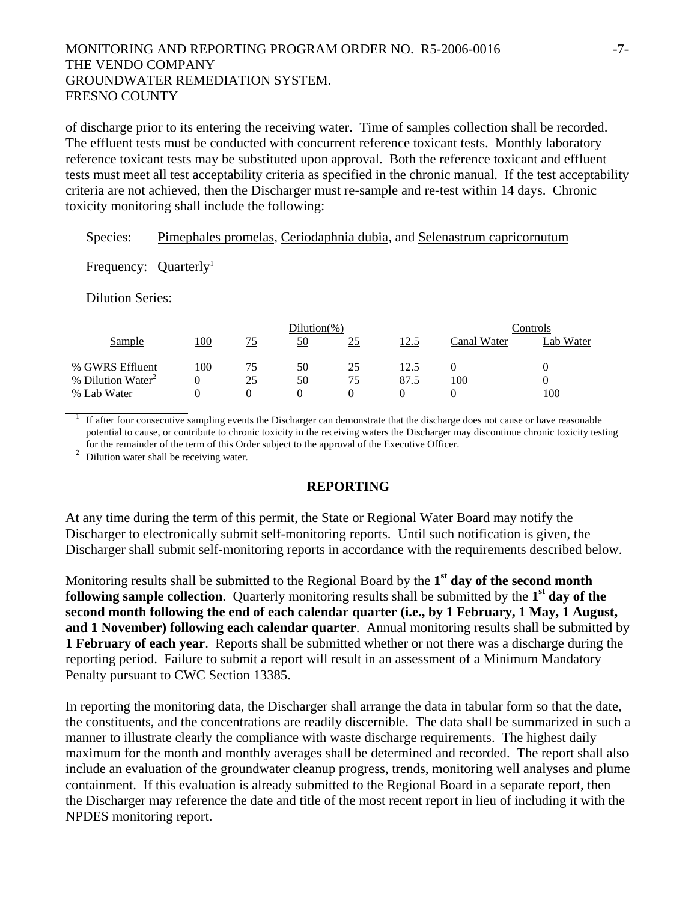## MONITORING AND REPORTING PROGRAM ORDER NO. R5-2006-0016 -7- THE VENDO COMPANY GROUNDWATER REMEDIATION SYSTEM. FRESNO COUNTY

of discharge prior to its entering the receiving water. Time of samples collection shall be recorded. The effluent tests must be conducted with concurrent reference toxicant tests. Monthly laboratory reference toxicant tests may be substituted upon approval. Both the reference toxicant and effluent tests must meet all test acceptability criteria as specified in the chronic manual. If the test acceptability criteria are not achieved, then the Discharger must re-sample and re-test within 14 days. Chronic toxicity monitoring shall include the following:

## Species: Pimephales promelas, Ceriodaphnia dubia, and Selenastrum capricornutum

Frequency:  $Quarterly<sup>1</sup>$ 

Dilution Series:

|                               | Dilution $(\%)$ |    |    |    | controls. |             |           |
|-------------------------------|-----------------|----|----|----|-----------|-------------|-----------|
| Sample                        | 100             | 75 | 50 | 25 | 12.5      | Canal Water | Lab Water |
| % GWRS Effluent               | 100             | 75 | 50 | 25 |           |             |           |
| % Dilution Water <sup>2</sup> |                 | 25 | 50 | 75 | 87.5      | 100         |           |
| % Lab Water                   |                 |    |    |    |           |             | 100       |

<sup>1</sup> If after four consecutive sampling events the Discharger can demonstrate that the discharge does not cause or have reasonable potential to cause, or contribute to chronic toxicity in the receiving waters the Discharger may discontinue chronic toxicity testing for the remainder of the term of this Order subject to the approval of the Executive Officer. 2 Dilution water shall be receiving water.

#### **REPORTING**

At any time during the term of this permit, the State or Regional Water Board may notify the Discharger to electronically submit self-monitoring reports. Until such notification is given, the Discharger shall submit self-monitoring reports in accordance with the requirements described below.

Monitoring results shall be submitted to the Regional Board by the **1st day of the second month following sample collection**. Quarterly monitoring results shall be submitted by the **1st day of the second month following the end of each calendar quarter (i.e., by 1 February, 1 May, 1 August, and 1 November) following each calendar quarter**. Annual monitoring results shall be submitted by **1 February of each year**. Reports shall be submitted whether or not there was a discharge during the reporting period. Failure to submit a report will result in an assessment of a Minimum Mandatory Penalty pursuant to CWC Section 13385.

In reporting the monitoring data, the Discharger shall arrange the data in tabular form so that the date, the constituents, and the concentrations are readily discernible. The data shall be summarized in such a manner to illustrate clearly the compliance with waste discharge requirements. The highest daily maximum for the month and monthly averages shall be determined and recorded. The report shall also include an evaluation of the groundwater cleanup progress, trends, monitoring well analyses and plume containment. If this evaluation is already submitted to the Regional Board in a separate report, then the Discharger may reference the date and title of the most recent report in lieu of including it with the NPDES monitoring report.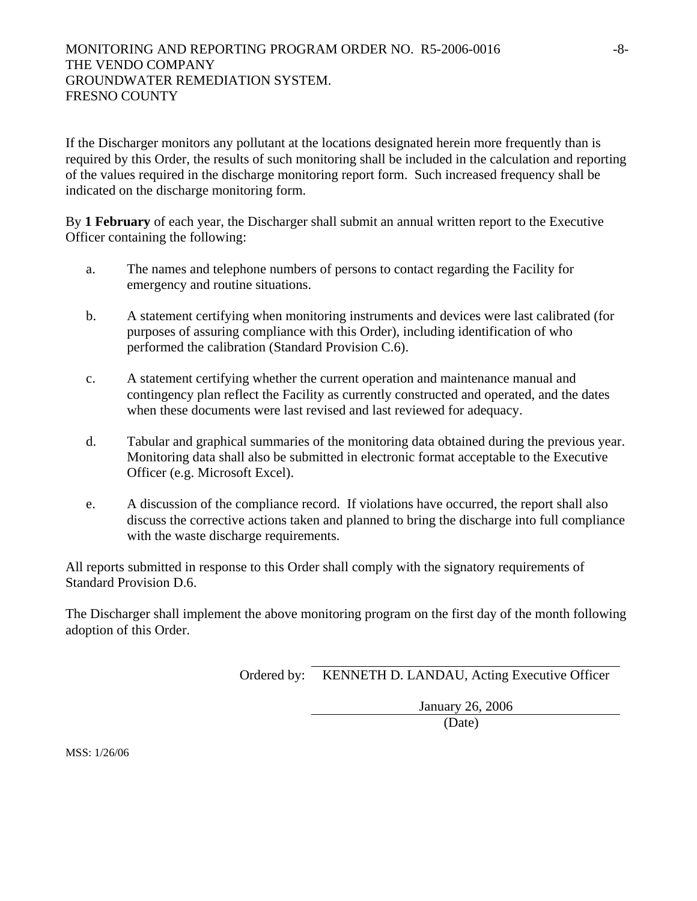If the Discharger monitors any pollutant at the locations designated herein more frequently than is required by this Order, the results of such monitoring shall be included in the calculation and reporting of the values required in the discharge monitoring report form. Such increased frequency shall be indicated on the discharge monitoring form.

By **1 February** of each year, the Discharger shall submit an annual written report to the Executive Officer containing the following:

- a. The names and telephone numbers of persons to contact regarding the Facility for emergency and routine situations.
- b. A statement certifying when monitoring instruments and devices were last calibrated (for purposes of assuring compliance with this Order), including identification of who performed the calibration (Standard Provision C.6).
- c. A statement certifying whether the current operation and maintenance manual and contingency plan reflect the Facility as currently constructed and operated, and the dates when these documents were last revised and last reviewed for adequacy.
- d. Tabular and graphical summaries of the monitoring data obtained during the previous year. Monitoring data shall also be submitted in electronic format acceptable to the Executive Officer (e.g. Microsoft Excel).
- e. A discussion of the compliance record. If violations have occurred, the report shall also discuss the corrective actions taken and planned to bring the discharge into full compliance with the waste discharge requirements.

All reports submitted in response to this Order shall comply with the signatory requirements of Standard Provision D.6.

The Discharger shall implement the above monitoring program on the first day of the month following adoption of this Order.

Ordered by: KENNETH D. LANDAU, Acting Executive Officer

January 26, 2006

(Date)

MSS: 1/26/06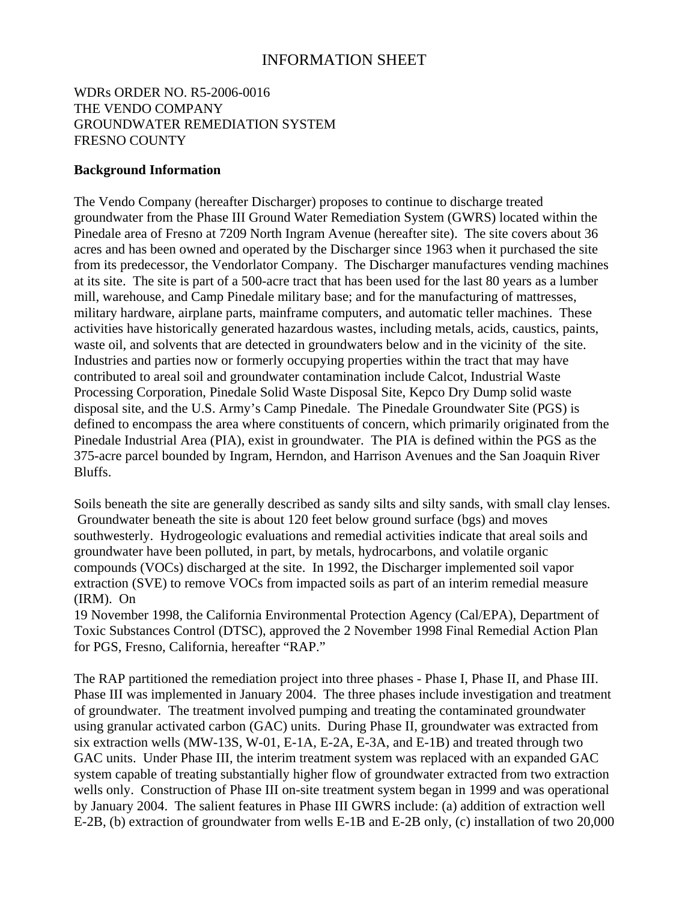# INFORMATION SHEET

# WDRs ORDER NO. R5-2006-0016 THE VENDO COMPANY GROUNDWATER REMEDIATION SYSTEM FRESNO COUNTY

#### **Background Information**

The Vendo Company (hereafter Discharger) proposes to continue to discharge treated groundwater from the Phase III Ground Water Remediation System (GWRS) located within the Pinedale area of Fresno at 7209 North Ingram Avenue (hereafter site). The site covers about 36 acres and has been owned and operated by the Discharger since 1963 when it purchased the site from its predecessor, the Vendorlator Company. The Discharger manufactures vending machines at its site. The site is part of a 500-acre tract that has been used for the last 80 years as a lumber mill, warehouse, and Camp Pinedale military base; and for the manufacturing of mattresses, military hardware, airplane parts, mainframe computers, and automatic teller machines. These activities have historically generated hazardous wastes, including metals, acids, caustics, paints, waste oil, and solvents that are detected in groundwaters below and in the vicinity of the site. Industries and parties now or formerly occupying properties within the tract that may have contributed to areal soil and groundwater contamination include Calcot, Industrial Waste Processing Corporation, Pinedale Solid Waste Disposal Site, Kepco Dry Dump solid waste disposal site, and the U.S. Army's Camp Pinedale. The Pinedale Groundwater Site (PGS) is defined to encompass the area where constituents of concern, which primarily originated from the Pinedale Industrial Area (PIA), exist in groundwater. The PIA is defined within the PGS as the 375-acre parcel bounded by Ingram, Herndon, and Harrison Avenues and the San Joaquin River Bluffs.

Soils beneath the site are generally described as sandy silts and silty sands, with small clay lenses. Groundwater beneath the site is about 120 feet below ground surface (bgs) and moves southwesterly. Hydrogeologic evaluations and remedial activities indicate that areal soils and groundwater have been polluted, in part, by metals, hydrocarbons, and volatile organic compounds (VOCs) discharged at the site. In 1992, the Discharger implemented soil vapor extraction (SVE) to remove VOCs from impacted soils as part of an interim remedial measure (IRM). On

19 November 1998, the California Environmental Protection Agency (Cal/EPA), Department of Toxic Substances Control (DTSC), approved the 2 November 1998 Final Remedial Action Plan for PGS, Fresno, California, hereafter "RAP."

The RAP partitioned the remediation project into three phases - Phase I, Phase II, and Phase III. Phase III was implemented in January 2004. The three phases include investigation and treatment of groundwater. The treatment involved pumping and treating the contaminated groundwater using granular activated carbon (GAC) units. During Phase II, groundwater was extracted from six extraction wells (MW-13S, W-01, E-1A, E-2A, E-3A, and E-1B) and treated through two GAC units. Under Phase III, the interim treatment system was replaced with an expanded GAC system capable of treating substantially higher flow of groundwater extracted from two extraction wells only. Construction of Phase III on-site treatment system began in 1999 and was operational by January 2004. The salient features in Phase III GWRS include: (a) addition of extraction well E-2B, (b) extraction of groundwater from wells E-1B and E-2B only, (c) installation of two 20,000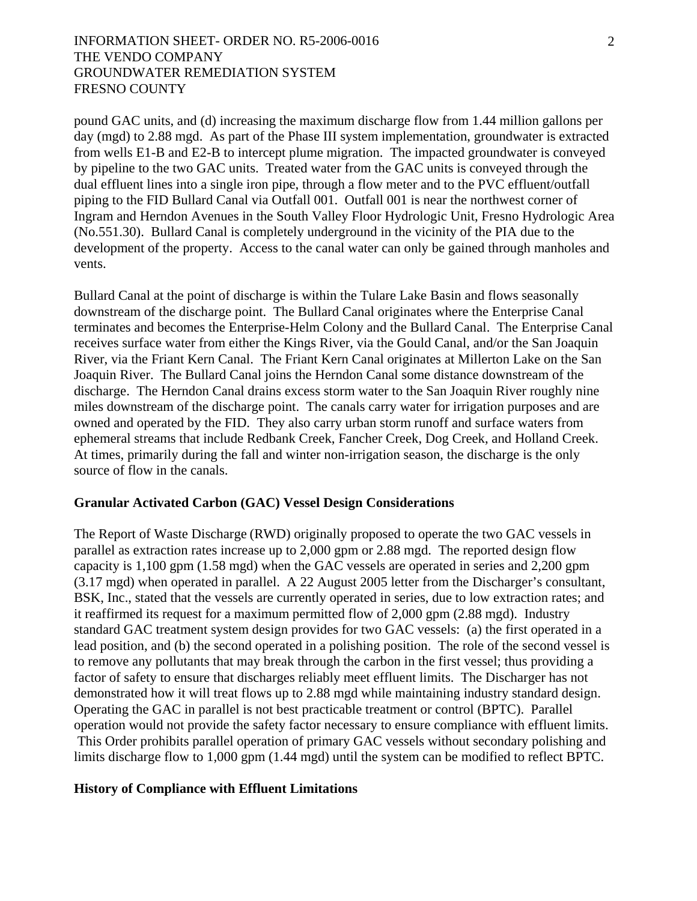## INFORMATION SHEET- ORDER NO. R5-2006-0016 THE VENDO COMPANY GROUNDWATER REMEDIATION SYSTEM FRESNO COUNTY

pound GAC units, and (d) increasing the maximum discharge flow from 1.44 million gallons per day (mgd) to 2.88 mgd. As part of the Phase III system implementation, groundwater is extracted from wells E1-B and E2-B to intercept plume migration. The impacted groundwater is conveyed by pipeline to the two GAC units. Treated water from the GAC units is conveyed through the dual effluent lines into a single iron pipe, through a flow meter and to the PVC effluent/outfall piping to the FID Bullard Canal via Outfall 001. Outfall 001 is near the northwest corner of Ingram and Herndon Avenues in the South Valley Floor Hydrologic Unit, Fresno Hydrologic Area (No.551.30). Bullard Canal is completely underground in the vicinity of the PIA due to the development of the property. Access to the canal water can only be gained through manholes and vents.

Bullard Canal at the point of discharge is within the Tulare Lake Basin and flows seasonally downstream of the discharge point. The Bullard Canal originates where the Enterprise Canal terminates and becomes the Enterprise-Helm Colony and the Bullard Canal. The Enterprise Canal receives surface water from either the Kings River, via the Gould Canal, and/or the San Joaquin River, via the Friant Kern Canal. The Friant Kern Canal originates at Millerton Lake on the San Joaquin River. The Bullard Canal joins the Herndon Canal some distance downstream of the discharge. The Herndon Canal drains excess storm water to the San Joaquin River roughly nine miles downstream of the discharge point. The canals carry water for irrigation purposes and are owned and operated by the FID. They also carry urban storm runoff and surface waters from ephemeral streams that include Redbank Creek, Fancher Creek, Dog Creek, and Holland Creek. At times, primarily during the fall and winter non-irrigation season, the discharge is the only source of flow in the canals.

#### **Granular Activated Carbon (GAC) Vessel Design Considerations**

The Report of Waste Discharge (RWD) originally proposed to operate the two GAC vessels in parallel as extraction rates increase up to 2,000 gpm or 2.88 mgd. The reported design flow capacity is 1,100 gpm (1.58 mgd) when the GAC vessels are operated in series and 2,200 gpm (3.17 mgd) when operated in parallel. A 22 August 2005 letter from the Discharger's consultant, BSK, Inc., stated that the vessels are currently operated in series, due to low extraction rates; and it reaffirmed its request for a maximum permitted flow of 2,000 gpm (2.88 mgd). Industry standard GAC treatment system design provides for two GAC vessels: (a) the first operated in a lead position, and (b) the second operated in a polishing position. The role of the second vessel is to remove any pollutants that may break through the carbon in the first vessel; thus providing a factor of safety to ensure that discharges reliably meet effluent limits. The Discharger has not demonstrated how it will treat flows up to 2.88 mgd while maintaining industry standard design. Operating the GAC in parallel is not best practicable treatment or control (BPTC). Parallel operation would not provide the safety factor necessary to ensure compliance with effluent limits. This Order prohibits parallel operation of primary GAC vessels without secondary polishing and limits discharge flow to 1,000 gpm (1.44 mgd) until the system can be modified to reflect BPTC.

#### **History of Compliance with Effluent Limitations**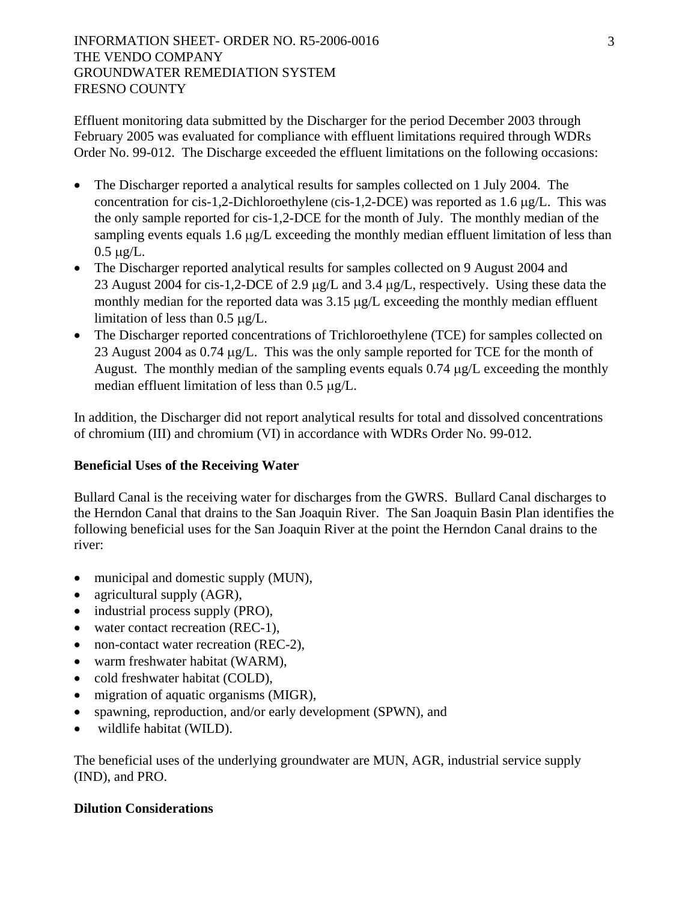Effluent monitoring data submitted by the Discharger for the period December 2003 through February 2005 was evaluated for compliance with effluent limitations required through WDRs Order No. 99-012. The Discharge exceeded the effluent limitations on the following occasions:

- The Discharger reported a analytical results for samples collected on 1 July 2004. The concentration for cis-1,2-Dichloroethylene (cis-1,2-DCE) was reported as 1.6 μg/L. This was the only sample reported for cis-1,2-DCE for the month of July. The monthly median of the sampling events equals 1.6 μg/L exceeding the monthly median effluent limitation of less than 0.5 μg/L.
- The Discharger reported analytical results for samples collected on 9 August 2004 and 23 August 2004 for cis-1,2-DCE of 2.9 μg/L and 3.4 μg/L, respectively. Using these data the monthly median for the reported data was 3.15 μg/L exceeding the monthly median effluent limitation of less than 0.5 μg/L.
- The Discharger reported concentrations of Trichloroethylene (TCE) for samples collected on 23 August 2004 as 0.74 μg/L. This was the only sample reported for TCE for the month of August. The monthly median of the sampling events equals 0.74 μg/L exceeding the monthly median effluent limitation of less than 0.5 μg/L.

In addition, the Discharger did not report analytical results for total and dissolved concentrations of chromium (III) and chromium (VI) in accordance with WDRs Order No. 99-012.

# **Beneficial Uses of the Receiving Water**

Bullard Canal is the receiving water for discharges from the GWRS. Bullard Canal discharges to the Herndon Canal that drains to the San Joaquin River. The San Joaquin Basin Plan identifies the following beneficial uses for the San Joaquin River at the point the Herndon Canal drains to the river:

- municipal and domestic supply (MUN),
- agricultural supply (AGR),
- industrial process supply (PRO),
- water contact recreation (REC-1),
- non-contact water recreation (REC-2),
- warm freshwater habitat (WARM),
- cold freshwater habitat (COLD),
- migration of aquatic organisms (MIGR),
- spawning, reproduction, and/or early development (SPWN), and
- wildlife habitat (WILD).

The beneficial uses of the underlying groundwater are MUN, AGR, industrial service supply (IND), and PRO.

# **Dilution Considerations**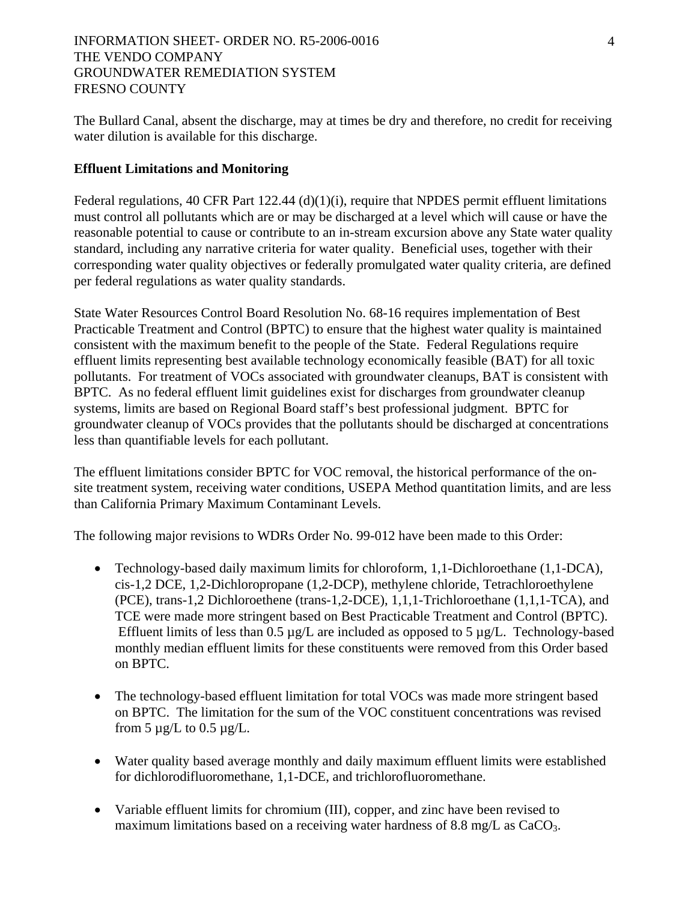The Bullard Canal, absent the discharge, may at times be dry and therefore, no credit for receiving water dilution is available for this discharge.

### **Effluent Limitations and Monitoring**

Federal regulations, 40 CFR Part 122.44 (d)(1)(i), require that NPDES permit effluent limitations must control all pollutants which are or may be discharged at a level which will cause or have the reasonable potential to cause or contribute to an in-stream excursion above any State water quality standard, including any narrative criteria for water quality. Beneficial uses, together with their corresponding water quality objectives or federally promulgated water quality criteria, are defined per federal regulations as water quality standards.

State Water Resources Control Board Resolution No. 68-16 requires implementation of Best Practicable Treatment and Control (BPTC) to ensure that the highest water quality is maintained consistent with the maximum benefit to the people of the State. Federal Regulations require effluent limits representing best available technology economically feasible (BAT) for all toxic pollutants. For treatment of VOCs associated with groundwater cleanups, BAT is consistent with BPTC. As no federal effluent limit guidelines exist for discharges from groundwater cleanup systems, limits are based on Regional Board staff's best professional judgment. BPTC for groundwater cleanup of VOCs provides that the pollutants should be discharged at concentrations less than quantifiable levels for each pollutant.

The effluent limitations consider BPTC for VOC removal, the historical performance of the onsite treatment system, receiving water conditions, USEPA Method quantitation limits, and are less than California Primary Maximum Contaminant Levels.

The following major revisions to WDRs Order No. 99-012 have been made to this Order:

- Technology-based daily maximum limits for chloroform, 1,1-Dichloroethane (1,1-DCA), cis-1,2 DCE, 1,2-Dichloropropane (1,2-DCP), methylene chloride, Tetrachloroethylene (PCE), trans-1,2 Dichloroethene (trans-1,2-DCE), 1,1,1-Trichloroethane (1,1,1-TCA), and TCE were made more stringent based on Best Practicable Treatment and Control (BPTC). Effluent limits of less than  $0.5 \mu g/L$  are included as opposed to  $5 \mu g/L$ . Technology-based monthly median effluent limits for these constituents were removed from this Order based on BPTC.
- The technology-based effluent limitation for total VOCs was made more stringent based on BPTC. The limitation for the sum of the VOC constituent concentrations was revised from  $5 \mu g/L$  to  $0.5 \mu g/L$ .
- Water quality based average monthly and daily maximum effluent limits were established for dichlorodifluoromethane, 1,1-DCE, and trichlorofluoromethane.
- Variable effluent limits for chromium (III), copper, and zinc have been revised to maximum limitations based on a receiving water hardness of 8.8 mg/L as CaCO<sub>3</sub>.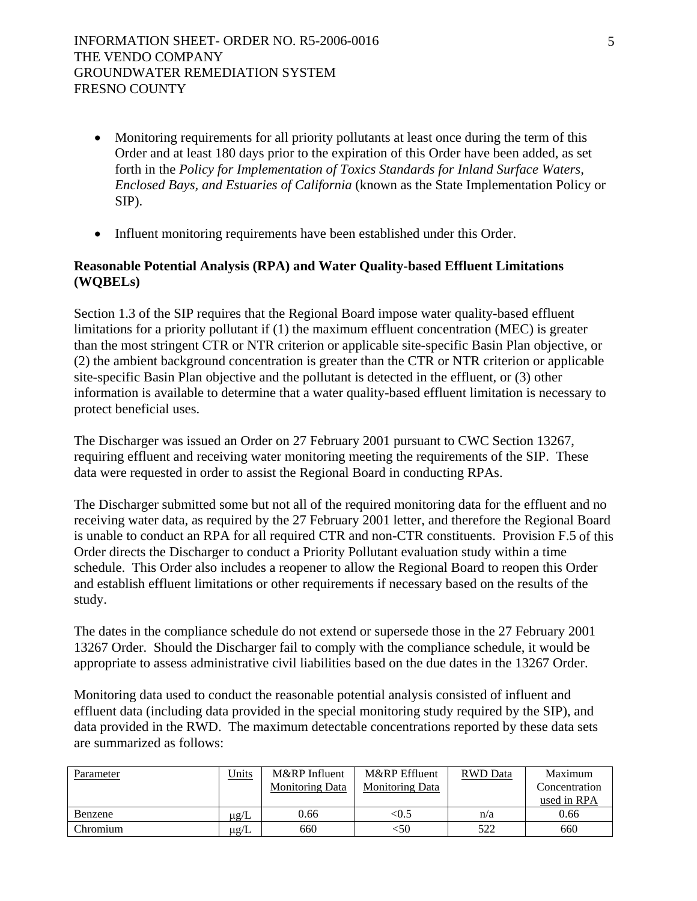- Monitoring requirements for all priority pollutants at least once during the term of this Order and at least 180 days prior to the expiration of this Order have been added, as set forth in the *Policy for Implementation of Toxics Standards for Inland Surface Waters, Enclosed Bays, and Estuaries of California* (known as the State Implementation Policy or SIP).
- Influent monitoring requirements have been established under this Order.

# **Reasonable Potential Analysis (RPA) and Water Quality-based Effluent Limitations (WQBELs)**

Section 1.3 of the SIP requires that the Regional Board impose water quality-based effluent limitations for a priority pollutant if (1) the maximum effluent concentration (MEC) is greater than the most stringent CTR or NTR criterion or applicable site-specific Basin Plan objective, or (2) the ambient background concentration is greater than the CTR or NTR criterion or applicable site-specific Basin Plan objective and the pollutant is detected in the effluent, or (3) other information is available to determine that a water quality-based effluent limitation is necessary to protect beneficial uses.

The Discharger was issued an Order on 27 February 2001 pursuant to CWC Section 13267, requiring effluent and receiving water monitoring meeting the requirements of the SIP. These data were requested in order to assist the Regional Board in conducting RPAs.

The Discharger submitted some but not all of the required monitoring data for the effluent and no receiving water data, as required by the 27 February 2001 letter, and therefore the Regional Board is unable to conduct an RPA for all required CTR and non-CTR constituents. Provision F.5 of this Order directs the Discharger to conduct a Priority Pollutant evaluation study within a time schedule. This Order also includes a reopener to allow the Regional Board to reopen this Order and establish effluent limitations or other requirements if necessary based on the results of the study.

The dates in the compliance schedule do not extend or supersede those in the 27 February 2001 13267 Order. Should the Discharger fail to comply with the compliance schedule, it would be appropriate to assess administrative civil liabilities based on the due dates in the 13267 Order.

Monitoring data used to conduct the reasonable potential analysis consisted of influent and effluent data (including data provided in the special monitoring study required by the SIP), and data provided in the RWD. The maximum detectable concentrations reported by these data sets are summarized as follows:

| Parameter | Units     | M&RP Influent          | M&RP Effluent          | <b>RWD</b> Data | Maximum       |
|-----------|-----------|------------------------|------------------------|-----------------|---------------|
|           |           | <b>Monitoring Data</b> | <b>Monitoring Data</b> |                 | Concentration |
|           |           |                        |                        |                 | used in RPA   |
| Benzene   | $\mu$ g/L | 0.66                   | <0.5                   | n/a             | 0.66          |
| Chromium  | $\mu$ g/L | 660                    | <50                    | 522             | 660           |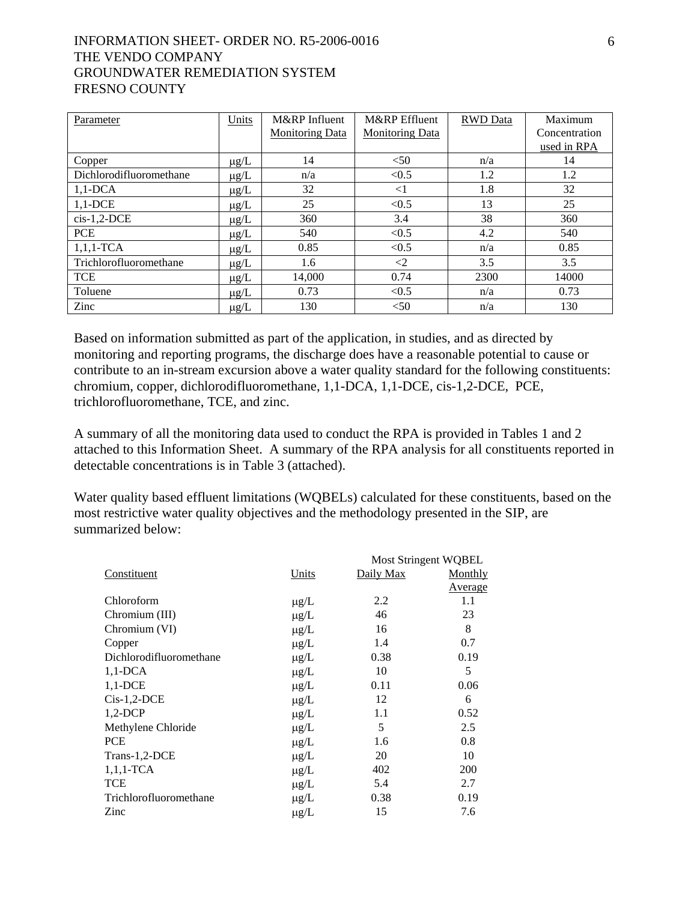| Parameter               | Units     | M&RP Influent<br><b>Monitoring Data</b> | M&RP Effluent<br><b>Monitoring Data</b> | <b>RWD</b> Data | Maximum<br>Concentration<br>used in RPA |
|-------------------------|-----------|-----------------------------------------|-----------------------------------------|-----------------|-----------------------------------------|
| Copper                  | $\mu$ g/L | 14                                      | < 50                                    | n/a             | 14                                      |
| Dichlorodifluoromethane | $\mu$ g/L | n/a                                     | < 0.5                                   | 1.2             | 1.2                                     |
| $1,1$ -DCA              | $\mu$ g/L | 32                                      | $<$ 1                                   | 1.8             | 32                                      |
| $1,1$ -DCE              | $\mu$ g/L | 25                                      | < 0.5                                   | 13              | 25                                      |
| $cis-1,2-DCE$           | $\mu$ g/L | 360                                     | 3.4                                     | 38              | 360                                     |
| <b>PCE</b>              | $\mu$ g/L | 540                                     | < 0.5                                   | 4.2             | 540                                     |
| $1,1,1$ -TCA            | $\mu$ g/L | 0.85                                    | < 0.5                                   | n/a             | 0.85                                    |
| Trichlorofluoromethane  | $\mu$ g/L | 1.6                                     | $\leq$ 2                                | 3.5             | 3.5                                     |
| <b>TCE</b>              | $\mu$ g/L | 14,000                                  | 0.74                                    | 2300            | 14000                                   |
| Toluene                 | $\mu$ g/L | 0.73                                    | < 0.5                                   | n/a             | 0.73                                    |
| Zinc                    | $\mu$ g/L | 130                                     | < 50                                    | n/a             | 130                                     |

Based on information submitted as part of the application, in studies, and as directed by monitoring and reporting programs, the discharge does have a reasonable potential to cause or contribute to an in-stream excursion above a water quality standard for the following constituents: chromium, copper, dichlorodifluoromethane, 1,1-DCA, 1,1-DCE, cis-1,2-DCE, PCE, trichlorofluoromethane, TCE, and zinc.

A summary of all the monitoring data used to conduct the RPA is provided in Tables 1 and 2 attached to this Information Sheet. A summary of the RPA analysis for all constituents reported in detectable concentrations is in Table 3 (attached).

Water quality based effluent limitations (WQBELs) calculated for these constituents, based on the most restrictive water quality objectives and the methodology presented in the SIP, are summarized below:

|                         | <b>Most Stringent WQBEL</b> |           |         |
|-------------------------|-----------------------------|-----------|---------|
| Constituent             | Units                       | Daily Max | Monthly |
|                         |                             |           | Average |
| Chloroform              | $\mu$ g/L                   | 2.2       | 1.1     |
| Chromium (III)          | $\mu$ g/L                   | 46        | 23      |
| Chromium (VI)           | $\mu$ g/L                   | 16        | 8       |
| Copper                  | $\mu$ g/L                   | 1.4       | 0.7     |
| Dichlorodifluoromethane | $\mu$ g/L                   | 0.38      | 0.19    |
| $1,1$ -DCA              | $\mu$ g/L                   | 10        | 5       |
| $1,1$ -DCE              | $\mu$ g/L                   | 0.11      | 0.06    |
| $Cis-1,2-DCE$           | $\mu$ g/L                   | 12        | 6       |
| $1,2$ -DCP              | $\mu$ g/L                   | 1.1       | 0.52    |
| Methylene Chloride      | $\mu$ g/L                   | 5         | 2.5     |
| <b>PCE</b>              | $\mu$ g/L                   | 1.6       | 0.8     |
| Trans-1,2-DCE           | $\mu$ g/L                   | 20        | 10      |
| $1,1,1$ -TCA            | $\mu$ g/L                   | 402       | 200     |
| <b>TCE</b>              | $\mu$ g/L                   | 5.4       | 2.7     |
| Trichlorofluoromethane  | $\mu$ g/L                   | 0.38      | 0.19    |
| Zinc                    | $\mu$ g/L                   | 15        | 7.6     |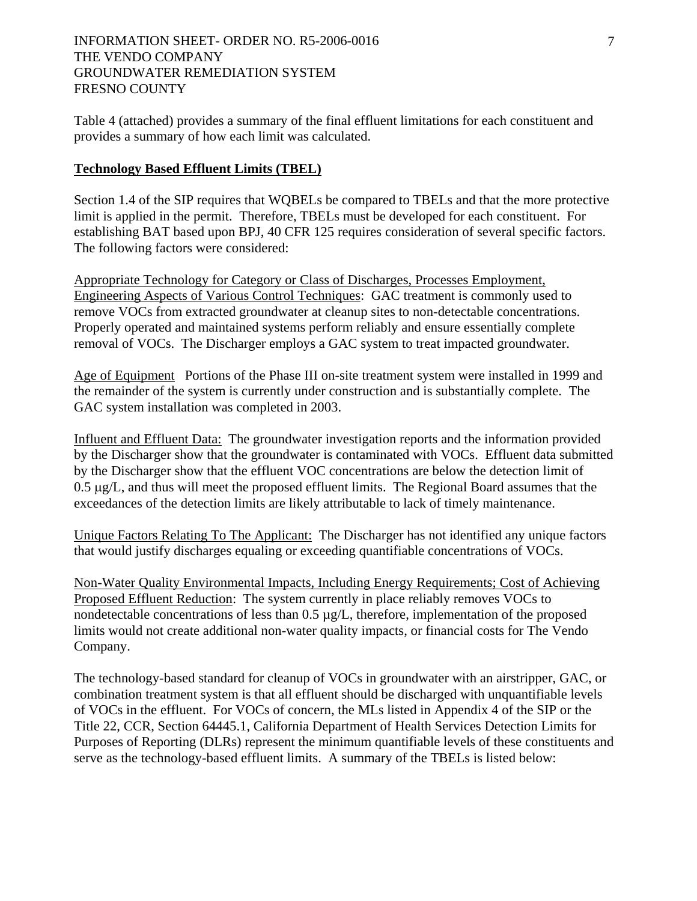Table 4 (attached) provides a summary of the final effluent limitations for each constituent and provides a summary of how each limit was calculated.

### **Technology Based Effluent Limits (TBEL)**

Section 1.4 of the SIP requires that WQBELs be compared to TBELs and that the more protective limit is applied in the permit. Therefore, TBELs must be developed for each constituent. For establishing BAT based upon BPJ, 40 CFR 125 requires consideration of several specific factors. The following factors were considered:

Appropriate Technology for Category or Class of Discharges, Processes Employment, Engineering Aspects of Various Control Techniques: GAC treatment is commonly used to remove VOCs from extracted groundwater at cleanup sites to non-detectable concentrations. Properly operated and maintained systems perform reliably and ensure essentially complete removal of VOCs. The Discharger employs a GAC system to treat impacted groundwater.

Age of Equipment Portions of the Phase III on-site treatment system were installed in 1999 and the remainder of the system is currently under construction and is substantially complete. The GAC system installation was completed in 2003.

Influent and Effluent Data: The groundwater investigation reports and the information provided by the Discharger show that the groundwater is contaminated with VOCs. Effluent data submitted by the Discharger show that the effluent VOC concentrations are below the detection limit of 0.5 μg/L, and thus will meet the proposed effluent limits. The Regional Board assumes that the exceedances of the detection limits are likely attributable to lack of timely maintenance.

Unique Factors Relating To The Applicant: The Discharger has not identified any unique factors that would justify discharges equaling or exceeding quantifiable concentrations of VOCs.

Non-Water Quality Environmental Impacts, Including Energy Requirements; Cost of Achieving Proposed Effluent Reduction: The system currently in place reliably removes VOCs to nondetectable concentrations of less than 0.5  $\mu$ g/L, therefore, implementation of the proposed limits would not create additional non-water quality impacts, or financial costs for The Vendo Company.

The technology-based standard for cleanup of VOCs in groundwater with an airstripper, GAC, or combination treatment system is that all effluent should be discharged with unquantifiable levels of VOCs in the effluent. For VOCs of concern, the MLs listed in Appendix 4 of the SIP or the Title 22, CCR, Section 64445.1, California Department of Health Services Detection Limits for Purposes of Reporting (DLRs) represent the minimum quantifiable levels of these constituents and serve as the technology-based effluent limits. A summary of the TBELs is listed below: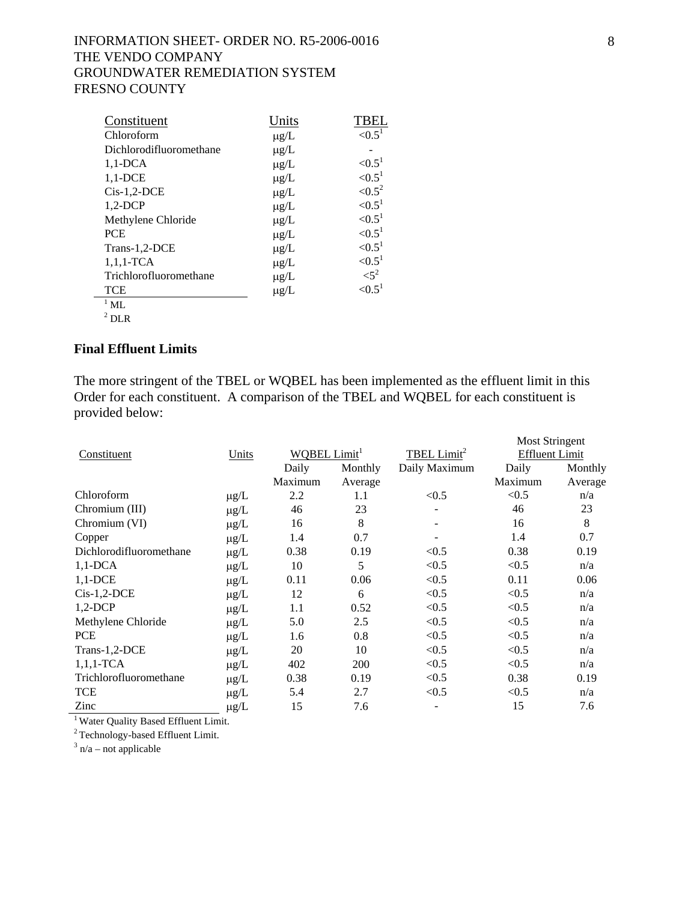| Constituent             | Units     | TBEI               |
|-------------------------|-----------|--------------------|
| Chloroform              | $\mu$ g/L | ${<}0.51$          |
| Dichlorodifluoromethane | $\mu$ g/L |                    |
| $1,1$ -DCA              | $\mu$ g/L | ${<}0.51$          |
| $1,1$ -DCE              | $\mu$ g/L | ${<}0.51$          |
| $Cis-1,2-DCE$           | $\mu$ g/L | ${<}0.5^2$         |
| $1,2-DCP$               | $\mu$ g/L | ${<}0.51$          |
| Methylene Chloride      | $\mu$ g/L | ${<}0.51$          |
| <b>PCE</b>              | $\mu$ g/L | ${<}0.51$          |
| Trans-1,2-DCE           | $\mu$ g/L | ${<}0.51$          |
| $1,1,1$ -TCA            | $\mu$ g/L | ${<}0.51$          |
| Trichlorofluoromethane  | $\mu$ g/L | $<$ 5 <sup>2</sup> |
| <b>TCE</b>              | $\mu$ g/L | ${<}0.5^1$         |
| $1$ ML                  |           |                    |
| $2 \times r$            |           |                    |

<sup>2</sup> DLR

# **Final Effluent Limits**

The more stringent of the TBEL or WQBEL has been implemented as the effluent limit in this Order for each constituent. A comparison of the TBEL and WQBEL for each constituent is provided below:

|                         |                 |                          |         |                         | <b>Most Stringent</b> |         |
|-------------------------|-----------------|--------------------------|---------|-------------------------|-----------------------|---------|
| Constituent             | Units           | WQBEL Limit <sup>1</sup> |         | TBEL Limit <sup>2</sup> | <b>Effluent Limit</b> |         |
|                         |                 | Daily                    | Monthly | Daily Maximum           | Daily                 | Monthly |
|                         |                 | Maximum                  | Average |                         | Maximum               | Average |
| Chloroform              | $\mu$ g/L       | 2.2                      | 1.1     | < 0.5                   | < 0.5                 | n/a     |
| Chromium (III)          | $\mu\text{g}/L$ | 46                       | 23      |                         | 46                    | 23      |
| Chromium (VI)           | $\mu g/L$       | 16                       | 8       |                         | 16                    | 8       |
| Copper                  | $\mu g/L$       | 1.4                      | 0.7     |                         | 1.4                   | 0.7     |
| Dichlorodifluoromethane | $\mu\text{g}/L$ | 0.38                     | 0.19    | < 0.5                   | 0.38                  | 0.19    |
| $1,1$ -DCA              | $\mu\text{g}/L$ | 10                       | 5       | < 0.5                   | < 0.5                 | n/a     |
| $1,1$ -DCE              | $\mu\text{g}/L$ | 0.11                     | 0.06    | < 0.5                   | 0.11                  | 0.06    |
| $Cis-1,2-DCE$           | $\mu g/L$       | 12                       | 6       | < 0.5                   | < 0.5                 | n/a     |
| $1,2$ -DCP              | $\mu\text{g}/L$ | 1.1                      | 0.52    | < 0.5                   | < 0.5                 | n/a     |
| Methylene Chloride      | $\mu\text{g}/L$ | 5.0                      | 2.5     | < 0.5                   | < 0.5                 | n/a     |
| <b>PCE</b>              | $\mu\text{g}/L$ | 1.6                      | 0.8     | < 0.5                   | < 0.5                 | n/a     |
| Trans-1,2-DCE           | $\mu g/L$       | 20                       | 10      | < 0.5                   | < 0.5                 | n/a     |
| $1,1,1$ -TCA            | $\mu\text{g}/L$ | 402                      | 200     | < 0.5                   | < 0.5                 | n/a     |
| Trichlorofluoromethane  | $\mu\text{g}/L$ | 0.38                     | 0.19    | < 0.5                   | 0.38                  | 0.19    |
| <b>TCE</b>              | $\mu g/L$       | 5.4                      | 2.7     | < 0.5                   | < 0.5                 | n/a     |
| Zinc                    | $\mu g/L$       | 15                       | 7.6     |                         | 15                    | 7.6     |

<sup>1</sup> Water Quality Based Effluent Limit.

2 Technology-based Effluent Limit.

 $3$  n/a – not applicable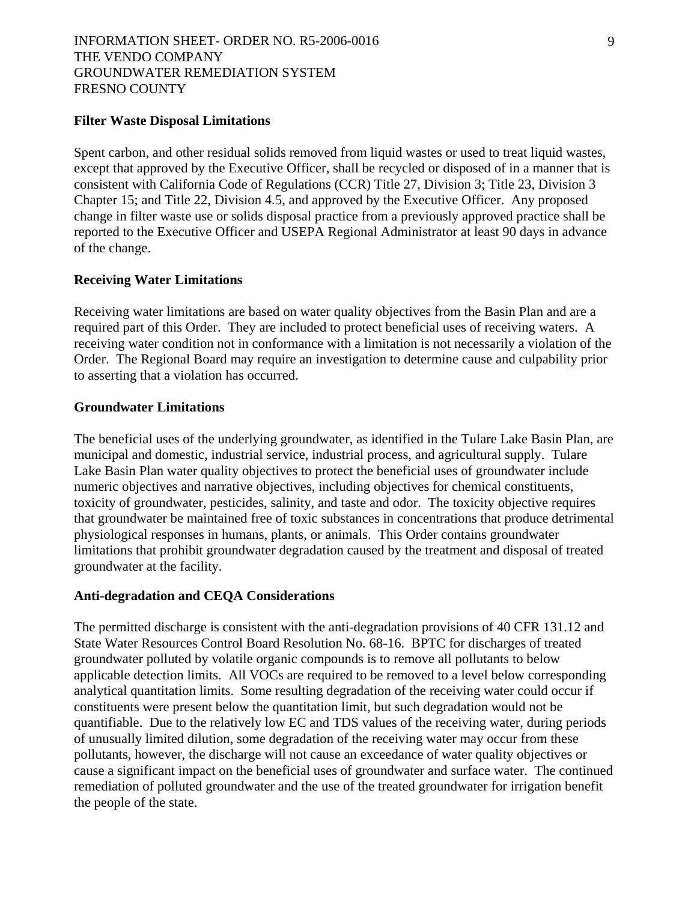### **Filter Waste Disposal Limitations**

Spent carbon, and other residual solids removed from liquid wastes or used to treat liquid wastes, except that approved by the Executive Officer, shall be recycled or disposed of in a manner that is consistent with California Code of Regulations (CCR) Title 27, Division 3; Title 23, Division 3 Chapter 15; and Title 22, Division 4.5, and approved by the Executive Officer. Any proposed change in filter waste use or solids disposal practice from a previously approved practice shall be reported to the Executive Officer and USEPA Regional Administrator at least 90 days in advance of the change.

### **Receiving Water Limitations**

Receiving water limitations are based on water quality objectives from the Basin Plan and are a required part of this Order. They are included to protect beneficial uses of receiving waters. A receiving water condition not in conformance with a limitation is not necessarily a violation of the Order. The Regional Board may require an investigation to determine cause and culpability prior to asserting that a violation has occurred.

### **Groundwater Limitations**

The beneficial uses of the underlying groundwater, as identified in the Tulare Lake Basin Plan, are municipal and domestic, industrial service, industrial process, and agricultural supply. Tulare Lake Basin Plan water quality objectives to protect the beneficial uses of groundwater include numeric objectives and narrative objectives, including objectives for chemical constituents, toxicity of groundwater, pesticides, salinity, and taste and odor. The toxicity objective requires that groundwater be maintained free of toxic substances in concentrations that produce detrimental physiological responses in humans, plants, or animals. This Order contains groundwater limitations that prohibit groundwater degradation caused by the treatment and disposal of treated groundwater at the facility.

#### **Anti-degradation and CEQA Considerations**

The permitted discharge is consistent with the anti-degradation provisions of 40 CFR 131.12 and State Water Resources Control Board Resolution No. 68-16. BPTC for discharges of treated groundwater polluted by volatile organic compounds is to remove all pollutants to below applicable detection limits. All VOCs are required to be removed to a level below corresponding analytical quantitation limits. Some resulting degradation of the receiving water could occur if constituents were present below the quantitation limit, but such degradation would not be quantifiable. Due to the relatively low EC and TDS values of the receiving water, during periods of unusually limited dilution, some degradation of the receiving water may occur from these pollutants, however, the discharge will not cause an exceedance of water quality objectives or cause a significant impact on the beneficial uses of groundwater and surface water. The continued remediation of polluted groundwater and the use of the treated groundwater for irrigation benefit the people of the state.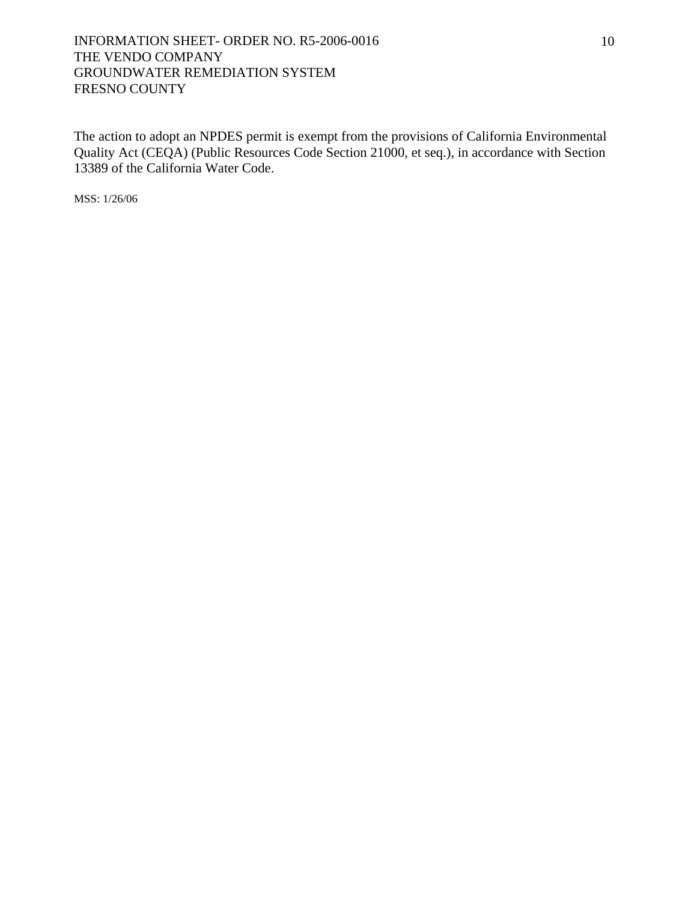The action to adopt an NPDES permit is exempt from the provisions of California Environmental Quality Act (CEQA) (Public Resources Code Section 21000, et seq.), in accordance with Section 13389 of the California Water Code.

MSS: 1/26/06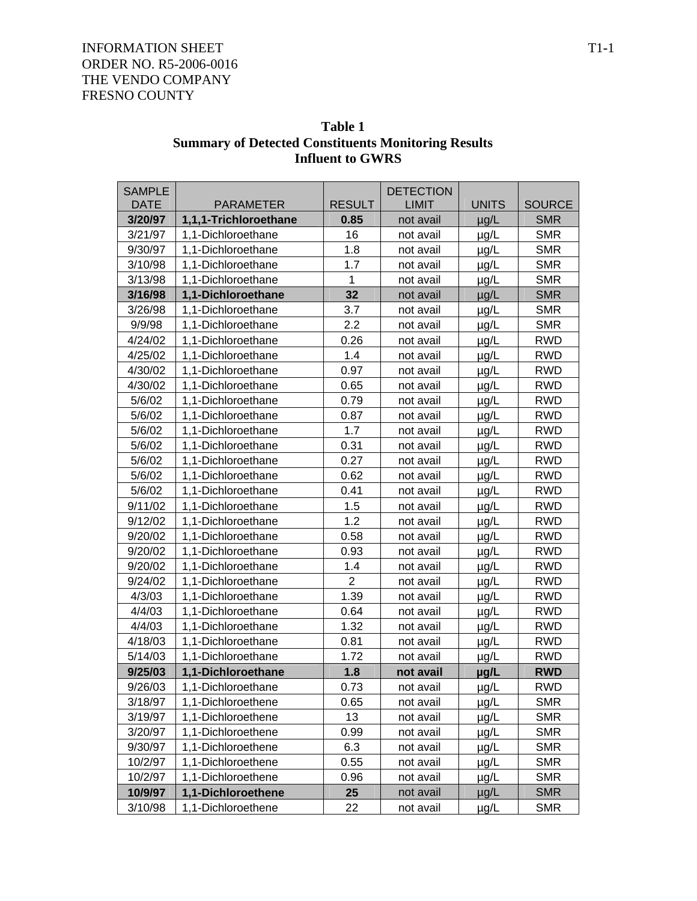|                              | шцисні ю о пар        |                |                                  |              |               |  |  |
|------------------------------|-----------------------|----------------|----------------------------------|--------------|---------------|--|--|
| <b>SAMPLE</b><br><b>DATE</b> | <b>PARAMETER</b>      | <b>RESULT</b>  | <b>DETECTION</b><br><b>LIMIT</b> | <b>UNITS</b> | <b>SOURCE</b> |  |  |
| 3/20/97                      | 1,1,1-Trichloroethane | 0.85           | not avail                        | $\mu$ g/L    | <b>SMR</b>    |  |  |
| 3/21/97                      | 1,1-Dichloroethane    | 16             | not avail                        | µg/L         | <b>SMR</b>    |  |  |
| 9/30/97                      | 1,1-Dichloroethane    | 1.8            | not avail                        | $\mu$ g/L    | <b>SMR</b>    |  |  |
| 3/10/98                      | 1,1-Dichloroethane    | 1.7            | not avail                        | µg/L         | <b>SMR</b>    |  |  |
| 3/13/98                      | 1,1-Dichloroethane    | 1              | not avail                        | $\mu$ g/L    | <b>SMR</b>    |  |  |
| 3/16/98                      | 1,1-Dichloroethane    | 32             | not avail                        | $\mu$ g/L    | <b>SMR</b>    |  |  |
| 3/26/98                      | 1,1-Dichloroethane    | 3.7            | not avail                        | $\mu$ g/L    | <b>SMR</b>    |  |  |
| 9/9/98                       | 1,1-Dichloroethane    | 2.2            | not avail                        | $\mu$ g/L    | <b>SMR</b>    |  |  |
| 4/24/02                      | 1,1-Dichloroethane    | 0.26           | not avail                        | $\mu$ g/L    | <b>RWD</b>    |  |  |
| 4/25/02                      | 1,1-Dichloroethane    | 1.4            | not avail                        | µg/L         | <b>RWD</b>    |  |  |
| 4/30/02                      | 1,1-Dichloroethane    | 0.97           | not avail                        | $\mu$ g/L    | <b>RWD</b>    |  |  |
| 4/30/02                      | 1,1-Dichloroethane    | 0.65           | not avail                        | $\mu$ g/L    | <b>RWD</b>    |  |  |
| 5/6/02                       | 1,1-Dichloroethane    | 0.79           | not avail                        | $\mu$ g/L    | <b>RWD</b>    |  |  |
| 5/6/02                       | 1,1-Dichloroethane    | 0.87           | not avail                        | $\mu$ g/L    | <b>RWD</b>    |  |  |
| 5/6/02                       | 1,1-Dichloroethane    | 1.7            | not avail                        | µg/L         | <b>RWD</b>    |  |  |
| 5/6/02                       | 1,1-Dichloroethane    | 0.31           | not avail                        | $\mu$ g/L    | <b>RWD</b>    |  |  |
| 5/6/02                       | 1,1-Dichloroethane    | 0.27           | not avail                        | $\mu$ g/L    | <b>RWD</b>    |  |  |
| 5/6/02                       | 1,1-Dichloroethane    | 0.62           | not avail                        | $\mu$ g/L    | <b>RWD</b>    |  |  |
| 5/6/02                       | 1,1-Dichloroethane    | 0.41           | not avail                        | $\mu$ g/L    | <b>RWD</b>    |  |  |
| 9/11/02                      | 1,1-Dichloroethane    | 1.5            | not avail                        | $\mu$ g/L    | <b>RWD</b>    |  |  |
| 9/12/02                      | 1,1-Dichloroethane    | 1.2            | not avail                        | $\mu$ g/L    | <b>RWD</b>    |  |  |
| 9/20/02                      | 1,1-Dichloroethane    | 0.58           | not avail                        | $\mu$ g/L    | <b>RWD</b>    |  |  |
| 9/20/02                      | 1,1-Dichloroethane    | 0.93           | not avail                        | $\mu$ g/L    | <b>RWD</b>    |  |  |
| 9/20/02                      | 1,1-Dichloroethane    | 1.4            | not avail                        | $\mu$ g/L    | <b>RWD</b>    |  |  |
| 9/24/02                      | 1,1-Dichloroethane    | $\overline{2}$ | not avail                        | $\mu$ g/L    | <b>RWD</b>    |  |  |
| 4/3/03                       | 1,1-Dichloroethane    | 1.39           | not avail                        | µg/L         | <b>RWD</b>    |  |  |
| 4/4/03                       | 1,1-Dichloroethane    | 0.64           | not avail                        | $\mu$ g/L    | <b>RWD</b>    |  |  |
| 4/4/03                       | 1,1-Dichloroethane    | 1.32           | not avail                        | $\mu$ g/L    | <b>RWD</b>    |  |  |
| 4/18/03                      | 1,1-Dichloroethane    | 0.81           | not avail                        | $\mu$ g/L    | <b>RWD</b>    |  |  |
| 5/14/03                      | 1,1-Dichloroethane    | 1.72           | not avail                        | $\mu$ g/L    | <b>RWD</b>    |  |  |
| 9/25/03                      | 1,1-Dichloroethane    | 1.8            | not avail                        | µg/L         | <b>RWD</b>    |  |  |
| 9/26/03                      | 1,1-Dichloroethane    | 0.73           | not avail                        | $\mu$ g/L    | <b>RWD</b>    |  |  |
| 3/18/97                      | 1,1-Dichloroethene    | 0.65           | not avail                        | $\mu$ g/L    | <b>SMR</b>    |  |  |
| 3/19/97                      | 1,1-Dichloroethene    | 13             | not avail                        | µg/L         | <b>SMR</b>    |  |  |
| 3/20/97                      | 1,1-Dichloroethene    | 0.99           | not avail                        | $\mu$ g/L    | <b>SMR</b>    |  |  |
| 9/30/97                      | 1,1-Dichloroethene    | 6.3            | not avail                        | $\mu$ g/L    | <b>SMR</b>    |  |  |
| 10/2/97                      | 1,1-Dichloroethene    | 0.55           | not avail                        | $\mu$ g/L    | <b>SMR</b>    |  |  |
| 10/2/97                      | 1,1-Dichloroethene    | 0.96           | not avail                        | $\mu$ g/L    | <b>SMR</b>    |  |  |
| 10/9/97                      | 1,1-Dichloroethene    | 25             | not avail                        | $\mu$ g/L    | <b>SMR</b>    |  |  |
| 3/10/98                      | 1,1-Dichloroethene    | 22             | not avail                        | $\mu$ g/L    | <b>SMR</b>    |  |  |

# **Table 1 Summary of Detected Constituents Monitoring Results Influent to GWRS**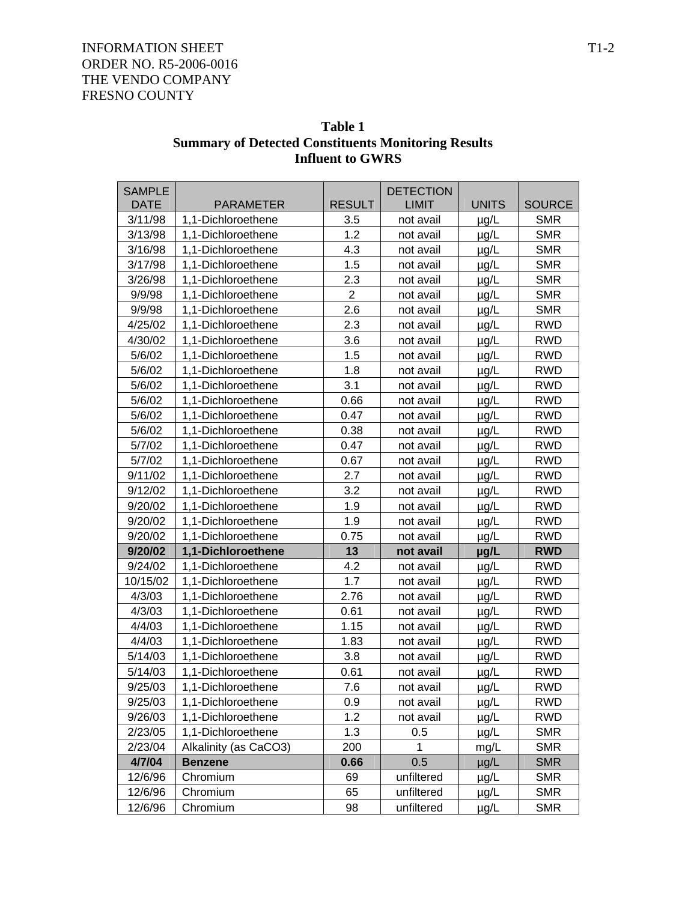| Table 1                                                    |
|------------------------------------------------------------|
| <b>Summary of Detected Constituents Monitoring Results</b> |
| <b>Influent to GWRS</b>                                    |

| <b>SAMPLE</b> |                       |                | <b>DETECTION</b> |              |               |
|---------------|-----------------------|----------------|------------------|--------------|---------------|
| <b>DATE</b>   | <b>PARAMETER</b>      | <b>RESULT</b>  | <b>LIMIT</b>     | <b>UNITS</b> | <b>SOURCE</b> |
| 3/11/98       | 1,1-Dichloroethene    | 3.5            | not avail        | $\mu$ g/L    | <b>SMR</b>    |
| 3/13/98       | 1,1-Dichloroethene    | 1.2            | not avail        | $\mu$ g/L    | <b>SMR</b>    |
| 3/16/98       | 1,1-Dichloroethene    | 4.3            | not avail        | µg/L         | <b>SMR</b>    |
| 3/17/98       | 1,1-Dichloroethene    | 1.5            | not avail        | µg/L         | <b>SMR</b>    |
| 3/26/98       | 1,1-Dichloroethene    | 2.3            | not avail        | $\mu$ g/L    | <b>SMR</b>    |
| 9/9/98        | 1,1-Dichloroethene    | $\overline{2}$ | not avail        | $\mu$ g/L    | <b>SMR</b>    |
| 9/9/98        | 1,1-Dichloroethene    | 2.6            | not avail        | $\mu$ g/L    | <b>SMR</b>    |
| 4/25/02       | 1,1-Dichloroethene    | 2.3            | not avail        | $\mu$ g/L    | <b>RWD</b>    |
| 4/30/02       | 1,1-Dichloroethene    | 3.6            | not avail        | $\mu$ g/L    | <b>RWD</b>    |
| 5/6/02        | 1,1-Dichloroethene    | 1.5            | not avail        | $\mu$ g/L    | <b>RWD</b>    |
| 5/6/02        | 1,1-Dichloroethene    | 1.8            | not avail        | $\mu$ g/L    | <b>RWD</b>    |
| 5/6/02        | 1,1-Dichloroethene    | 3.1            | not avail        | $\mu$ g/L    | <b>RWD</b>    |
| 5/6/02        | 1,1-Dichloroethene    | 0.66           | not avail        | $\mu$ g/L    | <b>RWD</b>    |
| 5/6/02        | 1,1-Dichloroethene    | 0.47           | not avail        | $\mu$ g/L    | <b>RWD</b>    |
| 5/6/02        | 1,1-Dichloroethene    | 0.38           | not avail        | µg/L         | <b>RWD</b>    |
| 5/7/02        | 1,1-Dichloroethene    | 0.47           | not avail        | µg/L         | <b>RWD</b>    |
| 5/7/02        | 1,1-Dichloroethene    | 0.67           | not avail        | $\mu$ g/L    | <b>RWD</b>    |
| 9/11/02       | 1,1-Dichloroethene    | 2.7            | not avail        | $\mu$ g/L    | <b>RWD</b>    |
| 9/12/02       | 1,1-Dichloroethene    | 3.2            | not avail        | $\mu$ g/L    | <b>RWD</b>    |
| 9/20/02       | 1,1-Dichloroethene    | 1.9            | not avail        | µg/L         | <b>RWD</b>    |
| 9/20/02       | 1,1-Dichloroethene    | 1.9            | not avail        | µg/L         | <b>RWD</b>    |
| 9/20/02       | 1,1-Dichloroethene    | 0.75           | not avail        | $\mu$ g/L    | <b>RWD</b>    |
| 9/20/02       | 1,1-Dichloroethene    | 13             | not avail        | µg/L         | <b>RWD</b>    |
| 9/24/02       | 1,1-Dichloroethene    | 4.2            | not avail        | $\mu$ g/L    | <b>RWD</b>    |
| 10/15/02      | 1,1-Dichloroethene    | 1.7            | not avail        | µg/L         | <b>RWD</b>    |
| 4/3/03        | 1,1-Dichloroethene    | 2.76           | not avail        | µg/L         | <b>RWD</b>    |
| 4/3/03        | 1,1-Dichloroethene    | 0.61           | not avail        | $\mu$ g/L    | <b>RWD</b>    |
| 4/4/03        | 1,1-Dichloroethene    | 1.15           | not avail        | µg/L         | <b>RWD</b>    |
| 4/4/03        | 1,1-Dichloroethene    | 1.83           | not avail        | $\mu$ g/L    | <b>RWD</b>    |
| 5/14/03       | 1,1-Dichloroethene    | 3.8            | not avail        | $\mu$ g/L    | <b>RWD</b>    |
| 5/14/03       | 1,1-Dichloroethene    | 0.61           | not avail        | µg/L         | <b>RWD</b>    |
| 9/25/03       | 1,1-Dichloroethene    | 7.6            | not avail        | $\mu$ g/L    | <b>RWD</b>    |
| 9/25/03       | 1,1-Dichloroethene    | 0.9            | not avail        | $\mu$ g/L    | <b>RWD</b>    |
| 9/26/03       | 1,1-Dichloroethene    | 1.2            | not avail        | $\mu$ g/L    | <b>RWD</b>    |
| 2/23/05       | 1,1-Dichloroethene    | 1.3            | 0.5              | µg/L         | <b>SMR</b>    |
| 2/23/04       | Alkalinity (as CaCO3) | 200            | 1                | mg/L         | <b>SMR</b>    |
| 4/7/04        | <b>Benzene</b>        | 0.66           | 0.5              | $\mu$ g/L    | <b>SMR</b>    |
| 12/6/96       | Chromium              | 69             | unfiltered       | µg/L         | <b>SMR</b>    |
| 12/6/96       | Chromium              | 65             | unfiltered       | µg/L         | <b>SMR</b>    |
| 12/6/96       | Chromium              | 98             | unfiltered       | $\mu$ g/L    | <b>SMR</b>    |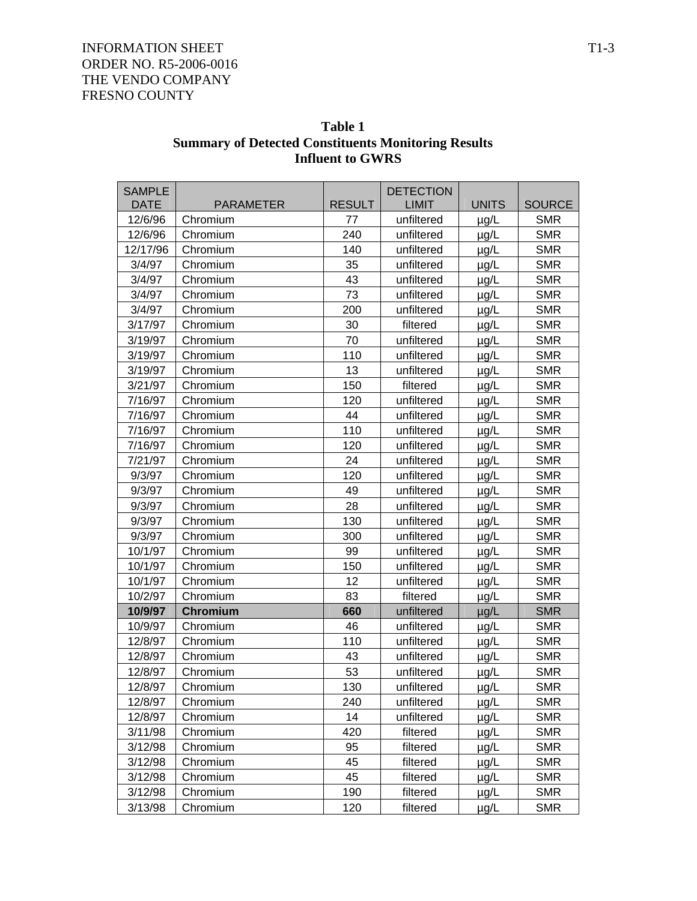| <b>SAMPLE</b><br><b>DATE</b> | <b>PARAMETER</b> | <b>RESULT</b> | <b>DETECTION</b><br><b>LIMIT</b> | <b>UNITS</b> | <b>SOURCE</b> |
|------------------------------|------------------|---------------|----------------------------------|--------------|---------------|
| 12/6/96                      | Chromium         | 77            | unfiltered                       | $\mu$ g/L    | <b>SMR</b>    |
| 12/6/96                      | Chromium         | 240           | unfiltered                       | µg/L         | <b>SMR</b>    |
| 12/17/96                     | Chromium         | 140           | unfiltered                       | µg/L         | <b>SMR</b>    |
| 3/4/97                       | Chromium         | 35            | unfiltered                       | $\mu$ g/L    | <b>SMR</b>    |
| 3/4/97                       | Chromium         | 43            | unfiltered                       | $\mu$ g/L    | <b>SMR</b>    |
| 3/4/97                       | Chromium         | 73            | unfiltered                       | $\mu$ g/L    | <b>SMR</b>    |
| 3/4/97                       | Chromium         | 200           | unfiltered                       | $\mu$ g/L    | <b>SMR</b>    |
| 3/17/97                      | Chromium         | 30            | filtered                         | µg/L         | <b>SMR</b>    |
| 3/19/97                      | Chromium         | 70            | unfiltered                       | $\mu$ g/L    | <b>SMR</b>    |
| 3/19/97                      | Chromium         | 110           | unfiltered                       | $\mu$ g/L    | <b>SMR</b>    |
| 3/19/97                      | Chromium         | 13            | unfiltered                       | $\mu$ g/L    | <b>SMR</b>    |
| 3/21/97                      | Chromium         | 150           | filtered                         | $\mu$ g/L    | <b>SMR</b>    |
| 7/16/97                      | Chromium         | 120           | unfiltered                       | µg/L         | <b>SMR</b>    |
| 7/16/97                      | Chromium         | 44            | unfiltered                       | $\mu$ g/L    | <b>SMR</b>    |
| 7/16/97                      | Chromium         | 110           | unfiltered                       | $\mu$ g/L    | <b>SMR</b>    |
| 7/16/97                      | Chromium         | 120           | unfiltered                       | $\mu$ g/L    | <b>SMR</b>    |
| 7/21/97                      | Chromium         | 24            | unfiltered                       | $\mu$ g/L    | <b>SMR</b>    |
| 9/3/97                       | Chromium         | 120           | unfiltered                       | $\mu$ g/L    | <b>SMR</b>    |
| 9/3/97                       | Chromium         | 49            | unfiltered                       | $\mu$ g/L    | <b>SMR</b>    |
| 9/3/97                       | Chromium         | 28            | unfiltered                       | $\mu$ g/L    | <b>SMR</b>    |
| 9/3/97                       | Chromium         | 130           | unfiltered                       | $\mu$ g/L    | <b>SMR</b>    |
| 9/3/97                       | Chromium         | 300           | unfiltered                       | µg/L         | <b>SMR</b>    |
| 10/1/97                      | Chromium         | 99            | unfiltered                       | $\mu$ g/L    | <b>SMR</b>    |
| 10/1/97                      | Chromium         | 150           | unfiltered                       | $\mu$ g/L    | <b>SMR</b>    |
| 10/1/97                      | Chromium         | 12            | unfiltered                       | $\mu$ g/L    | <b>SMR</b>    |
| 10/2/97                      | Chromium         | 83            | filtered                         | $\mu$ g/L    | <b>SMR</b>    |
| 10/9/97                      | <b>Chromium</b>  | 660           | unfiltered                       | $\mu$ g/L    | <b>SMR</b>    |
| 10/9/97                      | Chromium         | 46            | unfiltered                       | $\mu$ g/L    | <b>SMR</b>    |
| 12/8/97                      | Chromium         | 110           | unfiltered                       | $\mu$ g/L    | <b>SMR</b>    |
| 12/8/97                      | Chromium         | 43            | unfiltered                       | $\mu$ g/L    | <b>SMR</b>    |
| 12/8/97                      | Chromium         | 53            | unfiltered                       | $\mu$ g/L    | <b>SMR</b>    |
| 12/8/97                      | Chromium         | 130           | unfiltered                       | $\mu$ g/L    | SMR           |
| 12/8/97                      | Chromium         | 240           | unfiltered                       | $\mu$ g/L    | <b>SMR</b>    |
| 12/8/97                      | Chromium         | 14            | unfiltered                       | $\mu$ g/L    | <b>SMR</b>    |
| 3/11/98                      | Chromium         | 420           | filtered                         | µg/L         | <b>SMR</b>    |
| 3/12/98                      | Chromium         | 95            | filtered                         | $\mu$ g/L    | <b>SMR</b>    |
| 3/12/98                      | Chromium         | 45            | filtered                         | $\mu$ g/L    | <b>SMR</b>    |
| 3/12/98                      | Chromium         | 45            | filtered                         | µg/L         | <b>SMR</b>    |
| 3/12/98                      | Chromium         | 190           | filtered                         | µg/L         | <b>SMR</b>    |
| 3/13/98                      | Chromium         | 120           | filtered                         | $\mu$ g/L    | <b>SMR</b>    |

 **Table 1 Summary of Detected Constituents Monitoring Results Influent to GWRS**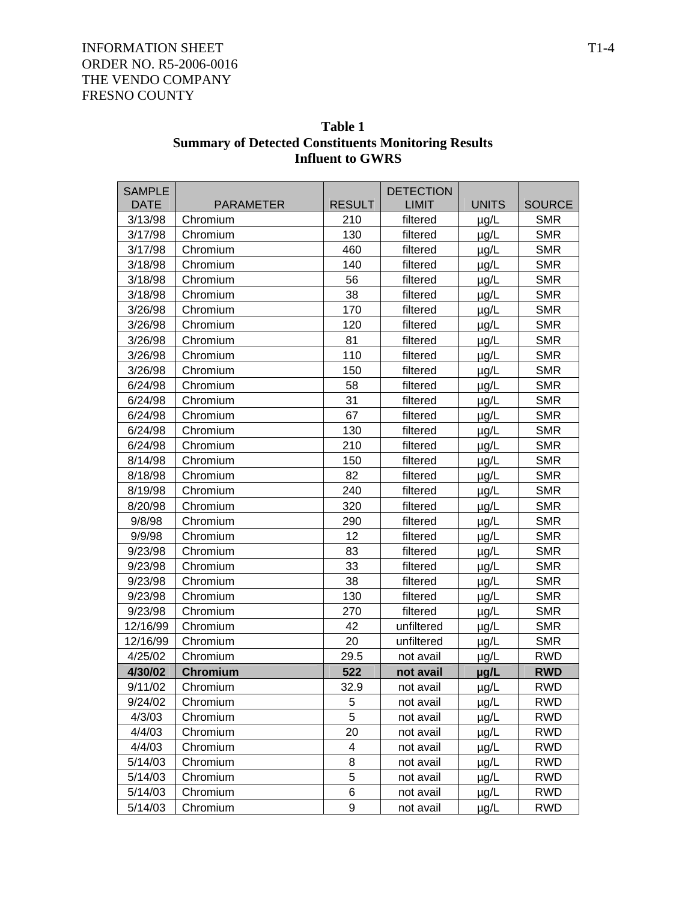| <b>SAMPLE</b><br><b>DATE</b> |                              |                      | <b>DETECTION</b>         | <b>UNITS</b>           |                             |
|------------------------------|------------------------------|----------------------|--------------------------|------------------------|-----------------------------|
| 3/13/98                      | <b>PARAMETER</b><br>Chromium | <b>RESULT</b><br>210 | <b>LIMIT</b><br>filtered |                        | <b>SOURCE</b><br><b>SMR</b> |
| 3/17/98                      | Chromium                     | 130                  | filtered                 | $\mu$ g/L<br>$\mu$ g/L | <b>SMR</b>                  |
| 3/17/98                      | Chromium                     | 460                  | filtered                 | $\mu$ g/L              | <b>SMR</b>                  |
| 3/18/98                      | Chromium                     | 140                  | filtered                 | $\mu$ g/L              | <b>SMR</b>                  |
| 3/18/98                      | Chromium                     | 56                   | filtered                 | $\mu$ g/L              | <b>SMR</b>                  |
| 3/18/98                      | Chromium                     | 38                   | filtered                 | $\mu$ g/L              | <b>SMR</b>                  |
| 3/26/98                      | Chromium                     | 170                  | filtered                 |                        | <b>SMR</b>                  |
| 3/26/98                      | Chromium                     | 120                  | filtered                 | $\mu$ g/L              | <b>SMR</b>                  |
| 3/26/98                      | Chromium                     | 81                   | filtered                 | µg/L                   | <b>SMR</b>                  |
| 3/26/98                      | Chromium                     | 110                  | filtered                 | $\mu$ g/L              | <b>SMR</b>                  |
| 3/26/98                      |                              | 150                  |                          | $\mu$ g/L              | <b>SMR</b>                  |
|                              | Chromium                     |                      | filtered                 | $\mu$ g/L              |                             |
| 6/24/98                      | Chromium                     | 58                   | filtered                 | $\mu$ g/L              | <b>SMR</b><br><b>SMR</b>    |
| 6/24/98                      | Chromium                     | 31                   | filtered                 | µg/L                   |                             |
| 6/24/98                      | Chromium                     | 67                   | filtered                 | $\mu$ g/L              | <b>SMR</b>                  |
| 6/24/98                      | Chromium                     | 130                  | filtered                 | $\mu$ g/L              | <b>SMR</b>                  |
| 6/24/98                      | Chromium                     | 210                  | filtered                 | $\mu$ g/L              | <b>SMR</b>                  |
| 8/14/98                      | Chromium                     | 150                  | filtered                 | $\mu$ g/L              | <b>SMR</b>                  |
| 8/18/98                      | Chromium                     | 82                   | filtered                 | $\mu$ g/L              | <b>SMR</b>                  |
| 8/19/98                      | Chromium                     | 240                  | filtered                 | $\mu$ g/L              | <b>SMR</b>                  |
| 8/20/98                      | Chromium                     | 320                  | filtered                 | $\mu$ g/L              | <b>SMR</b>                  |
| 9/8/98                       | Chromium                     | 290                  | filtered                 | $\mu$ g/L              | <b>SMR</b>                  |
| 9/9/98                       | Chromium                     | 12                   | filtered                 | $\mu$ g/L              | <b>SMR</b>                  |
| 9/23/98                      | Chromium                     | 83                   | filtered                 | $\mu$ g/L              | <b>SMR</b>                  |
| 9/23/98                      | Chromium                     | 33                   | filtered                 | $\mu$ g/L              | <b>SMR</b>                  |
| 9/23/98                      | Chromium                     | 38                   | filtered                 | µg/L                   | <b>SMR</b>                  |
| 9/23/98                      | Chromium                     | 130                  | filtered                 | $\mu$ g/L              | <b>SMR</b>                  |
| 9/23/98                      | Chromium                     | 270                  | filtered                 | $\mu$ g/L              | <b>SMR</b>                  |
| 12/16/99                     | Chromium                     | 42                   | unfiltered               | $\mu$ g/L              | <b>SMR</b>                  |
| 12/16/99                     | Chromium                     | 20                   | unfiltered               | $\mu$ g/L              | <b>SMR</b>                  |
| 4/25/02                      | Chromium                     | 29.5                 | not avail                | $\mu$ g/L              | <b>RWD</b>                  |
| 4/30/02                      | Chromium                     | 522                  | not avail                | µg/L                   | <b>RWD</b>                  |
| 9/11/02                      | Chromium                     | 32.9                 | not avail                | $\mu$ g/L              | <b>RWD</b>                  |
| 9/24/02                      | Chromium                     | $\overline{5}$       | not avail                | $\mu$ g/L              | <b>RWD</b>                  |
| 4/3/03                       | Chromium                     | 5                    | not avail                | $\mu$ g/L              | <b>RWD</b>                  |
| 4/4/03                       | Chromium                     | 20                   | not avail                | $\mu$ g/L              | <b>RWD</b>                  |
| 4/4/03                       | Chromium                     | 4                    | not avail                | $\mu$ g/L              | <b>RWD</b>                  |
| 5/14/03                      | Chromium                     | 8                    | not avail                | $\mu$ g/L              | RWD                         |
| 5/14/03                      | Chromium                     | 5                    | not avail                | $\mu$ g/L              | <b>RWD</b>                  |
| 5/14/03                      | Chromium                     | 6                    | not avail                | $\mu$ g/L              | <b>RWD</b>                  |
| 5/14/03                      | Chromium                     | 9                    | not avail                | $\mu$ g/L              | <b>RWD</b>                  |

 **Table 1 Summary of Detected Constituents Monitoring Results Influent to GWRS**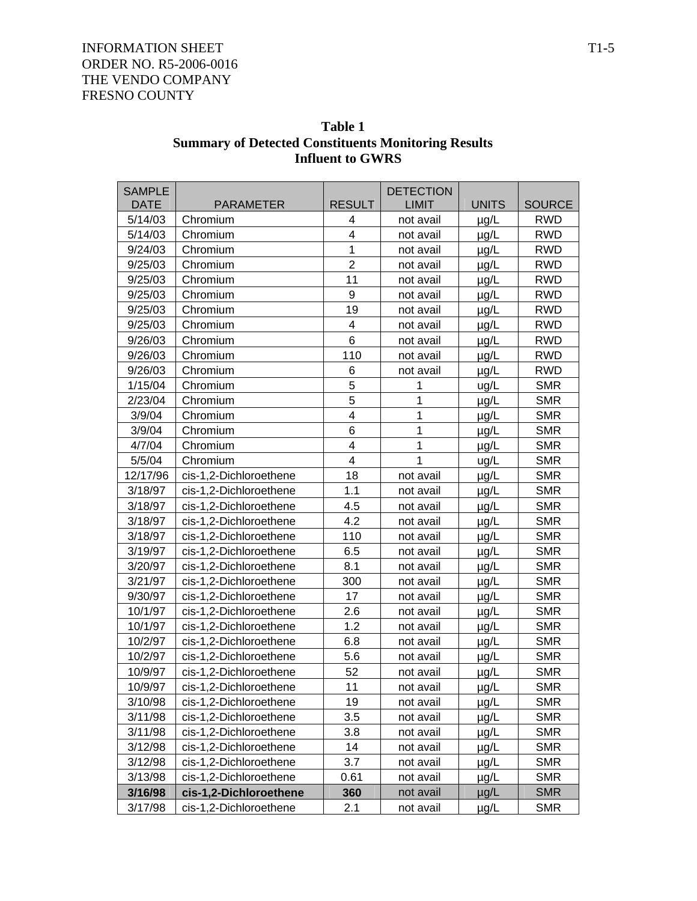| Table 1                                                    |  |  |  |
|------------------------------------------------------------|--|--|--|
| <b>Summary of Detected Constituents Monitoring Results</b> |  |  |  |
| <b>Influent to GWRS</b>                                    |  |  |  |

| <b>SAMPLE</b> |                        |                         | <b>DETECTION</b> |              |               |
|---------------|------------------------|-------------------------|------------------|--------------|---------------|
| <b>DATE</b>   | <b>PARAMETER</b>       | <b>RESULT</b>           | <b>LIMIT</b>     | <b>UNITS</b> | <b>SOURCE</b> |
| 5/14/03       | Chromium               | 4                       | not avail        | $\mu$ g/L    | <b>RWD</b>    |
| 5/14/03       | Chromium               | $\overline{\mathbf{4}}$ | not avail        | $\mu$ g/L    | <b>RWD</b>    |
| 9/24/03       | Chromium               | 1                       | not avail        | $\mu$ g/L    | <b>RWD</b>    |
| 9/25/03       | Chromium               | $\overline{2}$          | not avail        | $\mu$ g/L    | <b>RWD</b>    |
| 9/25/03       | Chromium               | 11                      | not avail        | µg/L         | <b>RWD</b>    |
| 9/25/03       | Chromium               | $\boldsymbol{9}$        | not avail        | $\mu$ g/L    | <b>RWD</b>    |
| 9/25/03       | Chromium               | 19                      | not avail        | µg/L         | <b>RWD</b>    |
| 9/25/03       | Chromium               | 4                       | not avail        | $\mu$ g/L    | <b>RWD</b>    |
| 9/26/03       | Chromium               | 6                       | not avail        | $\mu$ g/L    | <b>RWD</b>    |
| 9/26/03       | Chromium               | 110                     | not avail        | µg/L         | <b>RWD</b>    |
| 9/26/03       | Chromium               | 6                       | not avail        | $\mu$ g/L    | <b>RWD</b>    |
| 1/15/04       | Chromium               | 5                       | 1                | ug/L         | <b>SMR</b>    |
| 2/23/04       | Chromium               | $\overline{5}$          | 1                | µg/L         | <b>SMR</b>    |
| 3/9/04        | Chromium               | $\overline{\mathbf{4}}$ | 1                | $\mu$ g/L    | <b>SMR</b>    |
| 3/9/04        | Chromium               | 6                       | 1                | µg/L         | <b>SMR</b>    |
| 4/7/04        | Chromium               | $\overline{\mathbf{4}}$ | 1                | µg/L         | <b>SMR</b>    |
| 5/5/04        | Chromium               | 4                       | 1                | ug/L         | <b>SMR</b>    |
| 12/17/96      | cis-1,2-Dichloroethene | 18                      | not avail        | µg/L         | <b>SMR</b>    |
| 3/18/97       | cis-1,2-Dichloroethene | 1.1                     | not avail        | µg/L         | <b>SMR</b>    |
| 3/18/97       | cis-1,2-Dichloroethene | 4.5                     | not avail        | $\mu$ g/L    | <b>SMR</b>    |
| 3/18/97       | cis-1,2-Dichloroethene | 4.2                     | not avail        | µg/L         | <b>SMR</b>    |
| 3/18/97       | cis-1,2-Dichloroethene | 110                     | not avail        | $\mu$ g/L    | <b>SMR</b>    |
| 3/19/97       | cis-1,2-Dichloroethene | 6.5                     | not avail        | µg/L         | <b>SMR</b>    |
| 3/20/97       | cis-1,2-Dichloroethene | 8.1                     | not avail        | $\mu$ g/L    | <b>SMR</b>    |
| 3/21/97       | cis-1,2-Dichloroethene | 300                     | not avail        | $\mu$ g/L    | <b>SMR</b>    |
| 9/30/97       | cis-1,2-Dichloroethene | 17                      | not avail        | $\mu$ g/L    | <b>SMR</b>    |
| 10/1/97       | cis-1,2-Dichloroethene | 2.6                     | not avail        | µg/L         | <b>SMR</b>    |
| 10/1/97       | cis-1,2-Dichloroethene | 1.2                     | not avail        | $\mu$ g/L    | <b>SMR</b>    |
| 10/2/97       | cis-1,2-Dichloroethene | 6.8                     | not avail        | µg/L         | <b>SMR</b>    |
| 10/2/97       | cis-1,2-Dichloroethene | 5.6                     | not avail        | $\mu$ g/L    | <b>SMR</b>    |
| 10/9/97       | cis-1,2-Dichloroethene | 52                      | not avail        | µg/L         | <b>SMR</b>    |
| 10/9/97       | cis-1,2-Dichloroethene | 11                      | not avail        | $\mu$ g/L    | <b>SMR</b>    |
| 3/10/98       | cis-1,2-Dichloroethene | 19                      | not avail        | $\mu$ g/L    | <b>SMR</b>    |
| 3/11/98       | cis-1,2-Dichloroethene | 3.5                     | not avail        | $\mu$ g/L    | <b>SMR</b>    |
| 3/11/98       | cis-1,2-Dichloroethene | 3.8                     | not avail        | $\mu$ g/L    | <b>SMR</b>    |
| 3/12/98       | cis-1,2-Dichloroethene | 14                      | not avail        | $\mu$ g/L    | <b>SMR</b>    |
| 3/12/98       | cis-1,2-Dichloroethene | 3.7                     | not avail        | $\mu$ g/L    | <b>SMR</b>    |
| 3/13/98       | cis-1,2-Dichloroethene | 0.61                    | not avail        | $\mu$ g/L    | <b>SMR</b>    |
| 3/16/98       | cis-1,2-Dichloroethene | 360                     | not avail        | $\mu$ g/L    | <b>SMR</b>    |
| 3/17/98       | cis-1,2-Dichloroethene | 2.1                     | not avail        | $\mu$ g/L    | <b>SMR</b>    |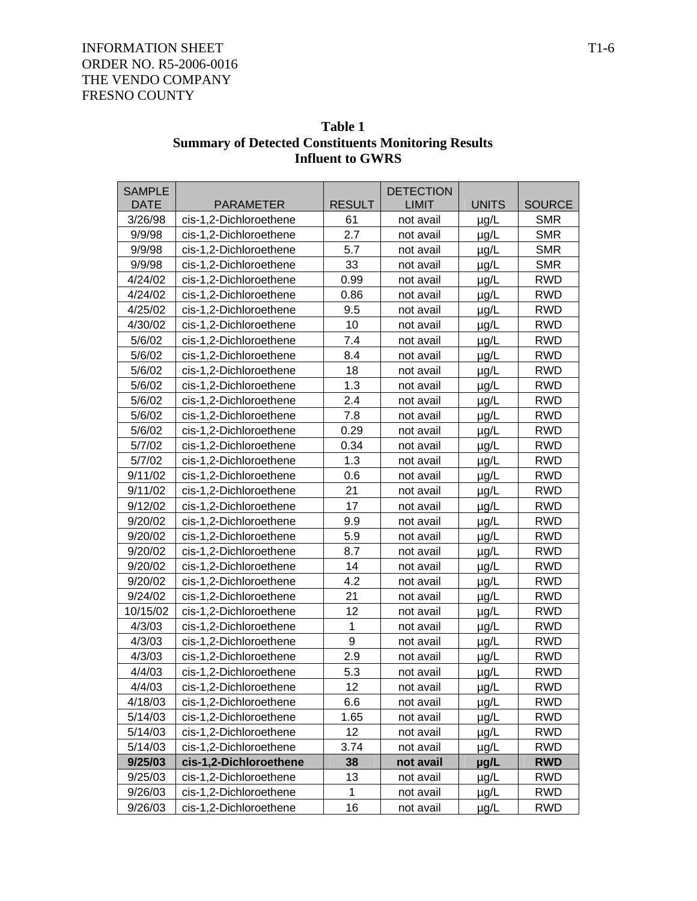| Table 1                                                    |
|------------------------------------------------------------|
| <b>Summary of Detected Constituents Monitoring Results</b> |
| <b>Influent to GWRS</b>                                    |

| <b>SAMPLE</b> |                        |               | <b>DETECTION</b> |              |               |
|---------------|------------------------|---------------|------------------|--------------|---------------|
| <b>DATE</b>   | <b>PARAMETER</b>       | <b>RESULT</b> | <b>LIMIT</b>     | <b>UNITS</b> | <b>SOURCE</b> |
| 3/26/98       | cis-1,2-Dichloroethene | 61            | not avail        | $\mu$ g/L    | <b>SMR</b>    |
| 9/9/98        | cis-1,2-Dichloroethene | 2.7           | not avail        | $\mu$ g/L    | <b>SMR</b>    |
| 9/9/98        | cis-1,2-Dichloroethene | 5.7           | not avail        | $\mu$ g/L    | <b>SMR</b>    |
| 9/9/98        | cis-1,2-Dichloroethene | 33            | not avail        | µg/L         | <b>SMR</b>    |
| 4/24/02       | cis-1,2-Dichloroethene | 0.99          | not avail        | $\mu$ g/L    | <b>RWD</b>    |
| 4/24/02       | cis-1,2-Dichloroethene | 0.86          | not avail        | $\mu$ g/L    | <b>RWD</b>    |
| 4/25/02       | cis-1,2-Dichloroethene | 9.5           | not avail        | $\mu$ g/L    | <b>RWD</b>    |
| 4/30/02       | cis-1,2-Dichloroethene | 10            | not avail        | $\mu$ g/L    | <b>RWD</b>    |
| 5/6/02        | cis-1,2-Dichloroethene | 7.4           | not avail        | $\mu$ g/L    | <b>RWD</b>    |
| 5/6/02        | cis-1,2-Dichloroethene | 8.4           | not avail        | $\mu$ g/L    | <b>RWD</b>    |
| 5/6/02        | cis-1,2-Dichloroethene | 18            | not avail        | $\mu$ g/L    | <b>RWD</b>    |
| 5/6/02        | cis-1,2-Dichloroethene | 1.3           | not avail        | $\mu$ g/L    | <b>RWD</b>    |
| 5/6/02        | cis-1,2-Dichloroethene | 2.4           | not avail        | $\mu$ g/L    | <b>RWD</b>    |
| 5/6/02        | cis-1,2-Dichloroethene | 7.8           | not avail        | $\mu$ g/L    | <b>RWD</b>    |
| 5/6/02        | cis-1,2-Dichloroethene | 0.29          | not avail        | $\mu$ g/L    | <b>RWD</b>    |
| 5/7/02        | cis-1,2-Dichloroethene | 0.34          | not avail        | µg/L         | <b>RWD</b>    |
| 5/7/02        | cis-1,2-Dichloroethene | 1.3           | not avail        | $\mu$ g/L    | <b>RWD</b>    |
| 9/11/02       | cis-1,2-Dichloroethene | 0.6           | not avail        | $\mu$ g/L    | <b>RWD</b>    |
| 9/11/02       | cis-1,2-Dichloroethene | 21            | not avail        | $\mu$ g/L    | <b>RWD</b>    |
| 9/12/02       | cis-1,2-Dichloroethene | 17            | not avail        | µg/L         | <b>RWD</b>    |
| 9/20/02       | cis-1,2-Dichloroethene | 9.9           | not avail        | $\mu$ g/L    | <b>RWD</b>    |
| 9/20/02       | cis-1,2-Dichloroethene | 5.9           | not avail        | µg/L         | <b>RWD</b>    |
| 9/20/02       | cis-1,2-Dichloroethene | 8.7           | not avail        | $\mu$ g/L    | <b>RWD</b>    |
| 9/20/02       | cis-1,2-Dichloroethene | 14            | not avail        | $\mu$ g/L    | <b>RWD</b>    |
| 9/20/02       | cis-1,2-Dichloroethene | 4.2           | not avail        | $\mu$ g/L    | <b>RWD</b>    |
| 9/24/02       | cis-1,2-Dichloroethene | 21            | not avail        | $\mu$ g/L    | <b>RWD</b>    |
| 10/15/02      | cis-1,2-Dichloroethene | 12            | not avail        | $\mu$ g/L    | <b>RWD</b>    |
| 4/3/03        | cis-1,2-Dichloroethene | 1             | not avail        | $\mu$ g/L    | <b>RWD</b>    |
| 4/3/03        | cis-1,2-Dichloroethene | 9             | not avail        | $\mu$ g/L    | <b>RWD</b>    |
| 4/3/03        | cis-1,2-Dichloroethene | 2.9           | not avail        | $\mu$ g/L    | <b>RWD</b>    |
| 4/4/03        | cis-1,2-Dichloroethene | 5.3           | not avail        | $\mu$ g/L    | <b>RWD</b>    |
| 4/4/03        | cis-1,2-Dichloroethene | 12            | not avail        | $\mu$ g/L    | <b>RWD</b>    |
| 4/18/03       | cis-1,2-Dichloroethene | 6.6           | not avail        | $\mu$ g/L    | <b>RWD</b>    |
| 5/14/03       | cis-1,2-Dichloroethene | 1.65          | not avail        | µg/L         | <b>RWD</b>    |
| 5/14/03       | cis-1,2-Dichloroethene | 12            | not avail        | $\mu$ g/L    | <b>RWD</b>    |
| 5/14/03       | cis-1,2-Dichloroethene | 3.74          | not avail        | $\mu$ g/L    | <b>RWD</b>    |
| 9/25/03       | cis-1,2-Dichloroethene | 38            | not avail        | µg/L         | <b>RWD</b>    |
| 9/25/03       | cis-1,2-Dichloroethene | 13            | not avail        | µg/L         | <b>RWD</b>    |
| 9/26/03       | cis-1,2-Dichloroethene | 1             | not avail        | µg/L         | <b>RWD</b>    |
| 9/26/03       | cis-1,2-Dichloroethene | 16            | not avail        | $\mu$ g/L    | <b>RWD</b>    |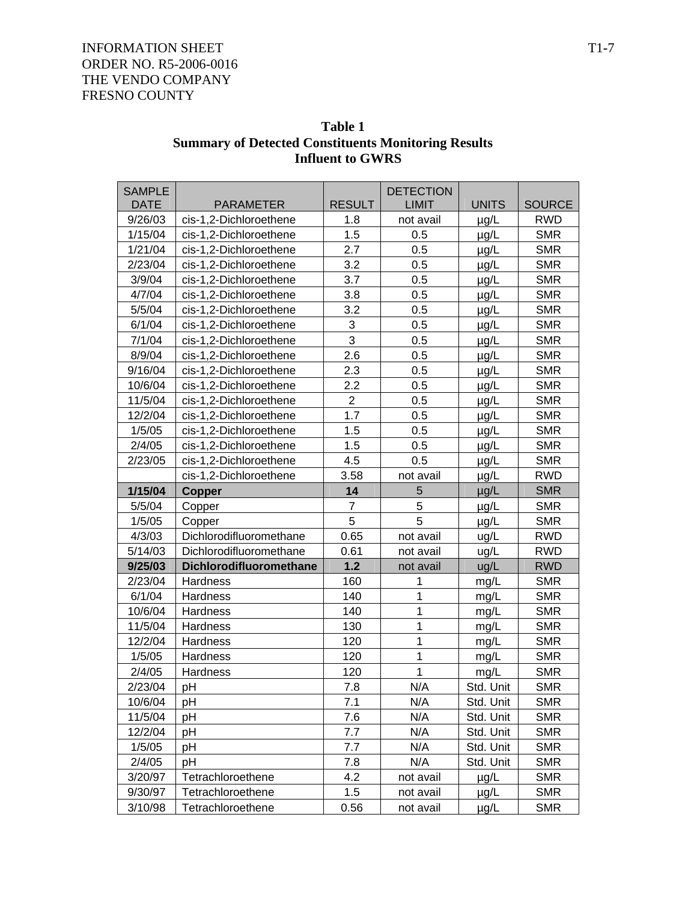| Table 1                                                    |
|------------------------------------------------------------|
| <b>Summary of Detected Constituents Monitoring Results</b> |
| <b>Influent to GWRS</b>                                    |

| <b>SAMPLE</b> |                         |                | <b>DETECTION</b> |              |               |
|---------------|-------------------------|----------------|------------------|--------------|---------------|
| <b>DATE</b>   | <b>PARAMETER</b>        | <b>RESULT</b>  | <b>LIMIT</b>     | <b>UNITS</b> | <b>SOURCE</b> |
| 9/26/03       | cis-1,2-Dichloroethene  | 1.8            | not avail        | $\mu$ g/L    | <b>RWD</b>    |
| 1/15/04       | cis-1,2-Dichloroethene  | 1.5            | 0.5              | $\mu$ g/L    | <b>SMR</b>    |
| 1/21/04       | cis-1,2-Dichloroethene  | 2.7            | 0.5              | µg/L         | <b>SMR</b>    |
| 2/23/04       | cis-1,2-Dichloroethene  | 3.2            | 0.5              | µg/L         | <b>SMR</b>    |
| 3/9/04        | cis-1,2-Dichloroethene  | 3.7            | 0.5              | $\mu$ g/L    | <b>SMR</b>    |
| 4/7/04        | cis-1,2-Dichloroethene  | 3.8            | 0.5              | µg/L         | <b>SMR</b>    |
| 5/5/04        | cis-1,2-Dichloroethene  | 3.2            | 0.5              | µg/L         | <b>SMR</b>    |
| 6/1/04        | cis-1,2-Dichloroethene  | 3              | 0.5              | $\mu$ g/L    | <b>SMR</b>    |
| 7/1/04        | cis-1,2-Dichloroethene  | 3              | 0.5              | $\mu$ g/L    | <b>SMR</b>    |
| 8/9/04        | cis-1,2-Dichloroethene  | 2.6            | 0.5              | $\mu$ g/L    | <b>SMR</b>    |
| 9/16/04       | cis-1,2-Dichloroethene  | 2.3            | 0.5              | $\mu$ g/L    | <b>SMR</b>    |
| 10/6/04       | cis-1,2-Dichloroethene  | 2.2            | 0.5              | $\mu$ g/L    | <b>SMR</b>    |
| 11/5/04       | cis-1,2-Dichloroethene  | $\overline{2}$ | 0.5              | $\mu g/L$    | <b>SMR</b>    |
| 12/2/04       | cis-1,2-Dichloroethene  | 1.7            | 0.5              | µg/L         | <b>SMR</b>    |
| 1/5/05        | cis-1,2-Dichloroethene  | 1.5            | 0.5              | µg/L         | <b>SMR</b>    |
| 2/4/05        | cis-1,2-Dichloroethene  | 1.5            | 0.5              | µg/L         | <b>SMR</b>    |
| 2/23/05       | cis-1,2-Dichloroethene  | 4.5            | 0.5              | $\mu$ g/L    | <b>SMR</b>    |
|               | cis-1,2-Dichloroethene  | 3.58           | not avail        | $\mu$ g/L    | <b>RWD</b>    |
| 1/15/04       | <b>Copper</b>           | 14             | 5                | $\mu$ g/L    | <b>SMR</b>    |
| 5/5/04        | Copper                  | 7              | 5                | µg/L         | <b>SMR</b>    |
| 1/5/05        | Copper                  | 5              | 5                | $\mu$ g/L    | <b>SMR</b>    |
| 4/3/03        | Dichlorodifluoromethane | 0.65           | not avail        | ug/L         | <b>RWD</b>    |
| 5/14/03       | Dichlorodifluoromethane | 0.61           | not avail        | ug/L         | <b>RWD</b>    |
| 9/25/03       | Dichlorodifluoromethane | 1.2            | not avail        | ug/L         | <b>RWD</b>    |
| 2/23/04       | Hardness                | 160            | 1                | mg/L         | <b>SMR</b>    |
| 6/1/04        | Hardness                | 140            | 1                | mg/L         | <b>SMR</b>    |
| 10/6/04       | Hardness                | 140            | 1                | mg/L         | <b>SMR</b>    |
| 11/5/04       | Hardness                | 130            | 1                | mg/L         | <b>SMR</b>    |
| 12/2/04       | Hardness                | 120            | 1                | mg/L         | <b>SMR</b>    |
| 1/5/05        | Hardness                | 120            | 1                | mg/L         | <b>SMR</b>    |
| 2/4/05        | Hardness                | 120            | 1                | mg/L         | <b>SMR</b>    |
| 2/23/04       | pH                      | 7.8            | N/A              | Std. Unit    | <b>SMR</b>    |
| 10/6/04       | рH                      | 7.1            | N/A              | Std. Unit    | <b>SMR</b>    |
| 11/5/04       | pH                      | 7.6            | N/A              | Std. Unit    | <b>SMR</b>    |
| 12/2/04       | рH                      | 7.7            | N/A              | Std. Unit    | <b>SMR</b>    |
| 1/5/05        | рH                      | 7.7            | N/A              | Std. Unit    | <b>SMR</b>    |
| 2/4/05        | рH                      | 7.8            | N/A              | Std. Unit    | <b>SMR</b>    |
| 3/20/97       | Tetrachloroethene       | 4.2            | not avail        | $\mu$ g/L    | <b>SMR</b>    |
| 9/30/97       | Tetrachloroethene       | 1.5            | not avail        | $\mu$ g/L    | <b>SMR</b>    |
| 3/10/98       | Tetrachloroethene       | 0.56           | not avail        | $\mu$ g/L    | <b>SMR</b>    |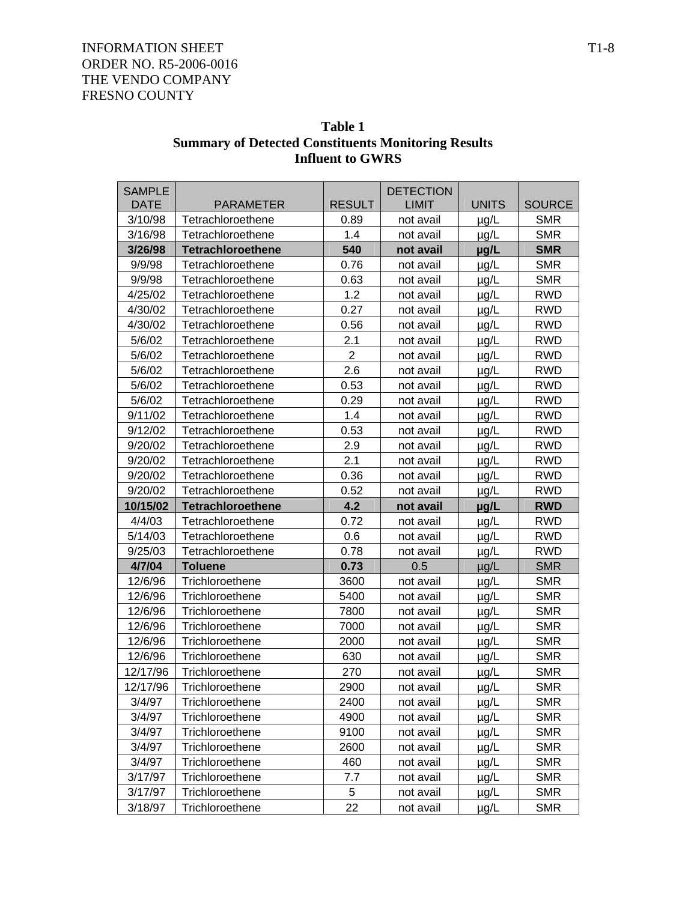| Table 1                                                    |
|------------------------------------------------------------|
| <b>Summary of Detected Constituents Monitoring Results</b> |
| <b>Influent to GWRS</b>                                    |

| <b>SAMPLE</b> |                          |                | <b>DETECTION</b> |              |               |
|---------------|--------------------------|----------------|------------------|--------------|---------------|
| <b>DATE</b>   | <b>PARAMETER</b>         | <b>RESULT</b>  | <b>LIMIT</b>     | <b>UNITS</b> | <b>SOURCE</b> |
| 3/10/98       | Tetrachloroethene        | 0.89           | not avail        | $\mu$ g/L    | <b>SMR</b>    |
| 3/16/98       | Tetrachloroethene        | 1.4            | not avail        | $\mu$ g/L    | <b>SMR</b>    |
| 3/26/98       | <b>Tetrachloroethene</b> | 540            | not avail        | µg/L         | <b>SMR</b>    |
| 9/9/98        | Tetrachloroethene        | 0.76           | not avail        | $\mu$ g/L    | <b>SMR</b>    |
| 9/9/98        | Tetrachloroethene        | 0.63           | not avail        | µg/L         | <b>SMR</b>    |
| 4/25/02       | Tetrachloroethene        | 1.2            | not avail        | µg/L         | <b>RWD</b>    |
| 4/30/02       | Tetrachloroethene        | 0.27           | not avail        | µg/L         | <b>RWD</b>    |
| 4/30/02       | Tetrachloroethene        | 0.56           | not avail        | $\mu$ g/L    | <b>RWD</b>    |
| 5/6/02        | Tetrachloroethene        | 2.1            | not avail        | $\mu$ g/L    | <b>RWD</b>    |
| 5/6/02        | Tetrachloroethene        | $\overline{2}$ | not avail        | µg/L         | <b>RWD</b>    |
| 5/6/02        | Tetrachloroethene        | 2.6            | not avail        | $\mu$ g/L    | <b>RWD</b>    |
| 5/6/02        | Tetrachloroethene        | 0.53           | not avail        | $\mu$ g/L    | <b>RWD</b>    |
| 5/6/02        | Tetrachloroethene        | 0.29           | not avail        | $\mu$ g/L    | <b>RWD</b>    |
| 9/11/02       | Tetrachloroethene        | 1.4            | not avail        | $\mu$ g/L    | <b>RWD</b>    |
| 9/12/02       | Tetrachloroethene        | 0.53           | not avail        | µg/L         | <b>RWD</b>    |
| 9/20/02       | Tetrachloroethene        | 2.9            | not avail        | $\mu$ g/L    | <b>RWD</b>    |
| 9/20/02       | Tetrachloroethene        | 2.1            | not avail        | $\mu$ g/L    | <b>RWD</b>    |
| 9/20/02       | Tetrachloroethene        | 0.36           | not avail        | $\mu$ g/L    | <b>RWD</b>    |
| 9/20/02       | Tetrachloroethene        | 0.52           | not avail        | $\mu$ g/L    | <b>RWD</b>    |
| 10/15/02      | Tetrachloroethene        | 4.2            | not avail        | µg/L         | <b>RWD</b>    |
| 4/4/03        | Tetrachloroethene        | 0.72           | not avail        | $\mu$ g/L    | <b>RWD</b>    |
| 5/14/03       | Tetrachloroethene        | 0.6            | not avail        | µg/L         | <b>RWD</b>    |
| 9/25/03       | Tetrachloroethene        | 0.78           | not avail        | $\mu$ g/L    | <b>RWD</b>    |
| 4/7/04        | <b>Toluene</b>           | 0.73           | 0.5              | $\mu$ g/L    | <b>SMR</b>    |
| 12/6/96       | Trichloroethene          |                |                  |              |               |
| 12/6/96       |                          | 3600           | not avail        | µg/L         | <b>SMR</b>    |
|               | Trichloroethene          | 5400           | not avail        | $\mu$ g/L    | <b>SMR</b>    |
| 12/6/96       | Trichloroethene          | 7800           | not avail        | $\mu$ g/L    | <b>SMR</b>    |
| 12/6/96       | Trichloroethene          | 7000           | not avail        | $\mu$ g/L    | <b>SMR</b>    |
| 12/6/96       | Trichloroethene          | 2000           | not avail        | $\mu$ g/L    | <b>SMR</b>    |
| 12/6/96       | Trichloroethene          | 630            | not avail        | $\mu$ g/L    | <b>SMR</b>    |
| 12/17/96      | Trichloroethene          | 270            | not avail        | $\mu$ g/L    | <b>SMR</b>    |
| 12/17/96      | Trichloroethene          | 2900           | not avail        | $\mu$ g/L    | <b>SMR</b>    |
| 3/4/97        | Trichloroethene          | 2400           | not avail        | $\mu$ g/L    | <b>SMR</b>    |
| 3/4/97        | Trichloroethene          | 4900           | not avail        | µg/L         | <b>SMR</b>    |
| 3/4/97        | Trichloroethene          | 9100           | not avail        | µg/L         | <b>SMR</b>    |
| 3/4/97        | Trichloroethene          | 2600           | not avail        | $\mu$ g/L    | <b>SMR</b>    |
| 3/4/97        | Trichloroethene          | 460            | not avail        | $\mu$ g/L    | <b>SMR</b>    |
| 3/17/97       | Trichloroethene          | 7.7            | not avail        | µg/L         | <b>SMR</b>    |
| 3/17/97       | Trichloroethene          | 5              | not avail        | µg/L         | <b>SMR</b>    |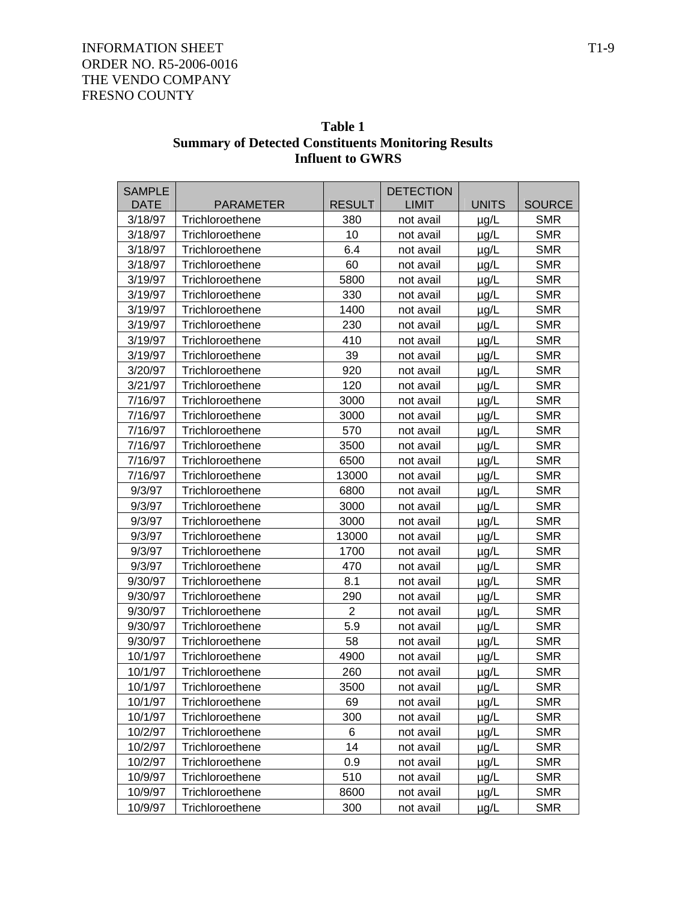| Table 1                                                    |
|------------------------------------------------------------|
| <b>Summary of Detected Constituents Monitoring Results</b> |
| <b>Influent to GWRS</b>                                    |

| <b>SAMPLE</b> |                  |                | <b>DETECTION</b> |              |               |
|---------------|------------------|----------------|------------------|--------------|---------------|
| <b>DATE</b>   | <b>PARAMETER</b> | <b>RESULT</b>  | <b>LIMIT</b>     | <b>UNITS</b> | <b>SOURCE</b> |
| 3/18/97       | Trichloroethene  | 380            | not avail        | $\mu$ g/L    | <b>SMR</b>    |
| 3/18/97       | Trichloroethene  | 10             | not avail        | $\mu$ g/L    | <b>SMR</b>    |
| 3/18/97       | Trichloroethene  | 6.4            | not avail        | $\mu$ g/L    | <b>SMR</b>    |
| 3/18/97       | Trichloroethene  | 60             | not avail        | $\mu$ g/L    | <b>SMR</b>    |
| 3/19/97       | Trichloroethene  | 5800           | not avail        | $\mu$ g/L    | <b>SMR</b>    |
| 3/19/97       | Trichloroethene  | 330            | not avail        | µg/L         | <b>SMR</b>    |
| 3/19/97       | Trichloroethene  | 1400           | not avail        | $\mu$ g/L    | <b>SMR</b>    |
| 3/19/97       | Trichloroethene  | 230            | not avail        | $\mu$ g/L    | <b>SMR</b>    |
| 3/19/97       | Trichloroethene  | 410            | not avail        | $\mu$ g/L    | <b>SMR</b>    |
| 3/19/97       | Trichloroethene  | 39             | not avail        | $\mu$ g/L    | <b>SMR</b>    |
| 3/20/97       | Trichloroethene  | 920            | not avail        | µg/L         | <b>SMR</b>    |
| 3/21/97       | Trichloroethene  | 120            | not avail        | $\mu$ g/L    | <b>SMR</b>    |
| 7/16/97       | Trichloroethene  | 3000           | not avail        | $\mu$ g/L    | <b>SMR</b>    |
| 7/16/97       | Trichloroethene  | 3000           | not avail        | $\mu$ g/L    | <b>SMR</b>    |
| 7/16/97       | Trichloroethene  | 570            | not avail        | $\mu$ g/L    | <b>SMR</b>    |
| 7/16/97       | Trichloroethene  | 3500           | not avail        | µg/L         | <b>SMR</b>    |
| 7/16/97       | Trichloroethene  | 6500           | not avail        | $\mu$ g/L    | <b>SMR</b>    |
| 7/16/97       | Trichloroethene  | 13000          | not avail        | $\mu$ g/L    | <b>SMR</b>    |
| 9/3/97        | Trichloroethene  | 6800           | not avail        | $\mu$ g/L    | <b>SMR</b>    |
| 9/3/97        | Trichloroethene  | 3000           | not avail        | $\mu$ g/L    | <b>SMR</b>    |
| 9/3/97        | Trichloroethene  | 3000           | not avail        | $\mu$ g/L    | <b>SMR</b>    |
| 9/3/97        | Trichloroethene  | 13000          | not avail        | µg/L         | <b>SMR</b>    |
| 9/3/97        | Trichloroethene  | 1700           | not avail        | $\mu$ g/L    | <b>SMR</b>    |
| 9/3/97        | Trichloroethene  | 470            | not avail        | $\mu$ g/L    | <b>SMR</b>    |
| 9/30/97       | Trichloroethene  | 8.1            | not avail        | $\mu$ g/L    | <b>SMR</b>    |
| 9/30/97       | Trichloroethene  | 290            | not avail        | $\mu$ g/L    | <b>SMR</b>    |
| 9/30/97       | Trichloroethene  | $\overline{2}$ | not avail        | $\mu$ g/L    | <b>SMR</b>    |
| 9/30/97       | Trichloroethene  | 5.9            | not avail        | $\mu$ g/L    | <b>SMR</b>    |
| 9/30/97       | Trichloroethene  | 58             | not avail        | $\mu$ g/L    | <b>SMR</b>    |
| 10/1/97       | Trichloroethene  | 4900           | not avail        | $\mu$ g/L    | <b>SMR</b>    |
| 10/1/97       | Trichloroethene  | 260            | not avail        | $\mu$ g/L    | <b>SMR</b>    |
| 10/1/97       | Trichloroethene  | 3500           | not avail        | $\mu$ g/L    | <b>SMR</b>    |
| 10/1/97       | Trichloroethene  | 69             | not avail        | $\mu$ g/L    | <b>SMR</b>    |
| 10/1/97       | Trichloroethene  | 300            | not avail        | $\mu$ g/L    | <b>SMR</b>    |
| 10/2/97       | Trichloroethene  | 6              | not avail        | $\mu$ g/L    | <b>SMR</b>    |
| 10/2/97       | Trichloroethene  | 14             | not avail        | $\mu$ g/L    | <b>SMR</b>    |
| 10/2/97       | Trichloroethene  | 0.9            | not avail        | $\mu$ g/L    | <b>SMR</b>    |
| 10/9/97       | Trichloroethene  | 510            | not avail        | µg/L         | <b>SMR</b>    |
| 10/9/97       | Trichloroethene  | 8600           | not avail        | µg/L         | <b>SMR</b>    |
| 10/9/97       | Trichloroethene  | 300            | not avail        | µg/L         | <b>SMR</b>    |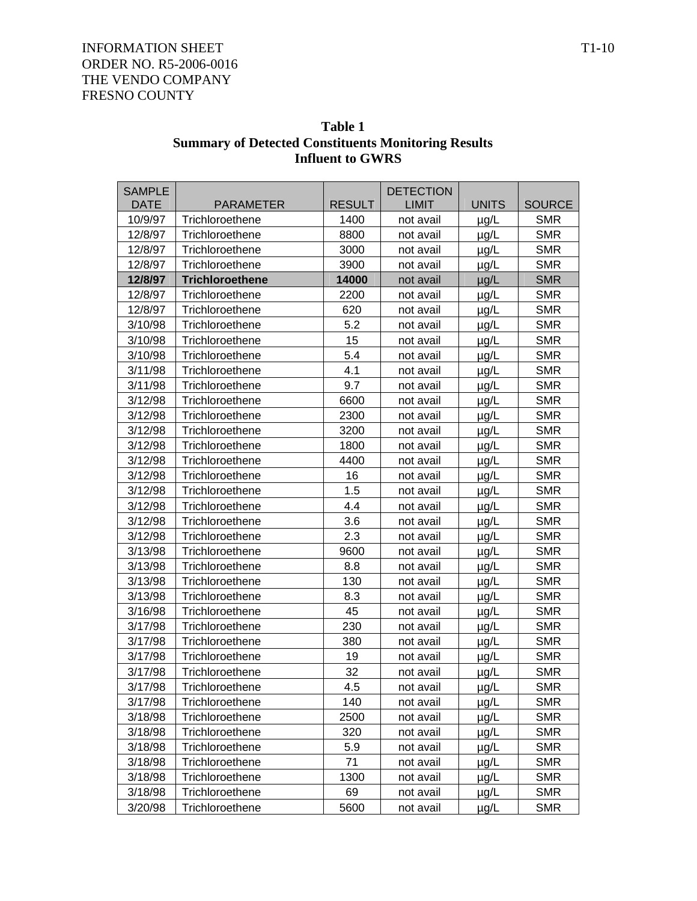| Table 1                                                    |
|------------------------------------------------------------|
| <b>Summary of Detected Constituents Monitoring Results</b> |
| <b>Influent to GWRS</b>                                    |

| <b>SAMPLE</b> |                        |               | <b>DETECTION</b> |              |               |
|---------------|------------------------|---------------|------------------|--------------|---------------|
| <b>DATE</b>   | <b>PARAMETER</b>       | <b>RESULT</b> | <b>LIMIT</b>     | <b>UNITS</b> | <b>SOURCE</b> |
| 10/9/97       | Trichloroethene        | 1400          | not avail        | $\mu$ g/L    | <b>SMR</b>    |
| 12/8/97       | Trichloroethene        | 8800          | not avail        | $\mu$ g/L    | <b>SMR</b>    |
| 12/8/97       | Trichloroethene        | 3000          | not avail        | $\mu$ g/L    | <b>SMR</b>    |
| 12/8/97       | Trichloroethene        | 3900          | not avail        | $\mu$ g/L    | <b>SMR</b>    |
| 12/8/97       | <b>Trichloroethene</b> | 14000         | not avail        | $\mu$ g/L    | <b>SMR</b>    |
| 12/8/97       | Trichloroethene        | 2200          | not avail        | µg/L         | <b>SMR</b>    |
| 12/8/97       | Trichloroethene        | 620           | not avail        | µg/L         | <b>SMR</b>    |
| 3/10/98       | Trichloroethene        | 5.2           | not avail        | $\mu$ g/L    | <b>SMR</b>    |
| 3/10/98       | Trichloroethene        | 15            | not avail        | $\mu$ g/L    | <b>SMR</b>    |
| 3/10/98       | Trichloroethene        | 5.4           | not avail        | $\mu$ g/L    | <b>SMR</b>    |
| 3/11/98       | Trichloroethene        | 4.1           | not avail        | µg/L         | <b>SMR</b>    |
| 3/11/98       | Trichloroethene        | 9.7           | not avail        | µg/L         | <b>SMR</b>    |
| 3/12/98       | Trichloroethene        | 6600          | not avail        | $\mu$ g/L    | <b>SMR</b>    |
| 3/12/98       | Trichloroethene        | 2300          | not avail        | µg/L         | <b>SMR</b>    |
| 3/12/98       | Trichloroethene        | 3200          | not avail        | $\mu$ g/L    | <b>SMR</b>    |
| 3/12/98       | Trichloroethene        | 1800          | not avail        | µg/L         | <b>SMR</b>    |
| 3/12/98       | Trichloroethene        | 4400          | not avail        | $\mu$ g/L    | <b>SMR</b>    |
| 3/12/98       | Trichloroethene        | 16            | not avail        | $\mu$ g/L    | <b>SMR</b>    |
| 3/12/98       | Trichloroethene        | 1.5           | not avail        | µg/L         | <b>SMR</b>    |
| 3/12/98       | Trichloroethene        | 4.4           | not avail        | µg/L         | <b>SMR</b>    |
| 3/12/98       | Trichloroethene        | 3.6           | not avail        | µg/L         | <b>SMR</b>    |
| 3/12/98       | Trichloroethene        | 2.3           | not avail        | $\mu$ g/L    | <b>SMR</b>    |
| 3/13/98       | Trichloroethene        | 9600          | not avail        | $\mu$ g/L    | <b>SMR</b>    |
| 3/13/98       | Trichloroethene        | 8.8           | not avail        | µg/L         | <b>SMR</b>    |
| 3/13/98       | Trichloroethene        | 130           | not avail        | µg/L         | <b>SMR</b>    |
| 3/13/98       | Trichloroethene        | 8.3           | not avail        | µg/L         | <b>SMR</b>    |
| 3/16/98       | Trichloroethene        | 45            | not avail        | $\mu$ g/L    | <b>SMR</b>    |
| 3/17/98       | Trichloroethene        | 230           | not avail        | $\mu$ g/L    | <b>SMR</b>    |
| 3/17/98       | Trichloroethene        | 380           | not avail        | $\mu$ g/L    | <b>SMR</b>    |
| 3/17/98       | Trichloroethene        | 19            | not avail        | $\mu$ g/L    | <b>SMR</b>    |
| 3/17/98       | Trichloroethene        | 32            | not avail        | µg/L         | <b>SMR</b>    |
| 3/17/98       | Trichloroethene        | 4.5           | not avail        | $\mu$ g/L    | <b>SMR</b>    |
| 3/17/98       | Trichloroethene        | 140           | not avail        | $\mu$ g/L    | <b>SMR</b>    |
| 3/18/98       | Trichloroethene        | 2500          | not avail        | µg/L         | <b>SMR</b>    |
| 3/18/98       | Trichloroethene        | 320           | not avail        | µg/L         | <b>SMR</b>    |
| 3/18/98       | Trichloroethene        | 5.9           | not avail        | $\mu$ g/L    | <b>SMR</b>    |
| 3/18/98       | Trichloroethene        | 71            | not avail        | $\mu$ g/L    | <b>SMR</b>    |
| 3/18/98       | Trichloroethene        | 1300          | not avail        | µg/L         | <b>SMR</b>    |
| 3/18/98       | Trichloroethene        | 69            | not avail        | µg/L         | <b>SMR</b>    |
| 3/20/98       | Trichloroethene        | 5600          | not avail        | $\mu$ g/L    | <b>SMR</b>    |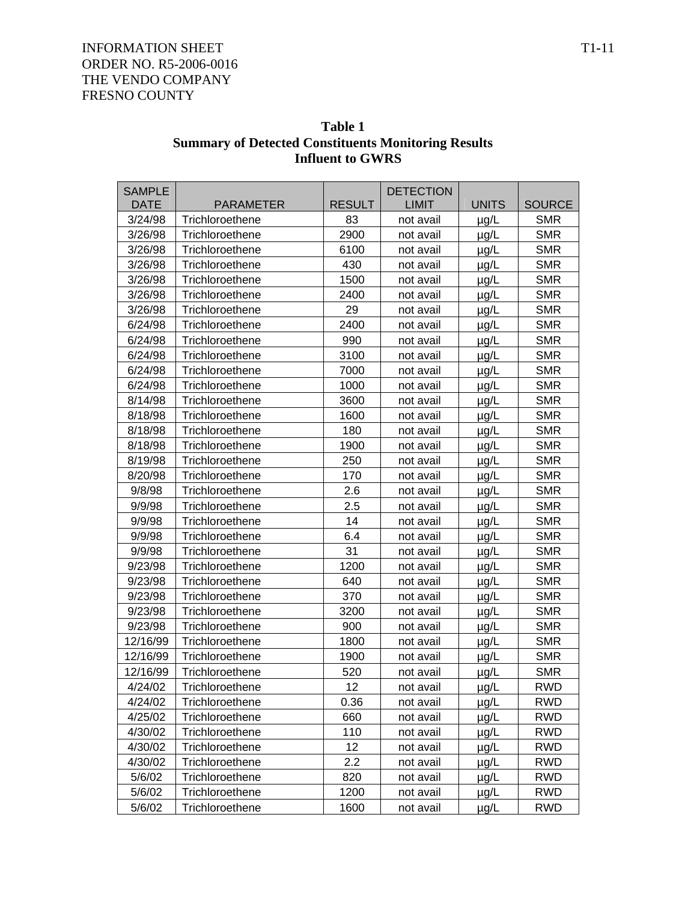| Table 1                                                    |
|------------------------------------------------------------|
| <b>Summary of Detected Constituents Monitoring Results</b> |
| <b>Influent to GWRS</b>                                    |

| <b>SAMPLE</b> |                  |               | <b>DETECTION</b> |              |               |
|---------------|------------------|---------------|------------------|--------------|---------------|
| <b>DATE</b>   | <b>PARAMETER</b> | <b>RESULT</b> | <b>LIMIT</b>     | <b>UNITS</b> | <b>SOURCE</b> |
| 3/24/98       | Trichloroethene  | 83            | not avail        | $\mu$ g/L    | <b>SMR</b>    |
| 3/26/98       | Trichloroethene  | 2900          | not avail        | $\mu$ g/L    | <b>SMR</b>    |
| 3/26/98       | Trichloroethene  | 6100          | not avail        | $\mu$ g/L    | <b>SMR</b>    |
| 3/26/98       | Trichloroethene  | 430           | not avail        | $\mu$ g/L    | <b>SMR</b>    |
| 3/26/98       | Trichloroethene  | 1500          | not avail        | $\mu$ g/L    | <b>SMR</b>    |
| 3/26/98       | Trichloroethene  | 2400          | not avail        | $\mu$ g/L    | <b>SMR</b>    |
| 3/26/98       | Trichloroethene  | 29            | not avail        | $\mu$ g/L    | <b>SMR</b>    |
| 6/24/98       | Trichloroethene  | 2400          | not avail        | $\mu$ g/L    | <b>SMR</b>    |
| 6/24/98       | Trichloroethene  | 990           | not avail        | $\mu$ g/L    | <b>SMR</b>    |
| 6/24/98       | Trichloroethene  | 3100          | not avail        | µg/L         | <b>SMR</b>    |
| 6/24/98       | Trichloroethene  | 7000          | not avail        | $\mu$ g/L    | <b>SMR</b>    |
| 6/24/98       | Trichloroethene  | 1000          | not avail        | $\mu$ g/L    | <b>SMR</b>    |
| 8/14/98       | Trichloroethene  | 3600          | not avail        | $\mu$ g/L    | <b>SMR</b>    |
| 8/18/98       | Trichloroethene  | 1600          | not avail        | $\mu$ g/L    | <b>SMR</b>    |
| 8/18/98       | Trichloroethene  | 180           | not avail        | $\mu$ g/L    | <b>SMR</b>    |
| 8/18/98       | Trichloroethene  | 1900          | not avail        | µg/L         | <b>SMR</b>    |
| 8/19/98       | Trichloroethene  | 250           | not avail        | $\mu$ g/L    | <b>SMR</b>    |
| 8/20/98       | Trichloroethene  | 170           | not avail        | $\mu$ g/L    | <b>SMR</b>    |
| 9/8/98        | Trichloroethene  | 2.6           | not avail        | $\mu$ g/L    | <b>SMR</b>    |
| 9/9/98        | Trichloroethene  | 2.5           | not avail        | $\mu$ g/L    | <b>SMR</b>    |
| 9/9/98        | Trichloroethene  | 14            | not avail        | $\mu$ g/L    | <b>SMR</b>    |
| 9/9/98        | Trichloroethene  | 6.4           | not avail        | $\mu$ g/L    | <b>SMR</b>    |
| 9/9/98        | Trichloroethene  | 31            | not avail        | $\mu$ g/L    | <b>SMR</b>    |
| 9/23/98       | Trichloroethene  | 1200          | not avail        | µg/L         | <b>SMR</b>    |
| 9/23/98       | Trichloroethene  | 640           | not avail        | µg/L         | <b>SMR</b>    |
| 9/23/98       | Trichloroethene  | 370           | not avail        | $\mu$ g/L    | <b>SMR</b>    |
| 9/23/98       | Trichloroethene  | 3200          | not avail        | $\mu$ g/L    | <b>SMR</b>    |
| 9/23/98       | Trichloroethene  | 900           | not avail        | $\mu$ g/L    | <b>SMR</b>    |
| 12/16/99      | Trichloroethene  | 1800          | not avail        | $\mu$ g/L    | <b>SMR</b>    |
| 12/16/99      | Trichloroethene  | 1900          | not avail        | $\mu$ g/L    | <b>SMR</b>    |
| 12/16/99      | Trichloroethene  | 520           | not avail        | $\mu$ g/L    | <b>SMR</b>    |
| 4/24/02       | Trichloroethene  | 12            | not avail        | $\mu$ g/L    | <b>RWD</b>    |
| 4/24/02       | Trichloroethene  | 0.36          | not avail        | $\mu$ g/L    | <b>RWD</b>    |
| 4/25/02       | Trichloroethene  | 660           | not avail        | µg/L         | <b>RWD</b>    |
| 4/30/02       | Trichloroethene  | 110           | not avail        | $\mu$ g/L    | <b>RWD</b>    |
| 4/30/02       | Trichloroethene  | 12            | not avail        | $\mu$ g/L    | <b>RWD</b>    |
| 4/30/02       | Trichloroethene  | 2.2           | not avail        | $\mu$ g/L    | <b>RWD</b>    |
| 5/6/02        | Trichloroethene  | 820           | not avail        | $\mu$ g/L    | <b>RWD</b>    |
| 5/6/02        | Trichloroethene  | 1200          | not avail        | µg/L         | <b>RWD</b>    |
| 5/6/02        | Trichloroethene  | 1600          | not avail        | $\mu$ g/L    | <b>RWD</b>    |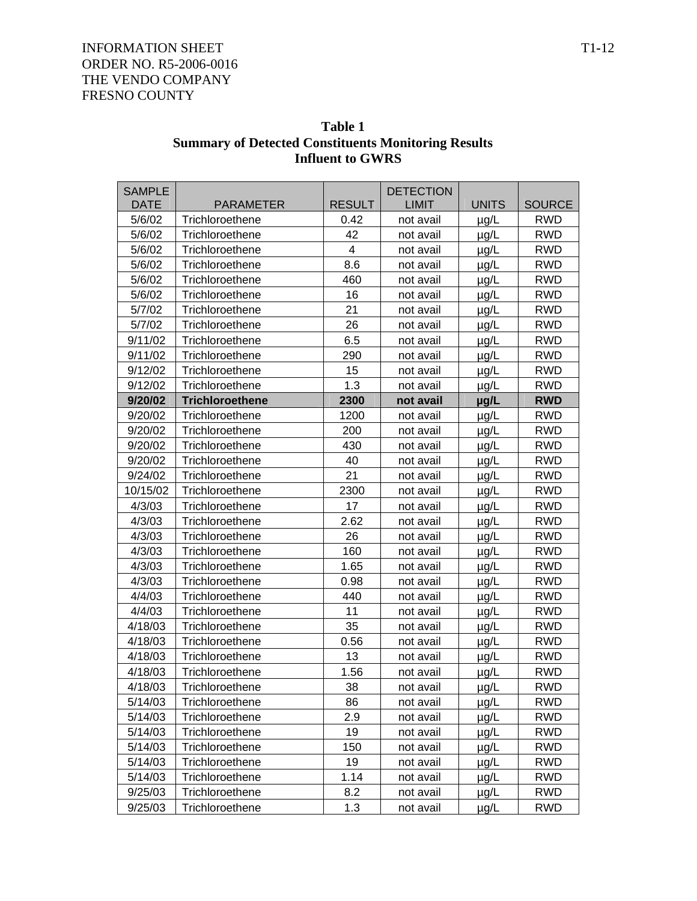| Table 1                                                    |
|------------------------------------------------------------|
| <b>Summary of Detected Constituents Monitoring Results</b> |
| <b>Influent to GWRS</b>                                    |

| <b>SAMPLE</b> |                        |               | <b>DETECTION</b> |              |               |
|---------------|------------------------|---------------|------------------|--------------|---------------|
| <b>DATE</b>   | <b>PARAMETER</b>       | <b>RESULT</b> | <b>LIMIT</b>     | <b>UNITS</b> | <b>SOURCE</b> |
| 5/6/02        | Trichloroethene        | 0.42          | not avail        | $\mu$ g/L    | <b>RWD</b>    |
| 5/6/02        | Trichloroethene        | 42            | not avail        | $\mu$ g/L    | <b>RWD</b>    |
| 5/6/02        | Trichloroethene        | 4             | not avail        | $\mu$ g/L    | <b>RWD</b>    |
| 5/6/02        | Trichloroethene        | 8.6           | not avail        | µg/L         | <b>RWD</b>    |
| 5/6/02        | Trichloroethene        | 460           | not avail        | $\mu$ g/L    | <b>RWD</b>    |
| 5/6/02        | Trichloroethene        | 16            | not avail        | µg/L         | <b>RWD</b>    |
| 5/7/02        | Trichloroethene        | 21            | not avail        | $\mu$ g/L    | <b>RWD</b>    |
| 5/7/02        | Trichloroethene        | 26            | not avail        | $\mu$ g/L    | <b>RWD</b>    |
| 9/11/02       | Trichloroethene        | 6.5           | not avail        | $\mu$ g/L    | <b>RWD</b>    |
| 9/11/02       | Trichloroethene        | 290           | not avail        | $\mu$ g/L    | <b>RWD</b>    |
| 9/12/02       | Trichloroethene        | 15            | not avail        | µg/L         | <b>RWD</b>    |
| 9/12/02       | Trichloroethene        | 1.3           | not avail        | $\mu$ g/L    | <b>RWD</b>    |
| 9/20/02       | <b>Trichloroethene</b> | 2300          | not avail        | µg/L         | <b>RWD</b>    |
| 9/20/02       | Trichloroethene        | 1200          | not avail        | µg/L         | <b>RWD</b>    |
| 9/20/02       | Trichloroethene        | 200           | not avail        | $\mu$ g/L    | <b>RWD</b>    |
| 9/20/02       | Trichloroethene        | 430           | not avail        | µg/L         | <b>RWD</b>    |
| 9/20/02       | Trichloroethene        | 40            | not avail        | $\mu$ g/L    | <b>RWD</b>    |
| 9/24/02       | Trichloroethene        | 21            | not avail        | $\mu$ g/L    | <b>RWD</b>    |
| 10/15/02      | Trichloroethene        | 2300          | not avail        | $\mu$ g/L    | <b>RWD</b>    |
| 4/3/03        | Trichloroethene        | 17            | not avail        | $\mu$ g/L    | <b>RWD</b>    |
| 4/3/03        | Trichloroethene        | 2.62          | not avail        | $\mu$ g/L    | <b>RWD</b>    |
| 4/3/03        | Trichloroethene        | 26            | not avail        | $\mu$ g/L    | <b>RWD</b>    |
| 4/3/03        | Trichloroethene        | 160           | not avail        | $\mu$ g/L    | <b>RWD</b>    |
| 4/3/03        | Trichloroethene        | 1.65          | not avail        | µg/L         | <b>RWD</b>    |
| 4/3/03        | Trichloroethene        | 0.98          | not avail        | µg/L         | <b>RWD</b>    |
| 4/4/03        | Trichloroethene        | 440           | not avail        | $\mu$ g/L    | <b>RWD</b>    |
| 4/4/03        | Trichloroethene        | 11            | not avail        | $\mu$ g/L    | <b>RWD</b>    |
| 4/18/03       | Trichloroethene        | 35            | not avail        | $\mu$ g/L    | <b>RWD</b>    |
| 4/18/03       | Trichloroethene        | 0.56          | not avail        | $\mu$ g/L    | <b>RWD</b>    |
| 4/18/03       | Trichloroethene        | 13            | not avail        | $\mu$ g/L    | <b>RWD</b>    |
| 4/18/03       | Trichloroethene        | 1.56          | not avail        | $\mu$ g/L    | <b>RWD</b>    |
| 4/18/03       | Trichloroethene        | 38            | not avail        | $\mu$ g/L    | <b>RWD</b>    |
| 5/14/03       | Trichloroethene        | 86            | not avail        | µg/L         | <b>RWD</b>    |
| 5/14/03       | Trichloroethene        | 2.9           | not avail        | µg/L         | <b>RWD</b>    |
| 5/14/03       | Trichloroethene        | 19            | not avail        | µg/L         | <b>RWD</b>    |
| 5/14/03       | Trichloroethene        | 150           | not avail        | $\mu$ g/L    | <b>RWD</b>    |
| 5/14/03       | Trichloroethene        | 19            | not avail        | $\mu$ g/L    | <b>RWD</b>    |
| 5/14/03       | Trichloroethene        | 1.14          | not avail        | µg/L         | <b>RWD</b>    |
| 9/25/03       | Trichloroethene        | 8.2           | not avail        | µg/L         | <b>RWD</b>    |
| 9/25/03       | Trichloroethene        | 1.3           | not avail        | µg/L         | <b>RWD</b>    |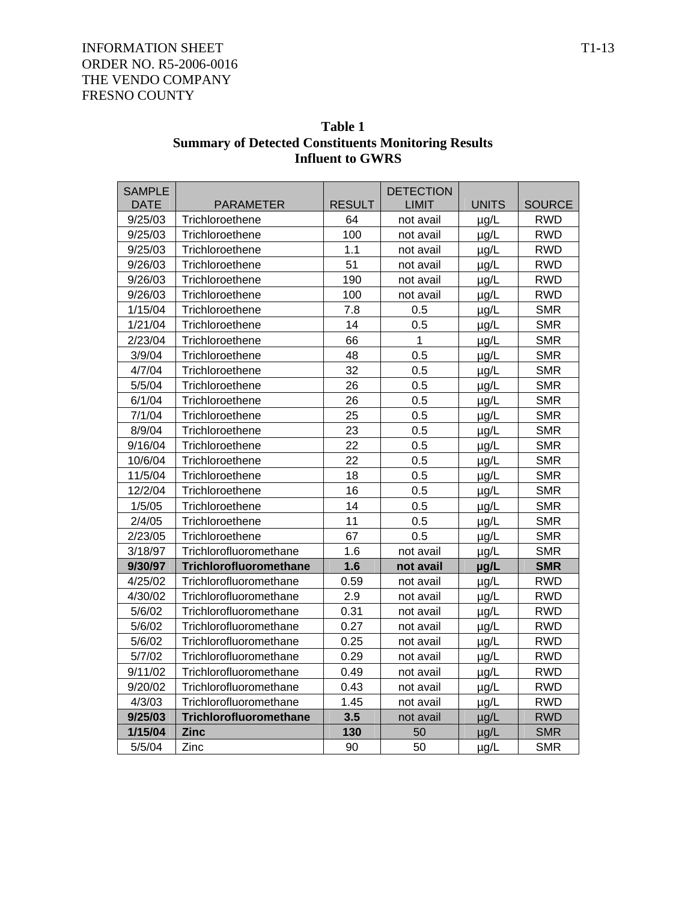| Table 1                                                    |
|------------------------------------------------------------|
| <b>Summary of Detected Constituents Monitoring Results</b> |
| <b>Influent to GWRS</b>                                    |

| <b>SAMPLE</b> |                        |               | <b>DETECTION</b> |              |               |
|---------------|------------------------|---------------|------------------|--------------|---------------|
| <b>DATE</b>   | <b>PARAMETER</b>       | <b>RESULT</b> | <b>LIMIT</b>     | <b>UNITS</b> | <b>SOURCE</b> |
| 9/25/03       | Trichloroethene        | 64            | not avail        | $\mu$ g/L    | <b>RWD</b>    |
| 9/25/03       | Trichloroethene        | 100           | not avail        | µg/L         | <b>RWD</b>    |
| 9/25/03       | Trichloroethene        | 1.1           | not avail        | $\mu$ g/L    | <b>RWD</b>    |
| 9/26/03       | Trichloroethene        | 51            | not avail        | $\mu$ g/L    | <b>RWD</b>    |
| 9/26/03       | Trichloroethene        | 190           | not avail        | $\mu$ g/L    | <b>RWD</b>    |
| 9/26/03       | Trichloroethene        | 100           | not avail        | µg/L         | <b>RWD</b>    |
| 1/15/04       | Trichloroethene        | 7.8           | 0.5              | $\mu$ g/L    | <b>SMR</b>    |
| 1/21/04       | Trichloroethene        | 14            | 0.5              | µg/L         | <b>SMR</b>    |
| 2/23/04       | Trichloroethene        | 66            | 1                | µg/L         | <b>SMR</b>    |
| 3/9/04        | Trichloroethene        | 48            | 0.5              | $\mu$ g/L    | <b>SMR</b>    |
| 4/7/04        | Trichloroethene        | 32            | 0.5              | µg/L         | <b>SMR</b>    |
| 5/5/04        | Trichloroethene        | 26            | 0.5              | $\mu$ g/L    | <b>SMR</b>    |
| 6/1/04        | Trichloroethene        | 26            | 0.5              | µg/L         | <b>SMR</b>    |
| 7/1/04        | Trichloroethene        | 25            | 0.5              | µg/L         | <b>SMR</b>    |
| 8/9/04        | Trichloroethene        | 23            | 0.5              | µg/L         | <b>SMR</b>    |
| 9/16/04       | Trichloroethene        | 22            | 0.5              | µg/L         | <b>SMR</b>    |
| 10/6/04       | Trichloroethene        | 22            | 0.5              | µg/L         | <b>SMR</b>    |
| 11/5/04       | Trichloroethene        | 18            | 0.5              | µg/L         | <b>SMR</b>    |
| 12/2/04       | Trichloroethene        | 16            | 0.5              | $\mu$ g/L    | <b>SMR</b>    |
| 1/5/05        | Trichloroethene        | 14            | 0.5              | $\mu$ g/L    | <b>SMR</b>    |
| 2/4/05        | Trichloroethene        | 11            | 0.5              | $\mu$ g/L    | <b>SMR</b>    |
| 2/23/05       | Trichloroethene        | 67            | 0.5              | $\mu$ g/L    | <b>SMR</b>    |
| 3/18/97       | Trichlorofluoromethane | 1.6           | not avail        | $\mu$ g/L    | <b>SMR</b>    |
| 9/30/97       | Trichlorofluoromethane | 1.6           | not avail        | µg/L         | <b>SMR</b>    |
| 4/25/02       | Trichlorofluoromethane | 0.59          | not avail        | $\mu$ g/L    | <b>RWD</b>    |
| 4/30/02       | Trichlorofluoromethane | 2.9           | not avail        | µg/L         | <b>RWD</b>    |
| 5/6/02        | Trichlorofluoromethane | 0.31          | not avail        | $\mu$ g/L    | <b>RWD</b>    |
| 5/6/02        | Trichlorofluoromethane | 0.27          | not avail        | $\mu$ g/L    | <b>RWD</b>    |
| 5/6/02        | Trichlorofluoromethane | 0.25          | not avail        | $\mu$ g/L    | <b>RWD</b>    |
| 5/7/02        | Trichlorofluoromethane | 0.29          | not avail        | $\mu$ g/L    | <b>RWD</b>    |
| 9/11/02       | Trichlorofluoromethane | 0.49          | not avail        | µg/L         | <b>RWD</b>    |
| 9/20/02       | Trichlorofluoromethane | 0.43          | not avail        | µg/L         | <b>RWD</b>    |
| 4/3/03        | Trichlorofluoromethane | 1.45          | not avail        | $\mu$ g/L    | <b>RWD</b>    |
| 9/25/03       | Trichlorofluoromethane | 3.5           | not avail        | $\mu$ g/L    | <b>RWD</b>    |
| 1/15/04       | <b>Zinc</b>            | 130           | 50               | $\mu$ g/L    | <b>SMR</b>    |
| 5/5/04        | Zinc                   | 90            | 50               | µg/L         | <b>SMR</b>    |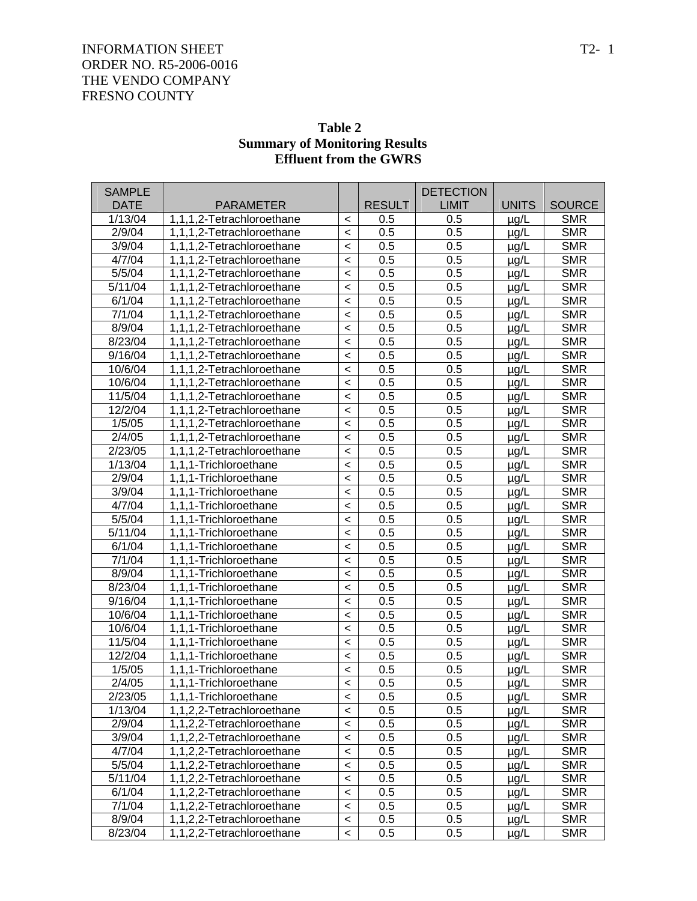| Table 2                              |
|--------------------------------------|
| <b>Summary of Monitoring Results</b> |
| <b>Effluent from the GWRS</b>        |

| <b>SAMPLE</b>       |                           |         |               | <b>DETECTION</b> |              |               |
|---------------------|---------------------------|---------|---------------|------------------|--------------|---------------|
| <b>DATE</b>         | PARAMETER                 |         | <b>RESULT</b> | <b>LIMIT</b>     | <b>UNITS</b> | <b>SOURCE</b> |
| 1/13/04             | 1,1,1,2-Tetrachloroethane | $\,<\,$ | 0.5           | 0.5              | $\mu$ g/L    | <b>SMR</b>    |
| 2/9/04              | 1,1,1,2-Tetrachloroethane | $\prec$ | 0.5           | 0.5              | $\mu$ g/L    | <b>SMR</b>    |
| 3/9/04              | 1,1,1,2-Tetrachloroethane | $\,<$   | 0.5           | 0.5              | µg/L         | <b>SMR</b>    |
| 4/7/04              | 1,1,1,2-Tetrachloroethane | $\,<\,$ | 0.5           | 0.5              | µg/L         | <b>SMR</b>    |
| 5/5/04              | 1,1,1,2-Tetrachloroethane | $\,<\,$ | 0.5           | 0.5              | $\mu$ g/L    | <b>SMR</b>    |
| 5/11/04             | 1,1,1,2-Tetrachloroethane | $\,<\,$ | 0.5           | 0.5              | $\mu$ g/L    | <b>SMR</b>    |
| 6/1/04              | 1,1,1,2-Tetrachloroethane | $\,<$   | 0.5           | 0.5              | µg/L         | <b>SMR</b>    |
| 7/1/04              | 1,1,1,2-Tetrachloroethane | $\,<$   | 0.5           | 0.5              | $\mu$ g/L    | <b>SMR</b>    |
| 8/9/04              | 1,1,1,2-Tetrachloroethane | $\,<\,$ | 0.5           | 0.5              | $\mu$ g/L    | <b>SMR</b>    |
| 8/23/04             | 1,1,1,2-Tetrachloroethane | $\,<$   | 0.5           | 0.5              | µg/L         | <b>SMR</b>    |
| 9/16/04             | 1,1,1,2-Tetrachloroethane | $\,<$   | 0.5           | 0.5              | µg/L         | <b>SMR</b>    |
| 10/6/04             | 1,1,1,2-Tetrachloroethane | $\,<\,$ | 0.5           | 0.5              | $\mu$ g/L    | <b>SMR</b>    |
| 10/6/04             | 1,1,1,2-Tetrachloroethane | $\,<$   | 0.5           | 0.5              | $\mu$ g/L    | <b>SMR</b>    |
| 11/5/04             | 1,1,1,2-Tetrachloroethane | $\,<$   | 0.5           | 0.5              | µg/L         | <b>SMR</b>    |
| 12/2/04             | 1,1,1,2-Tetrachloroethane | $\,<\,$ | 0.5           | 0.5              | $\mu$ g/L    | <b>SMR</b>    |
| 1/5/05              | 1,1,1,2-Tetrachloroethane | $\,<\,$ | 0.5           | 0.5              | $\mu$ g/L    | <b>SMR</b>    |
| 2/4/05              | 1,1,1,2-Tetrachloroethane | $\,<$   | 0.5           | 0.5              | µg/L         | <b>SMR</b>    |
| 2/23/05             | 1,1,1,2-Tetrachloroethane | $\,<$   | 0.5           | 0.5              | $\mu$ g/L    | <b>SMR</b>    |
| 1/13/04             | 1,1,1-Trichloroethane     | $\,<\,$ | 0.5           | 0.5              | $\mu$ g/L    | <b>SMR</b>    |
| 2/9/04              | 1,1,1-Trichloroethane     | $\,<$   | 0.5           | 0.5              | $\mu$ g/L    | <b>SMR</b>    |
| 3/9/04              | 1,1,1-Trichloroethane     | $\,<$   | 0.5           | 0.5              | µg/L         | <b>SMR</b>    |
| 4/7/04              | 1,1,1-Trichloroethane     | $\,<$   | 0.5           | 0.5              | $\mu$ g/L    | <b>SMR</b>    |
| 5/5/04              | 1,1,1-Trichloroethane     | $\,<$   | 0.5           | 0.5              | $\mu$ g/L    | <b>SMR</b>    |
| 5/11/04             | 1,1,1-Trichloroethane     | $\,<$   | 0.5           | 0.5              | $\mu$ g/L    | <b>SMR</b>    |
| 6/1/04              | 1,1,1-Trichloroethane     | $\,<$   | 0.5           | 0.5              | $\mu$ g/L    | <b>SMR</b>    |
| 7/1/04              | 1,1,1-Trichloroethane     | $\,<$   | 0.5           | 0.5              | $\mu$ g/L    | <b>SMR</b>    |
| 8/9/04              | 1,1,1-Trichloroethane     | $\,<$   | 0.5           | 0.5              | $\mu$ g/L    | <b>SMR</b>    |
| 8/23/04             | 1,1,1-Trichloroethane     | $\,<$   | 0.5           | 0.5              | $\mu$ g/L    | <b>SMR</b>    |
| $\frac{1}{9/16/04}$ | 1,1,1-Trichloroethane     | $\,<$   | 0.5           | 0.5              | $\mu$ g/L    | <b>SMR</b>    |
| 10/6/04             | 1,1,1-Trichloroethane     | $\,<$   | 0.5           | 0.5              | $\mu$ g/L    | <b>SMR</b>    |
| 10/6/04             | 1,1,1-Trichloroethane     | $\,<$   | 0.5           | 0.5              | $\mu$ g/L    | <b>SMR</b>    |
| 11/5/04             | 1,1,1-Trichloroethane     | $\,<$   | 0.5           | 0.5              | µg/L         | <b>SMR</b>    |
| 12/2/04             | 1,1,1-Trichloroethane     | $\,<$   | 0.5           | 0.5              | $\mu$ g/L    | <b>SMR</b>    |
| 1/5/05              | 1,1,1-Trichloroethane     | $\,<$   | 0.5           | 0.5              | $\mu$ g/L    | <b>SMR</b>    |
| 2/4/05              | 1,1,1-Trichloroethane     | $\prec$ | 0.5           | 0.5              | $\mu$ g/L    | <b>SMR</b>    |
| 2/23/05             | 1,1,1-Trichloroethane     | $\,<\,$ | 0.5           | 0.5              | µg/L         | <b>SMR</b>    |
| 1/13/04             | 1,1,2,2-Tetrachloroethane | $\,<\,$ | 0.5           | 0.5              | $\mu$ g/L    | <b>SMR</b>    |
| 2/9/04              | 1,1,2,2-Tetrachloroethane | $\,<\,$ | 0.5           | 0.5              | $\mu$ g/L    | <b>SMR</b>    |
| 3/9/04              | 1,1,2,2-Tetrachloroethane | $\,<\,$ | 0.5           | 0.5              | $\mu$ g/L    | <b>SMR</b>    |
| 4/7/04              | 1,1,2,2-Tetrachloroethane | $\,<\,$ | 0.5           | 0.5              | $\mu$ g/L    | <b>SMR</b>    |
| 5/5/04              | 1,1,2,2-Tetrachloroethane | $\,<\,$ | 0.5           | 0.5              | $\mu$ g/L    | <b>SMR</b>    |
| 5/11/04             | 1,1,2,2-Tetrachloroethane | $\,<\,$ | 0.5           | 0.5              | $\mu$ g/L    | <b>SMR</b>    |
| 6/1/04              | 1,1,2,2-Tetrachloroethane | $\,<\,$ | 0.5           | 0.5              | $\mu$ g/L    | <b>SMR</b>    |
| 7/1/04              | 1,1,2,2-Tetrachloroethane | $\,<\,$ | 0.5           | 0.5              | $\mu$ g/L    | <b>SMR</b>    |
| 8/9/04              | 1,1,2,2-Tetrachloroethane | $\,<$   | 0.5           | 0.5              | $\mu$ g/L    | <b>SMR</b>    |
| 8/23/04             | 1,1,2,2-Tetrachloroethane | $\,<\,$ | 0.5           | 0.5              | $\mu$ g/L    | <b>SMR</b>    |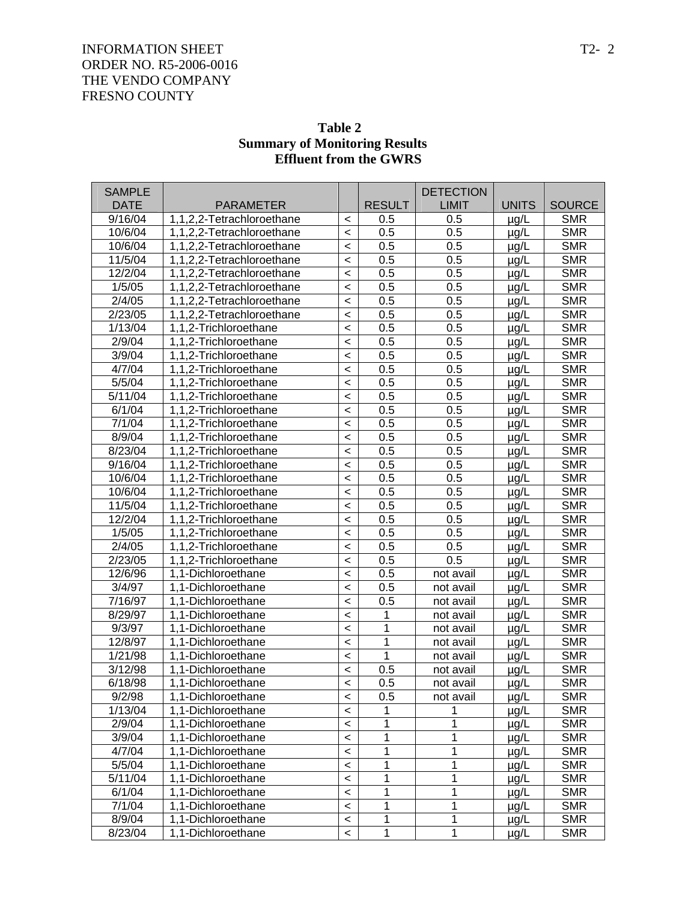|               |                           |         | <b>Effluent from the GWRS</b> |                  |              |               |
|---------------|---------------------------|---------|-------------------------------|------------------|--------------|---------------|
| <b>SAMPLE</b> |                           |         |                               | <b>DETECTION</b> |              |               |
| <b>DATE</b>   | <b>PARAMETER</b>          |         | <b>RESULT</b>                 | <b>LIMIT</b>     | <b>UNITS</b> | <b>SOURCE</b> |
| 9/16/04       | 1,1,2,2-Tetrachloroethane | $\,<\,$ | 0.5                           | 0.5              | $\mu$ g/L    | <b>SMR</b>    |
| 10/6/04       | 1,1,2,2-Tetrachloroethane | $\,<$   | 0.5                           | 0.5              | $\mu$ g/L    | <b>SMR</b>    |
| 10/6/04       | 1,1,2,2-Tetrachloroethane | $\,<$   | 0.5                           | 0.5              | $\mu$ g/L    | <b>SMR</b>    |
| 11/5/04       | 1,1,2,2-Tetrachloroethane | $\,<$   | 0.5                           | 0.5              | µg/L         | <b>SMR</b>    |
| 12/2/04       | 1,1,2,2-Tetrachloroethane | $\,<$   | 0.5                           | 0.5              | µg/L         | <b>SMR</b>    |
| 1/5/05        | 1,1,2,2-Tetrachloroethane | $\,<$   | 0.5                           | 0.5              | $\mu$ g/L    | <b>SMR</b>    |
| 2/4/05        | 1,1,2,2-Tetrachloroethane | $\,<$   | 0.5                           | 0.5              | $\mu$ g/L    | <b>SMR</b>    |
| 2/23/05       | 1,1,2,2-Tetrachloroethane | $\,<$   | 0.5                           | 0.5              | $\mu$ g/L    | <b>SMR</b>    |
| 1/13/04       | 1,1,2-Trichloroethane     | $\,<$   | 0.5                           | 0.5              | $\mu$ g/L    | <b>SMR</b>    |
| 2/9/04        | 1,1,2-Trichloroethane     | $\,<$   | 0.5                           | 0.5              | $\mu$ g/L    | <b>SMR</b>    |
| 3/9/04        | 1,1,2-Trichloroethane     | $\,<$   | 0.5                           | 0.5              | $\mu$ g/L    | <b>SMR</b>    |
| 4/7/04        | 1,1,2-Trichloroethane     | $\,<$   | 0.5                           | 0.5              | $\mu$ g/L    | <b>SMR</b>    |
| 5/5/04        | 1,1,2-Trichloroethane     | $\,<$   | 0.5                           | 0.5              | $\mu$ g/L    | <b>SMR</b>    |
| 5/11/04       | 1,1,2-Trichloroethane     | $\,<$   | 0.5                           | 0.5              | $\mu$ g/L    | <b>SMR</b>    |
| 6/1/04        | 1,1,2-Trichloroethane     | $\,<$   | 0.5                           | 0.5              | $\mu$ g/L    | <b>SMR</b>    |
| 7/1/04        | 1,1,2-Trichloroethane     | $\,<$   | 0.5                           | 0.5              | $\mu$ g/L    | <b>SMR</b>    |
| 8/9/04        | 1,1,2-Trichloroethane     | $\,<$   | 0.5                           | 0.5              | $\mu$ g/L    | <b>SMR</b>    |
| 8/23/04       | 1,1,2-Trichloroethane     | $\,<$   | 0.5                           | 0.5              | $\mu$ g/L    | <b>SMR</b>    |
| 9/16/04       | 1,1,2-Trichloroethane     | $\,<$   | 0.5                           | 0.5              | $\mu$ g/L    | <b>SMR</b>    |
| 10/6/04       | 1,1,2-Trichloroethane     | $\,<$   | 0.5                           | 0.5              | $\mu$ g/L    | <b>SMR</b>    |
| 10/6/04       | 1,1,2-Trichloroethane     | $\,<$   | 0.5                           | 0.5              | µg/L         | <b>SMR</b>    |
| 11/5/04       | 1,1,2-Trichloroethane     | $\,<$   | 0.5                           | 0.5              | µg/L         | <b>SMR</b>    |
| 12/2/04       | 1,1,2-Trichloroethane     | $\,<$   | 0.5                           | 0.5              | $\mu$ g/L    | <b>SMR</b>    |
| 1/5/05        | 1,1,2-Trichloroethane     | $\,<$   | 0.5                           | 0.5              | $\mu$ g/L    | <b>SMR</b>    |
| 2/4/05        | 1,1,2-Trichloroethane     | $\,<$   | 0.5                           | 0.5              | $\mu$ g/L    | <b>SMR</b>    |
| 2/23/05       | 1,1,2-Trichloroethane     | $\,<$   | 0.5                           | 0.5              | $\mu$ g/L    | <b>SMR</b>    |
| 12/6/96       | 1,1-Dichloroethane        | $\,<$   | 0.5                           | not avail        | $\mu$ g/L    | <b>SMR</b>    |
| 3/4/97        | 1,1-Dichloroethane        | $\,<$   | 0.5                           | not avail        | $\mu$ g/L    | <b>SMR</b>    |
| 7/16/97       | 1,1-Dichloroethane        | $\,<$   | 0.5                           | not avail        | µg/L         | <b>SMR</b>    |
| 8/29/97       | 1,1-Dichloroethane        | $\,<$   | 1                             | not avail        | µg/L         | <b>SMR</b>    |
| 9/3/97        | 1,1-Dichloroethane        | $\,<$   | 1                             | not avail        | µg/L         | <b>SMR</b>    |
| 12/8/97       | 1,1-Dichloroethane        | $\,<$   | 1                             | not avail        | µg/L         | <b>SMR</b>    |
| 1/21/98       | 1.1-Dichloroethane        | $\,<$   | 1                             | not avail        | $\mu$ g/L    | <b>SMR</b>    |
| 3/12/98       | 1,1-Dichloroethane        | $\,<\,$ | 0.5                           | not avail        | µg/L         | <b>SMR</b>    |
| 6/18/98       | 1,1-Dichloroethane        | $\,<$   | 0.5                           | not avail        | µg/L         | <b>SMR</b>    |
| 9/2/98        | 1,1-Dichloroethane        | $\prec$ | 0.5                           | not avail        | µg/L         | <b>SMR</b>    |
| 1/13/04       | 1,1-Dichloroethane        | $\prec$ |                               |                  | µg/L         | <b>SMR</b>    |
| 2/9/04        | 1,1-Dichloroethane        | $\prec$ |                               | 1                | µg/L         | <b>SMR</b>    |
| 3/9/04        | 1,1-Dichloroethane        | $\prec$ | 1                             | 1                | µg/L         | <b>SMR</b>    |
| 4/7/04        | 1,1-Dichloroethane        | $\prec$ | 1                             | 1                | µg/L         | <b>SMR</b>    |
| 5/5/04        | 1,1-Dichloroethane        | $\prec$ | 1                             | 1                | µg/L         | <b>SMR</b>    |
| 5/11/04       | 1,1-Dichloroethane        | $\prec$ | 1                             | 1                | µg/L         | <b>SMR</b>    |
| 6/1/04        | 1,1-Dichloroethane        | $\prec$ | 1                             | 1                | µg/L         | <b>SMR</b>    |
| 7/1/04        | 1,1-Dichloroethane        | $\,<$   | 1                             | 1                | µg/L         | <b>SMR</b>    |
| 8/9/04        | 1,1-Dichloroethane        | $\prec$ | 1                             | 1                | $\mu$ g/L    | <b>SMR</b>    |
| 8/23/04       | 1,1-Dichloroethane        | $\,<$   | 1                             | 1                | µg/L         | <b>SMR</b>    |

# **Table 2 Summary of Monitoring Results**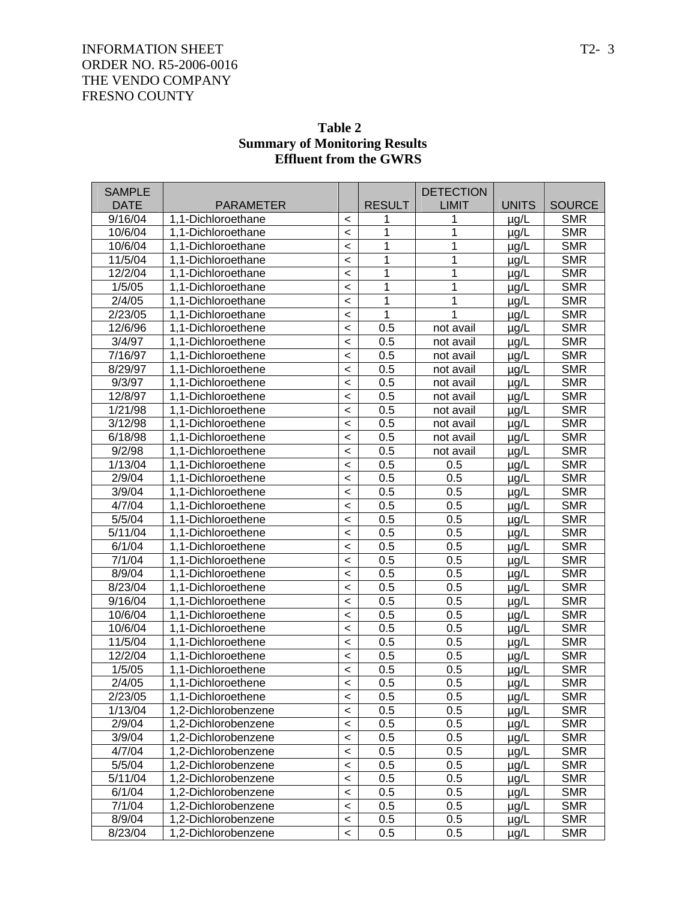| <b>SAMPLE</b> |                     |                          |               | <b>DETECTION</b> |              |               |
|---------------|---------------------|--------------------------|---------------|------------------|--------------|---------------|
| <b>DATE</b>   | <b>PARAMETER</b>    |                          | <b>RESULT</b> | <b>LIMIT</b>     | <b>UNITS</b> | <b>SOURCE</b> |
| 9/16/04       | 1,1-Dichloroethane  | $\,<\,$                  | 1             | 1                | $\mu$ g/L    | <b>SMR</b>    |
| 10/6/04       | 1,1-Dichloroethane  | $\,<$                    | 1             | 1                | µg/L         | <b>SMR</b>    |
| 10/6/04       | 1.1-Dichloroethane  | $\,<$                    | 1             | 1                | $\mu$ g/L    | <b>SMR</b>    |
| 11/5/04       | 1.1-Dichloroethane  | $\,<$                    | 1             | 1                | $\mu$ g/L    | <b>SMR</b>    |
| 12/2/04       | 1,1-Dichloroethane  | $\,<\,$                  | 1             | 1                | $\mu$ g/L    | <b>SMR</b>    |
| 1/5/05        | 1,1-Dichloroethane  | $\,<$                    | 1             | 1                | $\mu$ g/L    | <b>SMR</b>    |
| 2/4/05        | 1.1-Dichloroethane  | $\,<$                    | 1             | 1                | $\mu$ g/L    | <b>SMR</b>    |
| 2/23/05       | 1,1-Dichloroethane  | $\,<\,$                  | 1             | 1                | $\mu$ g/L    | <b>SMR</b>    |
| 12/6/96       | 1.1-Dichloroethene  | $\,<$                    | 0.5           | not avail        | $\mu$ g/L    | <b>SMR</b>    |
| 3/4/97        | 1,1-Dichloroethene  | $\,<$                    | 0.5           | not avail        | $\mu$ g/L    | <b>SMR</b>    |
| 7/16/97       | 1,1-Dichloroethene  | $\,<$                    | 0.5           | not avail        | $\mu$ g/L    | <b>SMR</b>    |
| 8/29/97       | 1.1-Dichloroethene  | $\,<$                    | 0.5           | not avail        | $\mu$ g/L    | <b>SMR</b>    |
| 9/3/97        | 1,1-Dichloroethene  | $\,<$                    | 0.5           | not avail        | $\mu$ g/L    | <b>SMR</b>    |
| 12/8/97       | 1.1-Dichloroethene  | $\,<$                    | 0.5           | not avail        | µg/L         | <b>SMR</b>    |
| 1/21/98       | 1.1-Dichloroethene  | $\,<$                    | 0.5           | not avail        | $\mu$ g/L    | <b>SMR</b>    |
| 3/12/98       | 1,1-Dichloroethene  | $\,<$                    | 0.5           | not avail        | µg/L         | <b>SMR</b>    |
| 6/18/98       | 1.1-Dichloroethene  | $\,<$                    | 0.5           | not avail        | $\mu$ g/L    | <b>SMR</b>    |
| 9/2/98        | 1,1-Dichloroethene  | $\,<$                    | 0.5           | not avail        | $\mu$ g/L    | <b>SMR</b>    |
| 1/13/04       | 1,1-Dichloroethene  | $\,<$                    | 0.5           | 0.5              | $\mu$ g/L    | <b>SMR</b>    |
| 2/9/04        | 1.1-Dichloroethene  | $\,<$                    | 0.5           | 0.5              | $\mu$ g/L    | <b>SMR</b>    |
| 3/9/04        | 1,1-Dichloroethene  | $\,<$                    | 0.5           | 0.5              | $\mu$ g/L    | <b>SMR</b>    |
| 4/7/04        | 1,1-Dichloroethene  | $\,<$                    | 0.5           | 0.5              | $\mu$ g/L    | <b>SMR</b>    |
| 5/5/04        | 1.1-Dichloroethene  | $\,<$                    | 0.5           | 0.5              | $\mu$ g/L    | <b>SMR</b>    |
| 5/11/04       | 1,1-Dichloroethene  | $\,<$                    | 0.5           | 0.5              | $\mu$ g/L    | <b>SMR</b>    |
| 6/1/04        | 1.1-Dichloroethene  | $\,<$                    | 0.5           | 0.5              | $\mu$ g/L    | <b>SMR</b>    |
| 7/1/04        | 1.1-Dichloroethene  | $\,<$                    | 0.5           | 0.5              | $\mu$ g/L    | <b>SMR</b>    |
| 8/9/04        | 1,1-Dichloroethene  | $\,<$                    | 0.5           | 0.5              | $\mu$ g/L    | <b>SMR</b>    |
| 8/23/04       | 1.1-Dichloroethene  | $\,<$                    | 0.5           | 0.5              | $\mu$ g/L    | <b>SMR</b>    |
| 9/16/04       | 1,1-Dichloroethene  | $\,<$                    | 0.5           | 0.5              | $\mu$ g/L    | <b>SMR</b>    |
| 10/6/04       | 1,1-Dichloroethene  | $\,<$                    | 0.5           | 0.5              | $\mu$ g/L    | <b>SMR</b>    |
| 10/6/04       | 1.1-Dichloroethene  | $\,<$                    | 0.5           | 0.5              | $\mu$ g/L    | <b>SMR</b>    |
| 11/5/04       | 1,1-Dichloroethene  | $\,<$                    | 0.5           | 0.5              | $\mu$ g/L    | <b>SMR</b>    |
| 12/2/04       | 1,1-Dichloroethene  | $\,<$                    | 0.5           | 0.5              | $\mu$ g/L    | <b>SMR</b>    |
| 1/5/05        | 1,1-Dichloroethene  | $\,<$                    | 0.5           | 0.5              | $\mu$ g/L    | <b>SMR</b>    |
| 2/4/05        | 1,1-Dichloroethene  | $\overline{\phantom{a}}$ | 0.5           | 0.5              | µg/L         | <b>SMR</b>    |
| 2/23/05       | 1,1-Dichloroethene  | $\,<\,$                  | 0.5           | 0.5              | $\mu$ g/L    | <b>SMR</b>    |
| 1/13/04       | 1,2-Dichlorobenzene | $\,<\,$                  | 0.5           | 0.5              | $\mu$ g/L    | <b>SMR</b>    |
| 2/9/04        | 1,2-Dichlorobenzene | $\,<\,$                  | 0.5           | 0.5              | $\mu$ g/L    | <b>SMR</b>    |
| 3/9/04        | 1,2-Dichlorobenzene | $\,<$                    | 0.5           | 0.5              | µg/L         | <b>SMR</b>    |
| 4/7/04        | 1,2-Dichlorobenzene | $\,<$                    | 0.5           | 0.5              | $\mu$ g/L    | <b>SMR</b>    |
| 5/5/04        | 1,2-Dichlorobenzene | $\,<\,$                  | 0.5           | 0.5              | µg/L         | <b>SMR</b>    |
| 5/11/04       | 1,2-Dichlorobenzene | $\,<$                    | 0.5           | 0.5              | µg/L         | <b>SMR</b>    |
| 6/1/04        | 1,2-Dichlorobenzene | $\,<\,$                  | 0.5           | 0.5              | $\mu$ g/L    | <b>SMR</b>    |
| 7/1/04        | 1,2-Dichlorobenzene | $\,<\,$                  | 0.5           | 0.5              | µg/L         | <b>SMR</b>    |
| 8/9/04        | 1,2-Dichlorobenzene | $\,<$                    | 0.5           | 0.5              | µg/L         | <b>SMR</b>    |
| 8/23/04       | 1,2-Dichlorobenzene | $\,<$                    | 0.5           | 0.5              | $\mu$ g/L    | <b>SMR</b>    |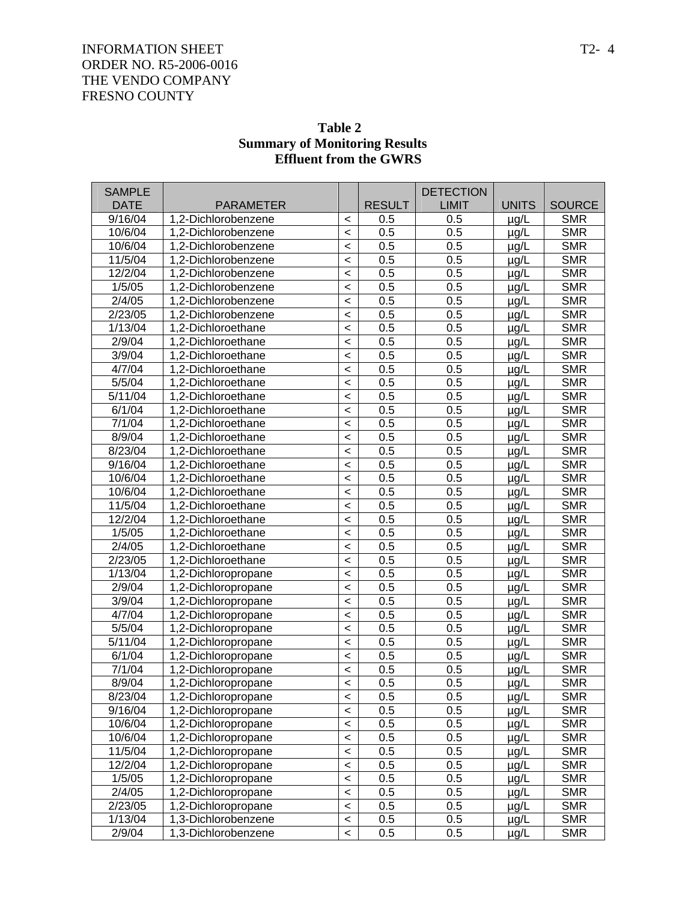| <b>SAMPLE</b> |                     |         |               | <b>DETECTION</b> |              |               |
|---------------|---------------------|---------|---------------|------------------|--------------|---------------|
| <b>DATE</b>   | <b>PARAMETER</b>    |         | <b>RESULT</b> | <b>LIMIT</b>     | <b>UNITS</b> | <b>SOURCE</b> |
| 9/16/04       | 1,2-Dichlorobenzene | $\,<\,$ | 0.5           | 0.5              | $\mu g/L$    | <b>SMR</b>    |
| 10/6/04       | 1,2-Dichlorobenzene | $\,<$   | 0.5           | 0.5              | $\mu$ g/L    | <b>SMR</b>    |
| 10/6/04       | 1,2-Dichlorobenzene | $\,<$   | 0.5           | 0.5              | $\mu$ g/L    | <b>SMR</b>    |
| 11/5/04       | 1,2-Dichlorobenzene | $\,<$   | 0.5           | 0.5              | $\mu$ g/L    | <b>SMR</b>    |
| 12/2/04       | 1,2-Dichlorobenzene | $\,<$   | 0.5           | 0.5              | µg/L         | <b>SMR</b>    |
| 1/5/05        | 1,2-Dichlorobenzene | $\prec$ | 0.5           | 0.5              | µg/L         | <b>SMR</b>    |
| 2/4/05        | 1,2-Dichlorobenzene | $\prec$ | 0.5           | 0.5              | $\mu$ g/L    | <b>SMR</b>    |
| 2/23/05       | 1,2-Dichlorobenzene | $\,<$   | 0.5           | 0.5              | $\mu$ g/L    | <b>SMR</b>    |
| 1/13/04       | 1,2-Dichloroethane  | $\,<$   | 0.5           | 0.5              | $\mu$ g/L    | <b>SMR</b>    |
| 2/9/04        | 1,2-Dichloroethane  | $\,<$   | 0.5           | 0.5              | µg/L         | <b>SMR</b>    |
| 3/9/04        | 1,2-Dichloroethane  | $\,<$   | 0.5           | 0.5              | $\mu$ g/L    | <b>SMR</b>    |
| 4/7/04        | 1,2-Dichloroethane  | $\,<$   | 0.5           | 0.5              | $\mu$ g/L    | <b>SMR</b>    |
| 5/5/04        | 1,2-Dichloroethane  | $\,<$   | 0.5           | 0.5              | $\mu$ g/L    | <b>SMR</b>    |
| 5/11/04       | 1,2-Dichloroethane  | $\,<$   | 0.5           | 0.5              | µg/L         | <b>SMR</b>    |
| 6/1/04        | 1,2-Dichloroethane  | $\,<$   | 0.5           | 0.5              | µg/L         | <b>SMR</b>    |
| 7/1/04        | 1,2-Dichloroethane  | $\,<$   | 0.5           | 0.5              | $\mu$ g/L    | <b>SMR</b>    |
| 8/9/04        | 1,2-Dichloroethane  | $\,<$   | 0.5           | 0.5              | $\mu$ g/L    | <b>SMR</b>    |
| 8/23/04       | 1,2-Dichloroethane  | $\,<$   | 0.5           | 0.5              | $\mu$ g/L    | <b>SMR</b>    |
| 9/16/04       | 1,2-Dichloroethane  | $\,<$   | 0.5           | 0.5              | µg/L         | <b>SMR</b>    |
| 10/6/04       | 1,2-Dichloroethane  | $\,<$   | 0.5           | 0.5              | $\mu$ g/L    | <b>SMR</b>    |
| 10/6/04       | 1,2-Dichloroethane  | $\,<$   | 0.5           | 0.5              | $\mu$ g/L    | <b>SMR</b>    |
| 11/5/04       | 1,2-Dichloroethane  | $\,<$   | 0.5           | 0.5              | $\mu$ g/L    | <b>SMR</b>    |
| 12/2/04       | 1,2-Dichloroethane  | $\,<$   | 0.5           | 0.5              | $\mu$ g/L    | <b>SMR</b>    |
| 1/5/05        | 1,2-Dichloroethane  | $\,<$   | 0.5           | 0.5              | µg/L         | <b>SMR</b>    |
| 2/4/05        | 1,2-Dichloroethane  | $\,<$   | 0.5           | 0.5              | $\mu$ g/L    | <b>SMR</b>    |
| 2/23/05       | 1,2-Dichloroethane  | $\,<$   | 0.5           | 0.5              | $\mu$ g/L    | <b>SMR</b>    |
| 1/13/04       | 1,2-Dichloropropane | $\,<$   | 0.5           | 0.5              | $\mu$ g/L    | <b>SMR</b>    |
| 2/9/04        | 1,2-Dichloropropane | $\,<$   | 0.5           | 0.5              | $\mu$ g/L    | <b>SMR</b>    |
| 3/9/04        | 1,2-Dichloropropane | $\,<$   | 0.5           | 0.5              | $\mu$ g/L    | <b>SMR</b>    |
| 4/7/04        | 1,2-Dichloropropane | $\,<$   | 0.5           | 0.5              | $\mu$ g/L    | <b>SMR</b>    |
| 5/5/04        | 1,2-Dichloropropane | $\,<$   | 0.5           | 0.5              | $\mu$ g/L    | <b>SMR</b>    |
| 5/11/04       | 1,2-Dichloropropane | $\,<$   | 0.5           | 0.5              | $\mu$ g/L    | <b>SMR</b>    |
| 6/1/04        | 1,2-Dichloropropane | $\,<$   | 0.5           | 0.5              | µg/L         | <b>SMR</b>    |
| 7/1/04        | 1,2-Dichloropropane | $\prec$ | 0.5           | 0.5              | $\mu$ g/L    | <b>SMR</b>    |
| 8/9/04        | 1.2-Dichloropropane | $\prec$ | 0.5           | 0.5              | $\mu$ g/L    | <b>SMR</b>    |
| 8/23/04       | 1,2-Dichloropropane | $\prec$ | 0.5           | 0.5              | $\mu$ g/L    | <b>SMR</b>    |
| 9/16/04       | 1,2-Dichloropropane | $\prec$ | 0.5           | 0.5              | $\mu$ g/L    | <b>SMR</b>    |
| 10/6/04       | 1,2-Dichloropropane | $\prec$ | 0.5           | 0.5              | µg/L         | <b>SMR</b>    |
| 10/6/04       | 1,2-Dichloropropane | $\prec$ | 0.5           | 0.5              | µg/L         | <b>SMR</b>    |
| 11/5/04       | 1,2-Dichloropropane | $\prec$ | 0.5           | 0.5              | $\mu$ g/L    | <b>SMR</b>    |
| 12/2/04       | 1,2-Dichloropropane | $\prec$ | 0.5           | 0.5              | $\mu$ g/L    | <b>SMR</b>    |
| 1/5/05        | 1,2-Dichloropropane | $\prec$ | 0.5           | 0.5              | $\mu$ g/L    | <b>SMR</b>    |
| 2/4/05        | 1,2-Dichloropropane | $\prec$ | 0.5           | 0.5              | $\mu$ g/L    | <b>SMR</b>    |
| 2/23/05       | 1,2-Dichloropropane | $\prec$ | 0.5           | 0.5              | $\mu$ g/L    | <b>SMR</b>    |
| 1/13/04       | 1,3-Dichlorobenzene | $\prec$ | 0.5           | 0.5              | $\mu$ g/L    | <b>SMR</b>    |
| 2/9/04        | 1,3-Dichlorobenzene | $\,<$   | 0.5           | 0.5              | $\mu$ g/L    | <b>SMR</b>    |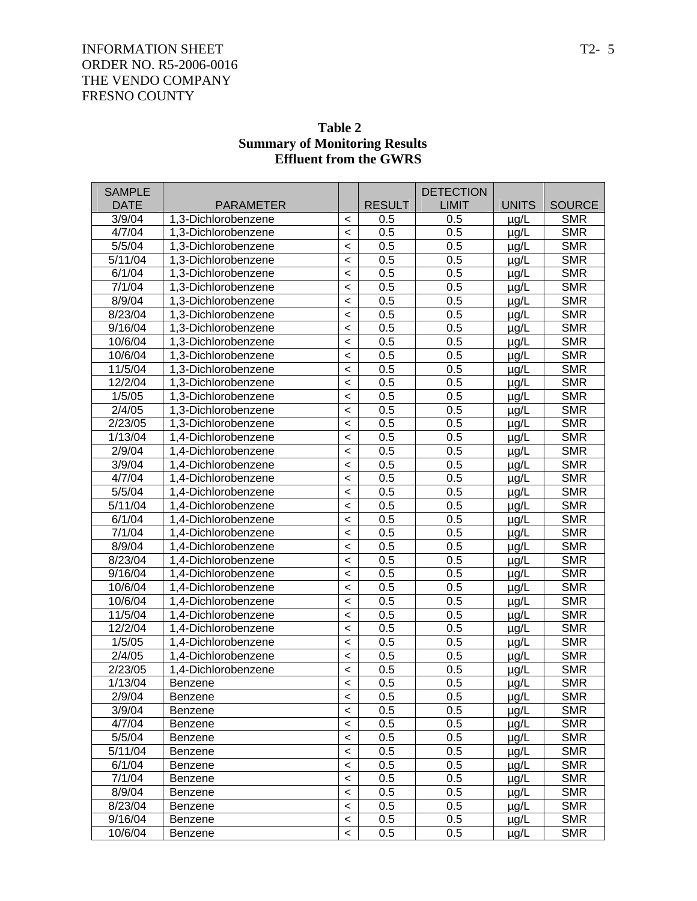| <b>SAMPLE</b><br><b>DATE</b> | <b>PARAMETER</b>                           |                    | <b>RESULT</b> | <b>DETECTION</b><br><b>LIMIT</b> | <b>UNITS</b>           | <b>SOURCE</b> |
|------------------------------|--------------------------------------------|--------------------|---------------|----------------------------------|------------------------|---------------|
| 3/9/04                       | 1,3-Dichlorobenzene                        |                    | 0.5           | 0.5                              |                        | <b>SMR</b>    |
| 4/7/04                       | 1,3-Dichlorobenzene                        | $\,<\,$<br>$\prec$ | 0.5           | 0.5                              | $\mu$ g/L<br>$\mu$ g/L | <b>SMR</b>    |
| 5/5/04                       | 1,3-Dichlorobenzene                        | $\prec$            | 0.5           | 0.5                              | $\mu$ g/L              | <b>SMR</b>    |
| 5/11/04                      | 1,3-Dichlorobenzene                        | $\,<$              | 0.5           | 0.5                              | $\mu$ g/L              | <b>SMR</b>    |
| 6/1/04                       | 1,3-Dichlorobenzene                        | $\,<$              | 0.5           | 0.5                              | $\mu$ g/L              | <b>SMR</b>    |
| 7/1/04                       | 1,3-Dichlorobenzene                        | $\,<$              | 0.5           | 0.5                              | $\mu$ g/L              | <b>SMR</b>    |
| 8/9/04                       | 1,3-Dichlorobenzene                        | $\,<$              | 0.5           | 0.5                              | $\mu$ g/L              | <b>SMR</b>    |
| 8/23/04                      | 1,3-Dichlorobenzene                        | $\,<$              | 0.5           | 0.5                              | $\mu$ g/L              | <b>SMR</b>    |
| 9/16/04                      | 1,3-Dichlorobenzene                        | $\,<$              | 0.5           | 0.5                              | $\mu$ g/L              | <b>SMR</b>    |
| 10/6/04                      | 1,3-Dichlorobenzene                        | $\,<$              | 0.5           | 0.5                              | $\mu$ g/L              | <b>SMR</b>    |
| 10/6/04                      | 1,3-Dichlorobenzene                        | $\,<$              | 0.5           | 0.5                              | $\mu$ g/L              | <b>SMR</b>    |
| 11/5/04                      | 1,3-Dichlorobenzene                        | $\,<$              | 0.5           | 0.5                              | $\mu$ g/L              | <b>SMR</b>    |
| 12/2/04                      | 1,3-Dichlorobenzene                        | $\,<$              | 0.5           | 0.5                              | $\mu$ g/L              | <b>SMR</b>    |
| 1/5/05                       | 1,3-Dichlorobenzene                        | $\,<$              | 0.5           | 0.5                              | $\mu$ g/L              | <b>SMR</b>    |
| 2/4/05                       | 1,3-Dichlorobenzene                        | $\,<$              | 0.5           | 0.5                              | $\mu$ g/L              | <b>SMR</b>    |
| 2/23/05                      | 1,3-Dichlorobenzene                        | $\,<$              | 0.5           | 0.5                              | $\mu$ g/L              | <b>SMR</b>    |
| 1/13/04                      | 1.4-Dichlorobenzene                        | $\,<$              | 0.5           | 0.5                              |                        | <b>SMR</b>    |
| 2/9/04                       | 1,4-Dichlorobenzene                        | $\,<$              | 0.5           | 0.5                              | $\mu$ g/L<br>$\mu$ g/L | <b>SMR</b>    |
| 3/9/04                       | 1.4-Dichlorobenzene                        | $\,<$              | 0.5           | 0.5                              | $\mu$ g/L              | <b>SMR</b>    |
| 4/7/04                       | 1,4-Dichlorobenzene                        |                    | 0.5           | 0.5                              |                        | <b>SMR</b>    |
| 5/5/04                       | 1,4-Dichlorobenzene                        | $\,<$              | 0.5           | 0.5                              | $\mu$ g/L              | <b>SMR</b>    |
| 5/11/04                      | 1.4-Dichlorobenzene                        | $\,<$              | 0.5           | 0.5                              | $\mu$ g/L              | <b>SMR</b>    |
| 6/1/04                       |                                            | $\,<$              | 0.5           | 0.5                              | $\mu$ g/L              | <b>SMR</b>    |
| 7/1/04                       | 1,4-Dichlorobenzene                        | $\,<$              | 0.5           | 0.5                              | $\mu$ g/L              | <b>SMR</b>    |
| 8/9/04                       | 1,4-Dichlorobenzene<br>1.4-Dichlorobenzene | $\,<$              | 0.5           | 0.5                              | $\mu$ g/L              | <b>SMR</b>    |
| 8/23/04                      | 1.4-Dichlorobenzene                        | $\,<$              | 0.5           | 0.5                              | $\mu$ g/L              | <b>SMR</b>    |
| 9/16/04                      | 1.4-Dichlorobenzene                        | $\,<$              | 0.5           | 0.5                              | $\mu$ g/L              | <b>SMR</b>    |
| 10/6/04                      |                                            | $\,<$              | 0.5           | 0.5                              | $\mu$ g/L              | <b>SMR</b>    |
| 10/6/04                      | 1,4-Dichlorobenzene<br>1.4-Dichlorobenzene | $\,<$              | 0.5           | 0.5                              | $\mu$ g/L              | <b>SMR</b>    |
| 11/5/04                      | 1.4-Dichlorobenzene                        | $\,<$              | 0.5           | 0.5                              | $\mu$ g/L              | <b>SMR</b>    |
| 12/2/04                      | 1.4-Dichlorobenzene                        | $\,<$              | 0.5           | 0.5                              | $\mu$ g/L              | <b>SMR</b>    |
|                              | 1.4-Dichlorobenzene                        | $\,<$              | 0.5           | 0.5                              | $\mu$ g/L              | <b>SMR</b>    |
| 1/5/05<br>2/4/05             | 1.4-Dichlorobenzene                        | $\,<$              | 0.5           | 0.5                              | $\mu$ g/L              | <b>SMR</b>    |
| 2/23/05                      | 1.4-Dichlorobenzene                        | $\,<$              | 0.5           | 0.5                              | $\mu$ g/L              | <b>SMR</b>    |
| 1/13/04                      |                                            | $\,<$              | 0.5           | 0.5                              | $\mu$ g/L              | <b>SMR</b>    |
| 2/9/04                       | Benzene                                    | $\prec$            |               |                                  | $\mu$ g/L              | <b>SMR</b>    |
| 3/9/04                       | Benzene                                    | $\,<\,$            | 0.5           | 0.5                              | $\mu$ g/L              | <b>SMR</b>    |
|                              | Benzene                                    | $\,<\,$            | 0.5           | 0.5                              | $\mu$ g/L              |               |
| 4/7/04                       | Benzene                                    | $\,<\,$            | 0.5           | 0.5                              | $\mu$ g/L              | <b>SMR</b>    |
| 5/5/04                       | Benzene                                    | $\,<\,$            | 0.5           | 0.5                              | $\mu$ g/L              | <b>SMR</b>    |
| 5/11/04                      | Benzene                                    | $\,<\,$            | 0.5           | 0.5                              | $\mu$ g/L              | <b>SMR</b>    |
| 6/1/04                       | Benzene                                    | $\,<\,$            | 0.5           | 0.5                              | $\mu$ g/L              | <b>SMR</b>    |
| 7/1/04                       | <b>Benzene</b>                             | $\,<\,$            | 0.5           | 0.5                              | $\mu$ g/L              | <b>SMR</b>    |
| 8/9/04                       | Benzene                                    | $\,<\,$            | 0.5           | 0.5                              | $\mu$ g/L              | <b>SMR</b>    |
| 8/23/04                      | Benzene                                    | $\,<\,$            | 0.5           | 0.5                              | $\mu$ g/L              | <b>SMR</b>    |
| 9/16/04                      | Benzene                                    | $\,<\,$            | 0.5           | 0.5                              | µg/L                   | <b>SMR</b>    |
| 10/6/04                      | Benzene                                    | $\,<\,$            | 0.5           | 0.5                              | $\mu$ g/L              | <b>SMR</b>    |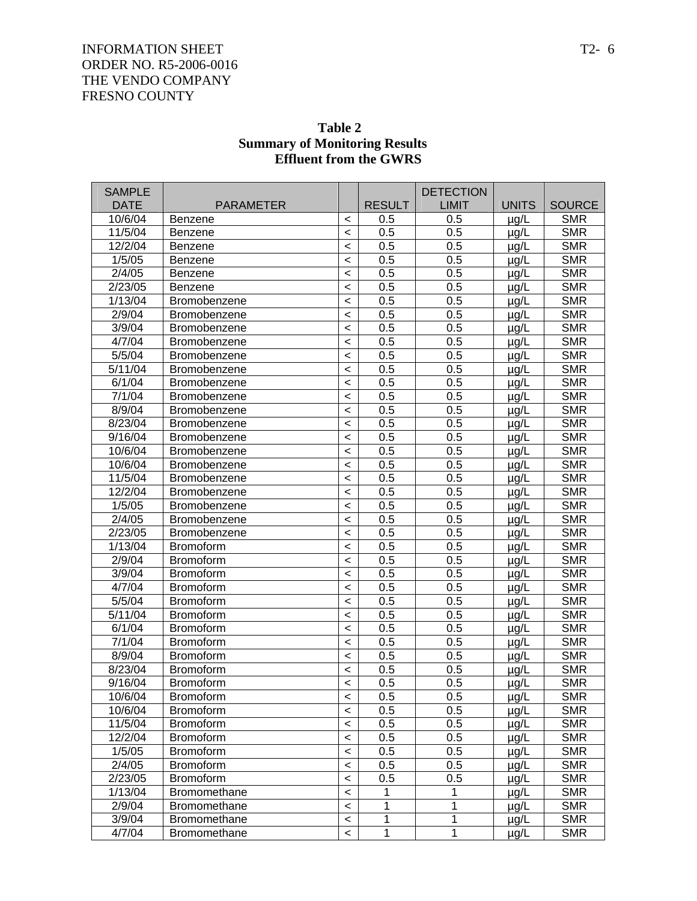| <b>SAMPLE</b>                   |                                      |         |                            | <b>DETECTION</b>  |                        |                          |
|---------------------------------|--------------------------------------|---------|----------------------------|-------------------|------------------------|--------------------------|
| <b>DATE</b>                     | <b>PARAMETER</b>                     |         | <b>RESULT</b>              | LIMIT             | <b>UNITS</b>           | <b>SOURCE</b>            |
| 10/6/04<br>11/5/04              | <b>Benzene</b>                       | $\,<\,$ | 0.5                        | 0.5<br>0.5        | $\mu$ g/L              | <b>SMR</b><br><b>SMR</b> |
| 12/2/04                         | Benzene                              | $\,<\,$ | 0.5                        | 0.5               | $\mu$ g/L              | <b>SMR</b>               |
|                                 | Benzene                              | $\,<$   | 0.5<br>0.5                 | 0.5               | $\mu$ g/L              | <b>SMR</b>               |
| 1/5/05<br>2/4/05                | <b>Benzene</b>                       | $\,<$   |                            | 0.5               | $\mu$ g/L              | <b>SMR</b>               |
| 2/23/05                         | <b>Benzene</b>                       | $\,<$   | 0.5<br>0.5                 | 0.5               | $\mu$ g/L              | <b>SMR</b>               |
| 1/13/04                         | <b>Benzene</b>                       | $\,<\,$ | 0.5                        | 0.5               | $\mu$ g/L              | <b>SMR</b>               |
| 2/9/04                          | Bromobenzene                         | $\,<$   |                            | 0.5               | $\mu$ g/L              | <b>SMR</b>               |
| 3/9/04                          | Bromobenzene                         | $\,<$   | 0.5<br>0.5                 | 0.5               | $\mu$ g/L              | <b>SMR</b>               |
| 4/7/04                          | Bromobenzene<br>Bromobenzene         | $\,<$   | 0.5                        | 0.5               | $\mu$ g/L              | <b>SMR</b>               |
| 5/5/04                          | <b>Bromobenzene</b>                  | $\,<\,$ | 0.5                        | 0.5               | $\mu$ g/L              | <b>SMR</b>               |
| 5/11/04                         | <b>Bromobenzene</b>                  | $\,<$   | 0.5                        | 0.5               | $\mu$ g/L              | <b>SMR</b>               |
| 6/1/04                          | Bromobenzene                         | $\,<$   | 0.5                        | 0.5               | $\mu$ g/L              | <b>SMR</b>               |
| 7/1/04                          |                                      | $\,<$   | 0.5                        | 0.5               | $\mu$ g/L              | <b>SMR</b>               |
| 8/9/04                          | Bromobenzene                         | $\,<$   | 0.5                        | 0.5               | $\mu$ g/L              | <b>SMR</b>               |
| 8/23/04                         | Bromobenzene<br><b>Bromobenzene</b>  | $\,<\,$ | 0.5                        | 0.5               | $\mu$ g/L              | <b>SMR</b>               |
| 9/16/04                         |                                      | $\,<$   | 0.5                        | 0.5               | $\mu$ g/L              | <b>SMR</b>               |
| 10/6/04                         | Bromobenzene<br>Bromobenzene         | $\,<$   | 0.5                        | 0.5               | $\mu$ g/L              | <b>SMR</b>               |
| 10/6/04                         |                                      | $\,<$   | 0.5                        | 0.5               | $\mu$ g/L              | <b>SMR</b>               |
| 11/5/04                         | Bromobenzene                         | $\,<$   | 0.5                        | 0.5               | $\mu$ g/L              | <b>SMR</b>               |
| 12/2/04                         | Bromobenzene                         | $\,<\,$ | 0.5                        | 0.5               | $\mu$ g/L              | <b>SMR</b>               |
| 1/5/05                          | Bromobenzene                         | $\,<$   |                            | 0.5               | $\mu$ g/L              | <b>SMR</b>               |
| 2/4/05                          | Bromobenzene                         | $\,<$   | 0.5<br>0.5                 | 0.5               | $\mu$ g/L              | <b>SMR</b>               |
| 2/23/05                         | Bromobenzene                         | $\,<$   |                            | 0.5               | $\mu$ g/L              | <b>SMR</b>               |
| 1/13/04                         | <b>Bromobenzene</b>                  | $\,<\,$ | 0.5<br>0.5                 | 0.5               | $\mu$ g/L              | <b>SMR</b>               |
| 2/9/04                          | <b>Bromoform</b>                     | $\,<\,$ |                            | 0.5               | $\mu$ g/L              | <b>SMR</b>               |
| 3/9/04                          | <b>Bromoform</b>                     | $\,<$   | 0.5                        | 0.5               | $\mu$ g/L              | <b>SMR</b>               |
| 4/7/04                          | <b>Bromoform</b>                     | $\,<$   | 0.5<br>0.5                 |                   | $\mu$ g/L              |                          |
| 5/5/04                          | <b>Bromoform</b>                     | $\,<$   | 0.5                        | 0.5<br>0.5        | $\mu$ g/L              | <b>SMR</b><br><b>SMR</b> |
| 5/11/04                         | <b>Bromoform</b><br><b>Bromoform</b> | $\,<\,$ | 0.5                        | 0.5               | $\mu$ g/L              | <b>SMR</b>               |
| 6/1/04                          | <b>Bromoform</b>                     | $\,<\,$ | 0.5                        | 0.5               | $\mu$ g/L              | <b>SMR</b>               |
| 7/1/04                          | <b>Bromoform</b>                     | $\,<$   | 0.5                        | 0.5               | $\mu$ g/L              | <b>SMR</b>               |
| 8/9/04                          | <b>Bromoform</b>                     | $\,<$   | 0.5                        | 0.5               | $\mu$ g/L              | <b>SMR</b>               |
| 8/23/04                         | <b>Bromoform</b>                     | $\,<\,$ | 0.5                        | 0.5               | $\mu$ g/L              | <b>SMR</b>               |
| 9/16/04                         |                                      | $\,<\,$ | 0.5                        | 0.5               | $\mu$ g/L<br>$\mu$ q/L | <b>SMR</b>               |
| 10/6/04                         | <b>Bromoform</b>                     | $\,<$   |                            | 0.5               |                        | <b>SMR</b>               |
| 10/6/04                         | <b>Bromoform</b><br><b>Bromoform</b> | $\,<$   | 0.5<br>0.5                 |                   | $\mu$ g/L              | <b>SMR</b>               |
| 11/5/04                         |                                      | $\,<$   |                            | 0.5               | $\mu$ g/L              |                          |
| 12/2/04                         | <b>Bromoform</b>                     | $\,<$   | 0.5                        | 0.5               | µg/L                   | <b>SMR</b>               |
| 1/5/05                          | <b>Bromoform</b>                     | $\,<$   | 0.5                        | 0.5               | $\mu$ g/L              | <b>SMR</b>               |
|                                 | <b>Bromoform</b>                     | $\,<$   | 0.5                        | 0.5               | $\mu$ g/L              | <b>SMR</b>               |
| 2/4/05                          | <b>Bromoform</b>                     | $\,<$   | 0.5                        | 0.5               | $\mu$ g/L              | <b>SMR</b>               |
| $\overline{2}/23/05$<br>1/13/04 | <b>Bromoform</b>                     | $\,<$   | 0.5                        | 0.5               | $\mu$ g/L              | <b>SMR</b>               |
| 2/9/04                          | Bromomethane                         | $\,<$   | $\mathbf 1$<br>$\mathbf 1$ | $\mathbf{1}$<br>1 | $\mu$ g/L              | <b>SMR</b>               |
| 3/9/04                          | <b>Bromomethane</b>                  | $\,<$   | 1                          | 1                 | $\mu$ g/L              | <b>SMR</b>               |
|                                 | <b>Bromomethane</b>                  | $\,<$   |                            |                   | $\mu$ g/L              | <b>SMR</b>               |
| 4/7/04                          | Bromomethane                         | $\,<$   | $\mathbf 1$                | 1                 | $\mu$ g/L              | <b>SMR</b>               |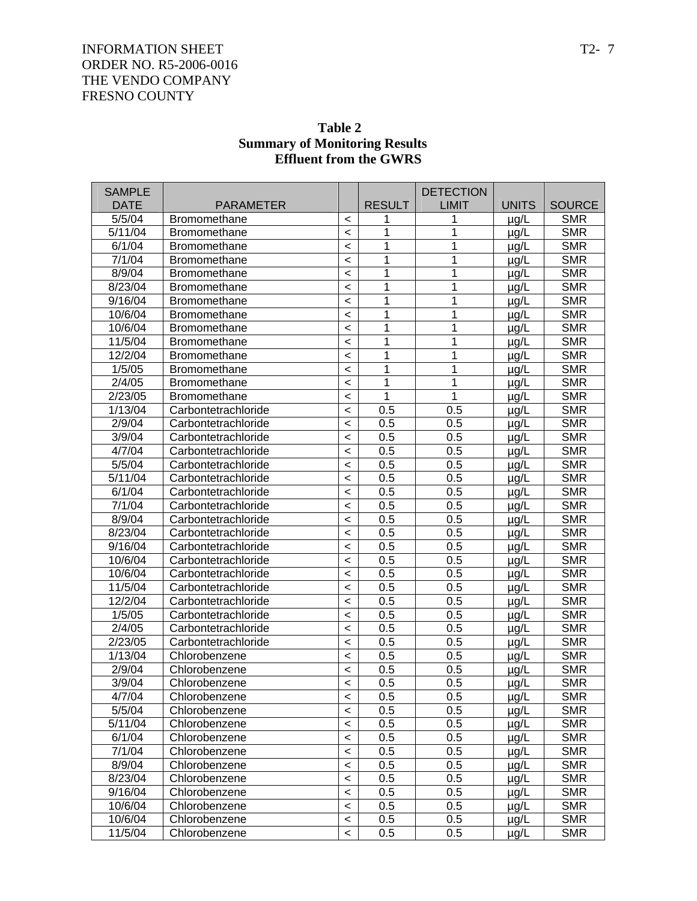| Table 2                              |
|--------------------------------------|
| <b>Summary of Monitoring Results</b> |
| <b>Effluent from the GWRS</b>        |

| <b>SAMPLE</b> |                     |                          |               | <b>DETECTION</b> |              |               |
|---------------|---------------------|--------------------------|---------------|------------------|--------------|---------------|
| <b>DATE</b>   | <b>PARAMETER</b>    |                          | <b>RESULT</b> | <b>LIMIT</b>     | <b>UNITS</b> | <b>SOURCE</b> |
| 5/5/04        | <b>Bromomethane</b> | $\,<\,$                  | 1             | 1                | $\mu$ g/L    | <b>SMR</b>    |
| 5/11/04       | <b>Bromomethane</b> | $\,<$                    | 1             | 1                | $\mu$ g/L    | <b>SMR</b>    |
| 6/1/04        | <b>Bromomethane</b> | $\,<$                    | 1             | 1                | $\mu$ g/L    | <b>SMR</b>    |
| 7/1/04        | <b>Bromomethane</b> | $\,<$                    | 1             | 1                | $\mu$ g/L    | <b>SMR</b>    |
| 8/9/04        | Bromomethane        | $\,<$                    | 1             | 1                | $\mu$ g/L    | <b>SMR</b>    |
| 8/23/04       | Bromomethane        | $\,<$                    | 1             | 1                | $\mu$ g/L    | <b>SMR</b>    |
| 9/16/04       | Bromomethane        | $\,<$                    | 1             | 1                | $\mu$ g/L    | <b>SMR</b>    |
| 10/6/04       | Bromomethane        | $\,<$                    | 1             | 1                | $\mu$ g/L    | <b>SMR</b>    |
| 10/6/04       | <b>Bromomethane</b> | $\,<$                    | 1             | 1                | $\mu$ g/L    | <b>SMR</b>    |
| 11/5/04       | Bromomethane        | $\,<$                    | 1             | 1                | $\mu$ g/L    | <b>SMR</b>    |
| 12/2/04       | Bromomethane        | $\,<$                    | 1             | 1                | $\mu$ g/L    | <b>SMR</b>    |
| 1/5/05        | <b>Bromomethane</b> | $\,<$                    | 1             | 1                | $\mu$ g/L    | <b>SMR</b>    |
| 2/4/05        | Bromomethane        | $\,<$                    | 1             | 1                | $\mu$ g/L    | <b>SMR</b>    |
| 2/23/05       | Bromomethane        | $\,<$                    | 1             | 1                | $\mu$ g/L    | <b>SMR</b>    |
| 1/13/04       | Carbontetrachloride | $\,<$                    | 0.5           | 0.5              | $\mu$ g/L    | <b>SMR</b>    |
| 2/9/04        | Carbontetrachloride | $\,<$                    | 0.5           | 0.5              | $\mu$ g/L    | <b>SMR</b>    |
| 3/9/04        | Carbontetrachloride | $\,<$                    | 0.5           | 0.5              | $\mu$ g/L    | <b>SMR</b>    |
| 4/7/04        | Carbontetrachloride | $\,<$                    | 0.5           | 0.5              | $\mu$ g/L    | <b>SMR</b>    |
| 5/5/04        | Carbontetrachloride | $\,<$                    | 0.5           | 0.5              | $\mu$ g/L    | <b>SMR</b>    |
| 5/11/04       | Carbontetrachloride | $\,<$                    | 0.5           | 0.5              | µg/L         | <b>SMR</b>    |
| 6/1/04        | Carbontetrachloride | $\,<$                    | 0.5           | 0.5              | $\mu$ g/L    | <b>SMR</b>    |
| 7/1/04        | Carbontetrachloride | $\,<$                    | 0.5           | 0.5              | $\mu$ g/L    | <b>SMR</b>    |
| 8/9/04        | Carbontetrachloride | $\,<$                    | 0.5           | 0.5              | $\mu$ g/L    | <b>SMR</b>    |
| 8/23/04       | Carbontetrachloride | $\,<$                    | 0.5           | 0.5              | $\mu$ g/L    | <b>SMR</b>    |
| 9/16/04       | Carbontetrachloride | $\,<$                    | 0.5           | 0.5              | $\mu$ g/L    | <b>SMR</b>    |
| 10/6/04       | Carbontetrachloride | $\,<$                    | 0.5           | 0.5              | $\mu$ g/L    | <b>SMR</b>    |
| 10/6/04       | Carbontetrachloride | $\,<$                    | 0.5           | 0.5              | $\mu$ g/L    | <b>SMR</b>    |
| 11/5/04       | Carbontetrachloride | $\,<$                    | 0.5           | 0.5              | $\mu$ g/L    | <b>SMR</b>    |
| 12/2/04       | Carbontetrachloride | $\,<$                    | 0.5           | 0.5              | $\mu$ g/L    | <b>SMR</b>    |
| 1/5/05        | Carbontetrachloride | $\,<$                    | 0.5           | 0.5              | $\mu$ g/L    | <b>SMR</b>    |
| 2/4/05        | Carbontetrachloride | $\,<$                    | 0.5           | 0.5              | $\mu$ g/L    | <b>SMR</b>    |
| 2/23/05       | Carbontetrachloride | $\,<$                    | 0.5           | 0.5              | $\mu$ g/L    | <b>SMR</b>    |
| 1/13/04       | Chlorobenzene       | $\,<$                    | 0.5           | 0.5              | $\mu$ g/L    | <b>SMR</b>    |
| 2/9/04        | Chlorobenzene       | $\,<$                    | 0.5           | 0.5              | $\mu$ g/L    | <b>SMR</b>    |
| 3/9/04        | Chlorobenzene       | $\prec$                  | 0.5           | 0.5              | µg/L         | <b>SMR</b>    |
| 4/7/04        | Chlorobenzene       | $\overline{\phantom{0}}$ | 0.5           | 0.5              | $\mu$ g/L    | <b>SMR</b>    |
| 5/5/04        | Chlorobenzene       | $\,<\,$                  | 0.5           | 0.5              | $\mu$ g/L    | <b>SMR</b>    |
| 5/11/04       | Chlorobenzene       | $\,<\,$                  | 0.5           | 0.5              | $\mu$ g/L    | <b>SMR</b>    |
| 6/1/04        | Chlorobenzene       | $\,<\,$                  | 0.5           | 0.5              | µg/L         | <b>SMR</b>    |
| 7/1/04        | Chlorobenzene       | $\,<\,$                  | 0.5           | 0.5              | µg/L         | <b>SMR</b>    |
| 8/9/04        | Chlorobenzene       | $\,<\,$                  | 0.5           | 0.5              | µg/L         | <b>SMR</b>    |
| 8/23/04       | Chlorobenzene       | $\,<\,$                  | 0.5           | 0.5              | µg/L         | <b>SMR</b>    |
| 9/16/04       | Chlorobenzene       | $\,<\,$                  | 0.5           | 0.5              | µg/L         | <b>SMR</b>    |
| 10/6/04       | Chlorobenzene       | $\,<\,$                  | 0.5           | 0.5              | µg/L         | <b>SMR</b>    |
| 10/6/04       | Chlorobenzene       | $\,<$                    | 0.5           | 0.5              | µg/L         | <b>SMR</b>    |
| 11/5/04       | Chlorobenzene       | $\,<\,$                  | 0.5           | 0.5              | µg/L         | <b>SMR</b>    |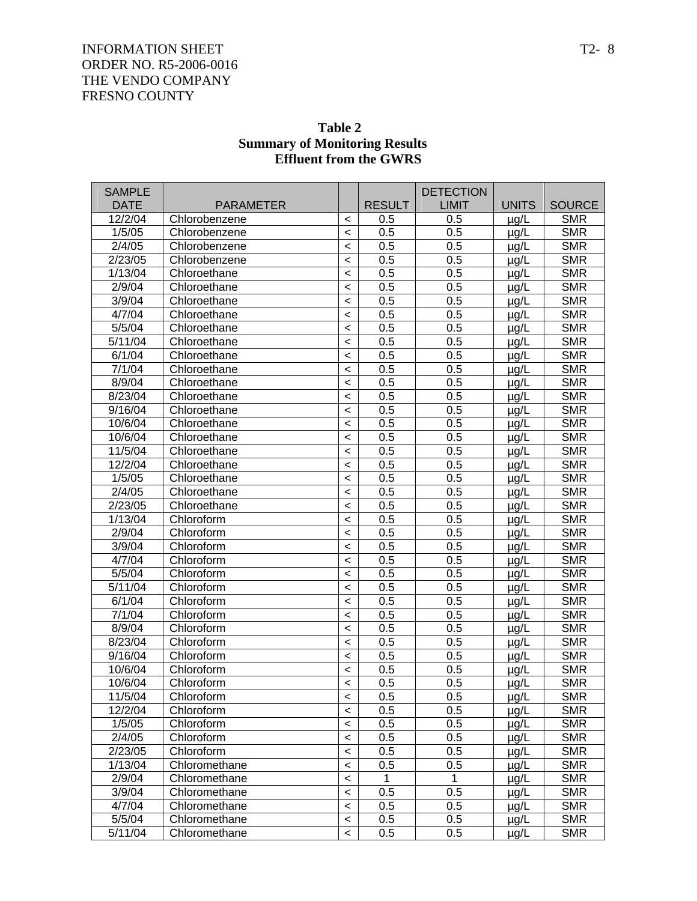| <b>SAMPLE</b> |                  |                          |               | <b>DETECTION</b> |              |               |
|---------------|------------------|--------------------------|---------------|------------------|--------------|---------------|
| <b>DATE</b>   | <b>PARAMETER</b> |                          | <b>RESULT</b> | <b>LIMIT</b>     | <b>UNITS</b> | <b>SOURCE</b> |
| 12/2/04       | Chlorobenzene    | $\,<\,$                  | 0.5           | 0.5              | $\mu$ g/L    | <b>SMR</b>    |
| 1/5/05        | Chlorobenzene    | $\,<$                    | 0.5           | 0.5              | $\mu$ g/L    | <b>SMR</b>    |
| 2/4/05        | Chlorobenzene    | $\,<$                    | 0.5           | 0.5              | $\mu$ g/L    | <b>SMR</b>    |
| 2/23/05       | Chlorobenzene    | $\,<$                    | 0.5           | 0.5              | $\mu$ g/L    | <b>SMR</b>    |
| 1/13/04       | Chloroethane     | $\,<\,$                  | 0.5           | 0.5              | $\mu$ g/L    | <b>SMR</b>    |
| 2/9/04        | Chloroethane     | $\prec$                  | 0.5           | 0.5              | $\mu$ g/L    | <b>SMR</b>    |
| 3/9/04        | Chloroethane     | $\prec$                  | 0.5           | 0.5              | $\mu$ g/L    | <b>SMR</b>    |
| 4/7/04        | Chloroethane     | $\,<$                    | 0.5           | 0.5              | $\mu$ g/L    | <b>SMR</b>    |
| 5/5/04        | Chloroethane     | $\,<$                    | 0.5           | 0.5              | $\mu$ g/L    | <b>SMR</b>    |
| 5/11/04       | Chloroethane     | $\,<\,$                  | 0.5           | 0.5              | $\mu$ g/L    | <b>SMR</b>    |
| 6/1/04        | Chloroethane     | $\,<\,$                  | 0.5           | 0.5              | $\mu$ g/L    | <b>SMR</b>    |
| 7/1/04        | Chloroethane     | $\prec$                  | 0.5           | 0.5              | $\mu$ g/L    | <b>SMR</b>    |
| 8/9/04        | Chloroethane     | $\prec$                  | 0.5           | 0.5              | $\mu$ g/L    | <b>SMR</b>    |
| 8/23/04       | Chloroethane     | $\,<$                    | 0.5           | 0.5              | $\mu$ g/L    | <b>SMR</b>    |
| 9/16/04       | Chloroethane     | $\prec$                  | 0.5           | 0.5              | $\mu$ g/L    | <b>SMR</b>    |
| 10/6/04       | Chloroethane     | $\,<\,$                  | 0.5           | 0.5              | $\mu$ g/L    | <b>SMR</b>    |
| 10/6/04       | Chloroethane     | $\prec$                  | 0.5           | 0.5              | $\mu$ g/L    | <b>SMR</b>    |
| 11/5/04       | Chloroethane     | $\prec$                  | 0.5           | 0.5              | $\mu$ g/L    | <b>SMR</b>    |
| 12/2/04       | Chloroethane     | $\,<$                    | 0.5           | 0.5              | $\mu$ g/L    | <b>SMR</b>    |
| 1/5/05        | Chloroethane     | $\,<$                    | 0.5           | 0.5              | $\mu$ g/L    | <b>SMR</b>    |
| 2/4/05        | Chloroethane     | $\,<\,$                  | 0.5           | 0.5              | $\mu$ g/L    | <b>SMR</b>    |
| 2/23/05       | Chloroethane     | $\prec$                  | 0.5           | 0.5              | $\mu$ g/L    | <b>SMR</b>    |
| 1/13/04       | Chloroform       | $\prec$                  | 0.5           | 0.5              | $\mu$ g/L    | <b>SMR</b>    |
| 2/9/04        | Chloroform       | $\prec$                  | 0.5           | 0.5              | $\mu$ g/L    | <b>SMR</b>    |
| 3/9/04        | Chloroform       | $\,<$                    | 0.5           | 0.5              | $\mu$ g/L    | <b>SMR</b>    |
| 4/7/04        | Chloroform       | $\,<\,$                  | 0.5           | 0.5              | $\mu$ g/L    | <b>SMR</b>    |
| 5/5/04        | Chloroform       | $\,<\,$                  | 0.5           | 0.5              | $\mu$ g/L    | <b>SMR</b>    |
| 5/11/04       | Chloroform       | $\prec$                  | 0.5           | 0.5              | $\mu$ g/L    | <b>SMR</b>    |
| 6/1/04        | Chloroform       | $\prec$                  | 0.5           | 0.5              | $\mu$ g/L    | <b>SMR</b>    |
| 7/1/04        | Chloroform       | $\,<$                    | 0.5           | 0.5              | $\mu$ g/L    | <b>SMR</b>    |
| 8/9/04        | Chloroform       | $\prec$                  | 0.5           | 0.5              | $\mu$ g/L    | <b>SMR</b>    |
| 8/23/04       | Chloroform       | $\,<\,$                  | 0.5           | 0.5              | $\mu$ g/L    | <b>SMR</b>    |
| 9/16/04       | Chloroform       | $\,<\,$                  | 0.5           | 0.5              | $\mu$ g/L    | <b>SMR</b>    |
| 10/6/04       | Chloroform       | $\prec$                  | 0.5           | 0.5              | µg/L         | <b>SMR</b>    |
| 10/6/04       | Chloroform       | $\,<$                    | 0.5           | 0.5              | $\mu$ g/L    | <b>SMR</b>    |
| 11/5/04       | Chloroform       | $\,<\,$                  | 0.5           | 0.5              | $\mu$ g/L    | <b>SMR</b>    |
| 12/2/04       | Chloroform       | $\,<$                    | 0.5           | 0.5              | $\mu$ g/L    | <b>SMR</b>    |
| 1/5/05        | Chloroform       | $\,<$                    | 0.5           | 0.5              | $\mu$ g/L    | <b>SMR</b>    |
| 2/4/05        | Chloroform       | $\,<$                    | 0.5           | 0.5              | $\mu$ g/L    | <b>SMR</b>    |
| 2/23/05       | Chloroform       | $\,<$                    | 0.5           | 0.5              | µg/L         | <b>SMR</b>    |
| 1/13/04       | Chloromethane    | $\overline{\phantom{0}}$ | 0.5           | 0.5              | $\mu$ g/L    | <b>SMR</b>    |
| 2/9/04        | Chloromethane    | $\,<\,$                  | 1             | 1                | $\mu$ g/L    | <b>SMR</b>    |
| 3/9/04        | Chloromethane    | $\,<$                    | 0.5           | 0.5              | $\mu$ g/L    | <b>SMR</b>    |
| 4/7/04        | Chloromethane    | $\,<$                    | 0.5           | 0.5              | $\mu$ g/L    | <b>SMR</b>    |
| 5/5/04        | Chloromethane    | $\,<$                    | 0.5           | 0.5              | $\mu$ g/L    | <b>SMR</b>    |
| 5/11/04       | Chloromethane    | $\,<\,$                  | 0.5           | 0.5              | $\mu$ g/L    | <b>SMR</b>    |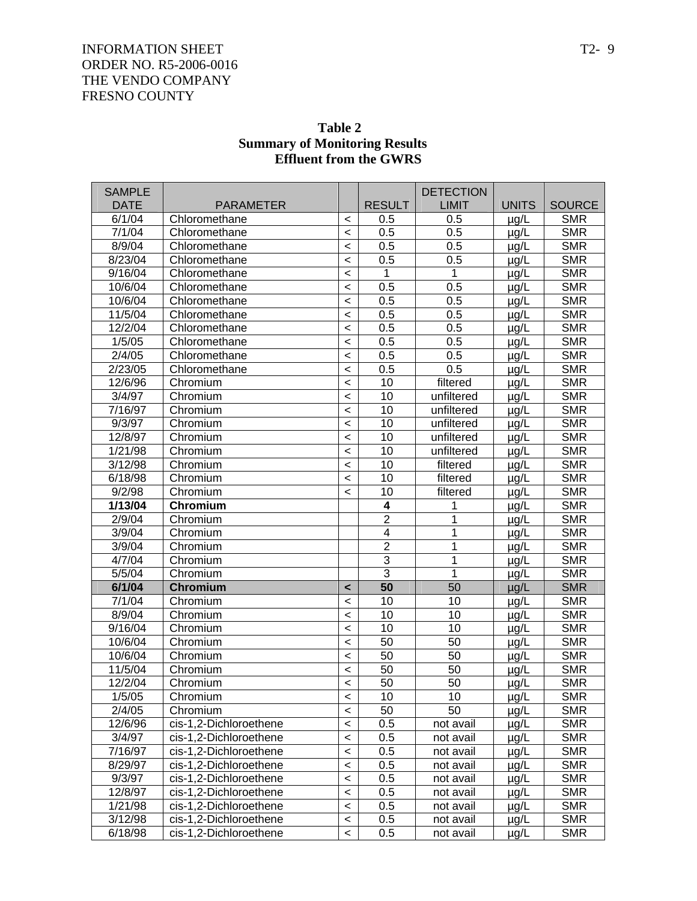| <b>SAMPLE</b> |                        |                          |                         | <b>DETECTION</b> |              |               |
|---------------|------------------------|--------------------------|-------------------------|------------------|--------------|---------------|
| <b>DATE</b>   | <b>PARAMETER</b>       |                          | <b>RESULT</b>           | <b>LIMIT</b>     | <b>UNITS</b> | <b>SOURCE</b> |
| 6/1/04        | Chloromethane          | $\,<\,$                  | 0.5                     | 0.5              | $\mu$ g/L    | <b>SMR</b>    |
| 7/1/04        | Chloromethane          | $\overline{\phantom{a}}$ | 0.5                     | 0.5              | $\mu$ g/L    | <b>SMR</b>    |
| 8/9/04        | Chloromethane          | $\prec$                  | 0.5                     | 0.5              | $\mu$ g/L    | <b>SMR</b>    |
| 8/23/04       | Chloromethane          | $\prec$                  | 0.5                     | 0.5              | $\mu$ g/L    | <b>SMR</b>    |
| 9/16/04       | Chloromethane          | $\prec$                  | 1                       | 1                | µg/L         | <b>SMR</b>    |
| 10/6/04       | Chloromethane          | $\prec$                  | 0.5                     | 0.5              | µg/L         | <b>SMR</b>    |
| 10/6/04       | Chloromethane          | $\prec$                  | 0.5                     | 0.5              | $\mu$ g/L    | <b>SMR</b>    |
| 11/5/04       | Chloromethane          | $\prec$                  | 0.5                     | 0.5              | $\mu$ g/L    | <b>SMR</b>    |
| 12/2/04       | Chloromethane          | $\prec$                  | 0.5                     | 0.5              | $\mu$ g/L    | <b>SMR</b>    |
| 1/5/05        | Chloromethane          | $\prec$                  | 0.5                     | 0.5              | µg/L         | <b>SMR</b>    |
| 2/4/05        | Chloromethane          | $\prec$                  | 0.5                     | 0.5              | $\mu$ g/L    | <b>SMR</b>    |
| 2/23/05       | Chloromethane          | $\prec$                  | 0.5                     | 0.5              | $\mu$ g/L    | <b>SMR</b>    |
| 12/6/96       | Chromium               | $\prec$                  | 10                      | filtered         | $\mu$ g/L    | <b>SMR</b>    |
| 3/4/97        | Chromium               | $\prec$                  | 10                      | unfiltered       | µg/L         | <b>SMR</b>    |
| 7/16/97       | Chromium               | $\,<\,$                  | 10                      | unfiltered       | µg/L         | <b>SMR</b>    |
| 9/3/97        | Chromium               | $\,<\,$                  | 10                      | unfiltered       | $\mu$ g/L    | <b>SMR</b>    |
| 12/8/97       | Chromium               | $\,<\,$                  | 10                      | unfiltered       | $\mu$ g/L    | <b>SMR</b>    |
| 1/21/98       | Chromium               | $\prec$                  | 10                      | unfiltered       | $\mu$ g/L    | <b>SMR</b>    |
| 3/12/98       | Chromium               | $\prec$                  | 10                      | filtered         | µg/L         | <b>SMR</b>    |
| 6/18/98       | Chromium               | $\,<\,$                  | 10                      | filtered         | µg/L         | <b>SMR</b>    |
| 9/2/98        | Chromium               | $\overline{\phantom{0}}$ | 10                      | filtered         | $\mu$ g/L    | <b>SMR</b>    |
| 1/13/04       | Chromium               |                          | 4                       | 1                | $\mu$ g/L    | <b>SMR</b>    |
| 2/9/04        | Chromium               |                          | $\overline{2}$          | 1                | $\mu$ g/L    | <b>SMR</b>    |
| 3/9/04        | Chromium               |                          | $\overline{\mathbf{4}}$ | 1                | µg/L         | <b>SMR</b>    |
| 3/9/04        | Chromium               |                          | $\overline{2}$          | 1                | $\mu$ g/L    | <b>SMR</b>    |
| 4/7/04        | Chromium               |                          | $\overline{3}$          | 1                | $\mu$ g/L    | <b>SMR</b>    |
| 5/5/04        | Chromium               |                          | $\overline{3}$          | 1                | $\mu$ g/L    | <b>SMR</b>    |
| 6/1/04        | <b>Chromium</b>        | $\prec$                  | 50                      | 50               | $\mu$ g/L    | <b>SMR</b>    |
| 7/1/04        | Chromium               | $\prec$                  | 10                      | 10               | µg/L         | <b>SMR</b>    |
| 8/9/04        | Chromium               | $\,<\,$                  | 10                      | 10               | $\mu$ g/L    | <b>SMR</b>    |
| 9/16/04       | Chromium               | $\,<\,$                  | 10                      | 10               | $\mu$ g/L    | <b>SMR</b>    |
| 10/6/04       | Chromium               | $\,<\,$                  | 50                      | 50               | $\mu$ g/L    | <b>SMR</b>    |
| 10/6/04       | Chromium               | $\prec$                  | 50                      | 50               | µg/L         | <b>SMR</b>    |
| 11/5/04       | Chromium               | $\,<\,$                  | 50                      | 50               | µg/L         | <b>SMR</b>    |
| 12/2/04       | Chromium               | $\,<\,$                  | 50                      | 50               | µg/L         | <b>SMR</b>    |
| 1/5/05        | Chromium               | $\,<\,$                  | 10                      | 10               | $\mu$ g/L    | <b>SMR</b>    |
| 2/4/05        | Chromium               | $\,<$                    | 50                      | 50               | $\mu$ g/L    | <b>SMR</b>    |
| 12/6/96       | cis-1,2-Dichloroethene | $\,<$                    | 0.5                     | not avail        | µg/L         | <b>SMR</b>    |
| 3/4/97        | cis-1,2-Dichloroethene | $\,<\,$                  | 0.5                     | not avail        | µg/L         | <b>SMR</b>    |
| 7/16/97       | cis-1,2-Dichloroethene | $\,<\,$                  | 0.5                     | not avail        | µg/L         | <b>SMR</b>    |
| 8/29/97       | cis-1,2-Dichloroethene | $\,<\,$                  | 0.5                     | not avail        | µg/L         | <b>SMR</b>    |
| 9/3/97        | cis-1,2-Dichloroethene | $\,<\,$                  | 0.5                     | not avail        | µg/L         | <b>SMR</b>    |
| 12/8/97       | cis-1,2-Dichloroethene | $\,<\,$                  | 0.5                     | not avail        | µg/L         | <b>SMR</b>    |
| 1/21/98       | cis-1,2-Dichloroethene | $\,<\,$                  | 0.5                     | not avail        | µg/L         | <b>SMR</b>    |
| 3/12/98       | cis-1,2-Dichloroethene | $\,<\,$                  | 0.5                     | not avail        | µg/L         | <b>SMR</b>    |
| 6/18/98       | cis-1,2-Dichloroethene | $\prec$                  | 0.5                     | not avail        | µg/L         | <b>SMR</b>    |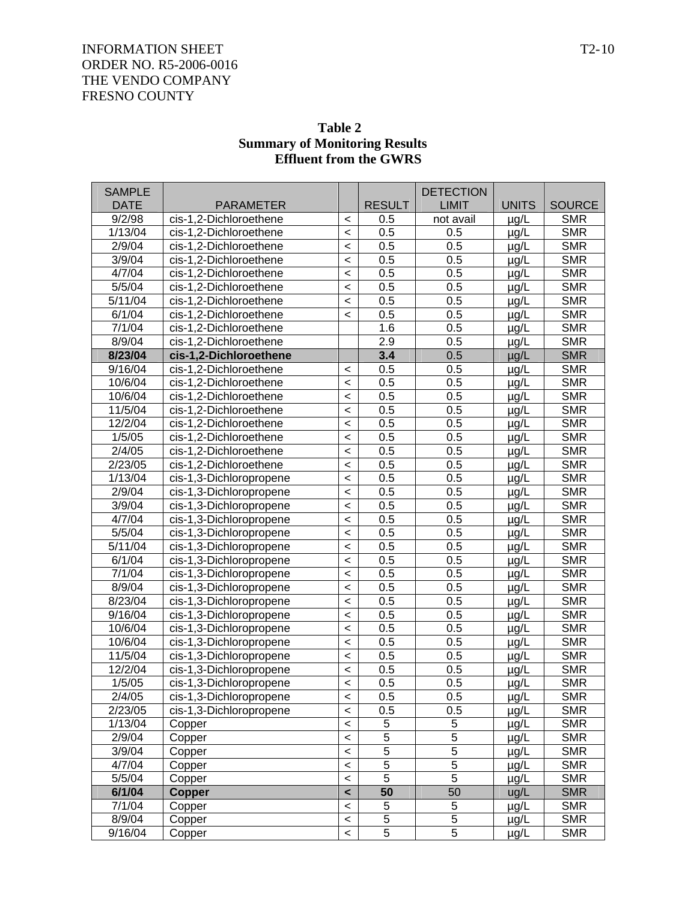| <b>Effluent from the GWRS</b> |                         |         |               |                  |              |               |  |
|-------------------------------|-------------------------|---------|---------------|------------------|--------------|---------------|--|
| <b>SAMPLE</b>                 |                         |         |               | <b>DETECTION</b> |              |               |  |
| <b>DATE</b>                   | <b>PARAMETER</b>        |         | <b>RESULT</b> | <b>LIMIT</b>     | <b>UNITS</b> | <b>SOURCE</b> |  |
| 9/2/98                        | cis-1,2-Dichloroethene  | $\,<\,$ | 0.5           | not avail        | $\mu$ g/L    | <b>SMR</b>    |  |
| 1/13/04                       | cis-1,2-Dichloroethene  | $\,<$   | 0.5           | 0.5              | $\mu$ g/L    | <b>SMR</b>    |  |
| 2/9/04                        | cis-1,2-Dichloroethene  | $\,<$   | 0.5           | 0.5              | $\mu$ g/L    | <b>SMR</b>    |  |
| 3/9/04                        | cis-1,2-Dichloroethene  | $\,<$   | 0.5           | 0.5              | $\mu$ g/L    | <b>SMR</b>    |  |
| 4/7/04                        | cis-1,2-Dichloroethene  | $\,<$   | 0.5           | 0.5              | $\mu$ g/L    | <b>SMR</b>    |  |
| 5/5/04                        | cis-1,2-Dichloroethene  | $\,<$   | 0.5           | 0.5              | $\mu$ g/L    | <b>SMR</b>    |  |
| 5/11/04                       | cis-1,2-Dichloroethene  | $\,<$   | 0.5           | 0.5              | $\mu$ g/L    | <b>SMR</b>    |  |
| 6/1/04                        | cis-1,2-Dichloroethene  | $\,<$   | 0.5           | 0.5              | $\mu$ g/L    | <b>SMR</b>    |  |
| 7/1/04                        | cis-1,2-Dichloroethene  |         | 1.6           | 0.5              | $\mu$ g/L    | <b>SMR</b>    |  |
| 8/9/04                        | cis-1,2-Dichloroethene  |         | 2.9           | 0.5              | $\mu$ g/L    | <b>SMR</b>    |  |
| 8/23/04                       | cis-1,2-Dichloroethene  |         | 3.4           | 0.5              | $\mu$ g/L    | <b>SMR</b>    |  |
| 9/16/04                       | cis-1,2-Dichloroethene  | $\,<\,$ | 0.5           | 0.5              | $\mu$ g/L    | <b>SMR</b>    |  |
| 10/6/04                       | cis-1,2-Dichloroethene  | $\,<$   | 0.5           | 0.5              | $\mu$ g/L    | <b>SMR</b>    |  |
| 10/6/04                       | cis-1,2-Dichloroethene  | $\,<$   | 0.5           | 0.5              | $\mu$ g/L    | <b>SMR</b>    |  |
| 11/5/04                       | cis-1,2-Dichloroethene  | $\,<$   | 0.5           | 0.5              | $\mu$ g/L    | <b>SMR</b>    |  |
| 12/2/04                       | cis-1,2-Dichloroethene  | $\,<$   | 0.5           | 0.5              | $\mu$ g/L    | <b>SMR</b>    |  |
| 1/5/05                        | cis-1,2-Dichloroethene  | $\,<$   | 0.5           | 0.5              | $\mu$ g/L    | <b>SMR</b>    |  |
| 2/4/05                        | cis-1,2-Dichloroethene  | $\,<$   | 0.5           | 0.5              | $\mu$ g/L    | <b>SMR</b>    |  |
| 2/23/05                       | cis-1,2-Dichloroethene  | $\,<$   | 0.5           | 0.5              | $\mu$ g/L    | <b>SMR</b>    |  |
| 1/13/04                       | cis-1,3-Dichloropropene | $\,<$   | 0.5           | 0.5              | $\mu$ g/L    | <b>SMR</b>    |  |
| 2/9/04                        | cis-1,3-Dichloropropene | $\,<$   | 0.5           | 0.5              | $\mu$ g/L    | <b>SMR</b>    |  |
| 3/9/04                        | cis-1,3-Dichloropropene | $\,<$   | 0.5           | 0.5              | $\mu$ g/L    | <b>SMR</b>    |  |
| 4/7/04                        | cis-1,3-Dichloropropene | $\,<$   | 0.5           | 0.5              | $\mu$ g/L    | <b>SMR</b>    |  |
| 5/5/04                        | cis-1,3-Dichloropropene | $\,<$   | 0.5           | 0.5              | $\mu$ g/L    | <b>SMR</b>    |  |
| 5/11/04                       | cis-1,3-Dichloropropene | $\,<$   | 0.5           | 0.5              | $\mu$ g/L    | <b>SMR</b>    |  |
| 6/1/04                        | cis-1,3-Dichloropropene | $\,<$   | 0.5           | 0.5              | $\mu$ g/L    | <b>SMR</b>    |  |
| 7/1/04                        | cis-1,3-Dichloropropene | $\,<$   | 0.5           | 0.5              | $\mu$ g/L    | <b>SMR</b>    |  |
| 8/9/04                        | cis-1,3-Dichloropropene | $\,<$   | 0.5           | 0.5              | $\mu$ g/L    | <b>SMR</b>    |  |
| 8/23/04                       | cis-1,3-Dichloropropene | $\,<$   | 0.5           | 0.5              | $\mu$ g/L    | <b>SMR</b>    |  |
| 9/16/04                       | cis-1,3-Dichloropropene | $\,<$   | 0.5           | 0.5              | $\mu$ g/L    | <b>SMR</b>    |  |
| 10/6/04                       | cis-1,3-Dichloropropene | $\,<$   | 0.5           | 0.5              | $\mu$ g/L    | <b>SMR</b>    |  |
| 10/6/04                       | cis-1,3-Dichloropropene | $\,<\,$ | 0.5           | 0.5              | $\mu$ g/L    | <b>SMR</b>    |  |
| 11/5/04                       | cis-1,3-Dichloropropene | $\,<$   | 0.5           | 0.5              | $\mu$ g/L    | <b>SMR</b>    |  |
| 12/2/04                       | cis-1,3-Dichloropropene | $\,<\,$ | 0.5           | 0.5              | $\mu$ g/L    | <b>SMR</b>    |  |
| 1/5/05                        | cis-1,3-Dichloropropene | $\,<\,$ | 0.5           | 0.5              | $\mu$ g/L    | <b>SMR</b>    |  |
| 2/4/05                        | cis-1,3-Dichloropropene | $\,<\,$ | 0.5           | 0.5              | $\mu$ g/L    | <b>SMR</b>    |  |
| 2/23/05                       | cis-1,3-Dichloropropene | $\,<\,$ | 0.5           | 0.5              | $\mu$ g/L    | <b>SMR</b>    |  |
| 1/13/04                       | Copper                  | $\,<\,$ | 5             | $\,$ 5 $\,$      | $\mu$ g/L    | <b>SMR</b>    |  |
| 2/9/04                        | Copper                  | $\,<\,$ | 5             | $\mathbf 5$      | $\mu$ g/L    | <b>SMR</b>    |  |
| 3/9/04                        | Copper                  | $\,<\,$ | 5             | $\mathbf 5$      | $\mu$ g/L    | <b>SMR</b>    |  |
| 4/7/04                        | Copper                  | $\,<\,$ | 5             | $\mathbf 5$      | $\mu$ g/L    | <b>SMR</b>    |  |
| 5/5/04                        | Copper                  | $\,<\,$ | 5             | 5                | $\mu$ g/L    | <b>SMR</b>    |  |
| 6/1/04                        | <b>Copper</b>           | $\prec$ | 50            | 50               | ug/L         | <b>SMR</b>    |  |
| 7/1/04                        | Copper                  | $\,<\,$ | 5             | 5                | $\mu$ g/L    | <b>SMR</b>    |  |

8/9/04 Copper < 5 5 µg/L SMR 9/16/04 Copper < 5 5 µg/L SMR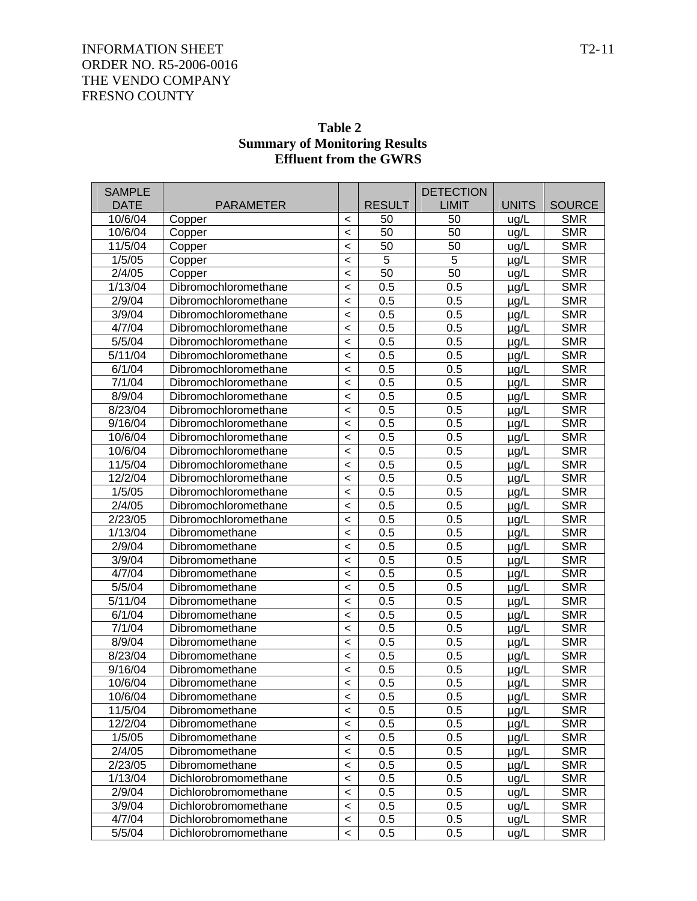| Table 2                              |
|--------------------------------------|
| <b>Summary of Monitoring Results</b> |
| <b>Effluent from the GWRS</b>        |

| <b>SAMPLE</b> |                      |         |               | <b>DETECTION</b> |              |               |
|---------------|----------------------|---------|---------------|------------------|--------------|---------------|
| <b>DATE</b>   | <b>PARAMETER</b>     |         | <b>RESULT</b> | <b>LIMIT</b>     | <b>UNITS</b> | <b>SOURCE</b> |
| 10/6/04       | Copper               | $\,<$   | 50            | 50               | ug/L         | <b>SMR</b>    |
| 10/6/04       | Copper               | $\prec$ | 50            | 50               | ug/L         | <b>SMR</b>    |
| 11/5/04       | Copper               | $\prec$ | 50            | 50               | ug/L         | <b>SMR</b>    |
| 1/5/05        | Copper               | $\,<\,$ | 5             | 5                | $\mu$ g/L    | <b>SMR</b>    |
| 2/4/05        | Copper               | $\prec$ | 50            | $\overline{50}$  | ug/L         | <b>SMR</b>    |
| 1/13/04       | Dibromochloromethane | $\prec$ | 0.5           | 0.5              | µg/L         | <b>SMR</b>    |
| 2/9/04        | Dibromochloromethane | $\,<$   | 0.5           | 0.5              | µg/L         | <b>SMR</b>    |
| 3/9/04        | Dibromochloromethane | $\,<$   | 0.5           | 0.5              | µg/L         | <b>SMR</b>    |
| 4/7/04        | Dibromochloromethane | $\prec$ | 0.5           | 0.5              | µg/L         | <b>SMR</b>    |
| 5/5/04        | Dibromochloromethane | $\,<$   | 0.5           | 0.5              | µg/L         | <b>SMR</b>    |
| 5/11/04       | Dibromochloromethane | $\prec$ | 0.5           | 0.5              | $\mu$ g/L    | <b>SMR</b>    |
| 6/1/04        | Dibromochloromethane | $\,<$   | 0.5           | 0.5              | µg/L         | <b>SMR</b>    |
| 7/1/04        | Dibromochloromethane | $\,<$   | 0.5           | 0.5              | µg/L         | <b>SMR</b>    |
| 8/9/04        | Dibromochloromethane | $\prec$ | 0.5           | 0.5              | µg/L         | <b>SMR</b>    |
| 8/23/04       | Dibromochloromethane | $\,<$   | 0.5           | 0.5              | µg/L         | <b>SMR</b>    |
| 9/16/04       | Dibromochloromethane | $\prec$ | 0.5           | 0.5              | $\mu$ g/L    | <b>SMR</b>    |
| 10/6/04       | Dibromochloromethane | $\prec$ | 0.5           | 0.5              | µg/L         | <b>SMR</b>    |
| 10/6/04       | Dibromochloromethane | $\,<$   | 0.5           | 0.5              | µg/L         | <b>SMR</b>    |
| 11/5/04       | Dibromochloromethane | $\prec$ | 0.5           | 0.5              | $\mu$ g/L    | <b>SMR</b>    |
| 12/2/04       | Dibromochloromethane | $\prec$ | 0.5           | 0.5              | µg/L         | <b>SMR</b>    |
| 1/5/05        | Dibromochloromethane | $\prec$ | 0.5           | 0.5              | µg/L         | <b>SMR</b>    |
| 2/4/05        | Dibromochloromethane | $\prec$ | 0.5           | 0.5              | µg/L         | <b>SMR</b>    |
| 2/23/05       | Dibromochloromethane | $\,<$   | 0.5           | 0.5              | µg/L         | <b>SMR</b>    |
| 1/13/04       | Dibromomethane       | $\prec$ | 0.5           | 0.5              | µg/L         | <b>SMR</b>    |
| 2/9/04        | Dibromomethane       | $\prec$ | 0.5           | 0.5              | µg/L         | <b>SMR</b>    |
| 3/9/04        | Dibromomethane       | $\,<$   | 0.5           | 0.5              | µg/L         | <b>SMR</b>    |
| 4/7/04        | Dibromomethane       | $\prec$ | 0.5           | 0.5              | $\mu$ g/L    | <b>SMR</b>    |
| 5/5/04        | Dibromomethane       | $\,<$   | 0.5           | 0.5              | µg/L         | <b>SMR</b>    |
| 5/11/04       | Dibromomethane       | $\,<$   | 0.5           | 0.5              | µg/L         | <b>SMR</b>    |
| 6/1/04        | Dibromomethane       | $\prec$ | 0.5           | 0.5              | µg/L         | <b>SMR</b>    |
| 7/1/04        | Dibromomethane       | $\,<\,$ | 0.5           | 0.5              | $\mu$ g/L    | <b>SMR</b>    |
| 8/9/04        | Dibromomethane       | $\,<$   | 0.5           | 0.5              | µg/L         | <b>SMR</b>    |
| 8/23/04       | Dibromomethane       | $\,<$   | 0.5           | 0.5              | µg/L         | <b>SMR</b>    |
| 9/16/04       | Dibromomethane       | $\,<\,$ | 0.5           | 0.5              | µg/L         | <b>SMR</b>    |
| 10/6/04       | Dibromomethane       | $\prec$ | 0.5           | 0.5              | µg/L         | <b>SMR</b>    |
| 10/6/04       | Dibromomethane       | $\lt$   | 0.5           | 0.5              | $\mu$ g/L    | <b>SMR</b>    |
| 11/5/04       | Dibromomethane       | $\,<$   | 0.5           | 0.5              | µg/L         | <b>SMR</b>    |
| 12/2/04       | Dibromomethane       | $\,<$   | 0.5           | 0.5              | µg/L         | <b>SMR</b>    |
| 1/5/05        | Dibromomethane       | $\,<\,$ | 0.5           | 0.5              | µg/L         | <b>SMR</b>    |
| 2/4/05        | Dibromomethane       | $\,<$   | 0.5           | 0.5              | µg/L         | <b>SMR</b>    |
| 2/23/05       | Dibromomethane       | $\,<\,$ | 0.5           | 0.5              | µg/L         | <b>SMR</b>    |
| 1/13/04       | Dichlorobromomethane | $\,<\,$ | 0.5           | 0.5              | ug/L         | <b>SMR</b>    |
| 2/9/04        | Dichlorobromomethane | $\,<\,$ | 0.5           | 0.5              | ug/L         | <b>SMR</b>    |
| 3/9/04        | Dichlorobromomethane | $\,<\,$ | 0.5           | 0.5              | ug/L         | <b>SMR</b>    |
| 4/7/04        | Dichlorobromomethane | $\,<\,$ | 0.5           | 0.5              | ug/L         | <b>SMR</b>    |
| 5/5/04        | Dichlorobromomethane | $\,<\,$ | 0.5           | 0.5              | ug/L         | <b>SMR</b>    |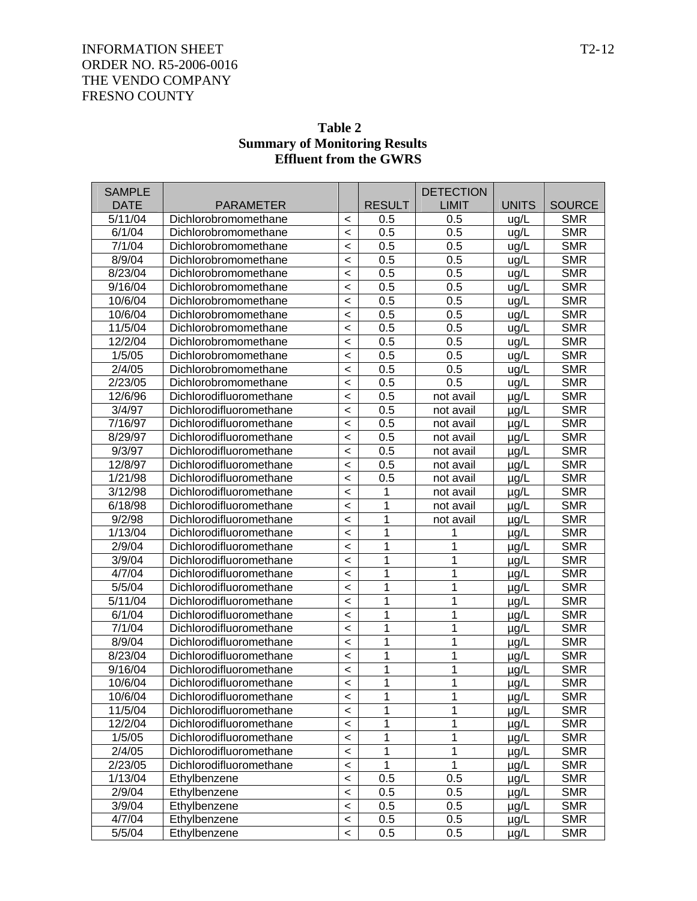| Table 2                              |
|--------------------------------------|
| <b>Summary of Monitoring Results</b> |
| <b>Effluent from the GWRS</b>        |

| <b>SAMPLE</b> |                         |         |               | <b>DETECTION</b> |              |               |
|---------------|-------------------------|---------|---------------|------------------|--------------|---------------|
| <b>DATE</b>   | <b>PARAMETER</b>        |         | <b>RESULT</b> | <b>LIMIT</b>     | <b>UNITS</b> | <b>SOURCE</b> |
| 5/11/04       | Dichlorobromomethane    | $\,<$   | 0.5           | 0.5              | ug/L         | <b>SMR</b>    |
| 6/1/04        | Dichlorobromomethane    | $\prec$ | 0.5           | 0.5              | ug/L         | <b>SMR</b>    |
| 7/1/04        | Dichlorobromomethane    | $\,<$   | 0.5           | 0.5              | ug/L         | <b>SMR</b>    |
| 8/9/04        | Dichlorobromomethane    | $\,<$   | 0.5           | 0.5              | ug/L         | <b>SMR</b>    |
| 8/23/04       | Dichlorobromomethane    | $\,<$   | 0.5           | 0.5              | ug/L         | <b>SMR</b>    |
| 9/16/04       | Dichlorobromomethane    | $\,<$   | 0.5           | 0.5              | ug/L         | <b>SMR</b>    |
| 10/6/04       | Dichlorobromomethane    | $\,<$   | 0.5           | 0.5              | ug/L         | <b>SMR</b>    |
| 10/6/04       | Dichlorobromomethane    | $\,<$   | 0.5           | 0.5              | ug/L         | <b>SMR</b>    |
| 11/5/04       | Dichlorobromomethane    | $\,<$   | 0.5           | 0.5              | ug/L         | <b>SMR</b>    |
| 12/2/04       | Dichlorobromomethane    | $\,<$   | 0.5           | 0.5              | ug/L         | <b>SMR</b>    |
| 1/5/05        | Dichlorobromomethane    | $\,<$   | 0.5           | 0.5              | ug/L         | <b>SMR</b>    |
| 2/4/05        | Dichlorobromomethane    | $\,<$   | 0.5           | 0.5              | ug/L         | <b>SMR</b>    |
| 2/23/05       | Dichlorobromomethane    | $\prec$ | 0.5           | 0.5              | ug/L         | <b>SMR</b>    |
| 12/6/96       | Dichlorodifluoromethane | $\,<$   | 0.5           | not avail        | $\mu$ g/L    | <b>SMR</b>    |
| 3/4/97        | Dichlorodifluoromethane | $\,<$   | 0.5           | not avail        | µg/L         | <b>SMR</b>    |
| 7/16/97       | Dichlorodifluoromethane | $\,<$   | 0.5           | not avail        | $\mu$ g/L    | <b>SMR</b>    |
| 8/29/97       | Dichlorodifluoromethane | $\,<$   | 0.5           | not avail        | µg/L         | <b>SMR</b>    |
| 9/3/97        | Dichlorodifluoromethane | $\,<$   | 0.5           | not avail        | $\mu$ g/L    | <b>SMR</b>    |
| 12/8/97       | Dichlorodifluoromethane | $\,<$   | 0.5           | not avail        | $\mu$ g/L    | <b>SMR</b>    |
| 1/21/98       | Dichlorodifluoromethane | $\,<$   | 0.5           | not avail        | $\mu$ g/L    | <b>SMR</b>    |
| 3/12/98       | Dichlorodifluoromethane | $\,<$   | 1             | not avail        | µg/L         | <b>SMR</b>    |
| 6/18/98       | Dichlorodifluoromethane | $\,<$   | 1             | not avail        | µg/L         | <b>SMR</b>    |
| 9/2/98        | Dichlorodifluoromethane | $\,<$   | 1             | not avail        | $\mu$ g/L    | <b>SMR</b>    |
| 1/13/04       | Dichlorodifluoromethane | $\,<$   | 1             | 1                | $\mu$ g/L    | <b>SMR</b>    |
| 2/9/04        | Dichlorodifluoromethane | $\,<$   | 1             | 1                | $\mu$ g/L    | <b>SMR</b>    |
| 3/9/04        | Dichlorodifluoromethane | $\,<$   | 1             | 1                | µg/L         | <b>SMR</b>    |
| 4/7/04        | Dichlorodifluoromethane | $\,<$   | 1             | 1                | µg/L         | <b>SMR</b>    |
| 5/5/04        | Dichlorodifluoromethane | $\,<$   | 1             | 1                | $\mu$ g/L    | <b>SMR</b>    |
| 5/11/04       | Dichlorodifluoromethane | $\,<$   | 1             | 1                | $\mu$ g/L    | <b>SMR</b>    |
| 6/1/04        | Dichlorodifluoromethane | $\,<$   | 1             | 1                | $\mu$ g/L    | <b>SMR</b>    |
| 7/1/04        | Dichlorodifluoromethane | $\,<$   | 1             | 1                | $\mu$ g/L    | <b>SMR</b>    |
| 8/9/04        | Dichlorodifluoromethane | $\,<$   | 1             | 1                | $\mu$ g/L    | <b>SMR</b>    |
| 8/23/04       | Dichlorodifluoromethane | $\,<$   | 1             | 1                | $\mu$ g/L    | <b>SMR</b>    |
| 9/16/04       | Dichlorodifluoromethane | $\,<$   | 1             | 1                | µg/L         | <b>SMR</b>    |
| 10/6/04       | Dichlorodifluoromethane | $\,<\,$ | 1             | 1                | µg/L         | <b>SMR</b>    |
| 10/6/04       | Dichlorodifluoromethane | $\,<\,$ | 1             | 1                | µg/L         | <b>SMR</b>    |
| 11/5/04       | Dichlorodifluoromethane | $\,<\,$ | 1             | 1                | $\mu$ g/L    | <b>SMR</b>    |
| 12/2/04       | Dichlorodifluoromethane | $\,<\,$ | 1             | 1                | µg/L         | <b>SMR</b>    |
| 1/5/05        | Dichlorodifluoromethane | $\,<\,$ | 1             | 1                | $\mu$ g/L    | <b>SMR</b>    |
| 2/4/05        | Dichlorodifluoromethane | $\,<\,$ | 1             | 1                | $\mu$ g/L    | <b>SMR</b>    |
| 2/23/05       | Dichlorodifluoromethane | $\,<\,$ | 1             | 1                | µg/L         | <b>SMR</b>    |
| 1/13/04       | Ethylbenzene            | $\,<\,$ | 0.5           | 0.5              | µg/L         | <b>SMR</b>    |
| 2/9/04        | Ethylbenzene            | $\,<\,$ | 0.5           | 0.5              | µg/L         | <b>SMR</b>    |
| 3/9/04        | Ethylbenzene            | $\,<$   | 0.5           | 0.5              | µg/L         | <b>SMR</b>    |
| 4/7/04        | Ethylbenzene            | $\,<$   | 0.5           | 0.5              | µg/L         | <b>SMR</b>    |
| 5/5/04        | Ethylbenzene            | $\,<\,$ | 0.5           | 0.5              | µg/L         | <b>SMR</b>    |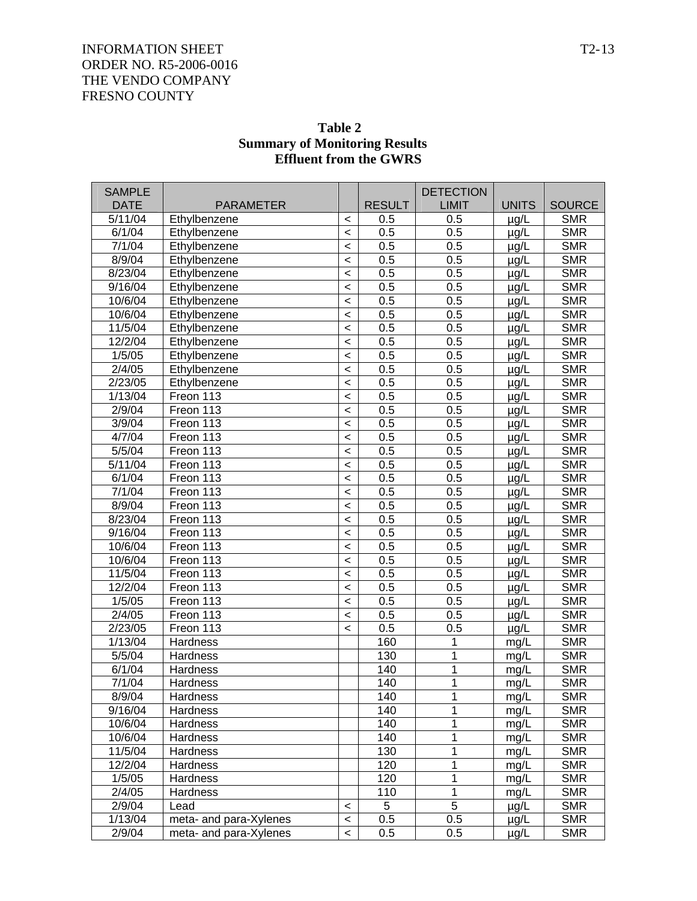| <b>SAMPLE</b>                      |                                  |                  |                      | <b>DETECTION</b>    |                   |                             |
|------------------------------------|----------------------------------|------------------|----------------------|---------------------|-------------------|-----------------------------|
| <b>DATE</b><br>$\frac{1}{5/11/04}$ | <b>PARAMETER</b><br>Ethylbenzene |                  | <b>RESULT</b><br>0.5 | <b>LIMIT</b><br>0.5 | <b>UNITS</b>      | <b>SOURCE</b><br><b>SMR</b> |
| 6/1/04                             | Ethylbenzene                     | $\,<\,$<br>$\,<$ | 0.5                  | 0.5                 | $\mu$ g/L         | <b>SMR</b>                  |
| 7/1/04                             | Ethylbenzene                     | $\,<$            | 0.5                  | 0.5                 | µg/L              | <b>SMR</b>                  |
| 8/9/04                             | Ethylbenzene                     | $\,<$            | 0.5                  | 0.5                 | µg/L              | <b>SMR</b>                  |
| 8/23/04                            | Ethylbenzene                     | $\,<$            | 0.5                  | 0.5                 | µg/L              | <b>SMR</b>                  |
| 9/16/04                            | Ethylbenzene                     | $\,<$            | 0.5                  | 0.5                 | µg/L<br>µg/L      | <b>SMR</b>                  |
| 10/6/04                            | Ethylbenzene                     | $\,<$            | 0.5                  | 0.5                 | µg/L              | <b>SMR</b>                  |
| 10/6/04                            | Ethylbenzene                     | $\,<$            | 0.5                  | 0.5                 |                   | <b>SMR</b>                  |
| 11/5/04                            | Ethylbenzene                     | $\,<$            | 0.5                  | 0.5                 | µg/L<br>µg/L      | <b>SMR</b>                  |
| 12/2/04                            | Ethylbenzene                     | $\,<$            | 0.5                  | 0.5                 | µg/L              | <b>SMR</b>                  |
| 1/5/05                             | Ethylbenzene                     | $\,<$            | 0.5                  | 0.5                 | µg/L              | <b>SMR</b>                  |
| 2/4/05                             | Ethylbenzene                     | $\,<$            | 0.5                  | 0.5                 | µg/L              | <b>SMR</b>                  |
| 2/23/05                            | Ethylbenzene                     | $\,<$            | 0.5                  | 0.5                 | µg/L              | <b>SMR</b>                  |
| 1/13/04                            | Freon 113                        | $\,<$            | 0.5                  | 0.5                 | µg/L              | <b>SMR</b>                  |
| 2/9/04                             | Freon 113                        | $\,<$            | 0.5                  | 0.5                 |                   | <b>SMR</b>                  |
| 3/9/04                             | Freon 113                        | $\,<$            | 0.5                  | 0.5                 | µg/L<br>µg/L      | <b>SMR</b>                  |
| $\frac{4}{7}$ /04                  | Freon 113                        | $\,<$            | 0.5                  | 0.5                 |                   | <b>SMR</b>                  |
| 5/5/04                             | Freon 113                        | $\,<$            | 0.5                  | 0.5                 | $\mu$ g/L         | <b>SMR</b>                  |
| 5/11/04                            | Freon 113                        | $\,<$            | 0.5                  | 0.5                 | µg/L              | <b>SMR</b>                  |
| 6/1/04                             | Freon 113                        | $\,<$            | 0.5                  | 0.5                 | µg/L              | <b>SMR</b>                  |
| 7/1/04                             | Freon 113                        | $\,<$            | 0.5                  | 0.5                 | µg/L              | <b>SMR</b>                  |
| 8/9/04                             | Freon 113                        | $\,<$            | 0.5                  | 0.5                 | µg/L              | <b>SMR</b>                  |
| 8/23/04                            | Freon 113                        | $\,<$            | 0.5                  | 0.5                 | µg/L              | <b>SMR</b>                  |
| 9/16/04                            | Freon 113                        | $\,<$            | 0.5                  | 0.5                 | µg/L              | <b>SMR</b>                  |
| 10/6/04                            | Freon 113                        | $\,<$            | 0.5                  | 0.5                 | µg/L              | <b>SMR</b>                  |
| 10/6/04                            | Freon 113                        | $\,<$            | 0.5                  | 0.5                 | µg/L              | <b>SMR</b>                  |
| 11/5/04                            | Freon 113                        | $\,<$            | 0.5                  | 0.5                 | µg/L              | <b>SMR</b>                  |
| 12/2/04                            | Freon 113                        | $\,<$            | 0.5                  | 0.5                 | µg/L              | <b>SMR</b>                  |
| 1/5/05                             | Freon 113                        | $\,<$            | 0.5                  | 0.5                 | µg/L              | <b>SMR</b>                  |
| 2/4/05                             | Freon 113                        | $\,<$            | 0.5                  | 0.5                 | µg/L<br>$\mu$ g/L | <b>SMR</b>                  |
| 2/23/05                            | Freon 113                        | $\,<$            | 0.5                  | 0.5                 |                   | <b>SMR</b>                  |
| 1/13/04                            | Hardness                         |                  | 160                  | 1                   | $\mu$ g/L<br>mg/L | <b>SMR</b>                  |
| 5/5/04                             | <b>Hardness</b>                  |                  | 130                  | 1                   | mg/L              | <b>SMR</b>                  |
| 6/1/04                             | Hardness                         |                  | 140                  | 1                   | mg/L              | <b>SMR</b>                  |
| 7/1/04                             | Hardness                         |                  | 140                  | 1                   | mq/L              | <b>SMR</b>                  |
| 8/9/04                             | Hardness                         |                  | 140                  | 1                   | mg/L              | <b>SMR</b>                  |
| 9/16/04                            | Hardness                         |                  | 140                  | 1                   | mg/L              | <b>SMR</b>                  |
| 10/6/04                            | <b>Hardness</b>                  |                  | 140                  | 1                   | mg/L              | <b>SMR</b>                  |
| 10/6/04                            | <b>Hardness</b>                  |                  | 140                  | 1                   | mg/L              | <b>SMR</b>                  |
| 11/5/04                            | <b>Hardness</b>                  |                  | 130                  | 1                   | mg/L              | <b>SMR</b>                  |
| 12/2/04                            | <b>Hardness</b>                  |                  | 120                  | 1                   | mg/L              | <b>SMR</b>                  |
| 1/5/05                             | <b>Hardness</b>                  |                  | 120                  | 1                   | mg/L              | <b>SMR</b>                  |
| 2/4/05                             | Hardness                         |                  | 110                  | 1                   | mg/L              | <b>SMR</b>                  |
| 2/9/04                             | Lead                             | $\,<$            | 5                    | $\overline{5}$      | $\mu$ g/L         | <b>SMR</b>                  |
| 1/13/04                            | meta- and para-Xylenes           | $\,<$            | 0.5                  | 0.5                 | µg/L              | <b>SMR</b>                  |
| 2/9/04                             | meta- and para-Xylenes           | $\,<$            | 0.5                  | 0.5                 | $\mu$ g/L         | <b>SMR</b>                  |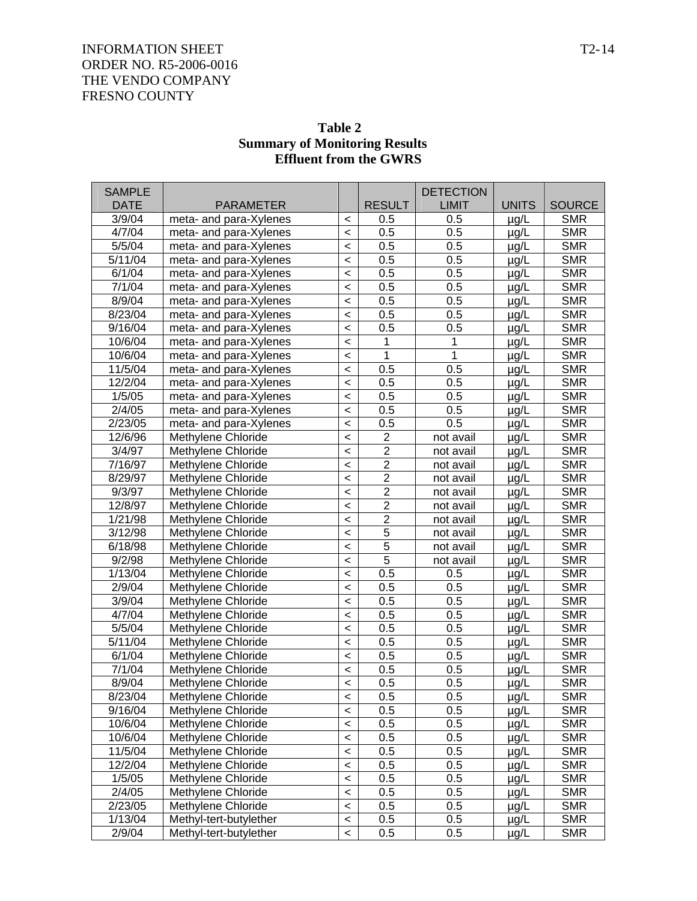| Table 2                              |
|--------------------------------------|
| <b>Summary of Monitoring Results</b> |
| <b>Effluent from the GWRS</b>        |

| <b>SAMPLE</b> |                        |                          |                  | <b>DETECTION</b> |              |               |
|---------------|------------------------|--------------------------|------------------|------------------|--------------|---------------|
| <b>DATE</b>   | <b>PARAMETER</b>       |                          | <b>RESULT</b>    | <b>LIMIT</b>     | <b>UNITS</b> | <b>SOURCE</b> |
| 3/9/04        | meta- and para-Xylenes | $\,<\,$                  | 0.5              | 0.5              | $\mu$ g/L    | <b>SMR</b>    |
| 4/7/04        | meta- and para-Xylenes | $\,<$                    | 0.5              | 0.5              | µg/L         | <b>SMR</b>    |
| 5/5/04        | meta- and para-Xylenes | $\,<$                    | 0.5              | 0.5              | µg/L         | <b>SMR</b>    |
| 5/11/04       | meta- and para-Xylenes | $\,<$                    | 0.5              | 0.5              | µg/L         | <b>SMR</b>    |
| 6/1/04        | meta- and para-Xylenes | $\,<$                    | 0.5              | 0.5              | µg/L         | <b>SMR</b>    |
| 7/1/04        | meta- and para-Xylenes | $\,<$                    | 0.5              | 0.5              | µg/L         | <b>SMR</b>    |
| 8/9/04        | meta- and para-Xylenes | $\,<$                    | 0.5              | 0.5              | µg/L         | <b>SMR</b>    |
| 8/23/04       | meta- and para-Xylenes | $\,<$                    | 0.5              | 0.5              | µg/L         | <b>SMR</b>    |
| 9/16/04       | meta- and para-Xylenes | $\,<$                    | 0.5              | 0.5              | µg/L         | <b>SMR</b>    |
| 10/6/04       | meta- and para-Xylenes | $\,<$                    | 1                | 1                | µg/L         | <b>SMR</b>    |
| 10/6/04       | meta- and para-Xylenes | $\,<$                    | $\mathbf{1}$     | $\mathbf{1}$     | $\mu$ g/L    | <b>SMR</b>    |
| 11/5/04       | meta- and para-Xylenes | $\,<$                    | 0.5              | 0.5              | µg/L         | <b>SMR</b>    |
| 12/2/04       | meta- and para-Xylenes | $\,<$                    | 0.5              | 0.5              | µg/L         | <b>SMR</b>    |
| 1/5/05        | meta- and para-Xylenes | $\,<$                    | 0.5              | 0.5              | µg/L         | <b>SMR</b>    |
| 2/4/05        | meta- and para-Xylenes | $\,<$                    | 0.5              | 0.5              | µg/L         | <b>SMR</b>    |
| 2/23/05       | meta- and para-Xylenes | $\,<$                    | $0.\overline{5}$ | 0.5              | µg/L         | <b>SMR</b>    |
| 12/6/96       | Methylene Chloride     | $\,<$                    | $\overline{2}$   | not avail        | µg/L         | <b>SMR</b>    |
| 3/4/97        | Methylene Chloride     | $\,<$                    | $\overline{2}$   | not avail        | µg/L         | <b>SMR</b>    |
| 7/16/97       | Methylene Chloride     | $\,<$                    | $\overline{2}$   | not avail        | $\mu$ g/L    | <b>SMR</b>    |
| 8/29/97       | Methylene Chloride     | $\,<$                    | $\overline{2}$   | not avail        | µg/L         | <b>SMR</b>    |
| 9/3/97        | Methylene Chloride     | $\,<$                    | $\overline{2}$   | not avail        | µg/L         | <b>SMR</b>    |
| 12/8/97       | Methylene Chloride     | $\,<$                    | $\overline{2}$   | not avail        | µg/L         | <b>SMR</b>    |
| 1/21/98       | Methylene Chloride     | $\,<$                    | $\overline{2}$   | not avail        | µg/L         | <b>SMR</b>    |
| 3/12/98       | Methylene Chloride     | $\,<$                    | $\overline{5}$   | not avail        | µg/L         | <b>SMR</b>    |
| 6/18/98       | Methylene Chloride     | $\,<$                    | $\overline{5}$   | not avail        | µg/L         | <b>SMR</b>    |
| 9/2/98        | Methylene Chloride     | $\,<$                    | $\overline{5}$   | not avail        | µg/L         | <b>SMR</b>    |
| 1/13/04       | Methylene Chloride     | $\,<$                    | 0.5              | 0.5              | $\mu$ g/L    | <b>SMR</b>    |
| 2/9/04        | Methylene Chloride     | $\,<$                    | 0.5              | 0.5              | µg/L         | <b>SMR</b>    |
| 3/9/04        | Methylene Chloride     | $\,<$                    | 0.5              | 0.5              | µg/L         | <b>SMR</b>    |
| 4/7/04        | Methylene Chloride     | $\,<$                    | 0.5              | 0.5              | µg/L         | <b>SMR</b>    |
| 5/5/04        | Methylene Chloride     | $\,<$                    | 0.5              | 0.5              | µg/L         | <b>SMR</b>    |
| 5/11/04       | Methylene Chloride     | $\,<$                    | 0.5              | 0.5              | µg/L         | <b>SMR</b>    |
| 6/1/04        | Methylene Chloride     | $\,<$                    | 0.5              | 0.5              | µg/L         | <b>SMR</b>    |
| 7/1/04        | Methylene Chloride     | $\,<$                    | 0.5              | 0.5              | µg/L         | <b>SMR</b>    |
| 8/9/04        | Methylene Chloride     | $\,<$                    | 0.5              | 0.5              | $\mu$ g/L    | <b>SMR</b>    |
| 8/23/04       | Methylene Chloride     | $\,<\,$                  | 0.5              | 0.5              | µg/L         | <b>SMR</b>    |
| 9/16/04       | Methylene Chloride     | $\,<$                    | 0.5              | 0.5              | $\mu$ g/L    | <b>SMR</b>    |
| 10/6/04       | Methylene Chloride     | $\,<\,$                  | 0.5              | 0.5              | $\mu$ g/L    | <b>SMR</b>    |
| 10/6/04       | Methylene Chloride     | $\,<\,$                  | 0.5              | 0.5              | µg/L         | <b>SMR</b>    |
| 11/5/04       | Methylene Chloride     | $\,<\,$                  | 0.5              | 0.5              | µg/L         | <b>SMR</b>    |
| 12/2/04       | Methylene Chloride     | $\,<\,$                  | 0.5              | 0.5              | µg/L         | <b>SMR</b>    |
| 1/5/05        | Methylene Chloride     | $\,<\,$                  | 0.5              | 0.5              | µg/L         | <b>SMR</b>    |
| 2/4/05        | Methylene Chloride     | $\,<\,$                  | 0.5              | 0.5              | $\mu$ g/L    | <b>SMR</b>    |
| 2/23/05       | Methylene Chloride     | $\,<\,$                  | 0.5              | 0.5              | µg/L         | <b>SMR</b>    |
| 1/13/04       | Methyl-tert-butylether | $\,<$                    | 0.5              | 0.5              | µg/L         | <b>SMR</b>    |
| 2/9/04        | Methyl-tert-butylether | $\overline{\phantom{0}}$ | 0.5              | 0.5              | µg/L         | <b>SMR</b>    |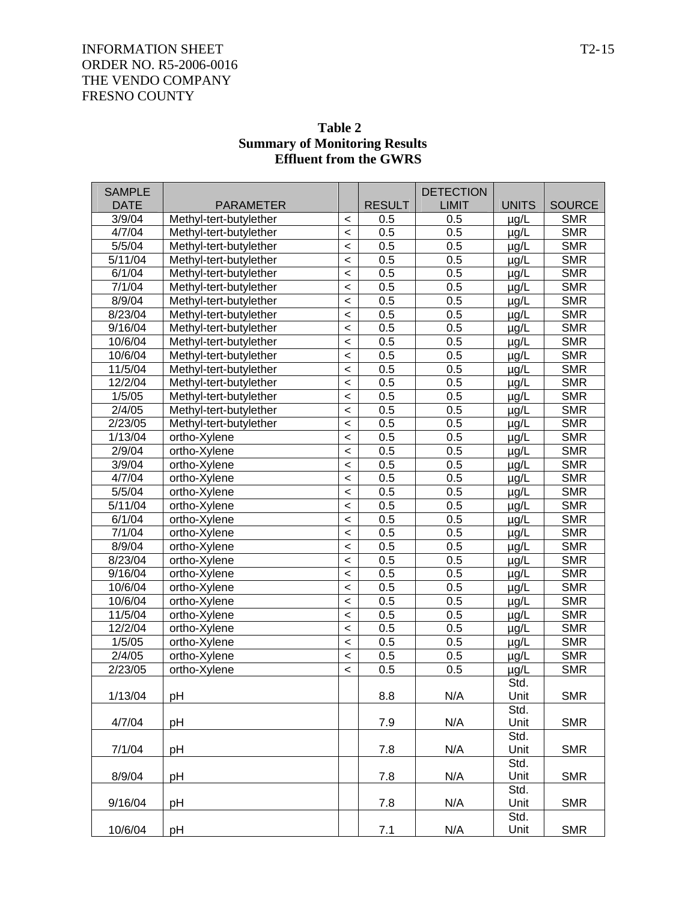| <b>EIIIUENI IFOM INE GWKS</b> |                              |                                                      |               |                  |                        |                          |  |  |  |
|-------------------------------|------------------------------|------------------------------------------------------|---------------|------------------|------------------------|--------------------------|--|--|--|
| <b>SAMPLE</b>                 |                              |                                                      |               | <b>DETECTION</b> |                        |                          |  |  |  |
| <b>DATE</b>                   | <b>PARAMETER</b>             |                                                      | <b>RESULT</b> | <b>LIMIT</b>     | <b>UNITS</b>           | <b>SOURCE</b>            |  |  |  |
| 3/9/04                        | Methyl-tert-butylether       | $\,<$                                                | 0.5           | 0.5              | $\mu$ g/L              | <b>SMR</b>               |  |  |  |
| 4/7/04                        | Methyl-tert-butylether       | $\prec$                                              | 0.5           | 0.5              | $\mu$ g/L              | <b>SMR</b>               |  |  |  |
| 5/5/04                        | Methyl-tert-butylether       | $\prec$                                              | 0.5           | 0.5              | $\mu$ g/L              | <b>SMR</b>               |  |  |  |
| $\sqrt{5}/11/04$              | Methyl-tert-butylether       | $\prec$                                              | 0.5           | 0.5              | $\mu$ g/L              | <b>SMR</b>               |  |  |  |
| 6/1/04                        | Methyl-tert-butylether       | $\prec$                                              | 0.5           | 0.5              | $\mu$ g/L              | <b>SMR</b>               |  |  |  |
| 7/1/04                        | Methyl-tert-butylether       | $\prec$                                              | 0.5           | 0.5              | $\mu$ g/L              | <b>SMR</b>               |  |  |  |
| 8/9/04                        | Methyl-tert-butylether       | $\prec$                                              | 0.5           | 0.5              | $\mu$ g/L              | <b>SMR</b>               |  |  |  |
| 8/23/04                       | Methyl-tert-butylether       | $\prec$                                              | 0.5           | 0.5              | $\mu$ g/L              | <b>SMR</b>               |  |  |  |
| 9/16/04                       | Methyl-tert-butylether       | $\prec$                                              | 0.5           | 0.5              | $\mu$ g/L              | <b>SMR</b>               |  |  |  |
| 10/6/04                       | Methyl-tert-butylether       | $\prec$                                              | 0.5           | 0.5              | $\mu$ g/L              | <b>SMR</b>               |  |  |  |
| 10/6/04                       | Methyl-tert-butylether       | $\prec$                                              | 0.5           | 0.5              | $\mu$ g/L              | <b>SMR</b>               |  |  |  |
| 11/5/04                       | Methyl-tert-butylether       | $\prec$                                              | 0.5           | 0.5              | $\mu$ g/L              | <b>SMR</b>               |  |  |  |
| 12/2/04                       | Methyl-tert-butylether       | $\prec$                                              | 0.5           | 0.5              | $\mu$ g/L              | <b>SMR</b>               |  |  |  |
| 1/5/05                        | Methyl-tert-butylether       | $\prec$                                              | 0.5           | 0.5              | $\mu$ g/L              | <b>SMR</b>               |  |  |  |
| 2/4/05                        | Methyl-tert-butylether       | $\prec$                                              | 0.5           | 0.5              | $\mu$ g/L              | <b>SMR</b>               |  |  |  |
| 2/23/05                       | Methyl-tert-butylether       | $\prec$                                              | 0.5           | 0.5              | $\mu$ g/L              | <b>SMR</b>               |  |  |  |
| 1/13/04                       | ortho-Xylene                 | $\overline{\phantom{a}}$                             | 0.5           | 0.5              | $\mu$ g/L              | <b>SMR</b>               |  |  |  |
| 2/9/04                        | ortho-Xylene                 | $\overline{\phantom{a}}$                             | 0.5           | 0.5              | $\mu$ g/L              | <b>SMR</b>               |  |  |  |
| 3/9/04                        | ortho-Xylene                 | $\overline{\phantom{a}}$                             | 0.5           | 0.5              | $\mu$ g/L              | <b>SMR</b>               |  |  |  |
| 4/7/04                        | ortho-Xylene                 | $\overline{\phantom{a}}$                             | 0.5           | 0.5              | $\mu$ g/L              | <b>SMR</b>               |  |  |  |
| 5/5/04                        | ortho-Xylene                 | $\overline{\phantom{a}}$                             | 0.5           | 0.5              | $\mu$ g/L              | <b>SMR</b>               |  |  |  |
| 5/11/04                       | ortho-Xylene                 | $\overline{\phantom{a}}$                             | 0.5           | 0.5              | $\mu$ g/L              | <b>SMR</b>               |  |  |  |
| 6/1/04                        | ortho-Xylene                 | $\overline{\phantom{a}}$                             | 0.5           | 0.5              | $\mu$ g/L              | <b>SMR</b>               |  |  |  |
| 7/1/04                        | ortho-Xylene                 | $\overline{\phantom{a}}$                             | 0.5<br>0.5    | 0.5<br>0.5       | $\mu$ g/L              | <b>SMR</b>               |  |  |  |
| 8/9/04<br>8/23/04             | ortho-Xylene                 | $\overline{\phantom{a}}$<br>$\overline{\phantom{a}}$ | 0.5           | 0.5              | $\mu$ g/L              | <b>SMR</b><br><b>SMR</b> |  |  |  |
| 9/16/04                       | ortho-Xylene<br>ortho-Xylene | $\overline{\phantom{a}}$                             | 0.5           | 0.5              | $\mu$ g/L<br>$\mu$ g/L | <b>SMR</b>               |  |  |  |
| 10/6/04                       | ortho-Xylene                 | $\overline{\phantom{a}}$                             | 0.5           | 0.5              | $\mu$ g/L              | <b>SMR</b>               |  |  |  |
| 10/6/04                       | ortho-Xylene                 | $\overline{\phantom{a}}$                             | 0.5           | 0.5              | $\mu$ g/L              | <b>SMR</b>               |  |  |  |
| 11/5/04                       | ortho-Xylene                 | $\overline{\phantom{a}}$                             | 0.5           | 0.5              | $\mu$ g/L              | <b>SMR</b>               |  |  |  |
| 12/2/04                       | ortho-Xylene                 | $\overline{\phantom{a}}$                             | 0.5           | 0.5              | $\mu$ g/L              | <b>SMR</b>               |  |  |  |
| 1/5/05                        | ortho-Xylene                 | $\overline{\phantom{a}}$                             | 0.5           | 0.5              | $\mu$ g/L              | <b>SMR</b>               |  |  |  |
| 2/4/05                        | ortho-Xylene                 | $\,<$                                                | 0.5           | 0.5              | $\mu$ g/L              | <b>SMR</b>               |  |  |  |
| 2/23/05                       | ortho-Xylene                 | $\,<\,$                                              | 0.5           | 0.5              | $\mu$ g/L              | <b>SMR</b>               |  |  |  |
|                               |                              |                                                      |               |                  | Std.                   |                          |  |  |  |
| 1/13/04                       | pH                           |                                                      | 8.8           | N/A              | Unit                   | <b>SMR</b>               |  |  |  |
| 4/7/04                        | pH                           |                                                      | 7.9           | N/A              | Std.<br>Unit           | <b>SMR</b>               |  |  |  |
|                               |                              |                                                      |               |                  | Std.                   |                          |  |  |  |
| 7/1/04                        | pH                           |                                                      | 7.8           | N/A              | Unit<br>Std.           | <b>SMR</b>               |  |  |  |
| 8/9/04                        | pH                           |                                                      | 7.8           | N/A              | Unit                   | <b>SMR</b>               |  |  |  |
|                               |                              |                                                      |               |                  | Std.                   |                          |  |  |  |
| 9/16/04                       | pH                           |                                                      | 7.8           | N/A              | Unit                   | <b>SMR</b>               |  |  |  |
|                               |                              |                                                      |               |                  | Std.                   |                          |  |  |  |

10/6/04 pH 7.1 N/A Unit SMR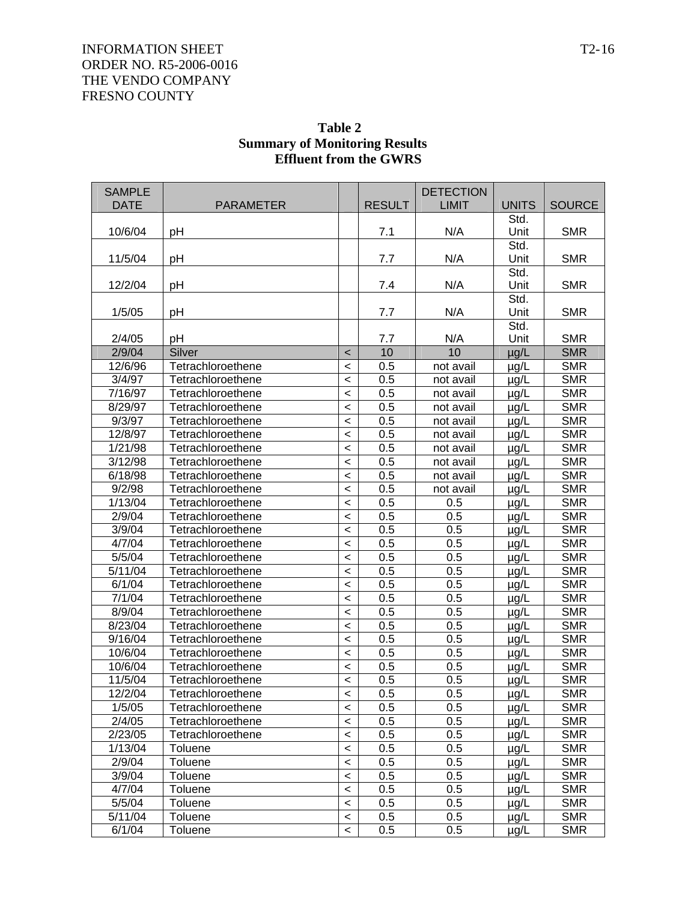| <b>SAMPLE</b><br><b>DATE</b> | <b>PARAMETER</b>  |         | <b>RESULT</b> | <b>DETECTION</b><br><b>LIMIT</b> | <b>UNITS</b> | <b>SOURCE</b> |
|------------------------------|-------------------|---------|---------------|----------------------------------|--------------|---------------|
|                              |                   |         |               |                                  | Std.         |               |
| 10/6/04                      | pH                |         | 7.1           | N/A                              | Unit         | <b>SMR</b>    |
|                              |                   |         |               |                                  | Std.         |               |
| 11/5/04                      | pH                |         | 7.7           | N/A                              | Unit         | <b>SMR</b>    |
|                              |                   |         |               |                                  | Std.         |               |
| 12/2/04                      | pH                |         | 7.4           | N/A                              | Unit         | <b>SMR</b>    |
|                              |                   |         |               |                                  | Std.         |               |
| 1/5/05                       | pH                |         | 7.7           | N/A                              | Unit         | <b>SMR</b>    |
|                              |                   |         |               |                                  | Std.         |               |
| 2/4/05                       | pH                |         | 7.7           | N/A                              | Unit         | <b>SMR</b>    |
| 2/9/04                       | Silver            | $\,<$   | 10            | 10                               | $\mu$ g/L    | <b>SMR</b>    |
| 12/6/96                      | Tetrachloroethene | $\,<$   | 0.5           | not avail                        | $\mu$ g/L    | <b>SMR</b>    |
| 3/4/97                       | Tetrachloroethene | $\,<$   | 0.5           | not avail                        | $\mu$ g/L    | <b>SMR</b>    |
| 7/16/97                      | Tetrachloroethene | $\,<$   | 0.5           | not avail                        | $\mu$ g/L    | <b>SMR</b>    |
| 8/29/97                      | Tetrachloroethene | $\,<$   | 0.5           | not avail                        | $\mu$ g/L    | <b>SMR</b>    |
| 9/3/97                       | Tetrachloroethene | $\,<$   | 0.5           | not avail                        | $\mu$ g/L    | <b>SMR</b>    |
| 12/8/97                      | Tetrachloroethene | $\,<$   | 0.5           | not avail                        | $\mu$ g/L    | <b>SMR</b>    |
| 1/21/98                      | Tetrachloroethene | $\,<$   | 0.5           | not avail                        | $\mu$ g/L    | <b>SMR</b>    |
| 3/12/98                      | Tetrachloroethene | $\,<$   | 0.5           | not avail                        | $\mu$ g/L    | <b>SMR</b>    |
| 6/18/98                      | Tetrachloroethene | $\,<$   | 0.5           | not avail                        | $\mu$ g/L    | <b>SMR</b>    |
| 9/2/98                       | Tetrachloroethene | $\,<$   | 0.5           | not avail                        | $\mu$ g/L    | <b>SMR</b>    |
| 1/13/04                      | Tetrachloroethene | $\,<$   | 0.5           | 0.5                              | $\mu$ g/L    | <b>SMR</b>    |
| 2/9/04                       | Tetrachloroethene | $\,<$   | 0.5           | 0.5                              | $\mu$ g/L    | <b>SMR</b>    |
| 3/9/04                       | Tetrachloroethene | $\,<$   | 0.5           | 0.5                              | $\mu$ g/L    | <b>SMR</b>    |
| 4/7/04                       | Tetrachloroethene | $\,<$   | 0.5           | 0.5                              | $\mu$ g/L    | <b>SMR</b>    |
| 5/5/04                       | Tetrachloroethene | $\,<$   | 0.5           | 0.5                              | $\mu$ g/L    | <b>SMR</b>    |
| 5/11/04                      | Tetrachloroethene | $\,<$   | 0.5           | 0.5                              | $\mu$ g/L    | <b>SMR</b>    |
| 6/1/04                       | Tetrachloroethene | $\,<$   | 0.5           | 0.5                              | $\mu$ g/L    | <b>SMR</b>    |
| 7/1/04                       | Tetrachloroethene | $\,<$   | 0.5           | 0.5                              | $\mu$ g/L    | <b>SMR</b>    |
| 8/9/04                       | Tetrachloroethene | $\,<$   | 0.5           | 0.5                              | $\mu$ g/L    | <b>SMR</b>    |
| 8/23/04                      | Tetrachloroethene | $\,<$   | 0.5           | 0.5                              | $\mu$ g/L    | <b>SMR</b>    |
| 9/16/04                      | Tetrachloroethene | $\,<$   | 0.5           | 0.5                              | $\mu$ g/L    | <b>SMR</b>    |
| 10/6/04                      | Tetrachloroethene | $\,<$   | 0.5           | 0.5                              | $\mu$ g/L    | <b>SMR</b>    |
| 10/6/04                      | Tetrachloroethene | $\,<$   | 0.5           | 0.5                              | $\mu$ g/L    | <b>SMR</b>    |
| 11/5/04                      | Tetrachloroethene | $\,<$   | 0.5           | 0.5                              | $\mu$ g/L    | <b>SMR</b>    |
| 12/2/04                      | Tetrachloroethene | $\,<\,$ | 0.5           | 0.5                              | µg/L         | <b>SMR</b>    |
| 1/5/05                       | Tetrachloroethene | $\,<$   | 0.5           | 0.5                              | $\mu$ g/L    | <b>SMR</b>    |
| 2/4/05                       | Tetrachloroethene | $\,<$   | 0.5           | 0.5                              | $\mu$ g/L    | <b>SMR</b>    |
| 2/23/05                      | Tetrachloroethene | $\,<$   | 0.5           | 0.5                              | $\mu$ g/L    | <b>SMR</b>    |
| 1/13/04                      | <b>Toluene</b>    | $\,<$   | 0.5           | 0.5                              | $\mu$ g/L    | <b>SMR</b>    |
| 2/9/04                       | Toluene           | $\,<$   | 0.5           | 0.5                              | $\mu$ g/L    | <b>SMR</b>    |
| 3/9/04                       | Toluene           | $\,<$   | 0.5           | 0.5                              | $\mu$ g/L    | <b>SMR</b>    |
| 4/7/04                       | Toluene           | $\,<$   | 0.5           | 0.5                              | $\mu$ g/L    | <b>SMR</b>    |
| 5/5/04                       | Toluene           | $\,<$   | 0.5           | 0.5                              | $\mu$ g/L    | <b>SMR</b>    |
| 5/11/04                      | Toluene           | $\,<$   | 0.5           | 0.5                              | $\mu$ g/L    | <b>SMR</b>    |
| 6/1/04                       | Toluene           | $\,<\,$ | 0.5           | 0.5                              | $\mu$ g/L    | <b>SMR</b>    |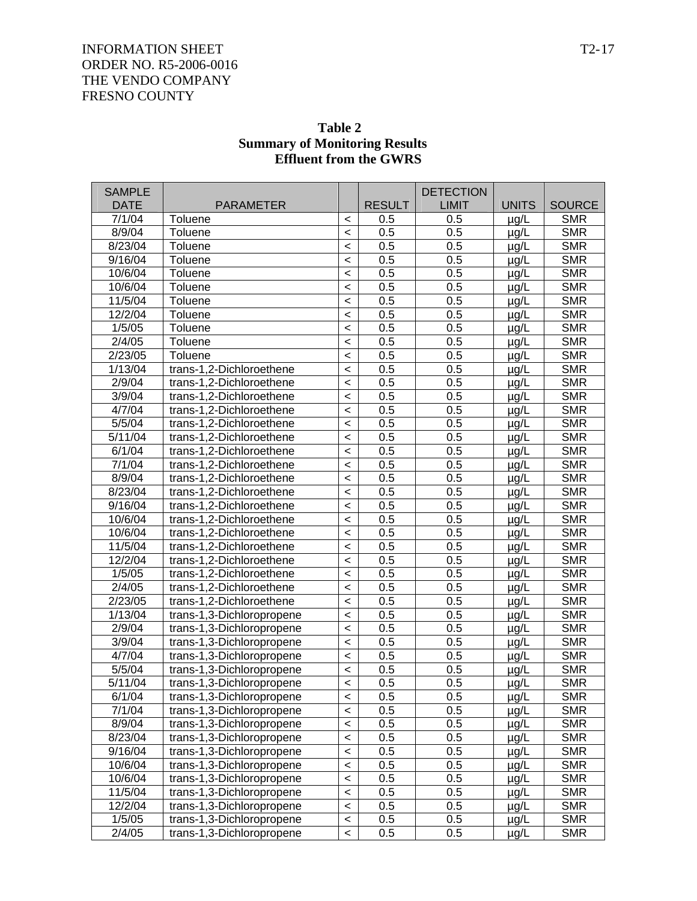| <b>SAMPLE</b><br><b>DATE</b> |                                                        |                    |                      | <b>DETECTION</b><br><b>LIMIT</b> |                        | <b>SOURCE</b>            |
|------------------------------|--------------------------------------------------------|--------------------|----------------------|----------------------------------|------------------------|--------------------------|
| 7/1/04                       | <b>PARAMETER</b><br>Toluene                            |                    | <b>RESULT</b><br>0.5 | 0.5                              | <b>UNITS</b>           | <b>SMR</b>               |
| 8/9/04                       | Toluene                                                | $\,<\,$<br>$\,<$   | 0.5                  | 0.5                              | $\mu$ g/L              | <b>SMR</b>               |
| 8/23/04                      | Toluene                                                | $\,<$              | 0.5                  | 0.5                              | $\mu$ g/L<br>$\mu$ g/L | <b>SMR</b>               |
| 9/16/04                      | Toluene                                                | $\,<$              | 0.5                  | 0.5                              | $\mu$ g/L              | <b>SMR</b>               |
| 10/6/04                      | Toluene                                                | $\,<$              | 0.5                  | 0.5                              |                        | <b>SMR</b>               |
| 10/6/04                      | Toluene                                                | $\,<$              | 0.5                  | 0.5                              | $\mu$ g/L              | <b>SMR</b>               |
| 11/5/04                      | Toluene                                                | $\,<$              | 0.5                  | 0.5                              | $\mu$ g/L              | <b>SMR</b>               |
| 12/2/04                      | Toluene                                                | $\,<$              | 0.5                  | 0.5                              | $\mu$ g/L<br>$\mu$ g/L | <b>SMR</b>               |
| 1/5/05                       | Toluene                                                | $\,<$              | 0.5                  | 0.5                              | $\mu$ g/L              | <b>SMR</b>               |
| 2/4/05                       | Toluene                                                | $\,<$              | 0.5                  | 0.5                              | $\mu$ g/L              | <b>SMR</b>               |
| 2/23/05                      | Toluene                                                | $\,<$              | 0.5                  | 0.5                              | $\mu$ g/L              | <b>SMR</b>               |
| 1/13/04                      | trans-1,2-Dichloroethene                               | $\prec$            | 0.5                  | 0.5                              | $\mu$ g/L              | <b>SMR</b>               |
| 2/9/04                       | trans-1,2-Dichloroethene                               | $\,<$              | 0.5                  | 0.5                              | $\mu$ g/L              | <b>SMR</b>               |
| 3/9/04                       | trans-1,2-Dichloroethene                               | $\prec$            | 0.5                  | 0.5                              | $\mu$ g/L              | <b>SMR</b>               |
| 4/7/04                       | trans-1,2-Dichloroethene                               | $\prec$            | 0.5                  | 0.5                              |                        | <b>SMR</b>               |
| 5/5/04                       | trans-1,2-Dichloroethene                               | $\prec$            | 0.5                  | 0.5                              | $\mu$ g/L              | <b>SMR</b>               |
| 5/11/04                      | trans-1,2-Dichloroethene                               | $\,<$              | 0.5                  | 0.5                              | $\mu$ g/L<br>$\mu$ g/L | <b>SMR</b>               |
| 6/1/04                       | trans-1,2-Dichloroethene                               | $\prec$            | 0.5                  | 0.5                              |                        | <b>SMR</b>               |
| 7/1/04                       | trans-1,2-Dichloroethene                               |                    | 0.5                  | 0.5                              | $\mu$ g/L              | <b>SMR</b>               |
| 8/9/04                       | trans-1,2-Dichloroethene                               | $\prec$<br>$\prec$ | 0.5                  | 0.5                              | $\mu$ g/L              | <b>SMR</b>               |
| 8/23/04                      | trans-1,2-Dichloroethene                               | $\,<$              | 0.5                  | 0.5                              | $\mu$ g/L              | <b>SMR</b>               |
| 9/16/04                      | trans-1,2-Dichloroethene                               | $\,<$              | 0.5                  | 0.5                              | $\mu$ g/L              | <b>SMR</b>               |
| 10/6/04                      | trans-1,2-Dichloroethene                               | $\prec$            | 0.5                  | 0.5                              | $\mu$ g/L              | <b>SMR</b>               |
| 10/6/04                      | trans-1,2-Dichloroethene                               | $\prec$            | 0.5                  | 0.5                              | $\mu$ g/L              | <b>SMR</b>               |
| 11/5/04                      | trans-1,2-Dichloroethene                               | $\,<$              | 0.5                  | 0.5                              | $\mu$ g/L              | <b>SMR</b>               |
| 12/2/04                      | trans-1,2-Dichloroethene                               | $\,<$              | 0.5                  | 0.5                              | $\mu$ g/L              | <b>SMR</b>               |
| 1/5/05                       | trans-1,2-Dichloroethene                               | $\prec$            | 0.5                  | 0.5                              | $\mu$ g/L              | <b>SMR</b>               |
| 2/4/05                       | trans-1,2-Dichloroethene                               | $\prec$            | 0.5                  | 0.5                              | $\mu$ g/L              | <b>SMR</b>               |
| 2/23/05                      | trans-1,2-Dichloroethene                               | $\,<$              | 0.5                  | 0.5                              | $\mu$ g/L              | <b>SMR</b>               |
| 1/13/04                      | trans-1,3-Dichloropropene                              | $\,<$              | 0.5                  | 0.5                              | $\mu$ g/L              | <b>SMR</b>               |
| 2/9/04                       | trans-1,3-Dichloropropene                              | $\,<$              | 0.5                  | 0.5                              | $\mu$ g/L              | <b>SMR</b>               |
| 3/9/04                       | trans-1,3-Dichloropropene                              | $\,<$              | 0.5                  | 0.5                              | $\mu$ g/L              | <b>SMR</b>               |
| 4/7/04                       | trans-1,3-Dichloropropene                              |                    | 0.5                  | 0.5                              | $\mu$ g/L              | <b>SMR</b>               |
| 5/5/04                       | trans-1,3-Dichloropropene                              | $\,<$              | 0.5                  | 0.5                              | $\mu$ g/L              | <b>SMR</b>               |
| 5/11/04                      |                                                        | $\,<$<br>$\prec$   | 0.5                  | 0.5                              | $\mu$ g/L              | <b>SMR</b>               |
| 6/1/04                       | trans-1,3-Dichloropropene                              |                    | 0.5                  | 0.5                              | $\mu$ g/L              | <b>SMR</b>               |
| 7/1/04                       | trans-1,3-Dichloropropene                              | $\,<$              |                      |                                  | $\mu$ g/L              | <b>SMR</b>               |
| 8/9/04                       | trans-1,3-Dichloropropene                              | $\prec$            | 0.5                  | 0.5                              | $\mu$ g/L              |                          |
| 8/23/04                      | trans-1,3-Dichloropropene                              | $\prec$            | 0.5                  | 0.5                              | $\mu$ g/L              | <b>SMR</b>               |
|                              | trans-1,3-Dichloropropene                              | $\prec$            | 0.5                  | 0.5                              | $\mu$ g/L              | <b>SMR</b>               |
| 9/16/04                      | trans-1,3-Dichloropropene                              | $\,<$              | 0.5                  | 0.5                              | $\mu$ g/L              | <b>SMR</b>               |
| 10/6/04                      | trans-1,3-Dichloropropene                              | $\prec$            | 0.5                  | 0.5                              | $\mu$ g/L              | <b>SMR</b>               |
| 10/6/04                      | trans-1,3-Dichloropropene                              | $\prec$            | 0.5                  | 0.5                              | $\mu$ g/L              | <b>SMR</b>               |
| 11/5/04<br>12/2/04           | trans-1,3-Dichloropropene                              | $\prec$            | 0.5                  | 0.5                              | $\mu$ g/L              | <b>SMR</b>               |
| 1/5/05                       | trans-1,3-Dichloropropene                              | $\prec$            | 0.5                  | 0.5                              | $\mu$ g/L              | <b>SMR</b><br><b>SMR</b> |
|                              | trans-1,3-Dichloropropene<br>trans-1,3-Dichloropropene | $\prec$            | 0.5                  | 0.5                              | $\mu$ g/L              |                          |
| 2/4/05                       |                                                        | $\,<$              | 0.5                  | 0.5                              | $\mu$ g/L              | <b>SMR</b>               |

### **Table 2 Summary of Monitoring Results Effluent from the GWRS**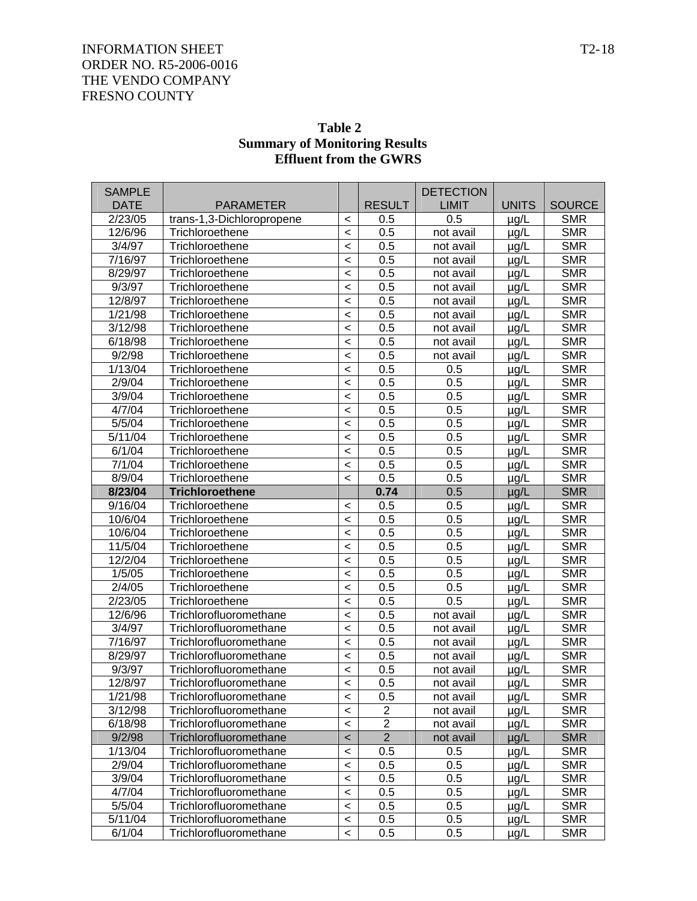| <b>SAMPLE</b>       |                           |                          |                | <b>DETECTION</b> |              |               |  |
|---------------------|---------------------------|--------------------------|----------------|------------------|--------------|---------------|--|
| <b>DATE</b>         | <b>PARAMETER</b>          |                          | <b>RESULT</b>  | <b>LIMIT</b>     | <b>UNITS</b> | <b>SOURCE</b> |  |
| 2/23/05             | trans-1,3-Dichloropropene | $\,<$                    | 0.5            | 0.5              | $\mu$ g/L    | <b>SMR</b>    |  |
| 12/6/96             | Trichloroethene           | $\,<\,$                  | 0.5            | not avail        | $\mu$ g/L    | <b>SMR</b>    |  |
| 3/4/97              | Trichloroethene           | $\prec$                  | 0.5            | not avail        | $\mu$ g/L    | <b>SMR</b>    |  |
| 7/16/97             | Trichloroethene           | $\,<$                    | 0.5            | not avail        | $\mu$ g/L    | <b>SMR</b>    |  |
| 8/29/97             | Trichloroethene           | $\,<$                    | 0.5            | not avail        | $\mu$ g/L    | <b>SMR</b>    |  |
| 9/3/97              | Trichloroethene           | $\,<$                    | 0.5            | not avail        | $\mu$ g/L    | <b>SMR</b>    |  |
| 12/8/97             | Trichloroethene           | $\,<$                    | 0.5            | not avail        | $\mu$ g/L    | <b>SMR</b>    |  |
| 1/21/98             | Trichloroethene           | $\,<$                    | 0.5            | not avail        | $\mu$ g/L    | <b>SMR</b>    |  |
| 3/12/98             | Trichloroethene           | $\,<$                    | 0.5            | not avail        | $\mu$ g/L    | <b>SMR</b>    |  |
| 6/18/98             | Trichloroethene           | $\,<$                    | 0.5            | not avail        | $\mu$ g/L    | <b>SMR</b>    |  |
| 9/2/98              | Trichloroethene           | $\,<$                    | 0.5            | not avail        | $\mu$ g/L    | <b>SMR</b>    |  |
| 1/13/04             | Trichloroethene           | $\,<$                    | 0.5            | 0.5              | $\mu$ g/L    | <b>SMR</b>    |  |
| 2/9/04              | Trichloroethene           | $\,<$                    | 0.5            | 0.5              | $\mu$ g/L    | <b>SMR</b>    |  |
| 3/9/04              | Trichloroethene           | $\,<$                    | 0.5            | 0.5              | $\mu$ g/L    | <b>SMR</b>    |  |
| 4/7/04              | Trichloroethene           | $\,<$                    | 0.5            | 0.5              | $\mu$ g/L    | <b>SMR</b>    |  |
| 5/5/04              | Trichloroethene           | $\,<$                    | 0.5            | 0.5              | $\mu$ g/L    | <b>SMR</b>    |  |
| 5/11/04             | Trichloroethene           | $\,<$                    | 0.5            | 0.5              | $\mu$ g/L    | <b>SMR</b>    |  |
| 6/1/04              | Trichloroethene           | $\,<$                    | 0.5            | 0.5              | $\mu$ g/L    | <b>SMR</b>    |  |
| 7/1/04              | Trichloroethene           | $\,<$                    | 0.5            | 0.5              | $\mu$ g/L    | <b>SMR</b>    |  |
| 8/9/04              | Trichloroethene           | $\prec$                  | 0.5            | 0.5              | $\mu$ g/L    | <b>SMR</b>    |  |
| 8/23/04             | <b>Trichloroethene</b>    |                          | 0.74           | 0.5              | $\mu$ g/L    | <b>SMR</b>    |  |
| 9/16/04             | Trichloroethene           | $\,<\,$                  | 0.5            | 0.5              | $\mu$ g/L    | <b>SMR</b>    |  |
| 10/6/04             | Trichloroethene           | $\,<$                    | 0.5            | 0.5              | $\mu$ g/L    | <b>SMR</b>    |  |
| 10/6/04             | Trichloroethene           | $\,<$                    | 0.5            | 0.5              | $\mu$ g/L    | <b>SMR</b>    |  |
| 11/5/04             | Trichloroethene           | $\,<\,$                  | 0.5            | 0.5              | $\mu$ g/L    | <b>SMR</b>    |  |
| 12/2/04             | Trichloroethene           | $\,<$                    | 0.5            | 0.5              | $\mu$ g/L    | <b>SMR</b>    |  |
| 1/5/05              | Trichloroethene           | $\,<$                    | 0.5            | 0.5              | $\mu$ g/L    | <b>SMR</b>    |  |
| 2/4/05              | Trichloroethene           | $\,<$                    | 0.5            | 0.5              | $\mu$ g/L    | <b>SMR</b>    |  |
| 2/23/05             | Trichloroethene           | $\,<$                    | 0.5            | 0.5              | $\mu$ g/L    | <b>SMR</b>    |  |
| 12/6/96             | Trichlorofluoromethane    | $\,<$                    | 0.5            | not avail        | $\mu$ g/L    | <b>SMR</b>    |  |
| 3/4/97              | Trichlorofluoromethane    | $\,<$                    | 0.5            | not avail        | $\mu$ g/L    | <b>SMR</b>    |  |
| $\frac{1}{7}$ 16/97 | Trichlorofluoromethane    | $\,<$                    | 0.5            | not avail        | $\mu$ g/L    | <b>SMR</b>    |  |
| 8/29/97             | Trichlorofluoromethane    | $\,<$                    | 0.5            | not avail        | $\mu$ g/L    | <b>SMR</b>    |  |
| 9/3/97              | Trichlorofluoromethane    | $\,<$                    | 0.5            | not avail        | $\mu$ g/L    | <b>SMR</b>    |  |
| 12/8/97             | Trichlorofluoromethane    | $\,<\,$                  | 0.5            | not avail        | µg/L         | <b>SMR</b>    |  |
| 1/21/98             | Trichlorofluoromethane    | $\,<\,$                  | 0.5            | not avail        | µg/L         | <b>SMR</b>    |  |
| 3/12/98             | Trichlorofluoromethane    | $\,<$                    | $\overline{2}$ | not avail        | µg/L         | <b>SMR</b>    |  |
| 6/18/98             | Trichlorofluoromethane    | $\,<$                    | $\overline{2}$ | not avail        | $\mu$ g/L    | <b>SMR</b>    |  |
| 9/2/98              | Trichlorofluoromethane    | $\,<\,$                  | $\overline{2}$ | not avail        | µg/L         | <b>SMR</b>    |  |
| 1/13/04             | Trichlorofluoromethane    | $\,<\,$                  | 0.5            | 0.5              | $\mu$ g/L    | <b>SMR</b>    |  |
| 2/9/04              | Trichlorofluoromethane    | $\,<$                    | 0.5            | 0.5              | µg/L         | <b>SMR</b>    |  |
| 3/9/04              | Trichlorofluoromethane    | $\,<$                    | 0.5            | 0.5              | $\mu$ g/L    | <b>SMR</b>    |  |
| 4/7/04              | Trichlorofluoromethane    | $\,<\,$                  | 0.5            | 0.5              | $\mu$ g/L    | <b>SMR</b>    |  |
| 5/5/04              | Trichlorofluoromethane    | $\,<\,$                  | 0.5            | 0.5              | $\mu$ g/L    | <b>SMR</b>    |  |
| 5/11/04             | Trichlorofluoromethane    | $\,<$                    | 0.5            | 0.5              | $\mu$ g/L    | <b>SMR</b>    |  |
| 6/1/04              | Trichlorofluoromethane    | $\overline{\phantom{a}}$ | 0.5            | 0.5              | µg/L         | <b>SMR</b>    |  |

### **Table 2 Summary of Monitoring Results Effluent from the GWRS**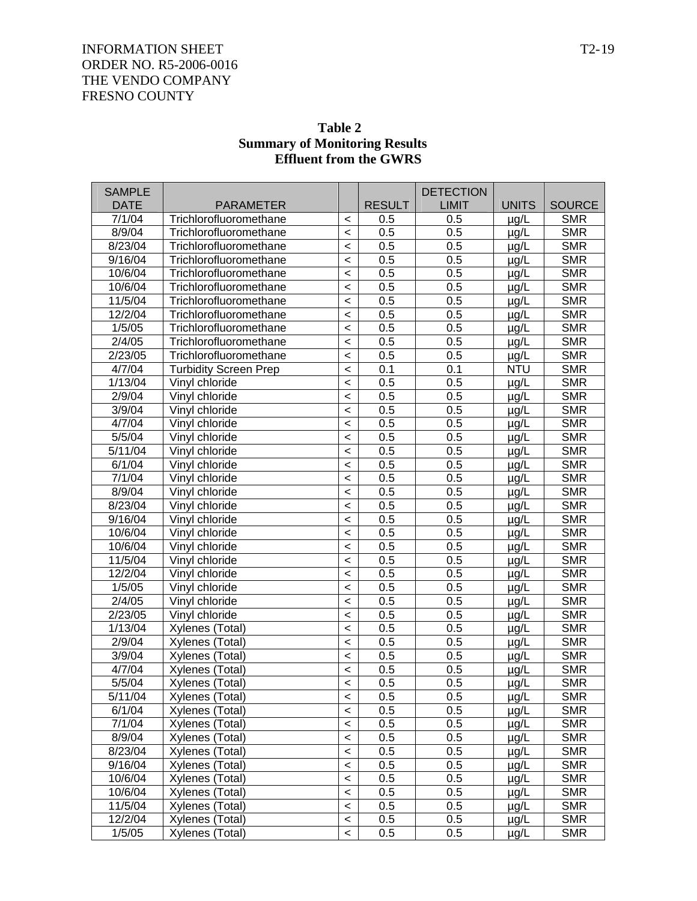| Table 2                              |
|--------------------------------------|
| <b>Summary of Monitoring Results</b> |
| <b>Effluent from the GWRS</b>        |

| <b>SAMPLE</b>     |                              |                          |               | <b>DETECTION</b> |              |               |
|-------------------|------------------------------|--------------------------|---------------|------------------|--------------|---------------|
| <b>DATE</b>       | <b>PARAMETER</b>             |                          | <b>RESULT</b> | <b>LIMIT</b>     | <b>UNITS</b> | <b>SOURCE</b> |
| 7/1/04            | Trichlorofluoromethane       | $\,<\,$                  | 0.5           | 0.5              | $\mu$ g/L    | <b>SMR</b>    |
| 8/9/04            | Trichlorofluoromethane       | $\overline{\phantom{a}}$ | 0.5           | 0.5              | µg/L         | <b>SMR</b>    |
| 8/23/04           | Trichlorofluoromethane       | $\overline{\phantom{a}}$ | 0.5           | 0.5              | µg/L         | <b>SMR</b>    |
| 9/16/04           | Trichlorofluoromethane       |                          | 0.5           | 0.5              | µg/L         | <b>SMR</b>    |
| 10/6/04           | Trichlorofluoromethane       | $\prec$                  | 0.5           | 0.5              | µg/L         | <b>SMR</b>    |
| 10/6/04           | Trichlorofluoromethane       | $\prec$                  | 0.5           | 0.5              | µg/L         | <b>SMR</b>    |
| 11/5/04           | Trichlorofluoromethane       | $\prec$                  | 0.5           | 0.5              | µg/L         | <b>SMR</b>    |
| 12/2/04           | Trichlorofluoromethane       | $\overline{\phantom{a}}$ | 0.5           | 0.5              | µg/L         | <b>SMR</b>    |
| $\frac{1}{5}$ /05 | Trichlorofluoromethane       | $\prec$                  | 0.5           | 0.5              | µg/L         | <b>SMR</b>    |
| 2/4/05            | Trichlorofluoromethane       | $\prec$                  | 0.5           | 0.5              | µg/L         | <b>SMR</b>    |
| 2/23/05           | Trichlorofluoromethane       | $\prec$                  | 0.5           | 0.5              | µg/L         | <b>SMR</b>    |
| 4/7/04            | <b>Turbidity Screen Prep</b> | $\prec$                  | 0.1           | 0.1              | <b>NTU</b>   | <b>SMR</b>    |
| 1/13/04           | Vinyl chloride               | $\overline{\phantom{0}}$ | 0.5           | 0.5              | $\mu$ g/L    | <b>SMR</b>    |
| 2/9/04            | Vinyl chloride               | $\prec$                  | 0.5           | 0.5              | µg/L         | <b>SMR</b>    |
| 3/9/04            | Vinyl chloride               | $\prec$                  | 0.5           | 0.5              | µg/L         | <b>SMR</b>    |
| 4/7/04            | Vinyl chloride               | $\prec$                  | 0.5           | 0.5              | µg/L         | <b>SMR</b>    |
| 5/5/04            | Vinyl chloride               | $\overline{\phantom{0}}$ | 0.5           | 0.5              | µg/L         | <b>SMR</b>    |
| 5/11/04           | Vinyl chloride               | $\overline{\phantom{0}}$ | 0.5           | 0.5              | µg/L         | <b>SMR</b>    |
| 6/1/04            | Vinyl chloride               | $\prec$                  | 0.5           | 0.5              | µg/L         | <b>SMR</b>    |
| 7/1/04            | Vinyl chloride               | $\prec$                  | 0.5           | 0.5              | µg/L         | <b>SMR</b>    |
| 8/9/04            | Vinyl chloride               | $\prec$                  | 0.5           | 0.5              | µg/L         | <b>SMR</b>    |
| 8/23/04           | Vinyl chloride               | $\overline{\phantom{0}}$ | 0.5           | 0.5              | µg/L         | <b>SMR</b>    |
| 9/16/04           | Vinyl chloride               | $\prec$                  | 0.5           | 0.5              | µg/L         | <b>SMR</b>    |
| 10/6/04           | Vinyl chloride               | $\prec$                  | 0.5           | 0.5              | µg/L         | <b>SMR</b>    |
| 10/6/04           | Vinyl chloride               | $\prec$                  | 0.5           | 0.5              | µg/L         | <b>SMR</b>    |
| 11/5/04           | Vinyl chloride               | $\prec$                  | 0.5           | 0.5              | µg/L         | <b>SMR</b>    |
| 12/2/04           | Vinyl chloride               | $\overline{\phantom{0}}$ | 0.5           | 0.5              | µg/L         | <b>SMR</b>    |
| 1/5/05            | Vinyl chloride               | $\prec$                  | 0.5           | 0.5              | µg/L         | <b>SMR</b>    |
| 2/4/05            | Vinyl chloride               | $\prec$                  | 0.5           | 0.5              | µg/L         | <b>SMR</b>    |
| 2/23/05           | Vinyl chloride               | $\prec$                  | 0.5           | 0.5              | µg/L         | <b>SMR</b>    |
| 1/13/04           | Xylenes (Total)              | $\overline{\phantom{0}}$ | 0.5           | 0.5              | µg/L         | <b>SMR</b>    |
| 2/9/04            | Xylenes (Total)              | $\overline{\phantom{0}}$ | 0.5           | 0.5              | µg/L         | <b>SMR</b>    |
| 3/9/04            | Xylenes (Total)              | $\prec$                  | 0.5           | 0.5              | µg/L         | <b>SMR</b>    |
| 4/7/04            | Xylenes (Total)              | $\prec$                  | 0.5           | 0.5              | µg/L         | <b>SMR</b>    |
| 5/5/04            | Xylenes (Total)              | $\overline{\phantom{a}}$ | 0.5           | 0.5              | $\mu$ g/L    | <b>SMR</b>    |
| 5/11/04           | Xylenes (Total)              | $\,<\,$                  | 0.5           | 0.5              | $\mu$ g/L    | <b>SMR</b>    |
| 6/1/04            | Xylenes (Total)              | $\overline{\phantom{0}}$ | 0.5           | 0.5              | µg/L         | <b>SMR</b>    |
| 7/1/04            | Xylenes (Total)              | $\,<\,$                  | 0.5           | 0.5              | µg/L         | <b>SMR</b>    |
| 8/9/04            | Xylenes (Total)              | $\,<$                    | 0.5           | 0.5              | µg/L         | <b>SMR</b>    |
| 8/23/04           | Xylenes (Total)              | $\,<$                    | 0.5           | 0.5              | µg/L         | <b>SMR</b>    |
| 9/16/04           | Xylenes (Total)              | $\,<\,$                  | 0.5           | 0.5              | µg/L         | <b>SMR</b>    |
| $\frac{10}{6}/04$ | Xylenes (Total)              | $\,<\,$                  | 0.5           | 0.5              | µg/L         | <b>SMR</b>    |
| 10/6/04           | Xylenes (Total)              | $\,<\,$                  | 0.5           | 0.5              | µg/L         | <b>SMR</b>    |
| 11/5/04           | Xylenes (Total)              | $\overline{\phantom{0}}$ | 0.5           | 0.5              | $\mu$ g/L    | <b>SMR</b>    |
| 12/2/04           | Xylenes (Total)              | $\,<$                    | 0.5           | 0.5              | µg/L         | <b>SMR</b>    |
| 1/5/05            | Xylenes (Total)              | $\overline{\phantom{0}}$ | 0.5           | 0.5              | µg/L         | <b>SMR</b>    |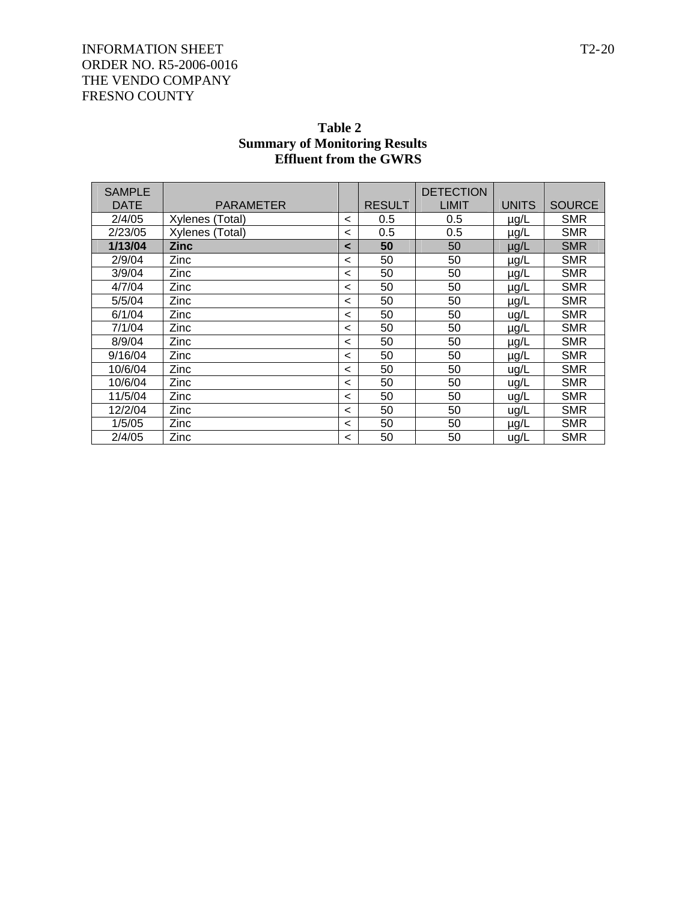| Table 2                              |
|--------------------------------------|
| <b>Summary of Monitoring Results</b> |
| <b>Effluent from the GWRS</b>        |

| <b>SAMPLE</b><br><b>DATE</b> | PARAMETER       |         | <b>RESULT</b> | <b>DETECTION</b><br>LIMIT | <b>UNITS</b> | <b>SOURCE</b> |
|------------------------------|-----------------|---------|---------------|---------------------------|--------------|---------------|
| 2/4/05                       | Xylenes (Total) | $\,<\,$ | 0.5           | 0.5                       | $\mu$ g/L    | <b>SMR</b>    |
| 2/23/05                      | Xylenes (Total) | <       | 0.5           | 0.5                       | $\mu$ g/L    | <b>SMR</b>    |
| 1/13/04                      | <b>Zinc</b>     | $\prec$ | 50            | 50                        | $\mu$ g/L    | <b>SMR</b>    |
| 2/9/04                       | Zinc            | $\,<\,$ | 50            | 50                        | $\mu$ g/L    | <b>SMR</b>    |
| 3/9/04                       | Zinc            | $\,<\,$ | 50            | 50                        | $\mu$ g/L    | <b>SMR</b>    |
| 4/7/04                       | Zinc            | $\,<\,$ | 50            | 50                        | $\mu$ g/L    | <b>SMR</b>    |
| 5/5/04                       | Zinc            | $\,<\,$ | 50            | 50                        | $\mu$ g/L    | <b>SMR</b>    |
| 6/1/04                       | Zinc            | $\,<\,$ | 50            | 50                        | ug/L         | <b>SMR</b>    |
| 7/1/04                       | Zinc            | $\,<\,$ | 50            | 50                        | $\mu$ g/L    | <b>SMR</b>    |
| 8/9/04                       | Zinc            | $\,<\,$ | 50            | 50                        | µg/L         | <b>SMR</b>    |
| 9/16/04                      | Zinc            | $\,<\,$ | 50            | 50                        | $\mu$ g/L    | <b>SMR</b>    |
| 10/6/04                      | Zinc            | $\,<\,$ | 50            | 50                        | ug/L         | <b>SMR</b>    |
| 10/6/04                      | Zinc            | $\,<\,$ | 50            | 50                        | ug/L         | <b>SMR</b>    |
| 11/5/04                      | Zinc            | $\,<\,$ | 50            | 50                        | ug/L         | <b>SMR</b>    |
| 12/2/04                      | Zinc            | $\,<\,$ | 50            | 50                        | ug/L         | <b>SMR</b>    |
| 1/5/05                       | Zinc            | $\,<\,$ | 50            | 50                        | $\mu$ g/L    | <b>SMR</b>    |
| 2/4/05                       | Zinc            | $\,<\,$ | 50            | 50                        | ug/L         | <b>SMR</b>    |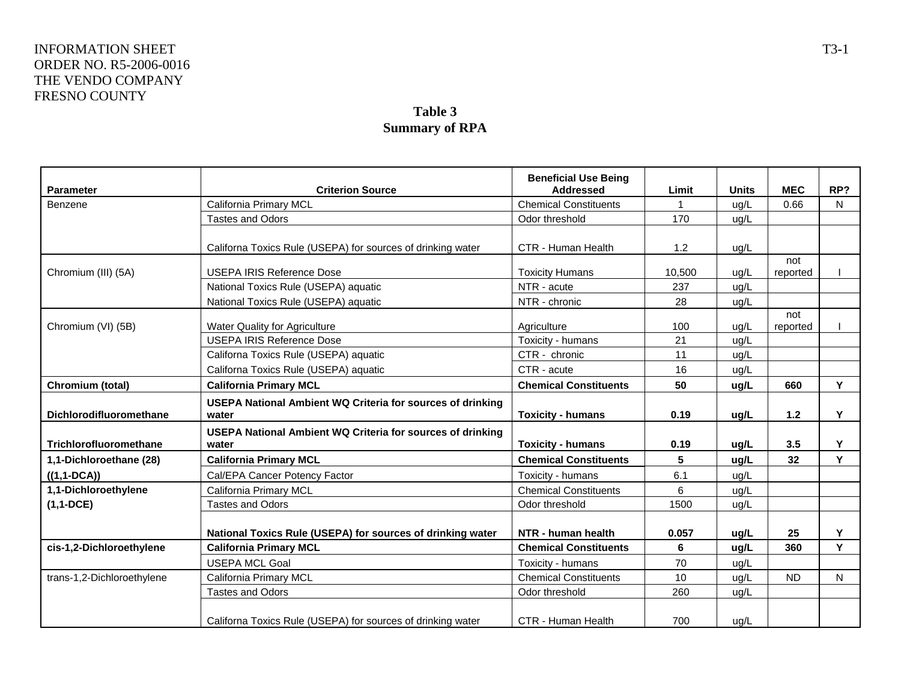### **Table 3 Summary of RPA**

| <b>Parameter</b>           | <b>Criterion Source</b>                                             | <b>Beneficial Use Being</b><br><b>Addressed</b>                                                                                                                                                                                                                                                                                                                                                                                                                                                                                                                                                                                                                                         | Limit | <b>Units</b> | <b>MEC</b> | RP?          |
|----------------------------|---------------------------------------------------------------------|-----------------------------------------------------------------------------------------------------------------------------------------------------------------------------------------------------------------------------------------------------------------------------------------------------------------------------------------------------------------------------------------------------------------------------------------------------------------------------------------------------------------------------------------------------------------------------------------------------------------------------------------------------------------------------------------|-------|--------------|------------|--------------|
| Benzene                    | California Primary MCL                                              | <b>Chemical Constituents</b>                                                                                                                                                                                                                                                                                                                                                                                                                                                                                                                                                                                                                                                            | 1     | ug/L         | 0.66       | N            |
|                            | Tastes and Odors                                                    |                                                                                                                                                                                                                                                                                                                                                                                                                                                                                                                                                                                                                                                                                         |       |              |            |              |
|                            |                                                                     |                                                                                                                                                                                                                                                                                                                                                                                                                                                                                                                                                                                                                                                                                         |       |              |            |              |
|                            | Californa Toxics Rule (USEPA) for sources of drinking water         | CTR - Human Health                                                                                                                                                                                                                                                                                                                                                                                                                                                                                                                                                                                                                                                                      | 1.2   | ug/L         |            |              |
| Chromium (III) (5A)        | <b>USEPA IRIS Reference Dose</b>                                    |                                                                                                                                                                                                                                                                                                                                                                                                                                                                                                                                                                                                                                                                                         |       |              | not        |              |
|                            | National Toxics Rule (USEPA) aquatic                                | NTR - acute                                                                                                                                                                                                                                                                                                                                                                                                                                                                                                                                                                                                                                                                             | 237   |              |            |              |
|                            | National Toxics Rule (USEPA) aquatic                                |                                                                                                                                                                                                                                                                                                                                                                                                                                                                                                                                                                                                                                                                                         | 28    |              |            |              |
|                            |                                                                     |                                                                                                                                                                                                                                                                                                                                                                                                                                                                                                                                                                                                                                                                                         |       |              | not        |              |
| Chromium (VI) (5B)         | Water Quality for Agriculture                                       | Agriculture                                                                                                                                                                                                                                                                                                                                                                                                                                                                                                                                                                                                                                                                             | 100   | uq/L         | reported   |              |
|                            | <b>USEPA IRIS Reference Dose</b>                                    | Toxicity - humans                                                                                                                                                                                                                                                                                                                                                                                                                                                                                                                                                                                                                                                                       | 21    | ug/L         |            |              |
|                            | Californa Toxics Rule (USEPA) aquatic                               | Odor threshold<br>170<br>ug/L<br><b>Toxicity Humans</b><br>10,500<br>ug/L<br>reported<br>ug/L<br>NTR - chronic<br>ug/L<br>11<br>CTR - chronic<br>ug/L<br>CTR - acute<br>16<br>ug/L<br><b>Chemical Constituents</b><br>Y<br>660<br>50<br>ug/L<br>Y<br><b>Toxicity - humans</b><br>0.19<br>$1.2$<br>ug/L<br>3.5<br>Y<br>0.19<br><b>Toxicity - humans</b><br>ug/L<br>Y<br><b>Chemical Constituents</b><br>5<br>32<br>ug/L<br>6.1<br>Toxicity - humans<br>ug/L<br><b>Chemical Constituents</b><br>6<br>ug/L<br>Odor threshold<br>1500<br>ug/L<br>Y<br>25<br>NTR - human health<br>0.057<br>ug/L<br>Y<br><b>Chemical Constituents</b><br>6<br>360<br>ug/L<br>Toxicity - humans<br>70<br>ug/L |       |              |            |              |
|                            | Californa Toxics Rule (USEPA) aquatic                               |                                                                                                                                                                                                                                                                                                                                                                                                                                                                                                                                                                                                                                                                                         |       |              |            |              |
| Chromium (total)           | <b>California Primary MCL</b>                                       |                                                                                                                                                                                                                                                                                                                                                                                                                                                                                                                                                                                                                                                                                         |       |              |            |              |
| Dichlorodifluoromethane    | USEPA National Ambient WQ Criteria for sources of drinking<br>water |                                                                                                                                                                                                                                                                                                                                                                                                                                                                                                                                                                                                                                                                                         |       |              |            |              |
| Trichlorofluoromethane     | USEPA National Ambient WQ Criteria for sources of drinking<br>water |                                                                                                                                                                                                                                                                                                                                                                                                                                                                                                                                                                                                                                                                                         |       |              |            |              |
| 1,1-Dichloroethane (28)    | <b>California Primary MCL</b>                                       |                                                                                                                                                                                                                                                                                                                                                                                                                                                                                                                                                                                                                                                                                         |       |              |            |              |
| $((1, 1-DCA))$             | Cal/EPA Cancer Potency Factor                                       |                                                                                                                                                                                                                                                                                                                                                                                                                                                                                                                                                                                                                                                                                         |       |              |            |              |
| 1,1-Dichloroethylene       | California Primary MCL                                              |                                                                                                                                                                                                                                                                                                                                                                                                                                                                                                                                                                                                                                                                                         |       |              |            |              |
| $(1,1-DCE)$                | <b>Tastes and Odors</b>                                             |                                                                                                                                                                                                                                                                                                                                                                                                                                                                                                                                                                                                                                                                                         |       |              |            |              |
|                            |                                                                     |                                                                                                                                                                                                                                                                                                                                                                                                                                                                                                                                                                                                                                                                                         |       |              |            |              |
|                            | National Toxics Rule (USEPA) for sources of drinking water          |                                                                                                                                                                                                                                                                                                                                                                                                                                                                                                                                                                                                                                                                                         |       |              |            |              |
| cis-1,2-Dichloroethylene   | <b>California Primary MCL</b>                                       |                                                                                                                                                                                                                                                                                                                                                                                                                                                                                                                                                                                                                                                                                         |       |              |            |              |
|                            | <b>USEPA MCL Goal</b>                                               |                                                                                                                                                                                                                                                                                                                                                                                                                                                                                                                                                                                                                                                                                         |       |              |            |              |
| trans-1,2-Dichloroethylene | California Primary MCL                                              | <b>Chemical Constituents</b>                                                                                                                                                                                                                                                                                                                                                                                                                                                                                                                                                                                                                                                            | 10    | ug/L         | <b>ND</b>  | $\mathsf{N}$ |
|                            | <b>Tastes and Odors</b>                                             | Odor threshold                                                                                                                                                                                                                                                                                                                                                                                                                                                                                                                                                                                                                                                                          | 260   | ug/L         |            |              |
|                            | Californa Toxics Rule (USEPA) for sources of drinking water         | CTR - Human Health                                                                                                                                                                                                                                                                                                                                                                                                                                                                                                                                                                                                                                                                      | 700   | ug/L         |            |              |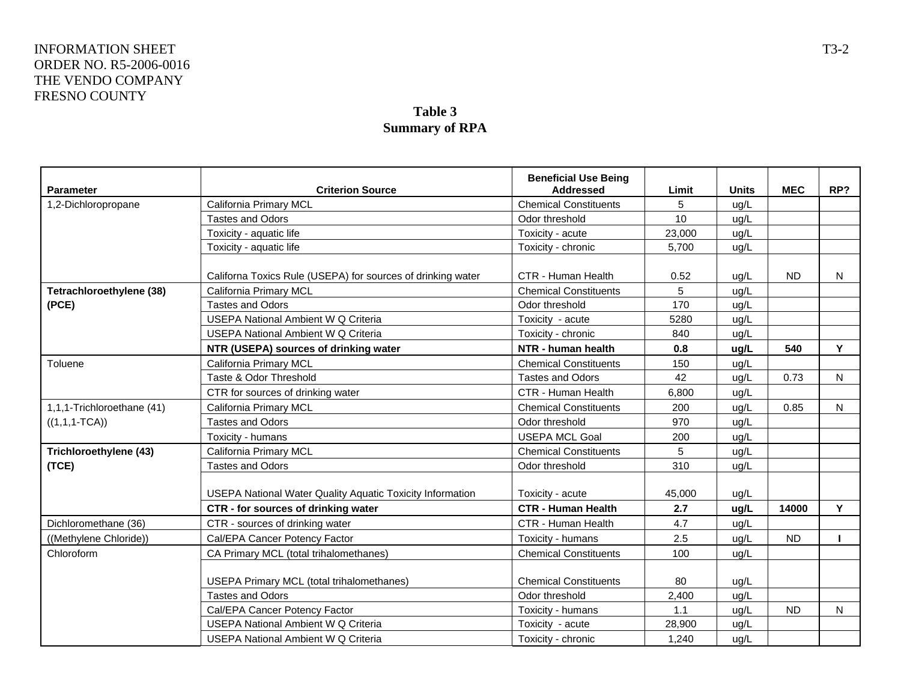#### **Table 3 Summary of RPA**

| <b>Parameter</b>           | <b>Criterion Source</b>                                          | <b>Beneficial Use Being</b><br><b>Addressed</b> | Limit  | <b>Units</b> | <b>MEC</b>                      | RP? |
|----------------------------|------------------------------------------------------------------|-------------------------------------------------|--------|--------------|---------------------------------|-----|
| 1,2-Dichloropropane        | California Primary MCL                                           | <b>Chemical Constituents</b>                    | 5      | ug/L         |                                 |     |
|                            | <b>Tastes and Odors</b>                                          | Odor threshold                                  | 10     | ug/L         |                                 |     |
|                            | Toxicity - aquatic life                                          | Toxicity - acute                                | 23,000 | ug/L         |                                 |     |
|                            | Toxicity - aquatic life                                          | Toxicity - chronic                              | 5,700  | ug/L         |                                 |     |
|                            |                                                                  |                                                 |        |              |                                 |     |
|                            | Californa Toxics Rule (USEPA) for sources of drinking water      | CTR - Human Health                              | 0.52   | ug/L         | <b>ND</b>                       | N   |
| Tetrachloroethylene (38)   | California Primary MCL                                           | <b>Chemical Constituents</b>                    | 5      | ug/L         |                                 |     |
| (PCE)                      | <b>Tastes and Odors</b>                                          | Odor threshold                                  | 170    | ug/L         |                                 |     |
|                            | <b>USEPA National Ambient W Q Criteria</b>                       | Toxicity - acute                                | 5280   | ug/L         |                                 |     |
|                            | <b>USEPA National Ambient W Q Criteria</b>                       | Toxicity - chronic                              | 840    | ug/L         |                                 |     |
|                            | NTR (USEPA) sources of drinking water                            | NTR - human health                              | 0.8    | ug/L         | 540                             | Y   |
| Toluene                    | California Primary MCL                                           | <b>Chemical Constituents</b>                    | 150    | ug/L         |                                 |     |
|                            | Taste & Odor Threshold                                           | <b>Tastes and Odors</b>                         | 42     | ug/L         | 0.73                            | N   |
|                            | CTR for sources of drinking water                                | CTR - Human Health                              | 6,800  | ug/L         |                                 |     |
| 1,1,1-Trichloroethane (41) | California Primary MCL                                           | <b>Chemical Constituents</b>                    | 200    | ug/L         | 0.85                            | N   |
| $((1,1,1-TCA))$            | <b>Tastes and Odors</b>                                          | Odor threshold                                  | 970    | ug/L         |                                 |     |
|                            | Toxicity - humans                                                | <b>USEPA MCL Goal</b>                           | 200    | ug/L         |                                 |     |
| Trichloroethylene (43)     | California Primary MCL                                           | <b>Chemical Constituents</b>                    | 5      | ug/L         |                                 |     |
| (TCE)                      | <b>Tastes and Odors</b>                                          | Odor threshold                                  | 310    | ug/L         |                                 |     |
|                            |                                                                  |                                                 |        |              |                                 |     |
|                            | <b>USEPA National Water Quality Aquatic Toxicity Information</b> | Toxicity - acute                                | 45,000 | ug/L         |                                 |     |
|                            | CTR - for sources of drinking water                              | <b>CTR - Human Health</b>                       | 2.7    | ug/L         | 14000<br><b>ND</b><br><b>ND</b> | Y   |
| Dichloromethane (36)       | CTR - sources of drinking water                                  | CTR - Human Health                              | 4.7    | ug/L         |                                 |     |
| ((Methylene Chloride))     | Cal/EPA Cancer Potency Factor                                    | Toxicity - humans                               | 2.5    | ug/L         |                                 |     |
| Chloroform                 | CA Primary MCL (total trihalomethanes)                           | <b>Chemical Constituents</b>                    | 100    | ug/L         |                                 |     |
|                            |                                                                  |                                                 |        |              |                                 |     |
|                            | USEPA Primary MCL (total trihalomethanes)                        | <b>Chemical Constituents</b>                    | 80     | ug/L         |                                 |     |
|                            | <b>Tastes and Odors</b>                                          | Odor threshold                                  | 2,400  | ug/L         |                                 |     |
|                            | Cal/EPA Cancer Potency Factor                                    | Toxicity - humans                               | 1.1    | ug/L         |                                 | N   |
|                            | USEPA National Ambient W Q Criteria                              | Toxicity - acute                                | 28,900 | ug/L         |                                 |     |
|                            | <b>USEPA National Ambient W Q Criteria</b>                       | Toxicity - chronic                              | 1,240  | ug/L         |                                 |     |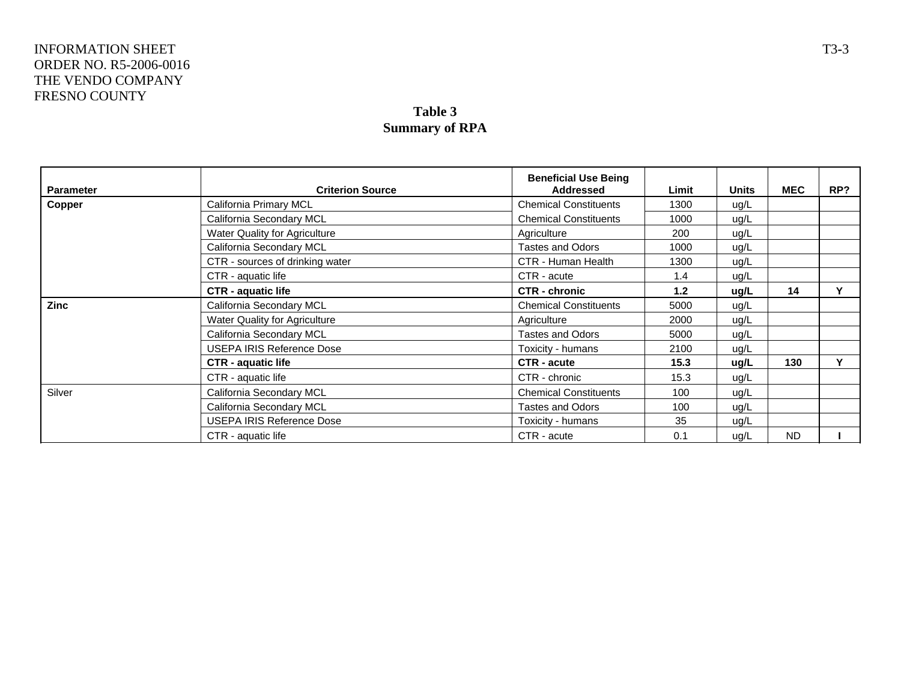# **Table 3 Summary of RPA**

| <b>Parameter</b> | <b>Criterion Source</b>          | <b>Beneficial Use Being</b><br>Addressed | Limit | <b>Units</b> | <b>MEC</b> | RP? |
|------------------|----------------------------------|------------------------------------------|-------|--------------|------------|-----|
| Copper           | California Primary MCL           | <b>Chemical Constituents</b>             | 1300  | ug/L         |            |     |
|                  | California Secondary MCL         | <b>Chemical Constituents</b>             | 1000  | ug/L         |            |     |
|                  | Water Quality for Agriculture    | Agriculture                              | 200   | ug/L         |            |     |
|                  | California Secondary MCL         | <b>Tastes and Odors</b>                  | 1000  | ug/L         |            |     |
|                  | CTR - sources of drinking water  | CTR - Human Health                       | 1300  | ug/L         |            |     |
|                  | CTR - aquatic life               | CTR - acute                              | 1.4   | ug/L         |            |     |
|                  | <b>CTR - aquatic life</b>        | <b>CTR - chronic</b>                     | 1.2   | ug/L         | 14         |     |
| <b>Zinc</b>      | California Secondary MCL         | <b>Chemical Constituents</b>             | 5000  | ug/L         |            |     |
|                  | Water Quality for Agriculture    | Agriculture                              | 2000  | ug/L         |            |     |
|                  | California Secondary MCL         | <b>Tastes and Odors</b>                  | 5000  | ug/L         |            |     |
|                  | <b>USEPA IRIS Reference Dose</b> | Toxicity - humans                        | 2100  | ug/L         |            |     |
|                  | <b>CTR - aquatic life</b>        | CTR - acute                              | 15.3  | ug/L         | 130        | v   |
|                  | CTR - aquatic life               | CTR - chronic                            | 15.3  | ug/L         |            |     |
| Silver           | California Secondary MCL         | <b>Chemical Constituents</b>             | 100   | ug/L         |            |     |
|                  | California Secondary MCL         | <b>Tastes and Odors</b><br>100           | ug/L  |              |            |     |
|                  | USEPA IRIS Reference Dose        | Toxicity - humans                        | 35    | ug/L         |            |     |
|                  | CTR - aquatic life               | CTR - acute                              | 0.1   | ug/L         | <b>ND</b>  |     |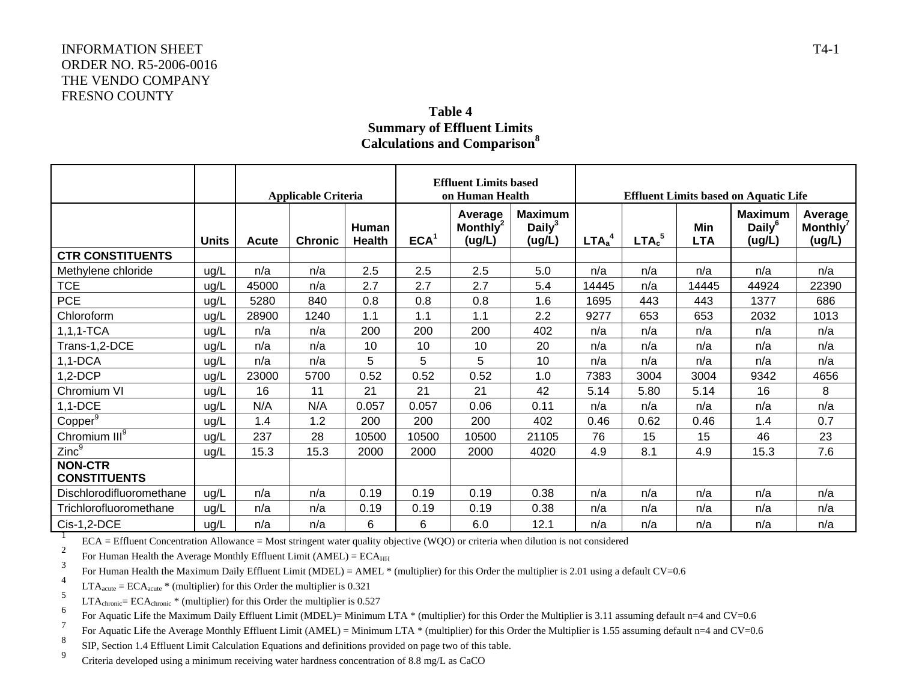### **Table 4 Summary of Effluent Limits Calculations and Comparison<sup>8</sup>**

|                                       |              | <b>Applicable Criteria</b> |                |                        | <b>Effluent Limits based</b><br>on Human Health |                                           |                                       | <b>Effluent Limits based on Aquatic Life</b> |                               |                   |                                       |                                           |
|---------------------------------------|--------------|----------------------------|----------------|------------------------|-------------------------------------------------|-------------------------------------------|---------------------------------------|----------------------------------------------|-------------------------------|-------------------|---------------------------------------|-------------------------------------------|
|                                       | <b>Units</b> | Acute                      | <b>Chronic</b> | Human<br><b>Health</b> | ECA <sup>1</sup>                                | Average<br>Monthly <sup>2</sup><br>(ug/L) | <b>Maximum</b><br>Daily $3$<br>(ug/L) | LTA <sub>a</sub> <sup>4</sup>                | LTA <sub>c</sub> <sup>5</sup> | Min<br><b>LTA</b> | <b>Maximum</b><br>Daily $6$<br>(ug/L) | Average<br>Monthly <sup>7</sup><br>(ug/L) |
| <b>CTR CONSTITUENTS</b>               |              |                            |                |                        |                                                 |                                           |                                       |                                              |                               |                   |                                       |                                           |
| Methylene chloride                    | ug/L         | n/a                        | n/a            | 2.5                    | 2.5                                             | 2.5                                       | 5.0                                   | n/a                                          | n/a                           | n/a               | n/a                                   | n/a                                       |
| <b>TCE</b>                            | ug/L         | 45000                      | n/a            | 2.7                    | 2.7                                             | 2.7                                       | 5.4                                   | 14445                                        | n/a                           | 14445             | 44924                                 | 22390                                     |
| <b>PCE</b>                            | ug/L         | 5280                       | 840            | 0.8                    | 0.8                                             | 0.8                                       | 1.6                                   | 1695                                         | 443                           | 443               | 1377                                  | 686                                       |
| Chloroform                            | ug/L         | 28900                      | 1240           | 1.1                    | 1.1                                             | 1.1                                       | 2.2                                   | 9277                                         | 653                           | 653               | 2032                                  | 1013                                      |
| $1, 1, 1$ -TCA                        | ug/L         | n/a                        | n/a            | 200                    | 200                                             | 200                                       | 402                                   | n/a                                          | n/a                           | n/a               | n/a                                   | n/a                                       |
| Trans-1,2-DCE                         | ug/L         | n/a                        | n/a            | 10                     | 10                                              | 10                                        | 20                                    | n/a                                          | n/a                           | n/a               | n/a                                   | n/a                                       |
| $1,1-DCA$                             | ug/L         | n/a                        | n/a            | 5                      | 5                                               | 5                                         | 10                                    | n/a                                          | n/a                           | n/a               | n/a                                   | n/a                                       |
| $1,2-DCP$                             | ug/L         | 23000                      | 5700           | 0.52                   | 0.52                                            | 0.52                                      | 1.0                                   | 7383                                         | 3004                          | 3004              | 9342                                  | 4656                                      |
| Chromium VI                           | ug/L         | 16                         | 11             | 21                     | 21                                              | 21                                        | 42                                    | 5.14                                         | 5.80                          | 5.14              | 16                                    | 8                                         |
| $1,1-DCE$                             | ug/L         | N/A                        | N/A            | 0.057                  | 0.057                                           | 0.06                                      | 0.11                                  | n/a                                          | n/a                           | n/a               | n/a                                   | n/a                                       |
| Copper <sup>9</sup>                   | ug/L         | 1.4                        | 1.2            | 200                    | 200                                             | 200                                       | 402                                   | 0.46                                         | 0.62                          | 0.46              | 1.4                                   | 0.7                                       |
| Chromium $III^9$                      | ug/L         | 237                        | 28             | 10500                  | 10500                                           | 10500                                     | 21105                                 | 76                                           | 15                            | 15                | 46                                    | 23                                        |
| Zinc <sup>9</sup>                     | ug/L         | 15.3                       | 15.3           | 2000                   | 2000                                            | 2000                                      | 4020                                  | 4.9                                          | 8.1                           | 4.9               | 15.3                                  | 7.6                                       |
| <b>NON-CTR</b><br><b>CONSTITUENTS</b> |              |                            |                |                        |                                                 |                                           |                                       |                                              |                               |                   |                                       |                                           |
| Dischlorodifluoromethane              | ug/L         | n/a                        | n/a            | 0.19                   | 0.19                                            | 0.19                                      | 0.38                                  | n/a                                          | n/a                           | n/a               | n/a                                   | n/a                                       |
| Trichlorofluoromethane                | ug/L         | n/a                        | n/a            | 0.19                   | 0.19                                            | 0.19                                      | 0.38                                  | n/a                                          | n/a                           | n/a               | n/a                                   | n/a                                       |
| Cis-1,2-DCE                           | ug/L         | n/a                        | n/a            | 6                      | 6                                               | 6.0                                       | 12.1                                  | n/a                                          | n/a                           | n/a               | n/a                                   | n/a                                       |

ECA = Effluent Concentration Allowance = Most stringent water quality objective (WQO) or criteria when dilution is not considered

2For Human Health the Average Monthly Effluent Limit (AMEL) =  $ECA<sub>HH</sub>$ 3

For Human Health the Maximum Daily Effluent Limit (MDEL) = AMEL \* (multiplier) for this Order the multiplier is 2.01 using a default CV=0.6

4 $LTA<sub>acute</sub> = ECA<sub>acute</sub> * (multiplier) for this Order the multiplier is 0.321$ 

5 $LTA_{\text{chronic}} = ECA_{\text{chronic}} * (multiplier)$  for this Order the multiplier is 0.527 6

For Aquatic Life the Maximum Daily Effluent Limit (MDEL)= Minimum LTA \* (multiplier) for this Order the Multiplier is 3.11 assuming default n=4 and CV=0.6 7

For Aquatic Life the Average Monthly Effluent Limit (AMEL) = Minimum LTA \* (multiplier) for this Order the Multiplier is 1.55 assuming default n=4 and CV=0.6 8

SIP, Section 1.4 Effluent Limit Calculation Equations and definitions provided on page two of this table.

9Criteria developed using a minimum receiving water hardness concentration of 8.8 mg/L as CaCO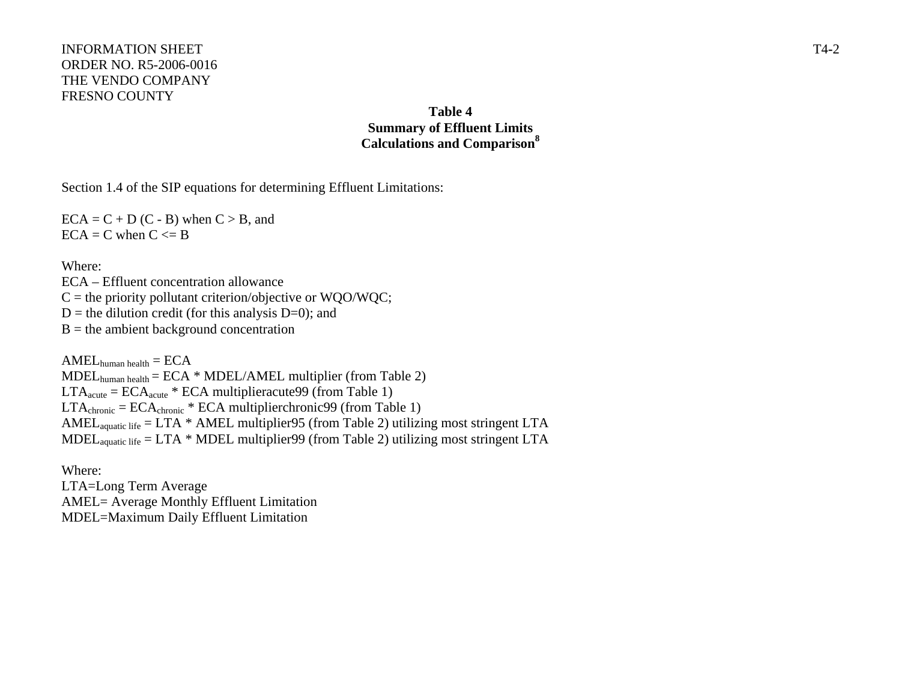## **Table 4 Summary of Effluent Limits Calculations and Comparison<sup>8</sup>**

Section 1.4 of the SIP equations for determining Effluent Limitations:

 $ECA = C + D (C - B)$  when  $C > B$ , and  $ECA = C$  when  $C \le B$ 

Where:

ECA – Effluent concentration allowance  $C =$  the priority pollutant criterion/objective or WQO/WQC;  $D =$  the dilution credit (for this analysis  $D=0$ ); and  $B =$  the ambient background concentration

 $AMEL$ <sub>human health</sub>  $= ECA$ MDELhuman health = ECA \* MDEL/AMEL multiplier (from Table 2)  $LTA<sub>acute</sub> = ECA<sub>acute</sub> * ECA$  multiplieracute 99 (from Table 1)  $LTA_{chronic} = ECA_{chronic} * ECA$  multiplierchronic99 (from Table 1) AMEL<sub>aquatic life</sub> = LTA  $*$  AMEL multiplier95 (from Table 2) utilizing most stringent LTA MDEL<sub>aquatic life</sub> = LTA  $*$  MDEL multiplier99 (from Table 2) utilizing most stringent LTA

Where: LTA=Long Term Average AMEL= Average Monthly Effluent Limitation MDEL=Maximum Daily Effluent Limitation